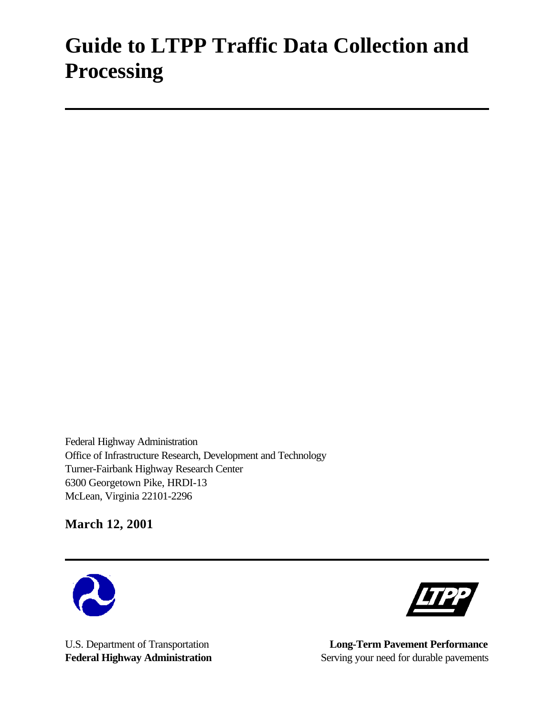# **Guide to LTPP Traffic Data Collection and Processing**

Federal Highway Administration Office of Infrastructure Research, Development and Technology Turner-Fairbank Highway Research Center 6300 Georgetown Pike, HRDI-13 McLean, Virginia 22101-2296

**March 12, 2001**





U.S. Department of Transportation **Long-Term Pavement Performance**

**Federal Highway Administration** Serving your need for durable pavements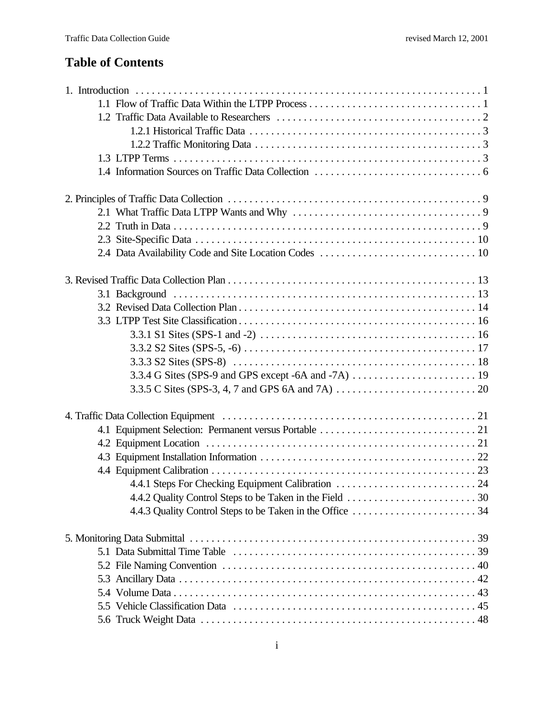# **Table of Contents**

| 4.4.1 Steps For Checking Equipment Calibration  24 |  |
|----------------------------------------------------|--|
|                                                    |  |
|                                                    |  |
|                                                    |  |
|                                                    |  |
|                                                    |  |
|                                                    |  |
|                                                    |  |
|                                                    |  |
|                                                    |  |
|                                                    |  |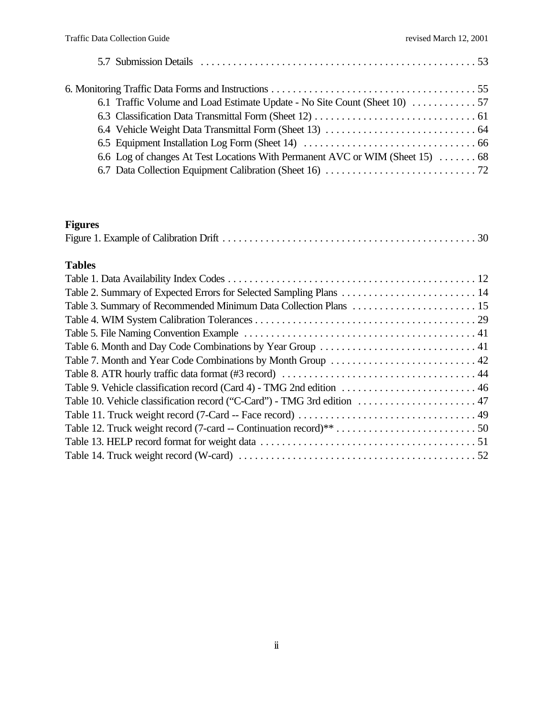| 6.6 Log of changes At Test Locations With Permanent AVC or WIM (Sheet 15)  68 |  |
|-------------------------------------------------------------------------------|--|
|                                                                               |  |
|                                                                               |  |

# **Figures**

|--|--|--|--|--|

# **Tables**

| Table 2. Summary of Expected Errors for Selected Sampling Plans  14      |
|--------------------------------------------------------------------------|
| Table 3. Summary of Recommended Minimum Data Collection Plans  15        |
|                                                                          |
|                                                                          |
|                                                                          |
|                                                                          |
|                                                                          |
| Table 9. Vehicle classification record (Card 4) - TMG 2nd edition  46    |
| Table 10. Vehicle classification record ("C-Card") - TMG 3rd edition  47 |
|                                                                          |
|                                                                          |
|                                                                          |
|                                                                          |
|                                                                          |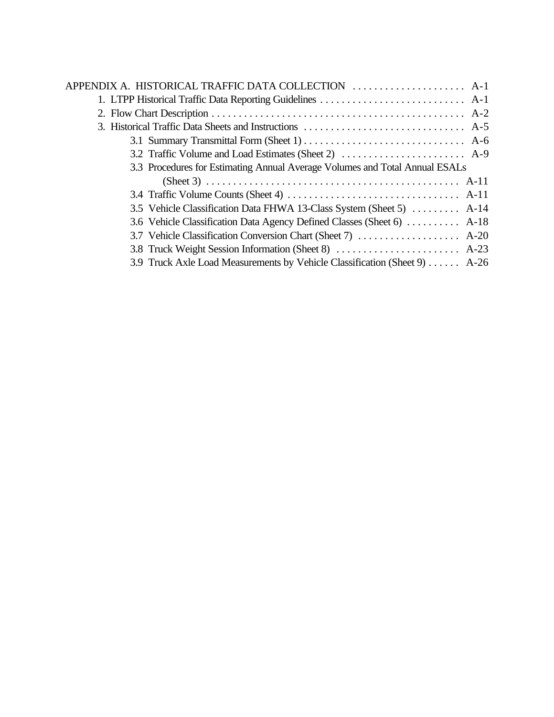| APPENDIX A. HISTORICAL TRAFFIC DATA COLLECTION  A-1                         |  |
|-----------------------------------------------------------------------------|--|
|                                                                             |  |
|                                                                             |  |
|                                                                             |  |
|                                                                             |  |
|                                                                             |  |
| 3.3 Procedures for Estimating Annual Average Volumes and Total Annual ESALs |  |
|                                                                             |  |
|                                                                             |  |
|                                                                             |  |
| 3.5 Vehicle Classification Data FHWA 13-Class System (Sheet 5)  A-14        |  |
| 3.6 Vehicle Classification Data Agency Defined Classes (Sheet 6)  A-18      |  |
| 3.7 Vehicle Classification Conversion Chart (Sheet 7)  A-20                 |  |
| 3.8 Truck Weight Session Information (Sheet 8)  A-23                        |  |
| 3.9 Truck Axle Load Measurements by Vehicle Classification (Sheet 9) A-26   |  |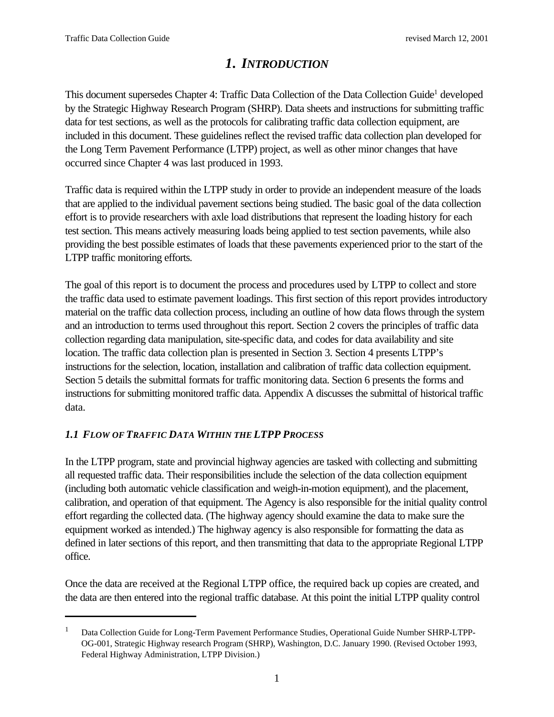# *1. INTRODUCTION*

This document supersedes Chapter 4: Traffic Data Collection of the Data Collection Guide<sup>1</sup> developed by the Strategic Highway Research Program (SHRP). Data sheets and instructions for submitting traffic data for test sections, as well as the protocols for calibrating traffic data collection equipment, are included in this document. These guidelines reflect the revised traffic data collection plan developed for the Long Term Pavement Performance (LTPP) project, as well as other minor changes that have occurred since Chapter 4 was last produced in 1993.

Traffic data is required within the LTPP study in order to provide an independent measure of the loads that are applied to the individual pavement sections being studied. The basic goal of the data collection effort is to provide researchers with axle load distributions that represent the loading history for each test section. This means actively measuring loads being applied to test section pavements, while also providing the best possible estimates of loads that these pavements experienced prior to the start of the LTPP traffic monitoring efforts.

The goal of this report is to document the process and procedures used by LTPP to collect and store the traffic data used to estimate pavement loadings. This first section of this report provides introductory material on the traffic data collection process, including an outline of how data flows through the system and an introduction to terms used throughout this report. Section 2 covers the principles of traffic data collection regarding data manipulation, site-specific data, and codes for data availability and site location. The traffic data collection plan is presented in Section 3. Section 4 presents LTPP's instructions for the selection, location, installation and calibration of traffic data collection equipment. Section 5 details the submittal formats for traffic monitoring data. Section 6 presents the forms and instructions for submitting monitored traffic data. Appendix A discusses the submittal of historical traffic data.

# *1.1 FLOW OF TRAFFIC DATA WITHIN THE LTPP PROCESS*

In the LTPP program, state and provincial highway agencies are tasked with collecting and submitting all requested traffic data. Their responsibilities include the selection of the data collection equipment (including both automatic vehicle classification and weigh-in-motion equipment), and the placement, calibration, and operation of that equipment. The Agency is also responsible for the initial quality control effort regarding the collected data. (The highway agency should examine the data to make sure the equipment worked as intended.) The highway agency is also responsible for formatting the data as defined in later sections of this report, and then transmitting that data to the appropriate Regional LTPP office.

Once the data are received at the Regional LTPP office, the required back up copies are created, and the data are then entered into the regional traffic database. At this point the initial LTPP quality control

Data Collection Guide for Long-Term Pavement Performance Studies, Operational Guide Number SHRP-LTPP-OG-001, Strategic Highway research Program (SHRP), Washington, D.C. January 1990. (Revised October 1993, Federal Highway Administration, LTPP Division.)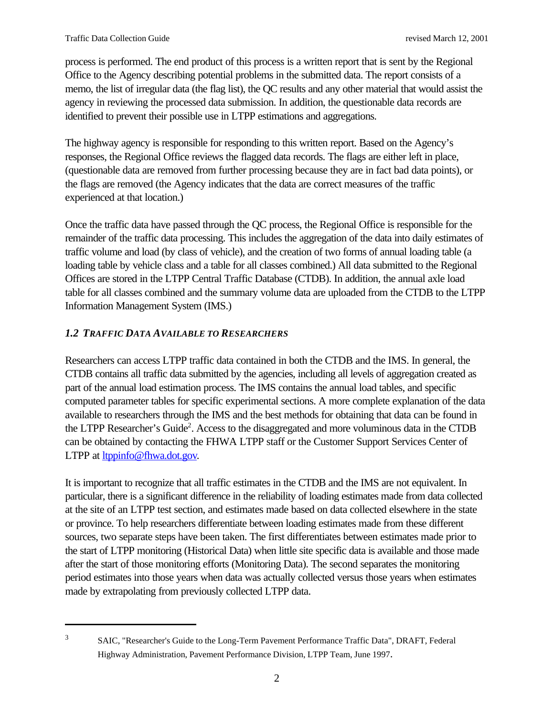process is performed. The end product of this process is a written report that is sent by the Regional Office to the Agency describing potential problems in the submitted data. The report consists of a memo, the list of irregular data (the flag list), the QC results and any other material that would assist the agency in reviewing the processed data submission. In addition, the questionable data records are identified to prevent their possible use in LTPP estimations and aggregations.

The highway agency is responsible for responding to this written report. Based on the Agency's responses, the Regional Office reviews the flagged data records. The flags are either left in place, (questionable data are removed from further processing because they are in fact bad data points), or the flags are removed (the Agency indicates that the data are correct measures of the traffic experienced at that location.)

Once the traffic data have passed through the QC process, the Regional Office is responsible for the remainder of the traffic data processing. This includes the aggregation of the data into daily estimates of traffic volume and load (by class of vehicle), and the creation of two forms of annual loading table (a loading table by vehicle class and a table for all classes combined.) All data submitted to the Regional Offices are stored in the LTPP Central Traffic Database (CTDB). In addition, the annual axle load table for all classes combined and the summary volume data are uploaded from the CTDB to the LTPP Information Management System (IMS.)

# *1.2 TRAFFIC DATA AVAILABLE TO RESEARCHERS*

Researchers can access LTPP traffic data contained in both the CTDB and the IMS. In general, the CTDB contains all traffic data submitted by the agencies, including all levels of aggregation created as part of the annual load estimation process. The IMS contains the annual load tables, and specific computed parameter tables for specific experimental sections. A more complete explanation of the data available to researchers through the IMS and the best methods for obtaining that data can be found in the LTPP Researcher's Guide<sup>2</sup>. Access to the disaggregated and more voluminous data in the CTDB can be obtained by contacting the FHWA LTPP staff or the Customer Support Services Center of LTPP at **httppinfo@fhwa.dot.gov**.

It is important to recognize that all traffic estimates in the CTDB and the IMS are not equivalent. In particular, there is a significant difference in the reliability of loading estimates made from data collected at the site of an LTPP test section, and estimates made based on data collected elsewhere in the state or province. To help researchers differentiate between loading estimates made from these different sources, two separate steps have been taken. The first differentiates between estimates made prior to the start of LTPP monitoring (Historical Data) when little site specific data is available and those made after the start of those monitoring efforts (Monitoring Data). The second separates the monitoring period estimates into those years when data was actually collected versus those years when estimates made by extrapolating from previously collected LTPP data.

<sup>3</sup>

SAIC, "Researcher's Guide to the Long-Term Pavement Performance Traffic Data", DRAFT, Federal Highway Administration, Pavement Performance Division, LTPP Team, June 1997.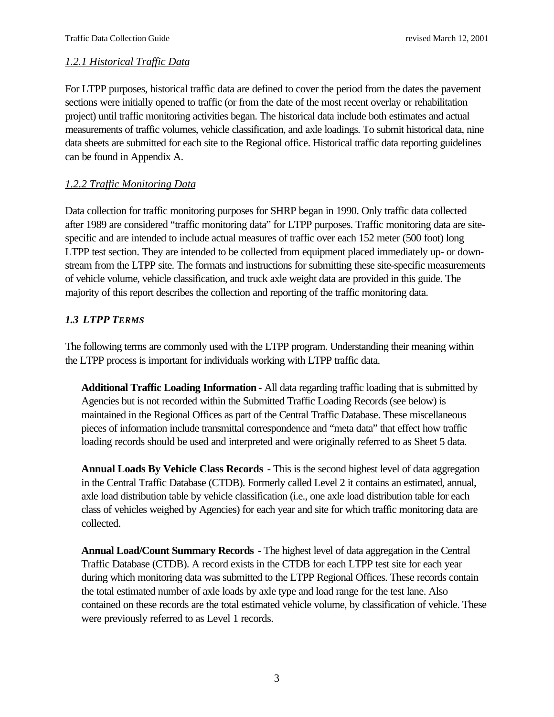### *1.2.1 Historical Traffic Data*

For LTPP purposes, historical traffic data are defined to cover the period from the dates the pavement sections were initially opened to traffic (or from the date of the most recent overlay or rehabilitation project) until traffic monitoring activities began. The historical data include both estimates and actual measurements of traffic volumes, vehicle classification, and axle loadings. To submit historical data, nine data sheets are submitted for each site to the Regional office. Historical traffic data reporting guidelines can be found in Appendix A.

## *1.2.2 Traffic Monitoring Data*

Data collection for traffic monitoring purposes for SHRP began in 1990. Only traffic data collected after 1989 are considered "traffic monitoring data" for LTPP purposes. Traffic monitoring data are sitespecific and are intended to include actual measures of traffic over each 152 meter (500 foot) long LTPP test section. They are intended to be collected from equipment placed immediately up- or downstream from the LTPP site. The formats and instructions for submitting these site-specific measurements of vehicle volume, vehicle classification, and truck axle weight data are provided in this guide. The majority of this report describes the collection and reporting of the traffic monitoring data.

## *1.3 LTPP TERMS*

The following terms are commonly used with the LTPP program. Understanding their meaning within the LTPP process is important for individuals working with LTPP traffic data.

**Additional Traffic Loading Information** - All data regarding traffic loading that is submitted by Agencies but is not recorded within the Submitted Traffic Loading Records (see below) is maintained in the Regional Offices as part of the Central Traffic Database. These miscellaneous pieces of information include transmittal correspondence and "meta data" that effect how traffic loading records should be used and interpreted and were originally referred to as Sheet 5 data.

**Annual Loads By Vehicle Class Records** - This is the second highest level of data aggregation in the Central Traffic Database (CTDB). Formerly called Level 2 it contains an estimated, annual, axle load distribution table by vehicle classification (i.e., one axle load distribution table for each class of vehicles weighed by Agencies) for each year and site for which traffic monitoring data are collected.

**Annual Load/Count Summary Records** - The highest level of data aggregation in the Central Traffic Database (CTDB). A record exists in the CTDB for each LTPP test site for each year during which monitoring data was submitted to the LTPP Regional Offices. These records contain the total estimated number of axle loads by axle type and load range for the test lane. Also contained on these records are the total estimated vehicle volume, by classification of vehicle. These were previously referred to as Level 1 records.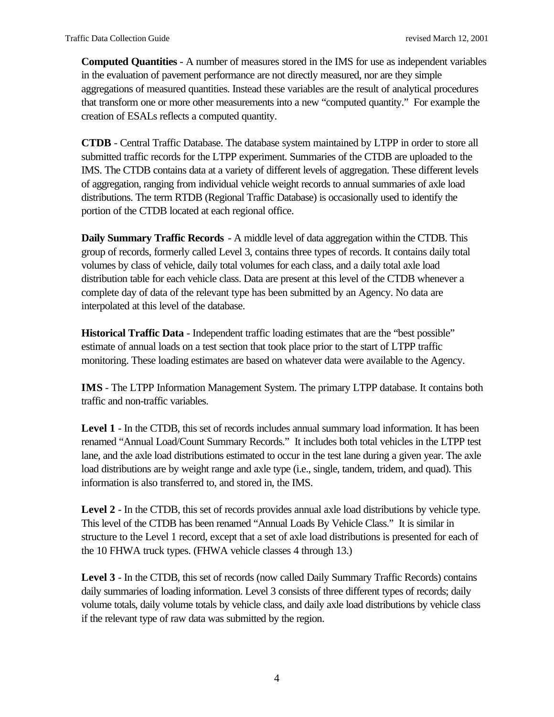**Computed Quantities** - A number of measures stored in the IMS for use as independent variables in the evaluation of pavement performance are not directly measured, nor are they simple aggregations of measured quantities. Instead these variables are the result of analytical procedures that transform one or more other measurements into a new "computed quantity." For example the creation of ESALs reflects a computed quantity.

**CTDB** - Central Traffic Database. The database system maintained by LTPP in order to store all submitted traffic records for the LTPP experiment. Summaries of the CTDB are uploaded to the IMS. The CTDB contains data at a variety of different levels of aggregation. These different levels of aggregation, ranging from individual vehicle weight records to annual summaries of axle load distributions. The term RTDB (Regional Traffic Database) is occasionally used to identify the portion of the CTDB located at each regional office.

**Daily Summary Traffic Records** - A middle level of data aggregation within the CTDB. This group of records, formerly called Level 3, contains three types of records. It contains daily total volumes by class of vehicle, daily total volumes for each class, and a daily total axle load distribution table for each vehicle class. Data are present at this level of the CTDB whenever a complete day of data of the relevant type has been submitted by an Agency. No data are interpolated at this level of the database.

**Historical Traffic Data** - Independent traffic loading estimates that are the "best possible" estimate of annual loads on a test section that took place prior to the start of LTPP traffic monitoring. These loading estimates are based on whatever data were available to the Agency.

**IMS** - The LTPP Information Management System. The primary LTPP database. It contains both traffic and non-traffic variables.

Level 1 - In the CTDB, this set of records includes annual summary load information. It has been renamed "Annual Load/Count Summary Records." It includes both total vehicles in the LTPP test lane, and the axle load distributions estimated to occur in the test lane during a given year. The axle load distributions are by weight range and axle type (i.e., single, tandem, tridem, and quad). This information is also transferred to, and stored in, the IMS.

**Level 2** - In the CTDB, this set of records provides annual axle load distributions by vehicle type. This level of the CTDB has been renamed "Annual Loads By Vehicle Class." It is similar in structure to the Level 1 record, except that a set of axle load distributions is presented for each of the 10 FHWA truck types. (FHWA vehicle classes 4 through 13.)

**Level 3** - In the CTDB, this set of records (now called Daily Summary Traffic Records) contains daily summaries of loading information. Level 3 consists of three different types of records; daily volume totals, daily volume totals by vehicle class, and daily axle load distributions by vehicle class if the relevant type of raw data was submitted by the region.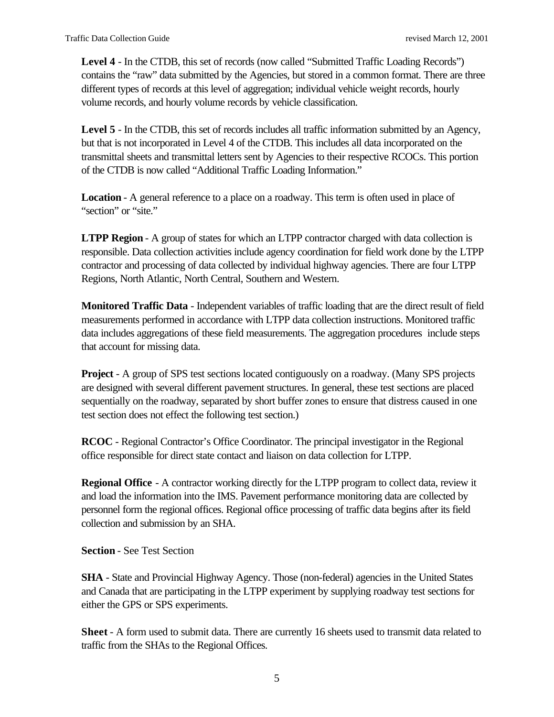**Level 4** - In the CTDB, this set of records (now called "Submitted Traffic Loading Records") contains the "raw" data submitted by the Agencies, but stored in a common format. There are three different types of records at this level of aggregation; individual vehicle weight records, hourly volume records, and hourly volume records by vehicle classification.

**Level 5** - In the CTDB, this set of records includes all traffic information submitted by an Agency, but that is not incorporated in Level 4 of the CTDB. This includes all data incorporated on the transmittal sheets and transmittal letters sent by Agencies to their respective RCOCs. This portion of the CTDB is now called "Additional Traffic Loading Information."

**Location** - A general reference to a place on a roadway. This term is often used in place of "section" or "site."

**LTPP Region** - A group of states for which an LTPP contractor charged with data collection is responsible. Data collection activities include agency coordination for field work done by the LTPP contractor and processing of data collected by individual highway agencies. There are four LTPP Regions, North Atlantic, North Central, Southern and Western.

**Monitored Traffic Data** - Independent variables of traffic loading that are the direct result of field measurements performed in accordance with LTPP data collection instructions. Monitored traffic data includes aggregations of these field measurements. The aggregation procedures include steps that account for missing data.

**Project** - A group of SPS test sections located contiguously on a roadway. (Many SPS projects are designed with several different pavement structures. In general, these test sections are placed sequentially on the roadway, separated by short buffer zones to ensure that distress caused in one test section does not effect the following test section.)

**RCOC** - Regional Contractor's Office Coordinator. The principal investigator in the Regional office responsible for direct state contact and liaison on data collection for LTPP.

**Regional Office** - A contractor working directly for the LTPP program to collect data, review it and load the information into the IMS. Pavement performance monitoring data are collected by personnel form the regional offices. Regional office processing of traffic data begins after its field collection and submission by an SHA.

**Section** - See Test Section

**SHA** - State and Provincial Highway Agency. Those (non-federal) agencies in the United States and Canada that are participating in the LTPP experiment by supplying roadway test sections for either the GPS or SPS experiments.

**Sheet** - A form used to submit data. There are currently 16 sheets used to transmit data related to traffic from the SHAs to the Regional Offices.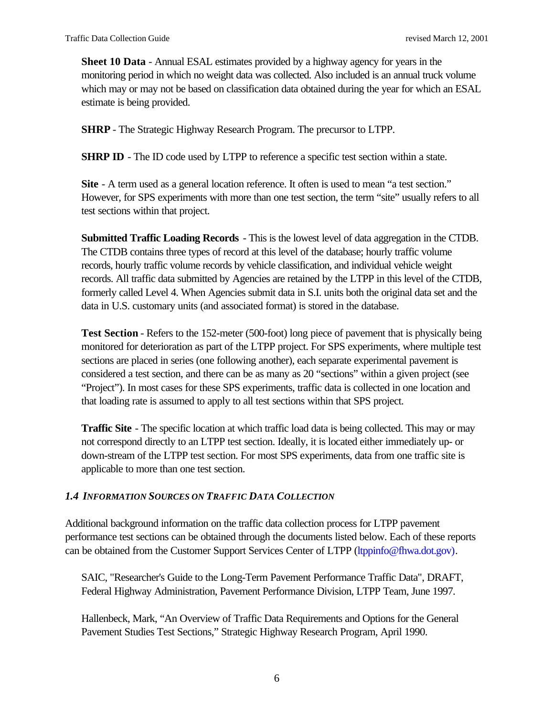**Sheet 10 Data** - Annual ESAL estimates provided by a highway agency for years in the monitoring period in which no weight data was collected. Also included is an annual truck volume which may or may not be based on classification data obtained during the year for which an ESAL estimate is being provided.

**SHRP** - The Strategic Highway Research Program. The precursor to LTPP.

**SHRP ID** - The ID code used by LTPP to reference a specific test section within a state.

**Site** - A term used as a general location reference. It often is used to mean "a test section." However, for SPS experiments with more than one test section, the term "site" usually refers to all test sections within that project.

**Submitted Traffic Loading Records** - This is the lowest level of data aggregation in the CTDB. The CTDB contains three types of record at this level of the database; hourly traffic volume records, hourly traffic volume records by vehicle classification, and individual vehicle weight records. All traffic data submitted by Agencies are retained by the LTPP in this level of the CTDB, formerly called Level 4. When Agencies submit data in S.I. units both the original data set and the data in U.S. customary units (and associated format) is stored in the database.

**Test Section** - Refers to the 152-meter (500-foot) long piece of pavement that is physically being monitored for deterioration as part of the LTPP project. For SPS experiments, where multiple test sections are placed in series (one following another), each separate experimental pavement is considered a test section, and there can be as many as 20 "sections" within a given project (see "Project"). In most cases for these SPS experiments, traffic data is collected in one location and that loading rate is assumed to apply to all test sections within that SPS project.

**Traffic Site** - The specific location at which traffic load data is being collected. This may or may not correspond directly to an LTPP test section. Ideally, it is located either immediately up- or down-stream of the LTPP test section. For most SPS experiments, data from one traffic site is applicable to more than one test section.

### *1.4 INFORMATION SOURCES ON TRAFFIC DATA COLLECTION*

Additional background information on the traffic data collection process for LTPP pavement performance test sections can be obtained through the documents listed below. Each of these reports can be obtained from the Customer Support Services Center of LTPP (ltppinfo@fhwa.dot.gov).

SAIC, "Researcher's Guide to the Long-Term Pavement Performance Traffic Data", DRAFT, Federal Highway Administration, Pavement Performance Division, LTPP Team, June 1997.

Hallenbeck, Mark, "An Overview of Traffic Data Requirements and Options for the General Pavement Studies Test Sections," Strategic Highway Research Program, April 1990.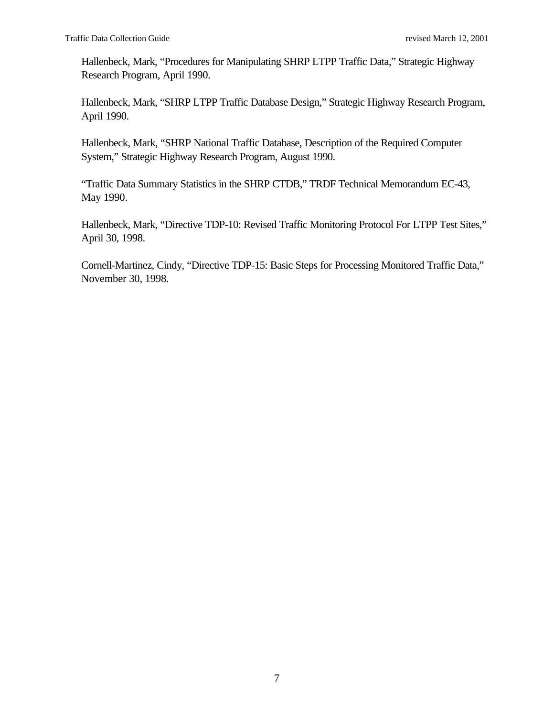Hallenbeck, Mark, "Procedures for Manipulating SHRP LTPP Traffic Data," Strategic Highway Research Program, April 1990.

Hallenbeck, Mark, "SHRP LTPP Traffic Database Design," Strategic Highway Research Program, April 1990.

Hallenbeck, Mark, "SHRP National Traffic Database, Description of the Required Computer System," Strategic Highway Research Program, August 1990.

"Traffic Data Summary Statistics in the SHRP CTDB," TRDF Technical Memorandum EC-43, May 1990.

Hallenbeck, Mark, "Directive TDP-10: Revised Traffic Monitoring Protocol For LTPP Test Sites," April 30, 1998.

Cornell-Martinez, Cindy, "Directive TDP-15: Basic Steps for Processing Monitored Traffic Data," November 30, 1998.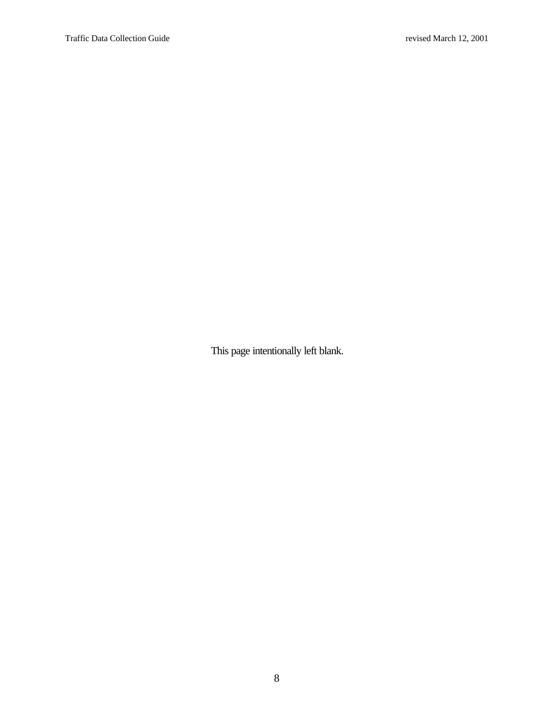This page intentionally left blank.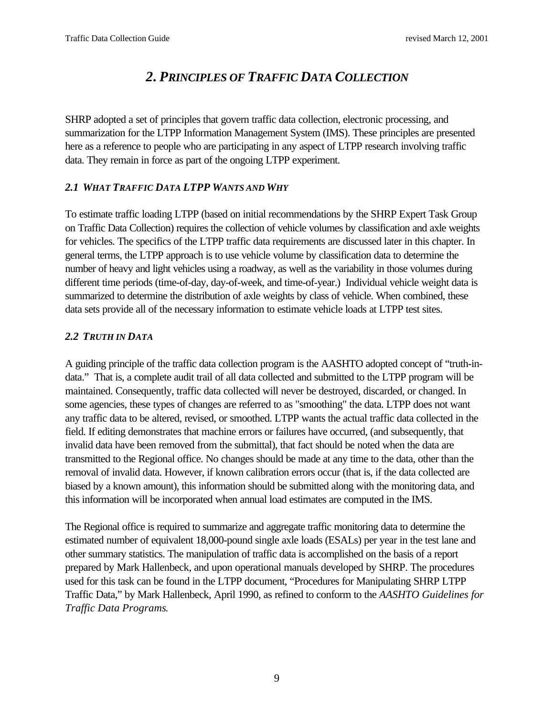# *2. PRINCIPLES OF TRAFFIC DATA COLLECTION*

SHRP adopted a set of principles that govern traffic data collection, electronic processing, and summarization for the LTPP Information Management System (IMS). These principles are presented here as a reference to people who are participating in any aspect of LTPP research involving traffic data. They remain in force as part of the ongoing LTPP experiment.

#### *2.1 WHAT TRAFFIC DATA LTPP WANTS AND WHY*

To estimate traffic loading LTPP (based on initial recommendations by the SHRP Expert Task Group on Traffic Data Collection) requires the collection of vehicle volumes by classification and axle weights for vehicles. The specifics of the LTPP traffic data requirements are discussed later in this chapter. In general terms, the LTPP approach is to use vehicle volume by classification data to determine the number of heavy and light vehicles using a roadway, as well as the variability in those volumes during different time periods (time-of-day, day-of-week, and time-of-year.) Individual vehicle weight data is summarized to determine the distribution of axle weights by class of vehicle. When combined, these data sets provide all of the necessary information to estimate vehicle loads at LTPP test sites.

#### *2.2 TRUTH IN DATA*

A guiding principle of the traffic data collection program is the AASHTO adopted concept of "truth-indata." That is, a complete audit trail of all data collected and submitted to the LTPP program will be maintained. Consequently, traffic data collected will never be destroyed, discarded, or changed. In some agencies, these types of changes are referred to as "smoothing" the data. LTPP does not want any traffic data to be altered, revised, or smoothed. LTPP wants the actual traffic data collected in the field. If editing demonstrates that machine errors or failures have occurred, (and subsequently, that invalid data have been removed from the submittal), that fact should be noted when the data are transmitted to the Regional office. No changes should be made at any time to the data, other than the removal of invalid data. However, if known calibration errors occur (that is, if the data collected are biased by a known amount), this information should be submitted along with the monitoring data, and this information will be incorporated when annual load estimates are computed in the IMS.

The Regional office is required to summarize and aggregate traffic monitoring data to determine the estimated number of equivalent 18,000-pound single axle loads (ESALs) per year in the test lane and other summary statistics. The manipulation of traffic data is accomplished on the basis of a report prepared by Mark Hallenbeck, and upon operational manuals developed by SHRP. The procedures used for this task can be found in the LTPP document, "Procedures for Manipulating SHRP LTPP Traffic Data," by Mark Hallenbeck, April 1990, as refined to conform to the *AASHTO Guidelines for Traffic Data Programs*.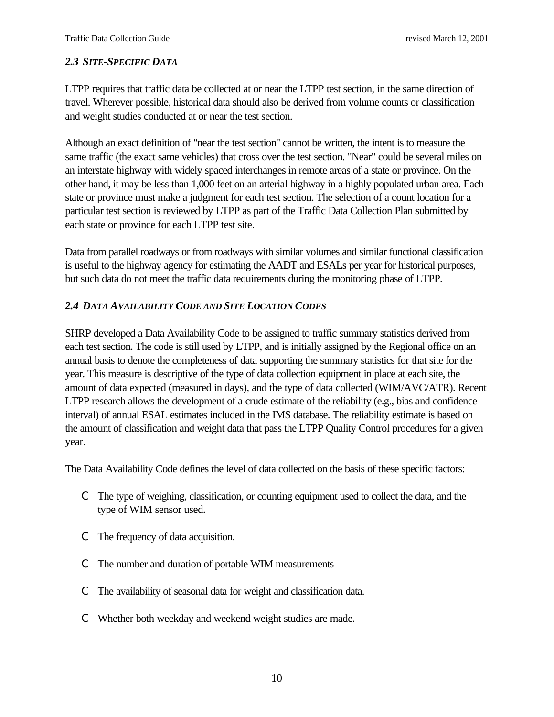#### *2.3 SITE-SPECIFIC DATA*

LTPP requires that traffic data be collected at or near the LTPP test section, in the same direction of travel. Wherever possible, historical data should also be derived from volume counts or classification and weight studies conducted at or near the test section.

Although an exact definition of "near the test section" cannot be written, the intent is to measure the same traffic (the exact same vehicles) that cross over the test section. "Near" could be several miles on an interstate highway with widely spaced interchanges in remote areas of a state or province. On the other hand, it may be less than 1,000 feet on an arterial highway in a highly populated urban area. Each state or province must make a judgment for each test section. The selection of a count location for a particular test section is reviewed by LTPP as part of the Traffic Data Collection Plan submitted by each state or province for each LTPP test site.

Data from parallel roadways or from roadways with similar volumes and similar functional classification is useful to the highway agency for estimating the AADT and ESALs per year for historical purposes, but such data do not meet the traffic data requirements during the monitoring phase of LTPP.

### *2.4 DATA AVAILABILITY CODE AND SITE LOCATION CODES*

SHRP developed a Data Availability Code to be assigned to traffic summary statistics derived from each test section. The code is still used by LTPP, and is initially assigned by the Regional office on an annual basis to denote the completeness of data supporting the summary statistics for that site for the year. This measure is descriptive of the type of data collection equipment in place at each site, the amount of data expected (measured in days), and the type of data collected (WIM/AVC/ATR). Recent LTPP research allows the development of a crude estimate of the reliability (e.g., bias and confidence interval) of annual ESAL estimates included in the IMS database. The reliability estimate is based on the amount of classification and weight data that pass the LTPP Quality Control procedures for a given year.

The Data Availability Code defines the level of data collected on the basis of these specific factors:

- C The type of weighing, classification, or counting equipment used to collect the data, and the type of WIM sensor used.
- C The frequency of data acquisition.
- C The number and duration of portable WIM measurements
- C The availability of seasonal data for weight and classification data.
- C Whether both weekday and weekend weight studies are made.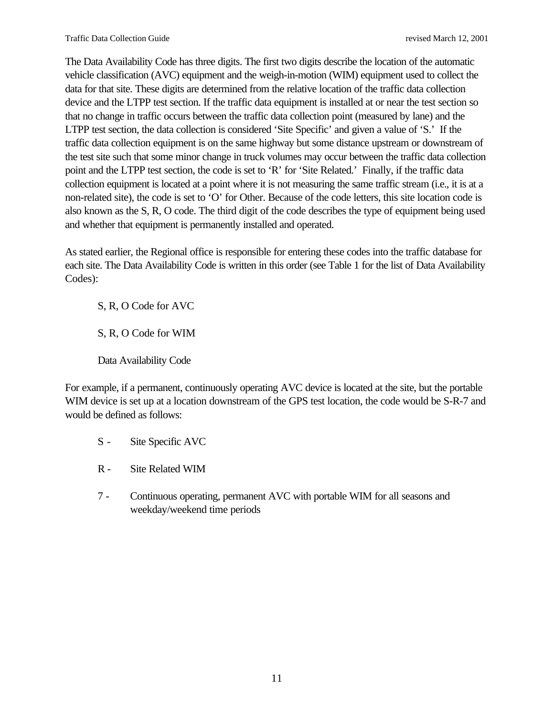The Data Availability Code has three digits. The first two digits describe the location of the automatic vehicle classification (AVC) equipment and the weigh-in-motion (WIM) equipment used to collect the data for that site. These digits are determined from the relative location of the traffic data collection device and the LTPP test section. If the traffic data equipment is installed at or near the test section so that no change in traffic occurs between the traffic data collection point (measured by lane) and the LTPP test section, the data collection is considered 'Site Specific' and given a value of 'S.' If the traffic data collection equipment is on the same highway but some distance upstream or downstream of the test site such that some minor change in truck volumes may occur between the traffic data collection point and the LTPP test section, the code is set to 'R' for 'Site Related.' Finally, if the traffic data collection equipment is located at a point where it is not measuring the same traffic stream (i.e., it is at a non-related site), the code is set to 'O' for Other. Because of the code letters, this site location code is also known as the S, R, O code. The third digit of the code describes the type of equipment being used and whether that equipment is permanently installed and operated.

As stated earlier, the Regional office is responsible for entering these codes into the traffic database for each site. The Data Availability Code is written in this order (see Table 1 for the list of Data Availability Codes):

S, R, O Code for AVC

S, R, O Code for WIM

Data Availability Code

For example, if a permanent, continuously operating AVC device is located at the site, but the portable WIM device is set up at a location downstream of the GPS test location, the code would be S-R-7 and would be defined as follows:

- S Site Specific AVC
- R Site Related WIM
- 7 Continuous operating, permanent AVC with portable WIM for all seasons and weekday/weekend time periods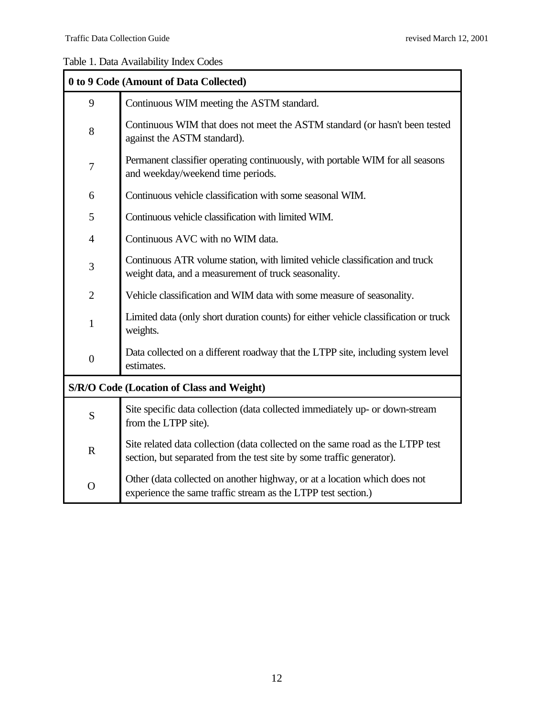# Table 1. Data Availability Index Codes

| 0 to 9 Code (Amount of Data Collected) |                                                                                                                                                         |  |  |
|----------------------------------------|---------------------------------------------------------------------------------------------------------------------------------------------------------|--|--|
| 9                                      | Continuous WIM meeting the ASTM standard.                                                                                                               |  |  |
| 8                                      | Continuous WIM that does not meet the ASTM standard (or hasn't been tested<br>against the ASTM standard).                                               |  |  |
| $\tau$                                 | Permanent classifier operating continuously, with portable WIM for all seasons<br>and weekday/weekend time periods.                                     |  |  |
| 6                                      | Continuous vehicle classification with some seasonal WIM.                                                                                               |  |  |
| 5                                      | Continuous vehicle classification with limited WIM.                                                                                                     |  |  |
| 4                                      | Continuous AVC with no WIM data.                                                                                                                        |  |  |
| 3                                      | Continuous ATR volume station, with limited vehicle classification and truck<br>weight data, and a measurement of truck seasonality.                    |  |  |
| $\overline{2}$                         | Vehicle classification and WIM data with some measure of seasonality.                                                                                   |  |  |
| $\mathbf{1}$                           | Limited data (only short duration counts) for either vehicle classification or truck<br>weights.                                                        |  |  |
| $\overline{0}$                         | Data collected on a different roadway that the LTPP site, including system level<br>estimates.                                                          |  |  |
|                                        | S/R/O Code (Location of Class and Weight)                                                                                                               |  |  |
| S                                      | Site specific data collection (data collected immediately up- or down-stream<br>from the LTPP site).                                                    |  |  |
| $\mathbf{R}$                           | Site related data collection (data collected on the same road as the LTPP test<br>section, but separated from the test site by some traffic generator). |  |  |
| O                                      | Other (data collected on another highway, or at a location which does not<br>experience the same traffic stream as the LTPP test section.)              |  |  |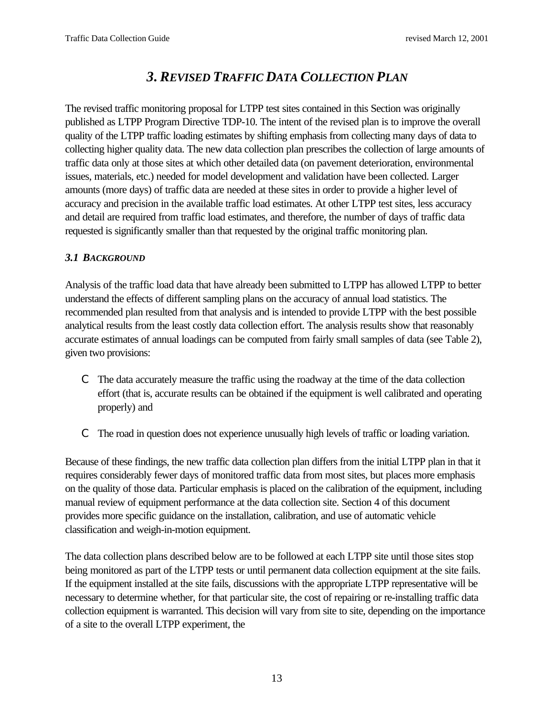# *3. REVISED TRAFFIC DATA COLLECTION PLAN*

The revised traffic monitoring proposal for LTPP test sites contained in this Section was originally published as LTPP Program Directive TDP-10. The intent of the revised plan is to improve the overall quality of the LTPP traffic loading estimates by shifting emphasis from collecting many days of data to collecting higher quality data. The new data collection plan prescribes the collection of large amounts of traffic data only at those sites at which other detailed data (on pavement deterioration, environmental issues, materials, etc.) needed for model development and validation have been collected. Larger amounts (more days) of traffic data are needed at these sites in order to provide a higher level of accuracy and precision in the available traffic load estimates. At other LTPP test sites, less accuracy and detail are required from traffic load estimates, and therefore, the number of days of traffic data requested is significantly smaller than that requested by the original traffic monitoring plan.

#### *3.1 BACKGROUND*

Analysis of the traffic load data that have already been submitted to LTPP has allowed LTPP to better understand the effects of different sampling plans on the accuracy of annual load statistics. The recommended plan resulted from that analysis and is intended to provide LTPP with the best possible analytical results from the least costly data collection effort. The analysis results show that reasonably accurate estimates of annual loadings can be computed from fairly small samples of data (see Table 2), given two provisions:

- C The data accurately measure the traffic using the roadway at the time of the data collection effort (that is, accurate results can be obtained if the equipment is well calibrated and operating properly) and
- C The road in question does not experience unusually high levels of traffic or loading variation.

Because of these findings, the new traffic data collection plan differs from the initial LTPP plan in that it requires considerably fewer days of monitored traffic data from most sites, but places more emphasis on the quality of those data. Particular emphasis is placed on the calibration of the equipment, including manual review of equipment performance at the data collection site. Section 4 of this document provides more specific guidance on the installation, calibration, and use of automatic vehicle classification and weigh-in-motion equipment.

The data collection plans described below are to be followed at each LTPP site until those sites stop being monitored as part of the LTPP tests or until permanent data collection equipment at the site fails. If the equipment installed at the site fails, discussions with the appropriate LTPP representative will be necessary to determine whether, for that particular site, the cost of repairing or re-installing traffic data collection equipment is warranted. This decision will vary from site to site, depending on the importance of a site to the overall LTPP experiment, the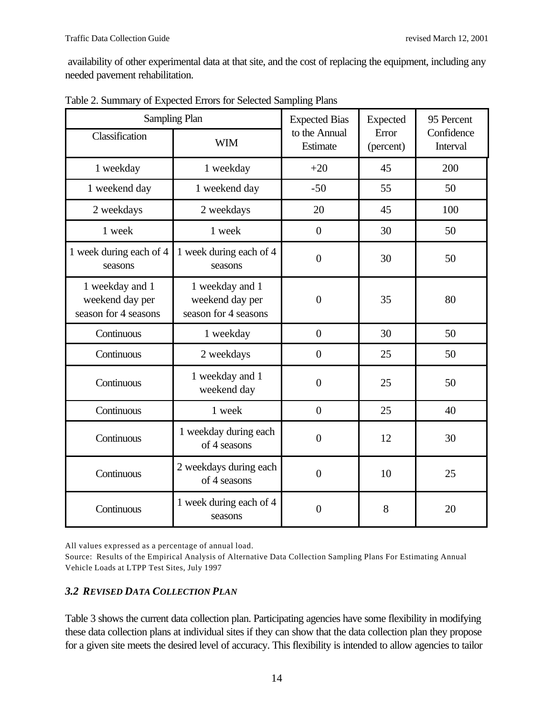availability of other experimental data at that site, and the cost of replacing the equipment, including any needed pavement rehabilitation.

| <b>Sampling Plan</b>                                                                             | <b>Expected Bias</b><br>to the Annual                      | Expected         | 95 Percent         |                        |
|--------------------------------------------------------------------------------------------------|------------------------------------------------------------|------------------|--------------------|------------------------|
| Classification                                                                                   | <b>WIM</b>                                                 |                  | Error<br>(percent) | Confidence<br>Interval |
| 1 weekday<br>1 weekday                                                                           |                                                            | $+20$            | 45                 | 200                    |
| 1 weekend day                                                                                    | 1 weekend day                                              | $-50$            | 55                 | 50                     |
| 2 weekdays                                                                                       | 2 weekdays                                                 | 20               | 45                 | 100                    |
| 1 week                                                                                           | 1 week<br>$\boldsymbol{0}$<br>30                           |                  |                    | 50                     |
| 1 week during each of 4<br>1 week during each of 4<br>$\overline{0}$<br>30<br>seasons<br>seasons |                                                            | 50               |                    |                        |
| 1 weekday and 1<br>weekend day per<br>season for 4 seasons                                       | 1 weekday and 1<br>weekend day per<br>season for 4 seasons | $\overline{0}$   | 35                 | 80                     |
| Continuous                                                                                       | 1 weekday                                                  | $\overline{0}$   | 30                 | 50                     |
| Continuous                                                                                       | 2 weekdays                                                 | $\boldsymbol{0}$ | 25                 | 50                     |
| Continuous                                                                                       | 1 weekday and 1<br>weekend day                             | $\overline{0}$   | 25                 | 50                     |
| Continuous                                                                                       | 1 week                                                     | $\overline{0}$   | 25                 | 40                     |
| 1 weekday during each<br>Continuous<br>of 4 seasons                                              |                                                            | $\Omega$         | 12                 | 30                     |
| Continuous                                                                                       | 2 weekdays during each<br>of 4 seasons                     | $\overline{0}$   | 10                 | 25                     |
| 1 week during each of 4<br>Continuous<br>seasons                                                 |                                                            | $\boldsymbol{0}$ | 8                  | 20                     |

Table 2. Summary of Expected Errors for Selected Sampling Plans

All values expressed as a percentage of annual load.

Source: Results of the Empirical Analysis of Alternative Data Collection Sampling Plans For Estimating Annual Vehicle Loads at LTPP Test Sites, July 1997

### *3.2 REVISED DATA COLLECTION PLAN*

Table 3 shows the current data collection plan. Participating agencies have some flexibility in modifying these data collection plans at individual sites if they can show that the data collection plan they propose for a given site meets the desired level of accuracy. This flexibility is intended to allow agencies to tailor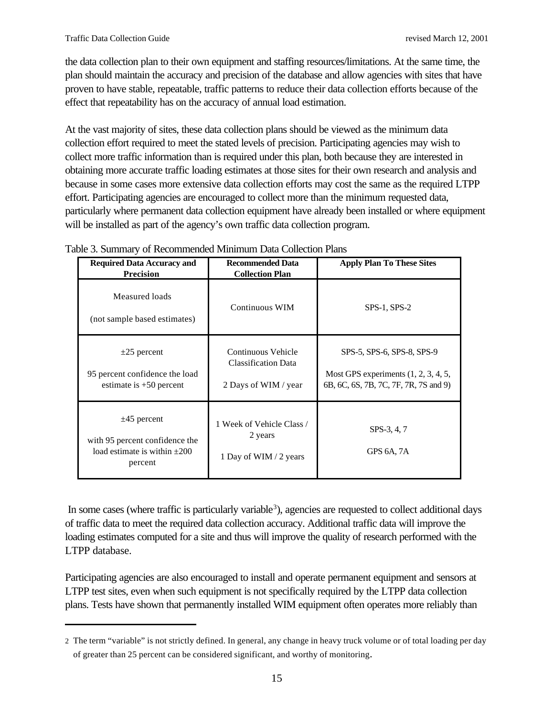the data collection plan to their own equipment and staffing resources/limitations. At the same time, the plan should maintain the accuracy and precision of the database and allow agencies with sites that have proven to have stable, repeatable, traffic patterns to reduce their data collection efforts because of the effect that repeatability has on the accuracy of annual load estimation.

At the vast majority of sites, these data collection plans should be viewed as the minimum data collection effort required to meet the stated levels of precision. Participating agencies may wish to collect more traffic information than is required under this plan, both because they are interested in obtaining more accurate traffic loading estimates at those sites for their own research and analysis and because in some cases more extensive data collection efforts may cost the same as the required LTPP effort. Participating agencies are encouraged to collect more than the minimum requested data, particularly where permanent data collection equipment have already been installed or where equipment will be installed as part of the agency's own traffic data collection program.

| <b>Required Data Accuracy and</b><br><b>Precision</b>                                              | <b>Recommended Data</b><br><b>Collection Plan</b>                        | <b>Apply Plan To These Sites</b>                                                                              |
|----------------------------------------------------------------------------------------------------|--------------------------------------------------------------------------|---------------------------------------------------------------------------------------------------------------|
| Measured loads<br>(not sample based estimates)                                                     | Continuous WIM                                                           | $SPS-1$ , $SPS-2$                                                                                             |
| $\pm 25$ percent<br>95 percent confidence the load<br>estimate is $+50$ percent                    | Continuous Vehicle<br><b>Classification Data</b><br>2 Days of WIM / year | SPS-5, SPS-6, SPS-8, SPS-9<br>Most GPS experiments $(1, 2, 3, 4, 5,$<br>6B, 6C, 6S, 7B, 7C, 7F, 7R, 7S and 9) |
| $\pm 45$ percent<br>with 95 percent confidence the<br>load estimate is within $\pm 200$<br>percent | 1 Week of Vehicle Class /<br>2 years<br>1 Day of WIM / 2 years           | SPS-3, 4, 7<br>GPS 6A, 7A                                                                                     |

#### Table 3. Summary of Recommended Minimum Data Collection Plans

In some cases (where traffic is particularly variable<sup>3</sup>), agencies are requested to collect additional days of traffic data to meet the required data collection accuracy. Additional traffic data will improve the loading estimates computed for a site and thus will improve the quality of research performed with the LTPP database.

Participating agencies are also encouraged to install and operate permanent equipment and sensors at LTPP test sites, even when such equipment is not specifically required by the LTPP data collection plans. Tests have shown that permanently installed WIM equipment often operates more reliably than

<sup>2</sup> The term "variable" is not strictly defined. In general, any change in heavy truck volume or of total loading per day of greater than 25 percent can be considered significant, and worthy of monitoring.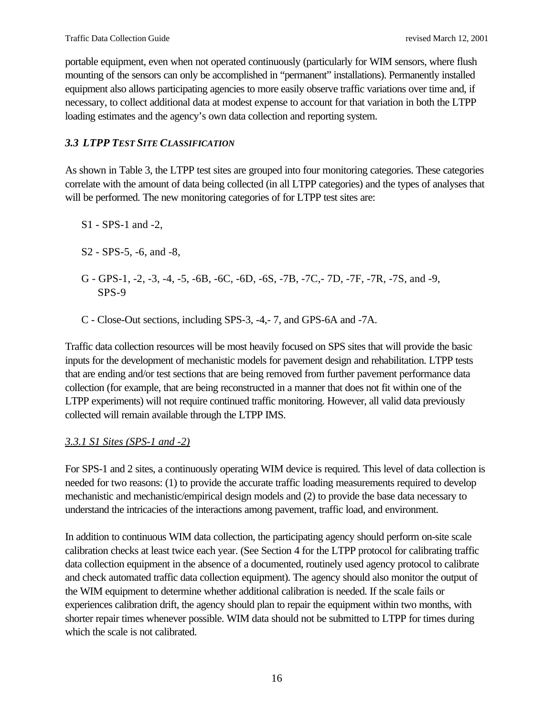portable equipment, even when not operated continuously (particularly for WIM sensors, where flush mounting of the sensors can only be accomplished in "permanent" installations). Permanently installed equipment also allows participating agencies to more easily observe traffic variations over time and, if necessary, to collect additional data at modest expense to account for that variation in both the LTPP loading estimates and the agency's own data collection and reporting system.

### *3.3 LTPP TEST SITE CLASSIFICATION*

As shown in Table 3, the LTPP test sites are grouped into four monitoring categories. These categories correlate with the amount of data being collected (in all LTPP categories) and the types of analyses that will be performed. The new monitoring categories of for LTPP test sites are:

- S1 SPS-1 and -2,
- S2 SPS-5, -6, and -8,
- G GPS-1, -2, -3, -4, -5, -6B, -6C, -6D, -6S, -7B, -7C,- 7D, -7F, -7R, -7S, and -9, SPS-9
- C Close-Out sections, including SPS-3, -4,- 7, and GPS-6A and -7A.

Traffic data collection resources will be most heavily focused on SPS sites that will provide the basic inputs for the development of mechanistic models for pavement design and rehabilitation. LTPP tests that are ending and/or test sections that are being removed from further pavement performance data collection (for example, that are being reconstructed in a manner that does not fit within one of the LTPP experiments) will not require continued traffic monitoring. However, all valid data previously collected will remain available through the LTPP IMS.

### *3.3.1 S1 Sites (SPS-1 and -2)*

For SPS-1 and 2 sites, a continuously operating WIM device is required. This level of data collection is needed for two reasons: (1) to provide the accurate traffic loading measurements required to develop mechanistic and mechanistic/empirical design models and (2) to provide the base data necessary to understand the intricacies of the interactions among pavement, traffic load, and environment.

In addition to continuous WIM data collection, the participating agency should perform on-site scale calibration checks at least twice each year. (See Section 4 for the LTPP protocol for calibrating traffic data collection equipment in the absence of a documented, routinely used agency protocol to calibrate and check automated traffic data collection equipment). The agency should also monitor the output of the WIM equipment to determine whether additional calibration is needed. If the scale fails or experiences calibration drift, the agency should plan to repair the equipment within two months, with shorter repair times whenever possible. WIM data should not be submitted to LTPP for times during which the scale is not calibrated.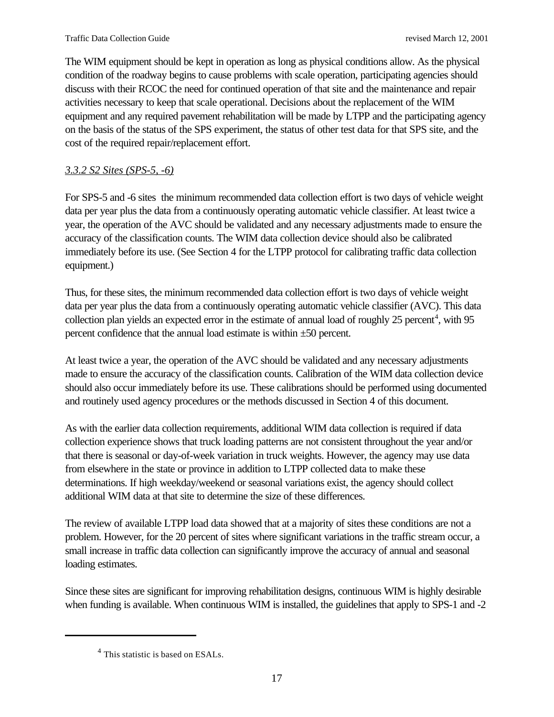The WIM equipment should be kept in operation as long as physical conditions allow. As the physical condition of the roadway begins to cause problems with scale operation, participating agencies should discuss with their RCOC the need for continued operation of that site and the maintenance and repair activities necessary to keep that scale operational. Decisions about the replacement of the WIM equipment and any required pavement rehabilitation will be made by LTPP and the participating agency on the basis of the status of the SPS experiment, the status of other test data for that SPS site, and the cost of the required repair/replacement effort.

# *3.3.2 S2 Sites (SPS-5, -6)*

For SPS-5 and -6 sites the minimum recommended data collection effort is two days of vehicle weight data per year plus the data from a continuously operating automatic vehicle classifier. At least twice a year, the operation of the AVC should be validated and any necessary adjustments made to ensure the accuracy of the classification counts. The WIM data collection device should also be calibrated immediately before its use. (See Section 4 for the LTPP protocol for calibrating traffic data collection equipment.)

Thus, for these sites, the minimum recommended data collection effort is two days of vehicle weight data per year plus the data from a continuously operating automatic vehicle classifier (AVC). This data collection plan yields an expected error in the estimate of annual load of roughly  $25$  percent<sup>4</sup>, with 95 percent confidence that the annual load estimate is within ±50 percent.

At least twice a year, the operation of the AVC should be validated and any necessary adjustments made to ensure the accuracy of the classification counts. Calibration of the WIM data collection device should also occur immediately before its use. These calibrations should be performed using documented and routinely used agency procedures or the methods discussed in Section 4 of this document.

As with the earlier data collection requirements, additional WIM data collection is required if data collection experience shows that truck loading patterns are not consistent throughout the year and/or that there is seasonal or day-of-week variation in truck weights. However, the agency may use data from elsewhere in the state or province in addition to LTPP collected data to make these determinations. If high weekday/weekend or seasonal variations exist, the agency should collect additional WIM data at that site to determine the size of these differences.

The review of available LTPP load data showed that at a majority of sites these conditions are not a problem. However, for the 20 percent of sites where significant variations in the traffic stream occur, a small increase in traffic data collection can significantly improve the accuracy of annual and seasonal loading estimates.

Since these sites are significant for improving rehabilitation designs, continuous WIM is highly desirable when funding is available. When continuous WIM is installed, the guidelines that apply to SPS-1 and -2

<sup>&</sup>lt;sup>4</sup> This statistic is based on ESALs.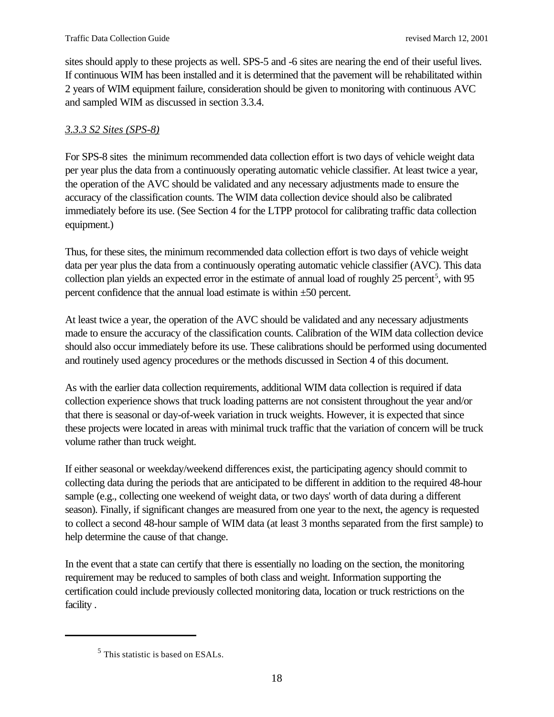sites should apply to these projects as well. SPS-5 and -6 sites are nearing the end of their useful lives. If continuous WIM has been installed and it is determined that the pavement will be rehabilitated within 2 years of WIM equipment failure, consideration should be given to monitoring with continuous AVC and sampled WIM as discussed in section 3.3.4.

## *3.3.3 S2 Sites (SPS-8)*

For SPS-8 sites the minimum recommended data collection effort is two days of vehicle weight data per year plus the data from a continuously operating automatic vehicle classifier. At least twice a year, the operation of the AVC should be validated and any necessary adjustments made to ensure the accuracy of the classification counts. The WIM data collection device should also be calibrated immediately before its use. (See Section 4 for the LTPP protocol for calibrating traffic data collection equipment.)

Thus, for these sites, the minimum recommended data collection effort is two days of vehicle weight data per year plus the data from a continuously operating automatic vehicle classifier (AVC). This data collection plan yields an expected error in the estimate of annual load of roughly 25 percent<sup>5</sup>, with 95 percent confidence that the annual load estimate is within ±50 percent.

At least twice a year, the operation of the AVC should be validated and any necessary adjustments made to ensure the accuracy of the classification counts. Calibration of the WIM data collection device should also occur immediately before its use. These calibrations should be performed using documented and routinely used agency procedures or the methods discussed in Section 4 of this document.

As with the earlier data collection requirements, additional WIM data collection is required if data collection experience shows that truck loading patterns are not consistent throughout the year and/or that there is seasonal or day-of-week variation in truck weights. However, it is expected that since these projects were located in areas with minimal truck traffic that the variation of concern will be truck volume rather than truck weight.

If either seasonal or weekday/weekend differences exist, the participating agency should commit to collecting data during the periods that are anticipated to be different in addition to the required 48-hour sample (e.g., collecting one weekend of weight data, or two days' worth of data during a different season). Finally, if significant changes are measured from one year to the next, the agency is requested to collect a second 48-hour sample of WIM data (at least 3 months separated from the first sample) to help determine the cause of that change.

In the event that a state can certify that there is essentially no loading on the section, the monitoring requirement may be reduced to samples of both class and weight. Information supporting the certification could include previously collected monitoring data, location or truck restrictions on the facility .

<sup>&</sup>lt;sup>5</sup> This statistic is based on ESALs.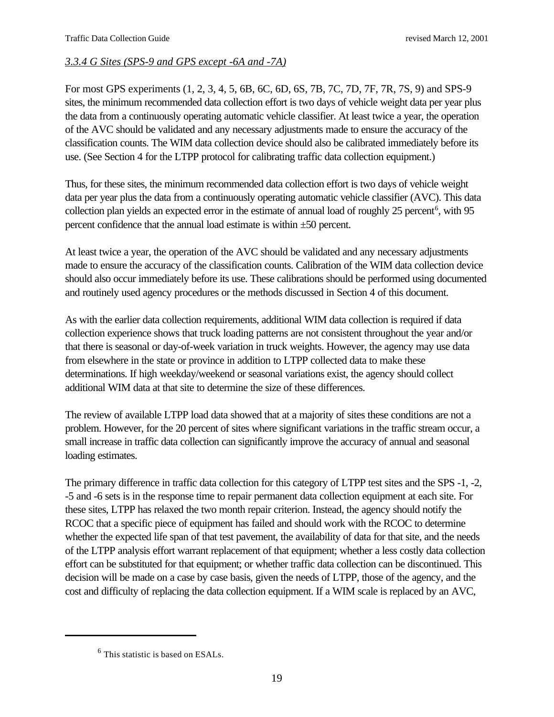#### *3.3.4 G Sites (SPS-9 and GPS except -6A and -7A)*

For most GPS experiments (1, 2, 3, 4, 5, 6B, 6C, 6D, 6S, 7B, 7C, 7D, 7F, 7R, 7S, 9) and SPS-9 sites, the minimum recommended data collection effort is two days of vehicle weight data per year plus the data from a continuously operating automatic vehicle classifier. At least twice a year, the operation of the AVC should be validated and any necessary adjustments made to ensure the accuracy of the classification counts. The WIM data collection device should also be calibrated immediately before its use. (See Section 4 for the LTPP protocol for calibrating traffic data collection equipment.)

Thus, for these sites, the minimum recommended data collection effort is two days of vehicle weight data per year plus the data from a continuously operating automatic vehicle classifier (AVC). This data collection plan yields an expected error in the estimate of annual load of roughly 25 percent<sup>6</sup>, with 95 percent confidence that the annual load estimate is within ±50 percent.

At least twice a year, the operation of the AVC should be validated and any necessary adjustments made to ensure the accuracy of the classification counts. Calibration of the WIM data collection device should also occur immediately before its use. These calibrations should be performed using documented and routinely used agency procedures or the methods discussed in Section 4 of this document.

As with the earlier data collection requirements, additional WIM data collection is required if data collection experience shows that truck loading patterns are not consistent throughout the year and/or that there is seasonal or day-of-week variation in truck weights. However, the agency may use data from elsewhere in the state or province in addition to LTPP collected data to make these determinations. If high weekday/weekend or seasonal variations exist, the agency should collect additional WIM data at that site to determine the size of these differences.

The review of available LTPP load data showed that at a majority of sites these conditions are not a problem. However, for the 20 percent of sites where significant variations in the traffic stream occur, a small increase in traffic data collection can significantly improve the accuracy of annual and seasonal loading estimates.

The primary difference in traffic data collection for this category of LTPP test sites and the SPS -1, -2, -5 and -6 sets is in the response time to repair permanent data collection equipment at each site. For these sites, LTPP has relaxed the two month repair criterion. Instead, the agency should notify the RCOC that a specific piece of equipment has failed and should work with the RCOC to determine whether the expected life span of that test pavement, the availability of data for that site, and the needs of the LTPP analysis effort warrant replacement of that equipment; whether a less costly data collection effort can be substituted for that equipment; or whether traffic data collection can be discontinued. This decision will be made on a case by case basis, given the needs of LTPP, those of the agency, and the cost and difficulty of replacing the data collection equipment. If a WIM scale is replaced by an AVC,

<sup>&</sup>lt;sup>6</sup> This statistic is based on ESALs.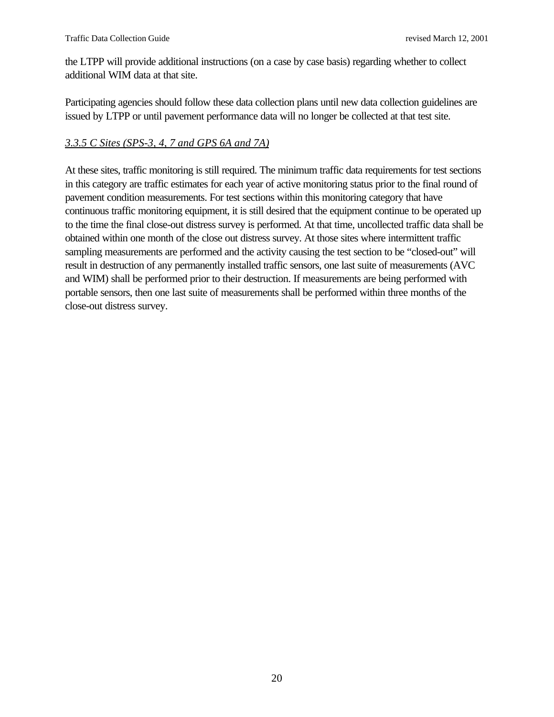the LTPP will provide additional instructions (on a case by case basis) regarding whether to collect additional WIM data at that site.

Participating agencies should follow these data collection plans until new data collection guidelines are issued by LTPP or until pavement performance data will no longer be collected at that test site.

### *3.3.5 C Sites (SPS-3, 4, 7 and GPS 6A and 7A)*

At these sites, traffic monitoring is still required. The minimum traffic data requirements for test sections in this category are traffic estimates for each year of active monitoring status prior to the final round of pavement condition measurements. For test sections within this monitoring category that have continuous traffic monitoring equipment, it is still desired that the equipment continue to be operated up to the time the final close-out distress survey is performed. At that time, uncollected traffic data shall be obtained within one month of the close out distress survey. At those sites where intermittent traffic sampling measurements are performed and the activity causing the test section to be "closed-out" will result in destruction of any permanently installed traffic sensors, one last suite of measurements (AVC and WIM) shall be performed prior to their destruction. If measurements are being performed with portable sensors, then one last suite of measurements shall be performed within three months of the close-out distress survey.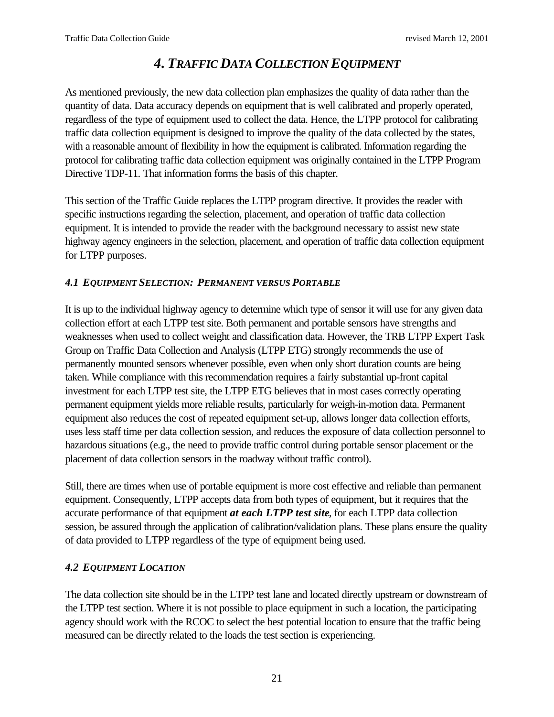# *4. TRAFFIC DATA COLLECTION EQUIPMENT*

As mentioned previously, the new data collection plan emphasizes the quality of data rather than the quantity of data. Data accuracy depends on equipment that is well calibrated and properly operated, regardless of the type of equipment used to collect the data. Hence, the LTPP protocol for calibrating traffic data collection equipment is designed to improve the quality of the data collected by the states, with a reasonable amount of flexibility in how the equipment is calibrated. Information regarding the protocol for calibrating traffic data collection equipment was originally contained in the LTPP Program Directive TDP-11. That information forms the basis of this chapter.

This section of the Traffic Guide replaces the LTPP program directive. It provides the reader with specific instructions regarding the selection, placement, and operation of traffic data collection equipment. It is intended to provide the reader with the background necessary to assist new state highway agency engineers in the selection, placement, and operation of traffic data collection equipment for LTPP purposes.

### *4.1 EQUIPMENT SELECTION: PERMANENT VERSUS PORTABLE*

It is up to the individual highway agency to determine which type of sensor it will use for any given data collection effort at each LTPP test site. Both permanent and portable sensors have strengths and weaknesses when used to collect weight and classification data. However, the TRB LTPP Expert Task Group on Traffic Data Collection and Analysis (LTPP ETG) strongly recommends the use of permanently mounted sensors whenever possible, even when only short duration counts are being taken. While compliance with this recommendation requires a fairly substantial up-front capital investment for each LTPP test site, the LTPP ETG believes that in most cases correctly operating permanent equipment yields more reliable results, particularly for weigh-in-motion data. Permanent equipment also reduces the cost of repeated equipment set-up, allows longer data collection efforts, uses less staff time per data collection session, and reduces the exposure of data collection personnel to hazardous situations (e.g., the need to provide traffic control during portable sensor placement or the placement of data collection sensors in the roadway without traffic control).

Still, there are times when use of portable equipment is more cost effective and reliable than permanent equipment. Consequently, LTPP accepts data from both types of equipment, but it requires that the accurate performance of that equipment *at each LTPP test site*, for each LTPP data collection session, be assured through the application of calibration/validation plans. These plans ensure the quality of data provided to LTPP regardless of the type of equipment being used.

### *4.2 EQUIPMENT LOCATION*

The data collection site should be in the LTPP test lane and located directly upstream or downstream of the LTPP test section. Where it is not possible to place equipment in such a location, the participating agency should work with the RCOC to select the best potential location to ensure that the traffic being measured can be directly related to the loads the test section is experiencing.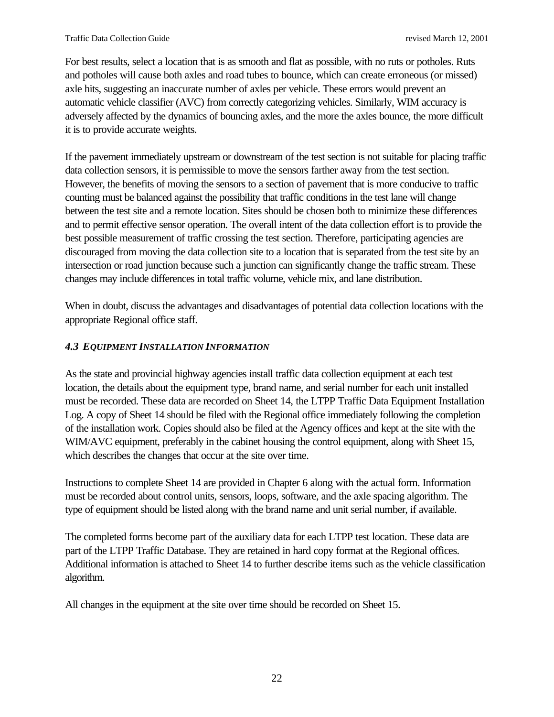For best results, select a location that is as smooth and flat as possible, with no ruts or potholes. Ruts and potholes will cause both axles and road tubes to bounce, which can create erroneous (or missed) axle hits, suggesting an inaccurate number of axles per vehicle. These errors would prevent an automatic vehicle classifier (AVC) from correctly categorizing vehicles. Similarly, WIM accuracy is adversely affected by the dynamics of bouncing axles, and the more the axles bounce, the more difficult it is to provide accurate weights.

If the pavement immediately upstream or downstream of the test section is not suitable for placing traffic data collection sensors, it is permissible to move the sensors farther away from the test section. However, the benefits of moving the sensors to a section of pavement that is more conducive to traffic counting must be balanced against the possibility that traffic conditions in the test lane will change between the test site and a remote location. Sites should be chosen both to minimize these differences and to permit effective sensor operation. The overall intent of the data collection effort is to provide the best possible measurement of traffic crossing the test section. Therefore, participating agencies are discouraged from moving the data collection site to a location that is separated from the test site by an intersection or road junction because such a junction can significantly change the traffic stream. These changes may include differences in total traffic volume, vehicle mix, and lane distribution.

When in doubt, discuss the advantages and disadvantages of potential data collection locations with the appropriate Regional office staff.

## *4.3 EQUIPMENT INSTALLATION INFORMATION*

As the state and provincial highway agencies install traffic data collection equipment at each test location, the details about the equipment type, brand name, and serial number for each unit installed must be recorded. These data are recorded on Sheet 14, the LTPP Traffic Data Equipment Installation Log. A copy of Sheet 14 should be filed with the Regional office immediately following the completion of the installation work. Copies should also be filed at the Agency offices and kept at the site with the WIM/AVC equipment, preferably in the cabinet housing the control equipment, along with Sheet 15, which describes the changes that occur at the site over time.

Instructions to complete Sheet 14 are provided in Chapter 6 along with the actual form. Information must be recorded about control units, sensors, loops, software, and the axle spacing algorithm. The type of equipment should be listed along with the brand name and unit serial number, if available.

The completed forms become part of the auxiliary data for each LTPP test location. These data are part of the LTPP Traffic Database. They are retained in hard copy format at the Regional offices. Additional information is attached to Sheet 14 to further describe items such as the vehicle classification algorithm.

All changes in the equipment at the site over time should be recorded on Sheet 15.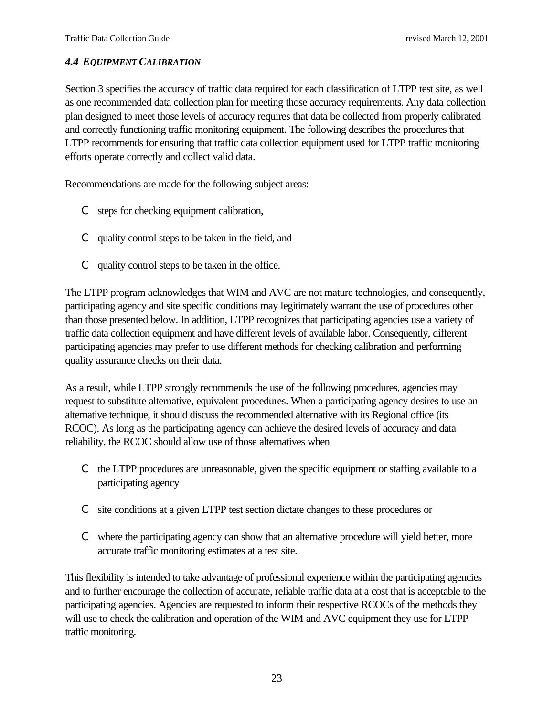#### *4.4 EQUIPMENT CALIBRATION*

Section 3 specifies the accuracy of traffic data required for each classification of LTPP test site, as well as one recommended data collection plan for meeting those accuracy requirements. Any data collection plan designed to meet those levels of accuracy requires that data be collected from properly calibrated and correctly functioning traffic monitoring equipment. The following describes the procedures that LTPP recommends for ensuring that traffic data collection equipment used for LTPP traffic monitoring efforts operate correctly and collect valid data.

Recommendations are made for the following subject areas:

- C steps for checking equipment calibration,
- C quality control steps to be taken in the field, and
- C quality control steps to be taken in the office.

The LTPP program acknowledges that WIM and AVC are not mature technologies, and consequently, participating agency and site specific conditions may legitimately warrant the use of procedures other than those presented below. In addition, LTPP recognizes that participating agencies use a variety of traffic data collection equipment and have different levels of available labor. Consequently, different participating agencies may prefer to use different methods for checking calibration and performing quality assurance checks on their data.

As a result, while LTPP strongly recommends the use of the following procedures, agencies may request to substitute alternative, equivalent procedures. When a participating agency desires to use an alternative technique, it should discuss the recommended alternative with its Regional office (its RCOC). As long as the participating agency can achieve the desired levels of accuracy and data reliability, the RCOC should allow use of those alternatives when

- C the LTPP procedures are unreasonable, given the specific equipment or staffing available to a participating agency
- C site conditions at a given LTPP test section dictate changes to these procedures or
- C where the participating agency can show that an alternative procedure will yield better, more accurate traffic monitoring estimates at a test site.

This flexibility is intended to take advantage of professional experience within the participating agencies and to further encourage the collection of accurate, reliable traffic data at a cost that is acceptable to the participating agencies. Agencies are requested to inform their respective RCOCs of the methods they will use to check the calibration and operation of the WIM and AVC equipment they use for LTPP traffic monitoring.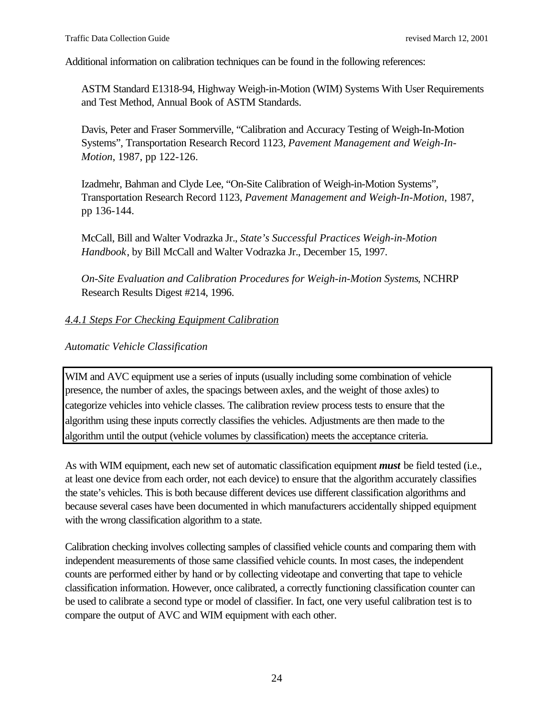Additional information on calibration techniques can be found in the following references:

ASTM Standard E1318-94, Highway Weigh-in-Motion (WIM) Systems With User Requirements and Test Method, Annual Book of ASTM Standards.

Davis, Peter and Fraser Sommerville, "Calibration and Accuracy Testing of Weigh-In-Motion Systems", Transportation Research Record 1123, *Pavement Management and Weigh-In-Motion*, 1987, pp 122-126.

Izadmehr, Bahman and Clyde Lee, "On-Site Calibration of Weigh-in-Motion Systems", Transportation Research Record 1123, *Pavement Management and Weigh-In-Motion*, 1987, pp 136-144.

McCall, Bill and Walter Vodrazka Jr., *State's Successful Practices Weigh-in-Motion Handbook*, by Bill McCall and Walter Vodrazka Jr., December 15, 1997.

*On-Site Evaluation and Calibration Procedures for Weigh-in-Motion Systems*, NCHRP Research Results Digest #214, 1996.

#### *4.4.1 Steps For Checking Equipment Calibration*

*Automatic Vehicle Classification*

WIM and AVC equipment use a series of inputs (usually including some combination of vehicle presence, the number of axles, the spacings between axles, and the weight of those axles) to categorize vehicles into vehicle classes. The calibration review process tests to ensure that the algorithm using these inputs correctly classifies the vehicles. Adjustments are then made to the algorithm until the output (vehicle volumes by classification) meets the acceptance criteria.

As with WIM equipment, each new set of automatic classification equipment *must* be field tested (i.e., at least one device from each order, not each device) to ensure that the algorithm accurately classifies the state's vehicles. This is both because different devices use different classification algorithms and because several cases have been documented in which manufacturers accidentally shipped equipment with the wrong classification algorithm to a state.

Calibration checking involves collecting samples of classified vehicle counts and comparing them with independent measurements of those same classified vehicle counts. In most cases, the independent counts are performed either by hand or by collecting videotape and converting that tape to vehicle classification information. However, once calibrated, a correctly functioning classification counter can be used to calibrate a second type or model of classifier. In fact, one very useful calibration test is to compare the output of AVC and WIM equipment with each other.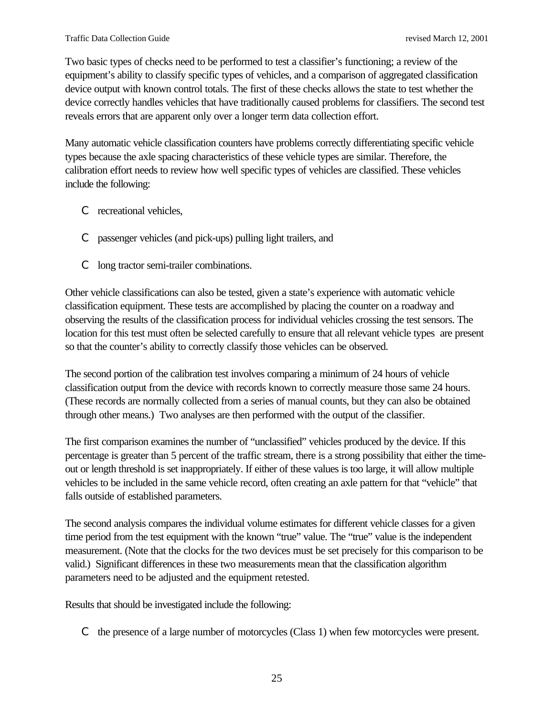Two basic types of checks need to be performed to test a classifier's functioning; a review of the equipment's ability to classify specific types of vehicles, and a comparison of aggregated classification device output with known control totals. The first of these checks allows the state to test whether the device correctly handles vehicles that have traditionally caused problems for classifiers. The second test reveals errors that are apparent only over a longer term data collection effort.

Many automatic vehicle classification counters have problems correctly differentiating specific vehicle types because the axle spacing characteristics of these vehicle types are similar. Therefore, the calibration effort needs to review how well specific types of vehicles are classified. These vehicles include the following:

- C recreational vehicles,
- C passenger vehicles (and pick-ups) pulling light trailers, and
- C long tractor semi-trailer combinations.

Other vehicle classifications can also be tested, given a state's experience with automatic vehicle classification equipment. These tests are accomplished by placing the counter on a roadway and observing the results of the classification process for individual vehicles crossing the test sensors. The location for this test must often be selected carefully to ensure that all relevant vehicle types are present so that the counter's ability to correctly classify those vehicles can be observed.

The second portion of the calibration test involves comparing a minimum of 24 hours of vehicle classification output from the device with records known to correctly measure those same 24 hours. (These records are normally collected from a series of manual counts, but they can also be obtained through other means.) Two analyses are then performed with the output of the classifier.

The first comparison examines the number of "unclassified" vehicles produced by the device. If this percentage is greater than 5 percent of the traffic stream, there is a strong possibility that either the timeout or length threshold is set inappropriately. If either of these values is too large, it will allow multiple vehicles to be included in the same vehicle record, often creating an axle pattern for that "vehicle" that falls outside of established parameters.

The second analysis compares the individual volume estimates for different vehicle classes for a given time period from the test equipment with the known "true" value. The "true" value is the independent measurement. (Note that the clocks for the two devices must be set precisely for this comparison to be valid.) Significant differences in these two measurements mean that the classification algorithm parameters need to be adjusted and the equipment retested.

Results that should be investigated include the following:

C the presence of a large number of motorcycles (Class 1) when few motorcycles were present.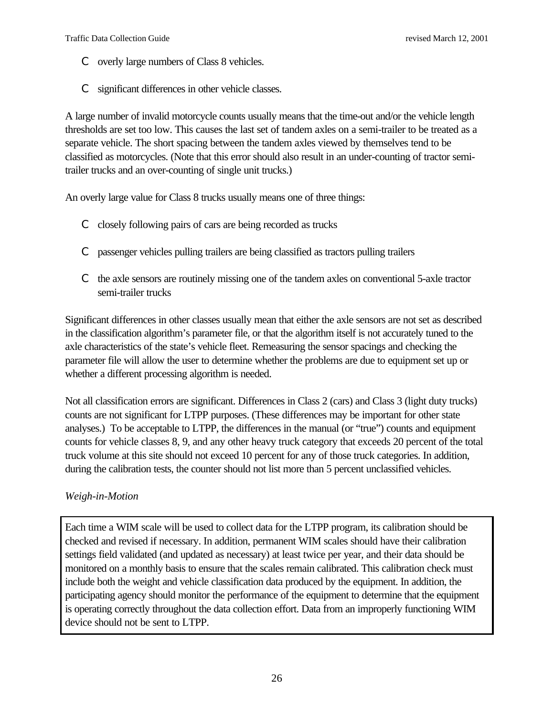- C overly large numbers of Class 8 vehicles.
- C significant differences in other vehicle classes.

A large number of invalid motorcycle counts usually means that the time-out and/or the vehicle length thresholds are set too low. This causes the last set of tandem axles on a semi-trailer to be treated as a separate vehicle. The short spacing between the tandem axles viewed by themselves tend to be classified as motorcycles. (Note that this error should also result in an under-counting of tractor semitrailer trucks and an over-counting of single unit trucks.)

An overly large value for Class 8 trucks usually means one of three things:

- C closely following pairs of cars are being recorded as trucks
- C passenger vehicles pulling trailers are being classified as tractors pulling trailers
- C the axle sensors are routinely missing one of the tandem axles on conventional 5-axle tractor semi-trailer trucks

Significant differences in other classes usually mean that either the axle sensors are not set as described in the classification algorithm's parameter file, or that the algorithm itself is not accurately tuned to the axle characteristics of the state's vehicle fleet. Remeasuring the sensor spacings and checking the parameter file will allow the user to determine whether the problems are due to equipment set up or whether a different processing algorithm is needed.

Not all classification errors are significant. Differences in Class 2 (cars) and Class 3 (light duty trucks) counts are not significant for LTPP purposes. (These differences may be important for other state analyses.) To be acceptable to LTPP, the differences in the manual (or "true") counts and equipment counts for vehicle classes 8, 9, and any other heavy truck category that exceeds 20 percent of the total truck volume at this site should not exceed 10 percent for any of those truck categories. In addition, during the calibration tests, the counter should not list more than 5 percent unclassified vehicles.

#### *Weigh-in-Motion*

Each time a WIM scale will be used to collect data for the LTPP program, its calibration should be checked and revised if necessary. In addition, permanent WIM scales should have their calibration settings field validated (and updated as necessary) at least twice per year, and their data should be monitored on a monthly basis to ensure that the scales remain calibrated. This calibration check must include both the weight and vehicle classification data produced by the equipment. In addition, the participating agency should monitor the performance of the equipment to determine that the equipment is operating correctly throughout the data collection effort. Data from an improperly functioning WIM device should not be sent to LTPP.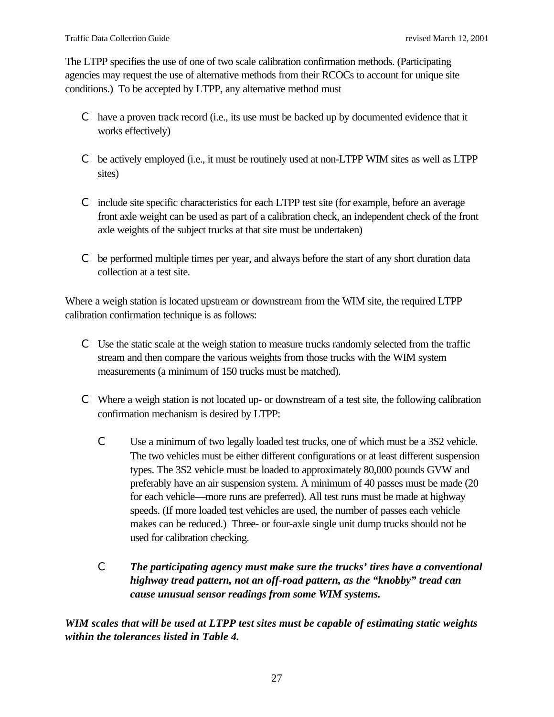The LTPP specifies the use of one of two scale calibration confirmation methods. (Participating agencies may request the use of alternative methods from their RCOCs to account for unique site conditions.) To be accepted by LTPP, any alternative method must

- C have a proven track record (i.e., its use must be backed up by documented evidence that it works effectively)
- C be actively employed (i.e., it must be routinely used at non-LTPP WIM sites as well as LTPP sites)
- C include site specific characteristics for each LTPP test site (for example, before an average front axle weight can be used as part of a calibration check, an independent check of the front axle weights of the subject trucks at that site must be undertaken)
- C be performed multiple times per year, and always before the start of any short duration data collection at a test site.

Where a weigh station is located upstream or downstream from the WIM site, the required LTPP calibration confirmation technique is as follows:

- C Use the static scale at the weigh station to measure trucks randomly selected from the traffic stream and then compare the various weights from those trucks with the WIM system measurements (a minimum of 150 trucks must be matched).
- C Where a weigh station is not located up- or downstream of a test site, the following calibration confirmation mechanism is desired by LTPP:
	- C Use a minimum of two legally loaded test trucks, one of which must be a 3S2 vehicle. The two vehicles must be either different configurations or at least different suspension types. The 3S2 vehicle must be loaded to approximately 80,000 pounds GVW and preferably have an air suspension system. A minimum of 40 passes must be made (20 for each vehicle—more runs are preferred). All test runs must be made at highway speeds. (If more loaded test vehicles are used, the number of passes each vehicle makes can be reduced.) Three- or four-axle single unit dump trucks should not be used for calibration checking.
	- C *The participating agency must make sure the trucks' tires have a conventional highway tread pattern, not an off-road pattern, as the "knobby" tread can cause unusual sensor readings from some WIM systems.*

*WIM scales that will be used at LTPP test sites must be capable of estimating static weights within the tolerances listed in Table 4.*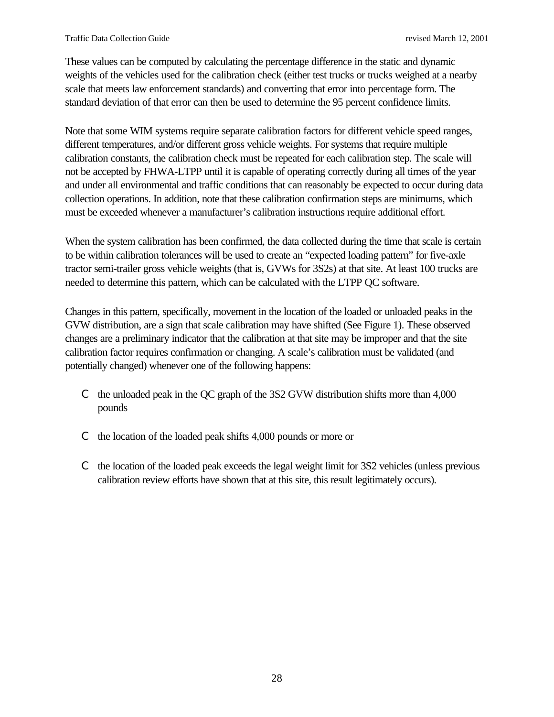These values can be computed by calculating the percentage difference in the static and dynamic weights of the vehicles used for the calibration check (either test trucks or trucks weighed at a nearby scale that meets law enforcement standards) and converting that error into percentage form. The standard deviation of that error can then be used to determine the 95 percent confidence limits.

Note that some WIM systems require separate calibration factors for different vehicle speed ranges, different temperatures, and/or different gross vehicle weights. For systems that require multiple calibration constants, the calibration check must be repeated for each calibration step. The scale will not be accepted by FHWA-LTPP until it is capable of operating correctly during all times of the year and under all environmental and traffic conditions that can reasonably be expected to occur during data collection operations. In addition, note that these calibration confirmation steps are minimums, which must be exceeded whenever a manufacturer's calibration instructions require additional effort.

When the system calibration has been confirmed, the data collected during the time that scale is certain to be within calibration tolerances will be used to create an "expected loading pattern" for five-axle tractor semi-trailer gross vehicle weights (that is, GVWs for 3S2s) at that site. At least 100 trucks are needed to determine this pattern, which can be calculated with the LTPP QC software.

Changes in this pattern, specifically, movement in the location of the loaded or unloaded peaks in the GVW distribution, are a sign that scale calibration may have shifted (See Figure 1). These observed changes are a preliminary indicator that the calibration at that site may be improper and that the site calibration factor requires confirmation or changing. A scale's calibration must be validated (and potentially changed) whenever one of the following happens:

- C the unloaded peak in the QC graph of the 3S2 GVW distribution shifts more than 4,000 pounds
- C the location of the loaded peak shifts 4,000 pounds or more or
- C the location of the loaded peak exceeds the legal weight limit for 3S2 vehicles (unless previous calibration review efforts have shown that at this site, this result legitimately occurs).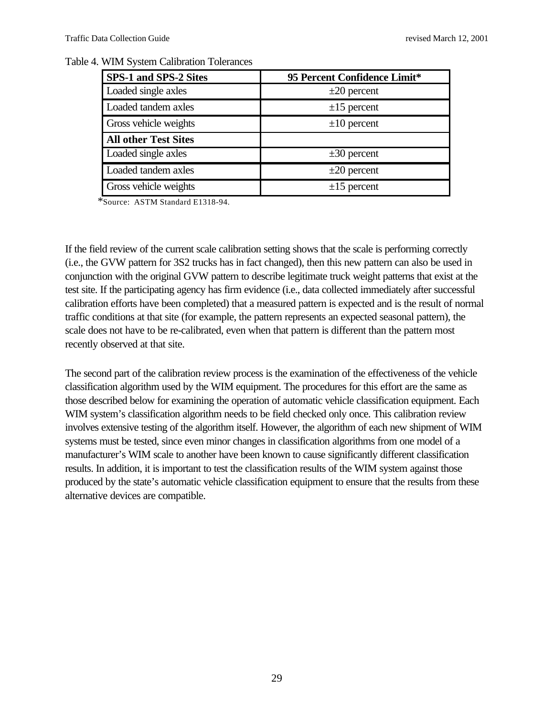| SPS-1 and SPS-2 Sites       | 95 Percent Confidence Limit* |
|-----------------------------|------------------------------|
| Loaded single axles         | $\pm 20$ percent             |
| Loaded tandem axles         | $\pm 15$ percent             |
| Gross vehicle weights       | $\pm 10$ percent             |
| <b>All other Test Sites</b> |                              |
| Loaded single axles         | $\pm 30$ percent             |
| Loaded tandem axles         | $\pm 20$ percent             |
| Gross vehicle weights       | $\pm 15$ percent             |

#### Table 4. WIM System Calibration Tolerances

\*Source: ASTM Standard E1318-94.

If the field review of the current scale calibration setting shows that the scale is performing correctly (i.e., the GVW pattern for 3S2 trucks has in fact changed), then this new pattern can also be used in conjunction with the original GVW pattern to describe legitimate truck weight patterns that exist at the test site. If the participating agency has firm evidence (i.e., data collected immediately after successful calibration efforts have been completed) that a measured pattern is expected and is the result of normal traffic conditions at that site (for example, the pattern represents an expected seasonal pattern), the scale does not have to be re-calibrated, even when that pattern is different than the pattern most recently observed at that site.

The second part of the calibration review process is the examination of the effectiveness of the vehicle classification algorithm used by the WIM equipment. The procedures for this effort are the same as those described below for examining the operation of automatic vehicle classification equipment. Each WIM system's classification algorithm needs to be field checked only once. This calibration review involves extensive testing of the algorithm itself. However, the algorithm of each new shipment of WIM systems must be tested, since even minor changes in classification algorithms from one model of a manufacturer's WIM scale to another have been known to cause significantly different classification results. In addition, it is important to test the classification results of the WIM system against those produced by the state's automatic vehicle classification equipment to ensure that the results from these alternative devices are compatible.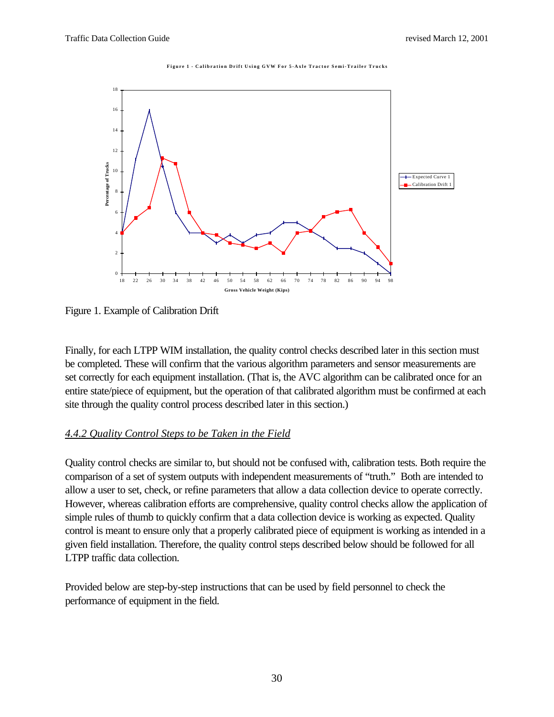

#### **Figure 1 - Calibration Drift Using GVW For 5-Axle Tractor Semi-Trailer Trucks**

Figure 1. Example of Calibration Drift

Finally, for each LTPP WIM installation, the quality control checks described later in this section must be completed. These will confirm that the various algorithm parameters and sensor measurements are set correctly for each equipment installation. (That is, the AVC algorithm can be calibrated once for an entire state/piece of equipment, but the operation of that calibrated algorithm must be confirmed at each site through the quality control process described later in this section.)

#### *4.4.2 Quality Control Steps to be Taken in the Field*

Quality control checks are similar to, but should not be confused with, calibration tests. Both require the comparison of a set of system outputs with independent measurements of "truth." Both are intended to allow a user to set, check, or refine parameters that allow a data collection device to operate correctly. However, whereas calibration efforts are comprehensive, quality control checks allow the application of simple rules of thumb to quickly confirm that a data collection device is working as expected. Quality control is meant to ensure only that a properly calibrated piece of equipment is working as intended in a given field installation. Therefore, the quality control steps described below should be followed for all LTPP traffic data collection.

Provided below are step-by-step instructions that can be used by field personnel to check the performance of equipment in the field.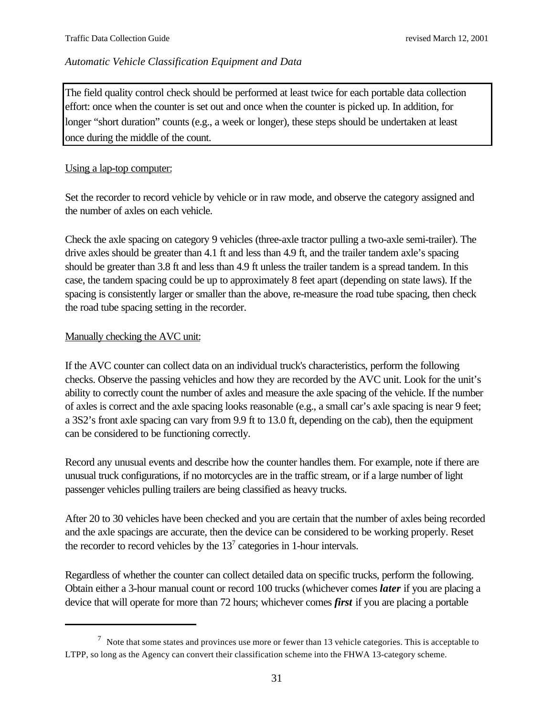#### *Automatic Vehicle Classification Equipment and Data*

The field quality control check should be performed at least twice for each portable data collection effort: once when the counter is set out and once when the counter is picked up. In addition, for longer "short duration" counts (e.g., a week or longer), these steps should be undertaken at least once during the middle of the count.

#### Using a lap-top computer:

Set the recorder to record vehicle by vehicle or in raw mode, and observe the category assigned and the number of axles on each vehicle.

Check the axle spacing on category 9 vehicles (three-axle tractor pulling a two-axle semi-trailer). The drive axles should be greater than 4.1 ft and less than 4.9 ft, and the trailer tandem axle's spacing should be greater than 3.8 ft and less than 4.9 ft unless the trailer tandem is a spread tandem. In this case, the tandem spacing could be up to approximately 8 feet apart (depending on state laws). If the spacing is consistently larger or smaller than the above, re-measure the road tube spacing, then check the road tube spacing setting in the recorder.

#### Manually checking the AVC unit:

If the AVC counter can collect data on an individual truck's characteristics, perform the following checks. Observe the passing vehicles and how they are recorded by the AVC unit. Look for the unit's ability to correctly count the number of axles and measure the axle spacing of the vehicle. If the number of axles is correct and the axle spacing looks reasonable (e.g., a small car's axle spacing is near 9 feet; a 3S2's front axle spacing can vary from 9.9 ft to 13.0 ft, depending on the cab), then the equipment can be considered to be functioning correctly.

Record any unusual events and describe how the counter handles them. For example, note if there are unusual truck configurations, if no motorcycles are in the traffic stream, or if a large number of light passenger vehicles pulling trailers are being classified as heavy trucks.

After 20 to 30 vehicles have been checked and you are certain that the number of axles being recorded and the axle spacings are accurate, then the device can be considered to be working properly. Reset the recorder to record vehicles by the  $13<sup>7</sup>$  categories in 1-hour intervals.

Regardless of whether the counter can collect detailed data on specific trucks, perform the following. Obtain either a 3-hour manual count or record 100 trucks (whichever comes *later* if you are placing a device that will operate for more than 72 hours; whichever comes *first* if you are placing a portable

 $<sup>7</sup>$  Note that some states and provinces use more or fewer than 13 vehicle categories. This is acceptable to</sup> LTPP, so long as the Agency can convert their classification scheme into the FHWA 13-category scheme.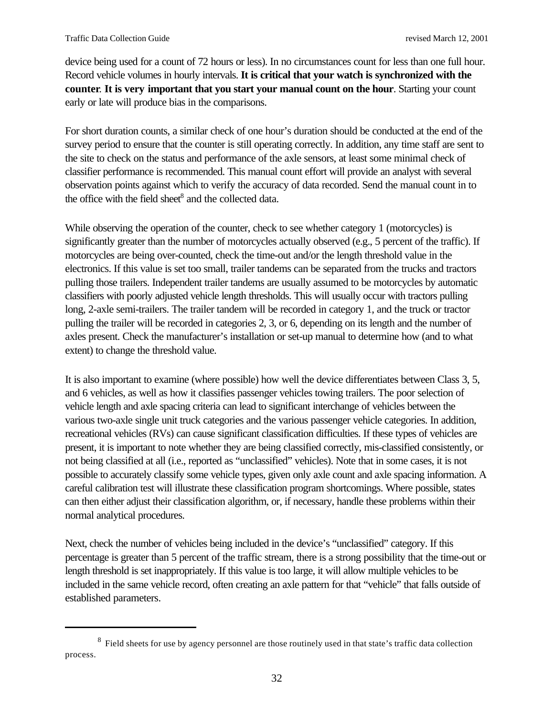device being used for a count of 72 hours or less). In no circumstances count for less than one full hour. Record vehicle volumes in hourly intervals. **It is critical that your watch is synchronized with the counter**. **It is very important that you start your manual count on the hour**. Starting your count early or late will produce bias in the comparisons.

For short duration counts, a similar check of one hour's duration should be conducted at the end of the survey period to ensure that the counter is still operating correctly. In addition, any time staff are sent to the site to check on the status and performance of the axle sensors, at least some minimal check of classifier performance is recommended. This manual count effort will provide an analyst with several observation points against which to verify the accuracy of data recorded. Send the manual count in to the office with the field sheet<sup>8</sup> and the collected data.

While observing the operation of the counter, check to see whether category 1 (motorcycles) is significantly greater than the number of motorcycles actually observed (e.g., 5 percent of the traffic). If motorcycles are being over-counted, check the time-out and/or the length threshold value in the electronics. If this value is set too small, trailer tandems can be separated from the trucks and tractors pulling those trailers. Independent trailer tandems are usually assumed to be motorcycles by automatic classifiers with poorly adjusted vehicle length thresholds. This will usually occur with tractors pulling long, 2-axle semi-trailers. The trailer tandem will be recorded in category 1, and the truck or tractor pulling the trailer will be recorded in categories 2, 3, or 6, depending on its length and the number of axles present. Check the manufacturer's installation or set-up manual to determine how (and to what extent) to change the threshold value.

It is also important to examine (where possible) how well the device differentiates between Class 3, 5, and 6 vehicles, as well as how it classifies passenger vehicles towing trailers. The poor selection of vehicle length and axle spacing criteria can lead to significant interchange of vehicles between the various two-axle single unit truck categories and the various passenger vehicle categories. In addition, recreational vehicles (RVs) can cause significant classification difficulties. If these types of vehicles are present, it is important to note whether they are being classified correctly, mis-classified consistently, or not being classified at all (i.e., reported as "unclassified" vehicles). Note that in some cases, it is not possible to accurately classify some vehicle types, given only axle count and axle spacing information. A careful calibration test will illustrate these classification program shortcomings. Where possible, states can then either adjust their classification algorithm, or, if necessary, handle these problems within their normal analytical procedures.

Next, check the number of vehicles being included in the device's "unclassified" category. If this percentage is greater than 5 percent of the traffic stream, there is a strong possibility that the time-out or length threshold is set inappropriately. If this value is too large, it will allow multiple vehicles to be included in the same vehicle record, often creating an axle pattern for that "vehicle" that falls outside of established parameters.

<sup>&</sup>lt;sup>8</sup> Field sheets for use by agency personnel are those routinely used in that state's traffic data collection process.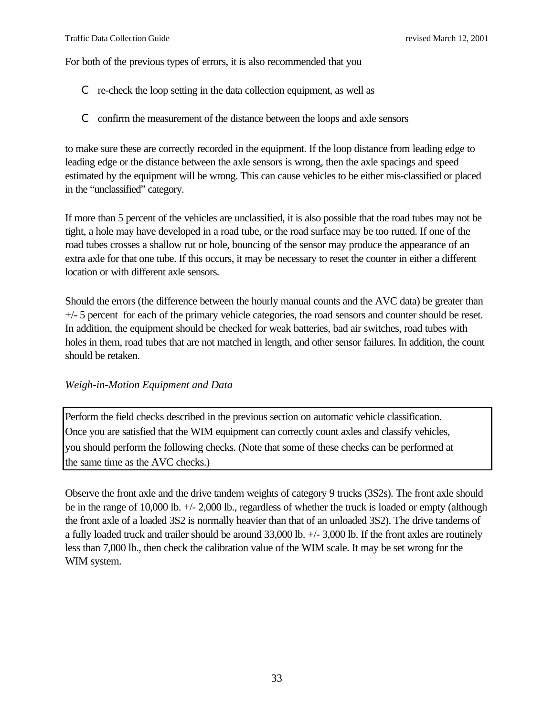For both of the previous types of errors, it is also recommended that you

- C re-check the loop setting in the data collection equipment, as well as
- C confirm the measurement of the distance between the loops and axle sensors

to make sure these are correctly recorded in the equipment. If the loop distance from leading edge to leading edge or the distance between the axle sensors is wrong, then the axle spacings and speed estimated by the equipment will be wrong. This can cause vehicles to be either mis-classified or placed in the "unclassified" category.

If more than 5 percent of the vehicles are unclassified, it is also possible that the road tubes may not be tight, a hole may have developed in a road tube, or the road surface may be too rutted. If one of the road tubes crosses a shallow rut or hole, bouncing of the sensor may produce the appearance of an extra axle for that one tube. If this occurs, it may be necessary to reset the counter in either a different location or with different axle sensors.

Should the errors (the difference between the hourly manual counts and the AVC data) be greater than +/- 5 percent for each of the primary vehicle categories, the road sensors and counter should be reset. In addition, the equipment should be checked for weak batteries, bad air switches, road tubes with holes in them, road tubes that are not matched in length, and other sensor failures. In addition, the count should be retaken.

# *Weigh-in-Motion Equipment and Data*

Perform the field checks described in the previous section on automatic vehicle classification. Once you are satisfied that the WIM equipment can correctly count axles and classify vehicles, you should perform the following checks. (Note that some of these checks can be performed at the same time as the AVC checks.)

Observe the front axle and the drive tandem weights of category 9 trucks (3S2s). The front axle should be in the range of 10,000 lb. +/- 2,000 lb., regardless of whether the truck is loaded or empty (although the front axle of a loaded 3S2 is normally heavier than that of an unloaded 3S2). The drive tandems of a fully loaded truck and trailer should be around 33,000 lb. +/- 3,000 lb. If the front axles are routinely less than 7,000 lb., then check the calibration value of the WIM scale. It may be set wrong for the WIM system.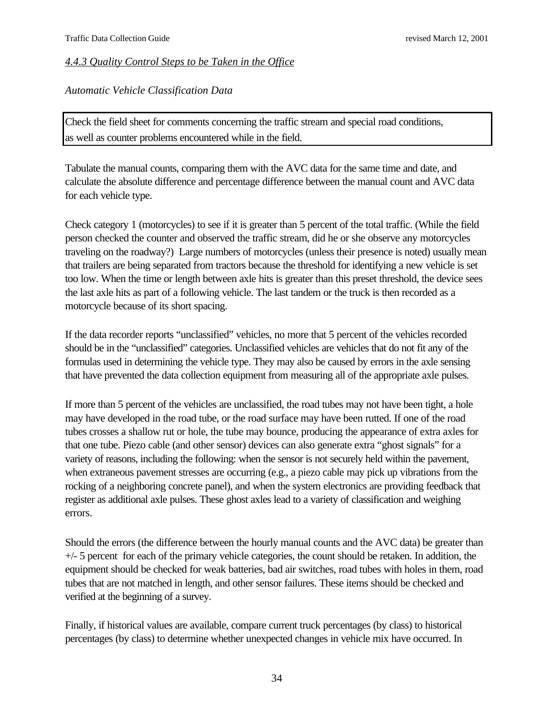# *4.4.3 Quality Control Steps to be Taken in the Office*

# *Automatic Vehicle Classification Data*

Check the field sheet for comments concerning the traffic stream and special road conditions, as well as counter problems encountered while in the field.

Tabulate the manual counts, comparing them with the AVC data for the same time and date, and calculate the absolute difference and percentage difference between the manual count and AVC data for each vehicle type.

Check category 1 (motorcycles) to see if it is greater than 5 percent of the total traffic. (While the field person checked the counter and observed the traffic stream, did he or she observe any motorcycles traveling on the roadway?) Large numbers of motorcycles (unless their presence is noted) usually mean that trailers are being separated from tractors because the threshold for identifying a new vehicle is set too low. When the time or length between axle hits is greater than this preset threshold, the device sees the last axle hits as part of a following vehicle. The last tandem or the truck is then recorded as a motorcycle because of its short spacing.

If the data recorder reports "unclassified" vehicles, no more that 5 percent of the vehicles recorded should be in the "unclassified" categories. Unclassified vehicles are vehicles that do not fit any of the formulas used in determining the vehicle type. They may also be caused by errors in the axle sensing that have prevented the data collection equipment from measuring all of the appropriate axle pulses.

If more than 5 percent of the vehicles are unclassified, the road tubes may not have been tight, a hole may have developed in the road tube, or the road surface may have been rutted. If one of the road tubes crosses a shallow rut or hole, the tube may bounce, producing the appearance of extra axles for that one tube. Piezo cable (and other sensor) devices can also generate extra "ghost signals" for a variety of reasons, including the following: when the sensor is not securely held within the pavement, when extraneous pavement stresses are occurring (e.g., a piezo cable may pick up vibrations from the rocking of a neighboring concrete panel), and when the system electronics are providing feedback that register as additional axle pulses. These ghost axles lead to a variety of classification and weighing errors.

Should the errors (the difference between the hourly manual counts and the AVC data) be greater than  $+/-$  5 percent for each of the primary vehicle categories, the count should be retaken. In addition, the equipment should be checked for weak batteries, bad air switches, road tubes with holes in them, road tubes that are not matched in length, and other sensor failures. These items should be checked and verified at the beginning of a survey.

Finally, if historical values are available, compare current truck percentages (by class) to historical percentages (by class) to determine whether unexpected changes in vehicle mix have occurred. In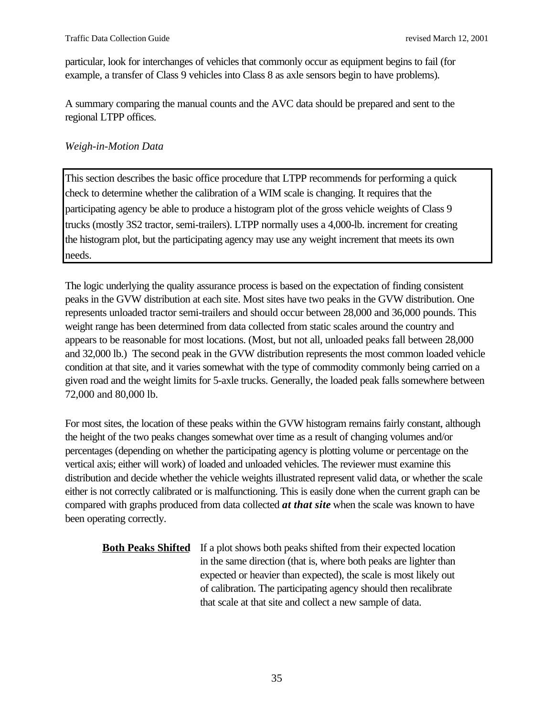particular, look for interchanges of vehicles that commonly occur as equipment begins to fail (for example, a transfer of Class 9 vehicles into Class 8 as axle sensors begin to have problems).

A summary comparing the manual counts and the AVC data should be prepared and sent to the regional LTPP offices.

# *Weigh-in-Motion Data*

This section describes the basic office procedure that LTPP recommends for performing a quick check to determine whether the calibration of a WIM scale is changing. It requires that the participating agency be able to produce a histogram plot of the gross vehicle weights of Class 9 trucks (mostly 3S2 tractor, semi-trailers). LTPP normally uses a 4,000-lb. increment for creating the histogram plot, but the participating agency may use any weight increment that meets its own needs.

The logic underlying the quality assurance process is based on the expectation of finding consistent peaks in the GVW distribution at each site. Most sites have two peaks in the GVW distribution. One represents unloaded tractor semi-trailers and should occur between 28,000 and 36,000 pounds. This weight range has been determined from data collected from static scales around the country and appears to be reasonable for most locations. (Most, but not all, unloaded peaks fall between 28,000 and 32,000 lb.) The second peak in the GVW distribution represents the most common loaded vehicle condition at that site, and it varies somewhat with the type of commodity commonly being carried on a given road and the weight limits for 5-axle trucks. Generally, the loaded peak falls somewhere between 72,000 and 80,000 lb.

For most sites, the location of these peaks within the GVW histogram remains fairly constant, although the height of the two peaks changes somewhat over time as a result of changing volumes and/or percentages (depending on whether the participating agency is plotting volume or percentage on the vertical axis; either will work) of loaded and unloaded vehicles. The reviewer must examine this distribution and decide whether the vehicle weights illustrated represent valid data, or whether the scale either is not correctly calibrated or is malfunctioning. This is easily done when the current graph can be compared with graphs produced from data collected *at that site* when the scale was known to have been operating correctly.

| <b>Both Peaks Shifted</b> If a plot shows both peaks shifted from their expected location |
|-------------------------------------------------------------------------------------------|
| in the same direction (that is, where both peaks are lighter than                         |
| expected or heavier than expected), the scale is most likely out                          |
| of calibration. The participating agency should then recalibrate                          |
| that scale at that site and collect a new sample of data.                                 |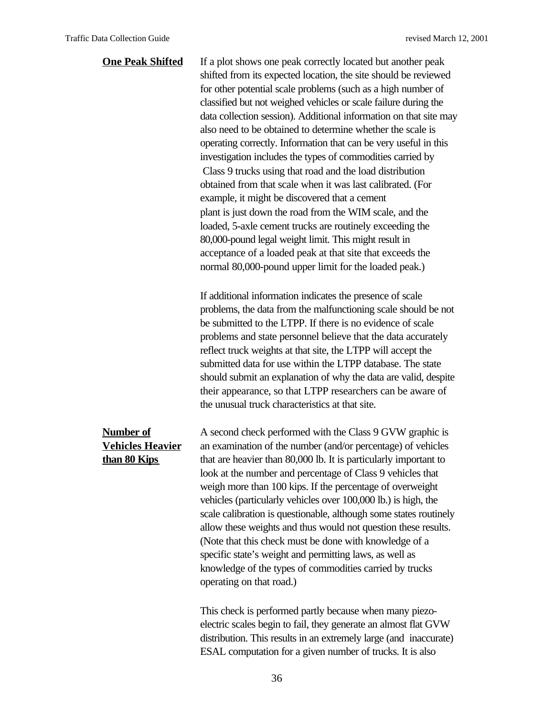# **One Peak Shifted** If a plot shows one peak correctly located but another peak shifted from its expected location, the site should be reviewed for other potential scale problems (such as a high number of classified but not weighed vehicles or scale failure during the data collection session). Additional information on that site may also need to be obtained to determine whether the scale is operating correctly. Information that can be very useful in this investigation includes the types of commodities carried by Class 9 trucks using that road and the load distribution obtained from that scale when it was last calibrated. (For example, it might be discovered that a cement plant is just down the road from the WIM scale, and the loaded, 5-axle cement trucks are routinely exceeding the 80,000-pound legal weight limit. This might result in acceptance of a loaded peak at that site that exceeds the normal 80,000-pound upper limit for the loaded peak.)

If additional information indicates the presence of scale problems, the data from the malfunctioning scale should be not be submitted to the LTPP. If there is no evidence of scale problems and state personnel believe that the data accurately reflect truck weights at that site, the LTPP will accept the submitted data for use within the LTPP database. The state should submit an explanation of why the data are valid, despite their appearance, so that LTPP researchers can be aware of the unusual truck characteristics at that site.

# **Number of Vehicles Heavier than 80 Kips**

A second check performed with the Class 9 GVW graphic is an examination of the number (and/or percentage) of vehicles that are heavier than 80,000 lb. It is particularly important to look at the number and percentage of Class 9 vehicles that weigh more than 100 kips. If the percentage of overweight vehicles (particularly vehicles over 100,000 lb.) is high, the scale calibration is questionable, although some states routinely allow these weights and thus would not question these results. (Note that this check must be done with knowledge of a specific state's weight and permitting laws, as well as knowledge of the types of commodities carried by trucks operating on that road.)

This check is performed partly because when many piezoelectric scales begin to fail, they generate an almost flat GVW distribution. This results in an extremely large (and inaccurate) ESAL computation for a given number of trucks. It is also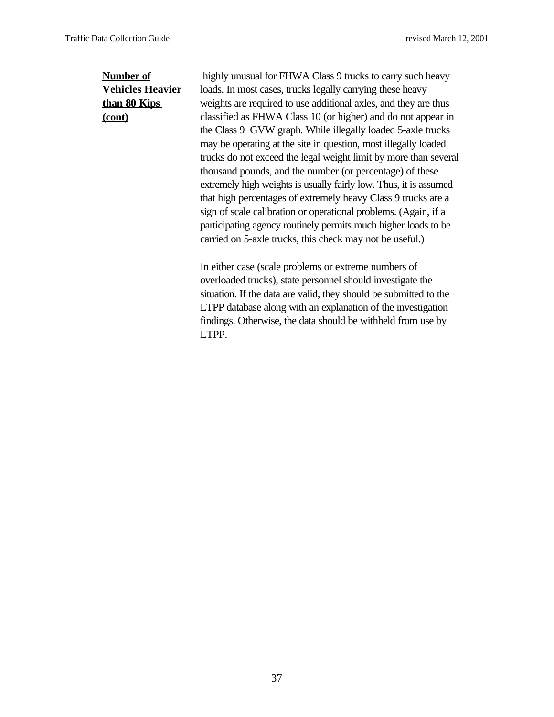# **Number of Vehicles Heavier than 80 Kips (cont)**

 highly unusual for FHWA Class 9 trucks to carry such heavy loads. In most cases, trucks legally carrying these heavy weights are required to use additional axles, and they are thus classified as FHWA Class 10 (or higher) and do not appear in the Class 9 GVW graph. While illegally loaded 5-axle trucks may be operating at the site in question, most illegally loaded trucks do not exceed the legal weight limit by more than several thousand pounds, and the number (or percentage) of these extremely high weights is usually fairly low. Thus, it is assumed that high percentages of extremely heavy Class 9 trucks are a sign of scale calibration or operational problems. (Again, if a participating agency routinely permits much higher loads to be carried on 5-axle trucks, this check may not be useful.)

In either case (scale problems or extreme numbers of overloaded trucks), state personnel should investigate the situation. If the data are valid, they should be submitted to the LTPP database along with an explanation of the investigation findings. Otherwise, the data should be withheld from use by LTPP.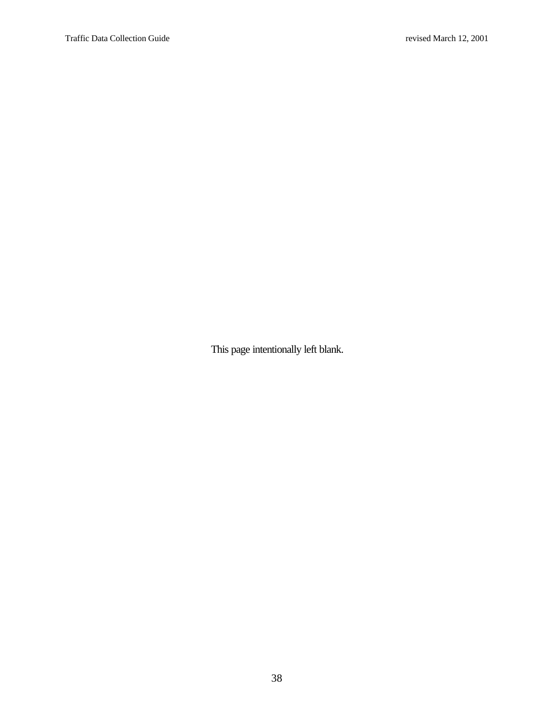This page intentionally left blank.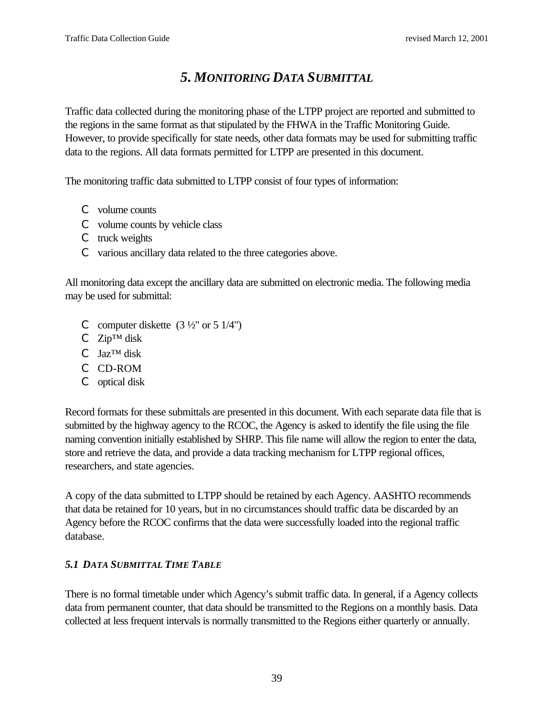# *5. MONITORING DATA SUBMITTAL*

Traffic data collected during the monitoring phase of the LTPP project are reported and submitted to the regions in the same format as that stipulated by the FHWA in the Traffic Monitoring Guide. However, to provide specifically for state needs, other data formats may be used for submitting traffic data to the regions. All data formats permitted for LTPP are presented in this document.

The monitoring traffic data submitted to LTPP consist of four types of information:

- C volume counts
- C volume counts by vehicle class
- C truck weights
- C various ancillary data related to the three categories above.

All monitoring data except the ancillary data are submitted on electronic media. The following media may be used for submittal:

- C computer diskette  $(3 \frac{1}{2}$ " or  $5 \frac{1}{4}$ ")
- C Zip™ disk
- C Jaz™ disk
- C CD-ROM
- C optical disk

Record formats for these submittals are presented in this document. With each separate data file that is submitted by the highway agency to the RCOC, the Agency is asked to identify the file using the file naming convention initially established by SHRP. This file name will allow the region to enter the data, store and retrieve the data, and provide a data tracking mechanism for LTPP regional offices, researchers, and state agencies.

A copy of the data submitted to LTPP should be retained by each Agency. AASHTO recommends that data be retained for 10 years, but in no circumstances should traffic data be discarded by an Agency before the RCOC confirms that the data were successfully loaded into the regional traffic database.

# *5.1 DATA SUBMITTAL TIME TABLE*

There is no formal timetable under which Agency's submit traffic data. In general, if a Agency collects data from permanent counter, that data should be transmitted to the Regions on a monthly basis. Data collected at less frequent intervals is normally transmitted to the Regions either quarterly or annually.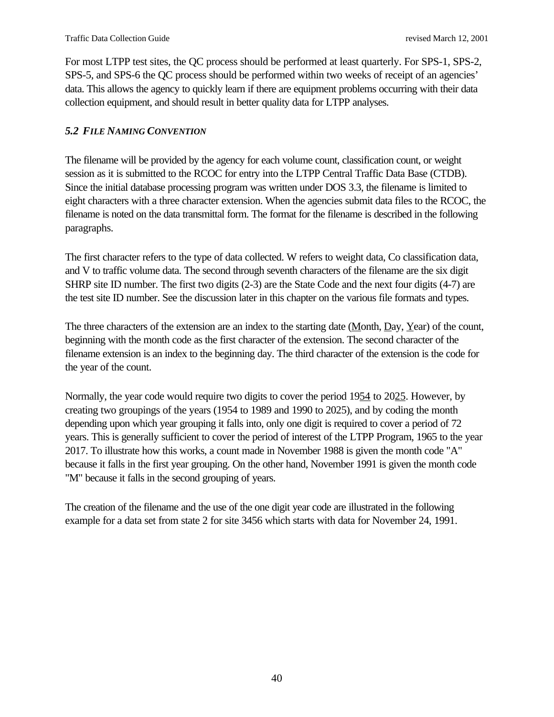For most LTPP test sites, the QC process should be performed at least quarterly. For SPS-1, SPS-2, SPS-5, and SPS-6 the QC process should be performed within two weeks of receipt of an agencies' data. This allows the agency to quickly learn if there are equipment problems occurring with their data collection equipment, and should result in better quality data for LTPP analyses.

#### *5.2 FILE NAMING CONVENTION*

The filename will be provided by the agency for each volume count, classification count, or weight session as it is submitted to the RCOC for entry into the LTPP Central Traffic Data Base (CTDB). Since the initial database processing program was written under DOS 3.3, the filename is limited to eight characters with a three character extension. When the agencies submit data files to the RCOC, the filename is noted on the data transmittal form. The format for the filename is described in the following paragraphs.

The first character refers to the type of data collected. W refers to weight data, Co classification data, and V to traffic volume data. The second through seventh characters of the filename are the six digit SHRP site ID number. The first two digits (2-3) are the State Code and the next four digits (4-7) are the test site ID number. See the discussion later in this chapter on the various file formats and types.

The three characters of the extension are an index to the starting date (Month, Day, Year) of the count, beginning with the month code as the first character of the extension. The second character of the filename extension is an index to the beginning day. The third character of the extension is the code for the year of the count.

Normally, the year code would require two digits to cover the period 1954 to 2025. However, by creating two groupings of the years (1954 to 1989 and 1990 to 2025), and by coding the month depending upon which year grouping it falls into, only one digit is required to cover a period of 72 years. This is generally sufficient to cover the period of interest of the LTPP Program, 1965 to the year 2017. To illustrate how this works, a count made in November 1988 is given the month code "A" because it falls in the first year grouping. On the other hand, November 1991 is given the month code "M" because it falls in the second grouping of years.

The creation of the filename and the use of the one digit year code are illustrated in the following example for a data set from state 2 for site 3456 which starts with data for November 24, 1991.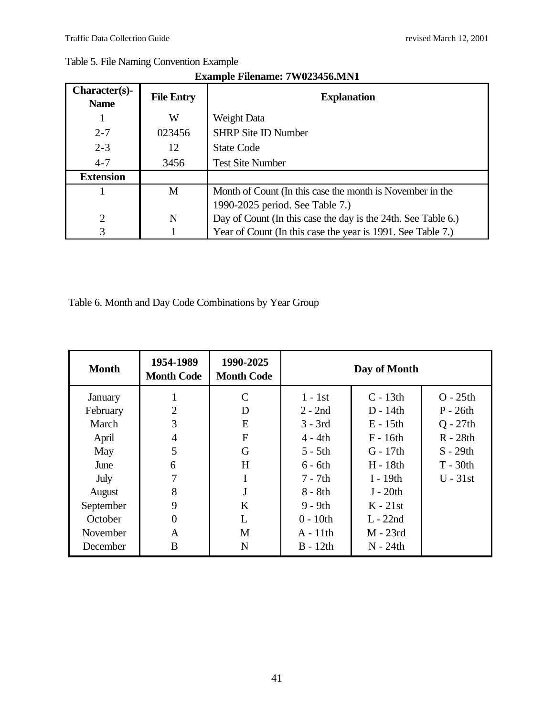|                                 | <b>Example Filename: 7W023456.MN1</b> |                                                               |  |  |  |  |
|---------------------------------|---------------------------------------|---------------------------------------------------------------|--|--|--|--|
| $Character(s)$ -<br><b>Name</b> | <b>File Entry</b>                     | <b>Explanation</b>                                            |  |  |  |  |
|                                 | W                                     | Weight Data                                                   |  |  |  |  |
| $2 - 7$                         | 023456                                | <b>SHRP Site ID Number</b>                                    |  |  |  |  |
| $2 - 3$                         | 12                                    | <b>State Code</b>                                             |  |  |  |  |
| $4 - 7$                         | 3456                                  | <b>Test Site Number</b>                                       |  |  |  |  |
| <b>Extension</b>                |                                       |                                                               |  |  |  |  |
|                                 | M                                     | Month of Count (In this case the month is November in the     |  |  |  |  |
|                                 |                                       | 1990-2025 period. See Table 7.)                               |  |  |  |  |
| $\overline{2}$                  | N                                     | Day of Count (In this case the day is the 24th. See Table 6.) |  |  |  |  |
| 3                               |                                       | Year of Count (In this case the year is 1991. See Table 7.)   |  |  |  |  |

# Table 5. File Naming Convention Example

Table 6. Month and Day Code Combinations by Year Group

| <b>Month</b> | 1954-1989<br><b>Month Code</b> | 1990-2025<br><b>Month Code</b> | Day of Month |             |            |  |
|--------------|--------------------------------|--------------------------------|--------------|-------------|------------|--|
| January      |                                | $\mathcal{C}$                  | $1 - 1$ st   | $C - 13th$  | $O - 25th$ |  |
| February     | $\overline{2}$                 | D                              | $2 - 2nd$    | D - 14th    | P - 26th   |  |
| March        | 3                              | E                              | $3 - 3rd$    | $E - 15$ th | $Q - 27th$ |  |
| April        | $\overline{4}$                 | $\mathbf{F}$                   | 4 - 4th      | $F - 16th$  | $R - 28th$ |  |
| May          | 5                              | G                              | $5 - 5$ th   | $G - 17th$  | $S - 29th$ |  |
| June         | 6                              | H                              | $6 - 6th$    | $H - 18th$  | $T - 30th$ |  |
| July         | 7                              |                                | $7 - 7$ th   | $I - 19th$  | $U - 31st$ |  |
| August       | 8                              |                                | $8 - 8th$    | $J - 20th$  |            |  |
| September    | 9                              | K                              | $9 - 9th$    | $K - 21st$  |            |  |
| October      | $\overline{0}$                 | L                              | $0 - 10$ th  | $L - 22nd$  |            |  |
| November     | A                              | M                              | $A - 11th$   | M - 23rd    |            |  |
| December     | B                              | N                              | $B - 12th$   | $N - 24th$  |            |  |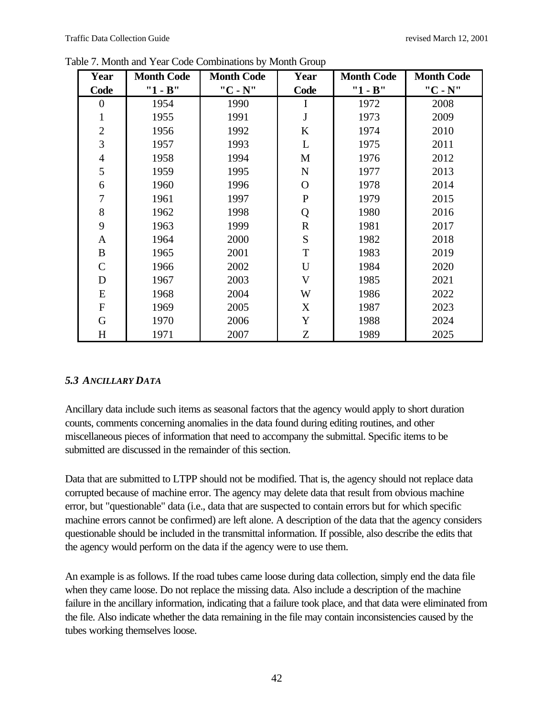| Year           | <b>Month Code</b><br><b>Month Code</b> |         | Year         | <b>Month Code</b> | <b>Month Code</b> |
|----------------|----------------------------------------|---------|--------------|-------------------|-------------------|
| Code           | $"1 - B"$                              | "C - N" | Code         | $"1 - B"$         | "C - N"           |
| $\theta$       | 1954                                   | 1990    | I            | 1972              | 2008              |
| 1              | 1955                                   | 1991    | $\bf J$      | 1973              | 2009              |
| $\overline{2}$ | 1956                                   | 1992    | K            | 1974              | 2010              |
| 3              | 1957                                   | 1993    | L            | 1975              | 2011              |
| $\overline{4}$ | 1958                                   | 1994    | M            | 1976              | 2012              |
| 5              | 1959                                   | 1995    | $\mathbf N$  | 1977              | 2013              |
| 6              | 1960                                   | 1996    | $\mathbf{O}$ | 1978              | 2014              |
| 7              | 1961                                   | 1997    | ${\bf P}$    | 1979              | 2015              |
| 8              | 1962                                   | 1998    | Q            | 1980              | 2016              |
| 9              | 1963                                   | 1999    | $\mathbf R$  | 1981              | 2017              |
| A              | 1964                                   | 2000    | S            | 1982              | 2018              |
| B              | 1965                                   | 2001    | $\mathbf T$  | 1983              | 2019              |
| $\mathbf C$    | 1966                                   | 2002    | U            | 1984              | 2020              |
| D              | 1967                                   | 2003    | $\mathbf{V}$ | 1985              | 2021              |
| E              | 1968                                   | 2004    | W            | 1986              | 2022              |
| ${\bf F}$      | 1969                                   | 2005    | X            | 1987              | 2023              |
| G              | 1970                                   | 2006    | Y            | 1988              | 2024              |
| H              | 1971                                   | 2007    | Z            | 1989              | 2025              |

Table 7. Month and Year Code Combinations by Month Group

# *5.3 ANCILLARY DATA*

Ancillary data include such items as seasonal factors that the agency would apply to short duration counts, comments concerning anomalies in the data found during editing routines, and other miscellaneous pieces of information that need to accompany the submittal. Specific items to be submitted are discussed in the remainder of this section.

Data that are submitted to LTPP should not be modified. That is, the agency should not replace data corrupted because of machine error. The agency may delete data that result from obvious machine error, but "questionable" data (i.e., data that are suspected to contain errors but for which specific machine errors cannot be confirmed) are left alone. A description of the data that the agency considers questionable should be included in the transmittal information. If possible, also describe the edits that the agency would perform on the data if the agency were to use them.

An example is as follows. If the road tubes came loose during data collection, simply end the data file when they came loose. Do not replace the missing data. Also include a description of the machine failure in the ancillary information, indicating that a failure took place, and that data were eliminated from the file. Also indicate whether the data remaining in the file may contain inconsistencies caused by the tubes working themselves loose.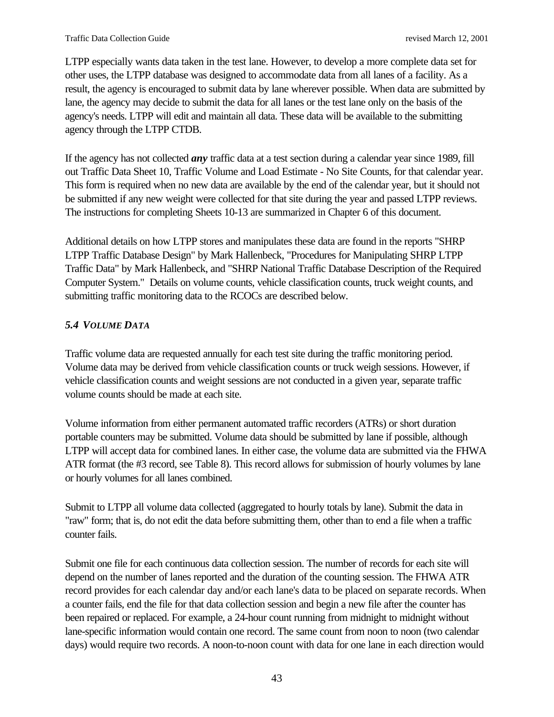LTPP especially wants data taken in the test lane. However, to develop a more complete data set for other uses, the LTPP database was designed to accommodate data from all lanes of a facility. As a result, the agency is encouraged to submit data by lane wherever possible. When data are submitted by lane, the agency may decide to submit the data for all lanes or the test lane only on the basis of the agency's needs. LTPP will edit and maintain all data. These data will be available to the submitting agency through the LTPP CTDB.

If the agency has not collected *any* traffic data at a test section during a calendar year since 1989, fill out Traffic Data Sheet 10, Traffic Volume and Load Estimate - No Site Counts, for that calendar year. This form is required when no new data are available by the end of the calendar year, but it should not be submitted if any new weight were collected for that site during the year and passed LTPP reviews. The instructions for completing Sheets 10-13 are summarized in Chapter 6 of this document.

Additional details on how LTPP stores and manipulates these data are found in the reports "SHRP LTPP Traffic Database Design" by Mark Hallenbeck, "Procedures for Manipulating SHRP LTPP Traffic Data" by Mark Hallenbeck, and "SHRP National Traffic Database Description of the Required Computer System." Details on volume counts, vehicle classification counts, truck weight counts, and submitting traffic monitoring data to the RCOCs are described below.

# *5.4 VOLUME DATA*

Traffic volume data are requested annually for each test site during the traffic monitoring period. Volume data may be derived from vehicle classification counts or truck weigh sessions. However, if vehicle classification counts and weight sessions are not conducted in a given year, separate traffic volume counts should be made at each site.

Volume information from either permanent automated traffic recorders (ATRs) or short duration portable counters may be submitted. Volume data should be submitted by lane if possible, although LTPP will accept data for combined lanes. In either case, the volume data are submitted via the FHWA ATR format (the #3 record, see Table 8). This record allows for submission of hourly volumes by lane or hourly volumes for all lanes combined.

Submit to LTPP all volume data collected (aggregated to hourly totals by lane). Submit the data in "raw" form; that is, do not edit the data before submitting them, other than to end a file when a traffic counter fails.

Submit one file for each continuous data collection session. The number of records for each site will depend on the number of lanes reported and the duration of the counting session. The FHWA ATR record provides for each calendar day and/or each lane's data to be placed on separate records. When a counter fails, end the file for that data collection session and begin a new file after the counter has been repaired or replaced. For example, a 24-hour count running from midnight to midnight without lane-specific information would contain one record. The same count from noon to noon (two calendar days) would require two records. A noon-to-noon count with data for one lane in each direction would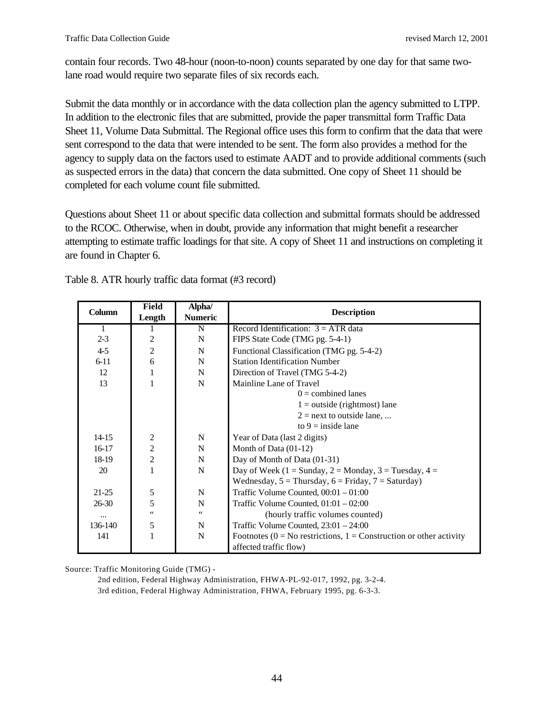contain four records. Two 48-hour (noon-to-noon) counts separated by one day for that same twolane road would require two separate files of six records each.

Submit the data monthly or in accordance with the data collection plan the agency submitted to LTPP. In addition to the electronic files that are submitted, provide the paper transmittal form Traffic Data Sheet 11, Volume Data Submittal. The Regional office uses this form to confirm that the data that were sent correspond to the data that were intended to be sent. The form also provides a method for the agency to supply data on the factors used to estimate AADT and to provide additional comments (such as suspected errors in the data) that concern the data submitted. One copy of Sheet 11 should be completed for each volume count file submitted.

Questions about Sheet 11 or about specific data collection and submittal formats should be addressed to the RCOC. Otherwise, when in doubt, provide any information that might benefit a researcher attempting to estimate traffic loadings for that site. A copy of Sheet 11 and instructions on completing it are found in Chapter 6.

|           | Field                 | Alpha/          |                                                                         |  |  |  |
|-----------|-----------------------|-----------------|-------------------------------------------------------------------------|--|--|--|
| Column    | Length                | <b>Numeric</b>  | <b>Description</b>                                                      |  |  |  |
| 1         |                       | N               | Record Identification: $3 = ATR$ data                                   |  |  |  |
| $2 - 3$   | 2                     | N               | FIPS State Code (TMG pg. 5-4-1)                                         |  |  |  |
| $4 - 5$   | $\overline{c}$        | N               | Functional Classification (TMG pg. 5-4-2)                               |  |  |  |
| $6 - 11$  | 6                     | N               | <b>Station Identification Number</b>                                    |  |  |  |
| 12        | 1                     | N               | Direction of Travel (TMG 5-4-2)                                         |  |  |  |
| 13        | 1                     | N               | Mainline Lane of Travel                                                 |  |  |  |
|           |                       |                 | $0 =$ combined lanes                                                    |  |  |  |
|           |                       |                 | $1 = \text{outside (rightmost) lane}$                                   |  |  |  |
|           |                       |                 | $2$ = next to outside lane,                                             |  |  |  |
|           |                       |                 | to $9$ = inside lane                                                    |  |  |  |
| $14-15$   | $\overline{c}$        | $\mathbf N$     | Year of Data (last 2 digits)                                            |  |  |  |
| 16-17     | $\overline{c}$        | N               | Month of Data $(01-12)$                                                 |  |  |  |
| 18-19     | $\overline{c}$        | N               | Day of Month of Data (01-31)                                            |  |  |  |
| 20        | $\mathbf{1}$          | N               | Day of Week (1 = Sunday, 2 = Monday, 3 = Tuesday, 4 =                   |  |  |  |
|           |                       |                 | Wednesday, $5 =$ Thursday, $6 =$ Friday, $7 =$ Saturday)                |  |  |  |
| $21-25$   | 5                     | N               | Traffic Volume Counted, $00:01 - 01:00$                                 |  |  |  |
| $26 - 30$ | 5                     | N               | Traffic Volume Counted, $01:01 - 02:00$                                 |  |  |  |
| $\cdots$  | $\epsilon$ $\epsilon$ | $\zeta$ $\zeta$ | (hourly traffic volumes counted)                                        |  |  |  |
| 136-140   | 5                     | N               | Traffic Volume Counted, $23:01 - 24:00$                                 |  |  |  |
| 141       | 1                     | N               | Footnotes ( $0 = No$ restrictions, $1 =$ Construction or other activity |  |  |  |
|           |                       |                 | affected traffic flow)                                                  |  |  |  |

Table 8. ATR hourly traffic data format (#3 record)

Source: Traffic Monitoring Guide (TMG) -

2nd edition, Federal Highway Administration, FHWA-PL-92-017, 1992, pg. 3-2-4. 3rd edition, Federal Highway Administration, FHWA, February 1995, pg. 6-3-3.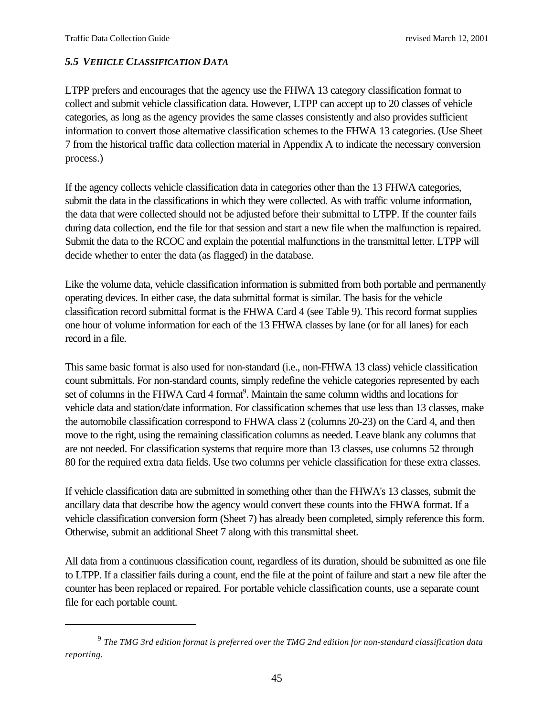# *5.5 VEHICLE CLASSIFICATION DATA*

LTPP prefers and encourages that the agency use the FHWA 13 category classification format to collect and submit vehicle classification data. However, LTPP can accept up to 20 classes of vehicle categories, as long as the agency provides the same classes consistently and also provides sufficient information to convert those alternative classification schemes to the FHWA 13 categories. (Use Sheet 7 from the historical traffic data collection material in Appendix A to indicate the necessary conversion process.)

If the agency collects vehicle classification data in categories other than the 13 FHWA categories, submit the data in the classifications in which they were collected. As with traffic volume information, the data that were collected should not be adjusted before their submittal to LTPP. If the counter fails during data collection, end the file for that session and start a new file when the malfunction is repaired. Submit the data to the RCOC and explain the potential malfunctions in the transmittal letter. LTPP will decide whether to enter the data (as flagged) in the database.

Like the volume data, vehicle classification information is submitted from both portable and permanently operating devices. In either case, the data submittal format is similar. The basis for the vehicle classification record submittal format is the FHWA Card 4 (see Table 9). This record format supplies one hour of volume information for each of the 13 FHWA classes by lane (or for all lanes) for each record in a file.

This same basic format is also used for non-standard (i.e., non-FHWA 13 class) vehicle classification count submittals. For non-standard counts, simply redefine the vehicle categories represented by each set of columns in the FHWA Card 4 format<sup>9</sup>. Maintain the same column widths and locations for vehicle data and station/date information. For classification schemes that use less than 13 classes, make the automobile classification correspond to FHWA class 2 (columns 20-23) on the Card 4, and then move to the right, using the remaining classification columns as needed. Leave blank any columns that are not needed. For classification systems that require more than 13 classes, use columns 52 through 80 for the required extra data fields. Use two columns per vehicle classification for these extra classes.

If vehicle classification data are submitted in something other than the FHWA's 13 classes, submit the ancillary data that describe how the agency would convert these counts into the FHWA format. If a vehicle classification conversion form (Sheet 7) has already been completed, simply reference this form. Otherwise, submit an additional Sheet 7 along with this transmittal sheet.

All data from a continuous classification count, regardless of its duration, should be submitted as one file to LTPP. If a classifier fails during a count, end the file at the point of failure and start a new file after the counter has been replaced or repaired. For portable vehicle classification counts, use a separate count file for each portable count.

<sup>9</sup> *The TMG 3rd edition format is preferred over the TMG 2nd edition for non-standard classification data reporting.*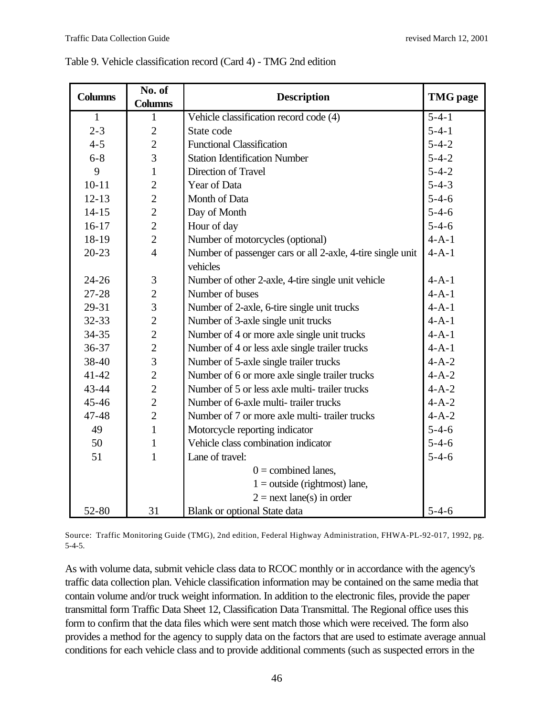| <b>Columns</b> | No. of         | <b>Description</b>                                         | <b>TMG</b> page        |
|----------------|----------------|------------------------------------------------------------|------------------------|
|                | <b>Columns</b> |                                                            |                        |
| $\mathbf{1}$   | 1              | Vehicle classification record code (4)                     | $\overline{5} - 4 - 1$ |
| $2 - 3$        | $\overline{2}$ | State code                                                 | $5 - 4 - 1$            |
| $4 - 5$        | $\overline{2}$ | <b>Functional Classification</b>                           | $5 - 4 - 2$            |
| $6 - 8$        | $\overline{3}$ | <b>Station Identification Number</b>                       | $5 - 4 - 2$            |
| 9              | $\mathbf{1}$   | Direction of Travel                                        | $5 - 4 - 2$            |
| $10 - 11$      | $\overline{c}$ | Year of Data                                               | $5 - 4 - 3$            |
| $12 - 13$      | $\overline{2}$ | Month of Data                                              | $5 - 4 - 6$            |
| $14 - 15$      | $\overline{2}$ | Day of Month                                               | $5 - 4 - 6$            |
| $16-17$        | $\overline{2}$ | Hour of day                                                | $5 - 4 - 6$            |
| 18-19          | $\overline{2}$ | Number of motorcycles (optional)                           | $4 - A - 1$            |
| $20 - 23$      | $\overline{4}$ | Number of passenger cars or all 2-axle, 4-tire single unit | $4 - A - 1$            |
|                |                | vehicles                                                   |                        |
| $24 - 26$      | 3              | Number of other 2-axle, 4-tire single unit vehicle         | $4 - A - 1$            |
| 27-28          | $\overline{2}$ | Number of buses                                            | $4 - A - 1$            |
| 29-31          | $\overline{3}$ | Number of 2-axle, 6-tire single unit trucks                | $4 - A - 1$            |
| 32-33          | $\overline{2}$ | Number of 3-axle single unit trucks                        | $4 - A - 1$            |
| 34-35          | $\overline{2}$ | Number of 4 or more axle single unit trucks                | $4 - A - 1$            |
| 36-37          | $\overline{2}$ | Number of 4 or less axle single trailer trucks             | $4 - A - 1$            |
| 38-40          | $\overline{3}$ | Number of 5-axle single trailer trucks                     | $4 - A - 2$            |
| $41 - 42$      | $\overline{2}$ | Number of 6 or more axle single trailer trucks             | $4 - A - 2$            |
| 43-44          | $\overline{2}$ | Number of 5 or less axle multi-trailer trucks              | $4 - A - 2$            |
| $45 - 46$      | $\overline{2}$ | Number of 6-axle multi-trailer trucks                      | $4 - A - 2$            |
| 47-48          | $\overline{2}$ | Number of 7 or more axle multi-trailer trucks              | $4 - A - 2$            |
| 49             | $\mathbf{1}$   | Motorcycle reporting indicator                             | $5 - 4 - 6$            |
| 50             | $\mathbf{1}$   | Vehicle class combination indicator                        | $5 - 4 - 6$            |
| 51             | $\mathbf{1}$   | Lane of travel:                                            | $5 - 4 - 6$            |
|                |                | $0 =$ combined lanes,                                      |                        |
|                |                | $1 = \text{outside (rightmost) lane},$                     |                        |
|                |                | $2 =$ next lane(s) in order                                |                        |
| 52-80          | 31             | Blank or optional State data                               | $5 - 4 - 6$            |

|  |  | Table 9. Vehicle classification record (Card 4) - TMG 2nd edition |  |  |  |  |
|--|--|-------------------------------------------------------------------|--|--|--|--|
|--|--|-------------------------------------------------------------------|--|--|--|--|

Source: Traffic Monitoring Guide (TMG), 2nd edition, Federal Highway Administration, FHWA-PL-92-017, 1992, pg. 5-4-5.

As with volume data, submit vehicle class data to RCOC monthly or in accordance with the agency's traffic data collection plan. Vehicle classification information may be contained on the same media that contain volume and/or truck weight information. In addition to the electronic files, provide the paper transmittal form Traffic Data Sheet 12, Classification Data Transmittal. The Regional office uses this form to confirm that the data files which were sent match those which were received. The form also provides a method for the agency to supply data on the factors that are used to estimate average annual conditions for each vehicle class and to provide additional comments (such as suspected errors in the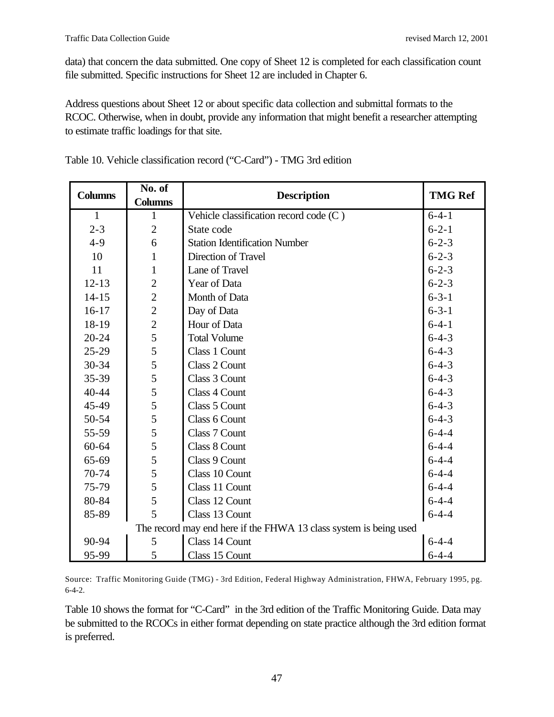data) that concern the data submitted. One copy of Sheet 12 is completed for each classification count file submitted. Specific instructions for Sheet 12 are included in Chapter 6.

Address questions about Sheet 12 or about specific data collection and submittal formats to the RCOC. Otherwise, when in doubt, provide any information that might benefit a researcher attempting to estimate traffic loadings for that site.

| <b>Columns</b> | No. of         | <b>Description</b>                                                | <b>TMG Ref</b> |
|----------------|----------------|-------------------------------------------------------------------|----------------|
|                | <b>Columns</b> |                                                                   |                |
| $\mathbf{1}$   | 1              | Vehicle classification record code (C)                            | $6 - 4 - 1$    |
| $2 - 3$        | $\mathbf{2}$   | State code                                                        | $6 - 2 - 1$    |
| $4 - 9$        | 6              | <b>Station Identification Number</b>                              | $6 - 2 - 3$    |
| 10             | $\mathbf{1}$   | Direction of Travel                                               | $6 - 2 - 3$    |
| 11             | 1              | Lane of Travel                                                    | $6 - 2 - 3$    |
| $12 - 13$      | $\overline{2}$ | Year of Data                                                      | $6 - 2 - 3$    |
| $14 - 15$      | $\overline{2}$ | Month of Data                                                     | $6 - 3 - 1$    |
| $16-17$        | $\overline{2}$ | Day of Data                                                       | $6 - 3 - 1$    |
| 18-19          | $\overline{2}$ | Hour of Data                                                      | $6 - 4 - 1$    |
| $20 - 24$      | 5              | <b>Total Volume</b>                                               | $6 - 4 - 3$    |
| $25-29$        | 5              | Class 1 Count                                                     | $6 - 4 - 3$    |
| 30-34          | 5              | Class 2 Count                                                     | $6 - 4 - 3$    |
| 35-39          | 5              | Class 3 Count                                                     | $6 - 4 - 3$    |
| 40-44          | 5              | Class 4 Count                                                     | $6 - 4 - 3$    |
| 45-49          | 5              | Class 5 Count                                                     | $6 - 4 - 3$    |
| 50-54          | 5              | Class 6 Count                                                     | $6 - 4 - 3$    |
| 55-59          | 5              | Class 7 Count                                                     | $6 - 4 - 4$    |
| $60 - 64$      | 5              | Class 8 Count                                                     | $6 - 4 - 4$    |
| 65-69          | 5              | Class 9 Count                                                     | $6 - 4 - 4$    |
| 70-74          | 5              | Class 10 Count                                                    | $6 - 4 - 4$    |
| 75-79          | 5              | Class 11 Count                                                    | $6 - 4 - 4$    |
| 80-84          | 5              | Class 12 Count                                                    | $6 - 4 - 4$    |
| 85-89          | 5              | Class 13 Count                                                    | $6 - 4 - 4$    |
|                |                | The record may end here if the FHWA 13 class system is being used |                |
| 90-94          | 5              | Class 14 Count                                                    | $6 - 4 - 4$    |
| 95-99          | 5              | Class 15 Count                                                    | $6 - 4 - 4$    |

Table 10. Vehicle classification record ("C-Card") - TMG 3rd edition

Source: Traffic Monitoring Guide (TMG) - 3rd Edition, Federal Highway Administration, FHWA, February 1995, pg. 6-4-2.

Table 10 shows the format for "C-Card" in the 3rd edition of the Traffic Monitoring Guide. Data may be submitted to the RCOCs in either format depending on state practice although the 3rd edition format is preferred.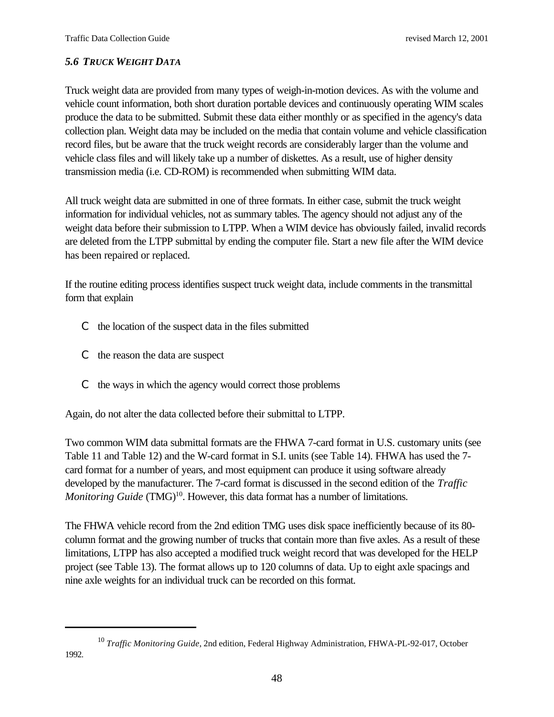# *5.6 TRUCK WEIGHT DATA*

Truck weight data are provided from many types of weigh-in-motion devices. As with the volume and vehicle count information, both short duration portable devices and continuously operating WIM scales produce the data to be submitted. Submit these data either monthly or as specified in the agency's data collection plan. Weight data may be included on the media that contain volume and vehicle classification record files, but be aware that the truck weight records are considerably larger than the volume and vehicle class files and will likely take up a number of diskettes. As a result, use of higher density transmission media (i.e. CD-ROM) is recommended when submitting WIM data.

All truck weight data are submitted in one of three formats. In either case, submit the truck weight information for individual vehicles, not as summary tables. The agency should not adjust any of the weight data before their submission to LTPP. When a WIM device has obviously failed, invalid records are deleted from the LTPP submittal by ending the computer file. Start a new file after the WIM device has been repaired or replaced.

If the routine editing process identifies suspect truck weight data, include comments in the transmittal form that explain

- C the location of the suspect data in the files submitted
- C the reason the data are suspect
- C the ways in which the agency would correct those problems

Again, do not alter the data collected before their submittal to LTPP.

Two common WIM data submittal formats are the FHWA 7-card format in U.S. customary units (see Table 11 and Table 12) and the W-card format in S.I. units (see Table 14). FHWA has used the 7 card format for a number of years, and most equipment can produce it using software already developed by the manufacturer. The 7-card format is discussed in the second edition of the *Traffic Monitoring Guide* (TMG)<sup>10</sup>. However, this data format has a number of limitations.

The FHWA vehicle record from the 2nd edition TMG uses disk space inefficiently because of its 80 column format and the growing number of trucks that contain more than five axles. As a result of these limitations, LTPP has also accepted a modified truck weight record that was developed for the HELP project (see Table 13). The format allows up to 120 columns of data. Up to eight axle spacings and nine axle weights for an individual truck can be recorded on this format.

1992.

<sup>10</sup> *Traffic Monitoring Guide*, 2nd edition, Federal Highway Administration, FHWA-PL-92-017, October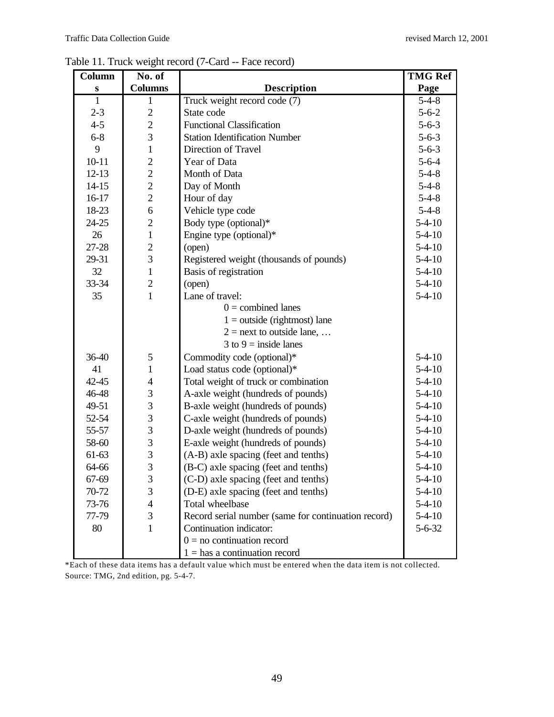| Column       | No. of                  |                                                     | <b>TMG Ref</b> |
|--------------|-------------------------|-----------------------------------------------------|----------------|
| S            | <b>Columns</b>          | <b>Description</b>                                  | Page           |
| $\mathbf{1}$ | 1                       | Truck weight record code (7)                        | $5-4-8$        |
| $2 - 3$      | $\overline{2}$          | State code                                          | $5 - 6 - 2$    |
| $4 - 5$      | $\overline{2}$          | <b>Functional Classification</b>                    | $5 - 6 - 3$    |
| $6 - 8$      | $\overline{3}$          | <b>Station Identification Number</b>                | $5 - 6 - 3$    |
| 9            | $\mathbf{1}$            | Direction of Travel                                 | $5 - 6 - 3$    |
| $10 - 11$    | $\overline{2}$          | Year of Data                                        | $5 - 6 - 4$    |
| $12 - 13$    | $\overline{2}$          | Month of Data                                       | $5 - 4 - 8$    |
| $14 - 15$    | $\overline{2}$          | Day of Month                                        | $5 - 4 - 8$    |
| $16-17$      | $\overline{2}$          | Hour of day                                         | $5-4-8$        |
| 18-23        | 6                       | Vehicle type code                                   | $5-4-8$        |
| $24 - 25$    | $\overline{2}$          | Body type (optional)*                               | $5-4-10$       |
| 26           | $\mathbf{1}$            | Engine type (optional)*                             | $5-4-10$       |
| 27-28        | $\overline{2}$          | (open)                                              | $5-4-10$       |
| 29-31        | $\overline{3}$          | Registered weight (thousands of pounds)             | $5-4-10$       |
| 32           | $\mathbf{1}$            | Basis of registration                               | $5-4-10$       |
| 33-34        | $\overline{2}$          | (open)                                              | $5-4-10$       |
| 35           | $\mathbf{1}$            | Lane of travel:                                     | $5-4-10$       |
|              |                         | $0 =$ combined lanes                                |                |
|              |                         | $1 = \text{outside (rightmost)}$ lane               |                |
|              |                         | $2$ = next to outside lane,                         |                |
|              |                         | $3$ to $9$ = inside lanes                           |                |
| 36-40        | 5                       | Commodity code (optional)*                          | $5-4-10$       |
| 41           | $\mathbf{1}$            | Load status code (optional)*                        | $5-4-10$       |
| 42-45        | 4                       | Total weight of truck or combination                | $5-4-10$       |
| 46-48        | 3                       | A-axle weight (hundreds of pounds)                  | $5-4-10$       |
| 49-51        | 3                       | B-axle weight (hundreds of pounds)                  | $5-4-10$       |
| 52-54        | $\overline{3}$          | C-axle weight (hundreds of pounds)                  | $5-4-10$       |
| 55-57        | $\overline{\mathbf{3}}$ | D-axle weight (hundreds of pounds)                  | $5-4-10$       |
| 58-60        | 3                       | E-axle weight (hundreds of pounds)                  | $5-4-10$       |
| 61-63        | 3                       | (A-B) axle spacing (feet and tenths)                | $5-4-10$       |
| 64-66        | $\overline{3}$          | (B-C) axle spacing (feet and tenths)                | $5-4-10$       |
| 67-69        | 3                       | (C-D) axle spacing (feet and tenths)                | $5-4-10$       |
| 70-72        | 3                       | (D-E) axle spacing (feet and tenths)                | $5-4-10$       |
| 73-76        | 4                       | Total wheelbase                                     | $5-4-10$       |
| 77-79        | 3                       | Record serial number (same for continuation record) | $5-4-10$       |
| 80           | $\mathbf{1}$            | Continuation indicator:                             | $5 - 6 - 32$   |
|              |                         | $0 = no$ continuation record                        |                |
|              |                         | $1 =$ has a continuation record                     |                |

Table 11. Truck weight record (7-Card -- Face record)

\*Each of these data items has a default value which must be entered when the data item is not collected. Source: TMG, 2nd edition, pg. 5-4-7.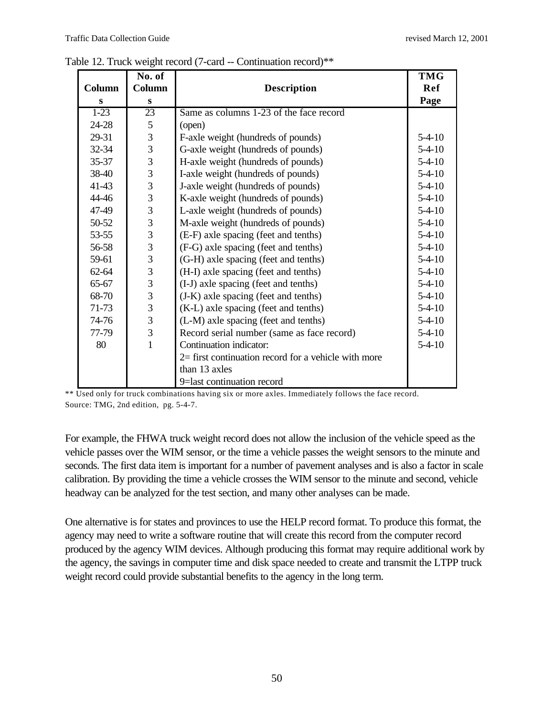|           | No. of                  |                                                        | <b>TMG</b> |
|-----------|-------------------------|--------------------------------------------------------|------------|
| Column    | Column                  | <b>Description</b>                                     | Ref        |
| S         | S                       |                                                        | Page       |
| $1-23$    | 23                      | Same as columns $1-\overline{23}$ of the face record   |            |
| 24-28     | 5                       | (open)                                                 |            |
| 29-31     | $\mathfrak{Z}$          | F-axle weight (hundreds of pounds)                     | $5-4-10$   |
| 32-34     | $\mathfrak{Z}$          | G-axle weight (hundreds of pounds)                     | $5-4-10$   |
| $35 - 37$ | 3                       | H-axle weight (hundreds of pounds)                     | $5-4-10$   |
| 38-40     | $\overline{3}$          | I-axle weight (hundreds of pounds)                     | $5-4-10$   |
| 41-43     | 3                       | J-axle weight (hundreds of pounds)                     | $5-4-10$   |
| 44-46     | $\overline{\mathbf{3}}$ | K-axle weight (hundreds of pounds)                     | $5-4-10$   |
| 47-49     | 3                       | L-axle weight (hundreds of pounds)                     | $5-4-10$   |
| 50-52     | 3                       | M-axle weight (hundreds of pounds)                     | $5-4-10$   |
| 53-55     | $\mathfrak{Z}$          | (E-F) axle spacing (feet and tenths)                   | $5-4-10$   |
| 56-58     | 3                       | (F-G) axle spacing (feet and tenths)                   | $5-4-10$   |
| 59-61     | $\overline{3}$          | (G-H) axle spacing (feet and tenths)                   | $5-4-10$   |
| $62 - 64$ | 3                       | (H-I) axle spacing (feet and tenths)                   | $5-4-10$   |
| 65-67     | $\overline{\mathbf{3}}$ | (I-J) axle spacing (feet and tenths)                   | $5-4-10$   |
| 68-70     | $\overline{\mathbf{3}}$ | (J-K) axle spacing (feet and tenths)                   | $5-4-10$   |
| 71-73     | 3                       | (K-L) axle spacing (feet and tenths)                   | $5-4-10$   |
| 74-76     | 3                       | (L-M) axle spacing (feet and tenths)                   | $5-4-10$   |
| 77-79     | $\mathfrak{Z}$          | Record serial number (same as face record)             | $5-4-10$   |
| 80        | $\mathbf{1}$            | Continuation indicator:                                | $5-4-10$   |
|           |                         | $2=$ first continuation record for a vehicle with more |            |
|           |                         | than 13 axles                                          |            |
|           |                         | 9=last continuation record                             |            |

|  | Table 12. Truck weight record (7-card -- Continuation record)** |  |  |
|--|-----------------------------------------------------------------|--|--|
|  |                                                                 |  |  |

\*\* Used only for truck combinations having six or more axles. Immediately follows the face record. Source: TMG, 2nd edition, pg. 5-4-7.

For example, the FHWA truck weight record does not allow the inclusion of the vehicle speed as the vehicle passes over the WIM sensor, or the time a vehicle passes the weight sensors to the minute and seconds. The first data item is important for a number of pavement analyses and is also a factor in scale calibration. By providing the time a vehicle crosses the WIM sensor to the minute and second, vehicle headway can be analyzed for the test section, and many other analyses can be made.

One alternative is for states and provinces to use the HELP record format. To produce this format, the agency may need to write a software routine that will create this record from the computer record produced by the agency WIM devices. Although producing this format may require additional work by the agency, the savings in computer time and disk space needed to create and transmit the LTPP truck weight record could provide substantial benefits to the agency in the long term.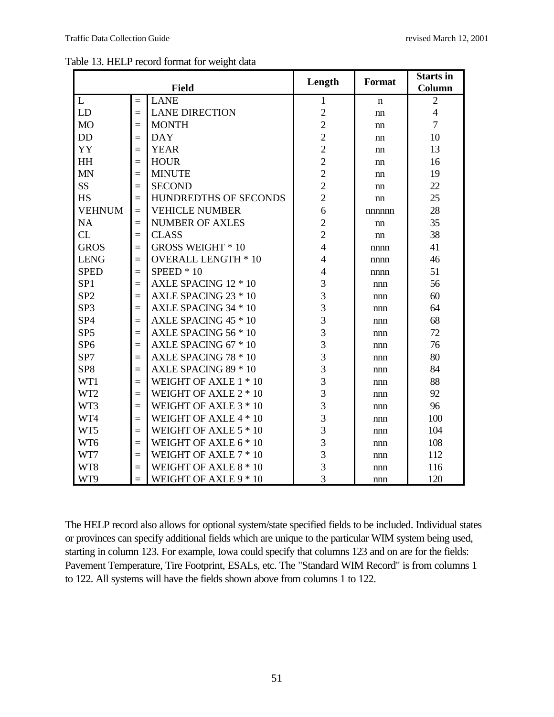|                 |     |                            | Length         | Format      | <b>Starts</b> in |
|-----------------|-----|----------------------------|----------------|-------------|------------------|
|                 |     | <b>Field</b>               |                |             | Column           |
| L               | $=$ | <b>LANE</b>                | 1              | $\mathbf n$ | $\mathbf{2}$     |
| <b>LD</b>       | $=$ | <b>LANE DIRECTION</b>      | $\overline{2}$ | nn          | $\overline{4}$   |
| <b>MO</b>       | $=$ | <b>MONTH</b>               | $\overline{2}$ | nn          | $\overline{7}$   |
| <b>DD</b>       | $=$ | <b>DAY</b>                 | $\overline{2}$ | nn          | 10               |
| YY              | $=$ | <b>YEAR</b>                | $\overline{2}$ | nn          | 13               |
| HH              | $=$ | <b>HOUR</b>                | $\overline{2}$ | nn          | 16               |
| <b>MN</b>       | $=$ | <b>MINUTE</b>              | $\overline{2}$ | nn          | 19               |
| <b>SS</b>       | $=$ | <b>SECOND</b>              | $\overline{c}$ | nn          | 22               |
| <b>HS</b>       | $=$ | HUNDREDTHS OF SECONDS      | $\overline{2}$ | nn          | 25               |
| <b>VEHNUM</b>   | $=$ | <b>VEHICLE NUMBER</b>      | 6              | nnnnnn      | 28               |
| <b>NA</b>       | $=$ | <b>NUMBER OF AXLES</b>     | $\overline{2}$ | nn          | 35               |
| CL              | $=$ | <b>CLASS</b>               | $\overline{2}$ | nn          | 38               |
| <b>GROS</b>     | $=$ | <b>GROSS WEIGHT * 10</b>   | $\overline{4}$ | nnnn        | 41               |
| <b>LENG</b>     | $=$ | <b>OVERALL LENGTH * 10</b> | $\overline{4}$ | nnnn        | 46               |
| <b>SPED</b>     | $=$ | SPEED $*10$                | $\overline{4}$ | nnnn        | 51               |
| SP <sub>1</sub> | $=$ | AXLE SPACING 12 * 10       | 3              | nnn         | 56               |
| SP <sub>2</sub> | $=$ | AXLE SPACING 23 * 10       | $\overline{3}$ | nnn         | 60               |
| SP3             | $=$ | AXLE SPACING 34 * 10       | $\overline{3}$ | nnn         | 64               |
| SP <sub>4</sub> | $=$ | AXLE SPACING 45 * 10       | $\overline{3}$ | nnn         | 68               |
| SP <sub>5</sub> | $=$ | AXLE SPACING 56 * 10       | $\overline{3}$ | nnn         | 72               |
| SP <sub>6</sub> | $=$ | AXLE SPACING 67 * 10       | $\overline{3}$ | nnn         | 76               |
| SP7             | $=$ | AXLE SPACING 78 * 10       | $\overline{3}$ | nnn         | 80               |
| SP <sub>8</sub> | $=$ | AXLE SPACING 89 * 10       | $\overline{3}$ | nnn         | 84               |
| WT1             | $=$ | WEIGHT OF AXLE 1 * 10      | 3              | nnn         | 88               |
| WT <sub>2</sub> | $=$ | WEIGHT OF AXLE 2 * 10      | $\overline{3}$ | nnn         | 92               |
| WT3             | $=$ | WEIGHT OF AXLE 3 * 10      | $\overline{3}$ | nnn         | 96               |
| WT4             | $=$ | WEIGHT OF AXLE 4 * 10      | $\overline{3}$ | nnn         | 100              |
| WT5             | $=$ | WEIGHT OF AXLE 5 * 10      | 3              | nnn         | 104              |
| WT6             | $=$ | WEIGHT OF AXLE 6 * 10      | 3              | nnn         | 108              |
| WT7             | $=$ | WEIGHT OF AXLE 7 * 10      | $\overline{3}$ | nnn         | 112              |
| WT8             | $=$ | WEIGHT OF AXLE 8 * 10      | $\overline{3}$ | nnn         | 116              |
| WT9             | $=$ | WEIGHT OF AXLE 9 * 10      | $\overline{3}$ | nnn         | 120              |

Table 13. HELP record format for weight data

The HELP record also allows for optional system/state specified fields to be included. Individual states or provinces can specify additional fields which are unique to the particular WIM system being used, starting in column 123. For example, Iowa could specify that columns 123 and on are for the fields: Pavement Temperature, Tire Footprint, ESALs, etc. The "Standard WIM Record" is from columns 1 to 122. All systems will have the fields shown above from columns 1 to 122.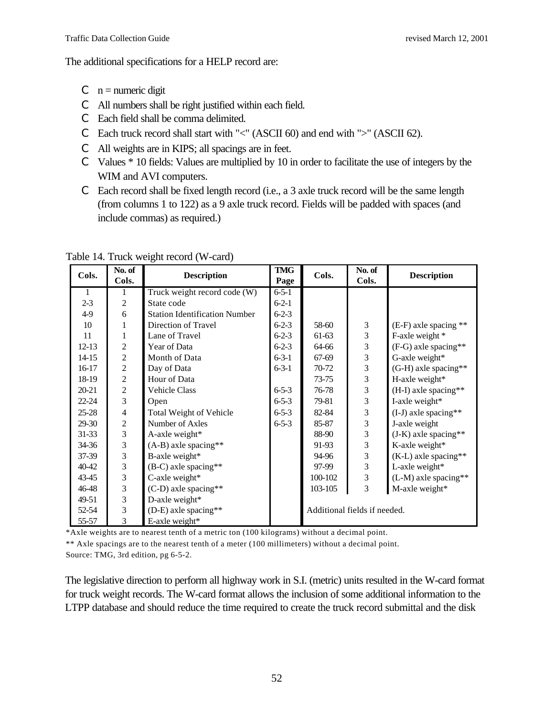The additional specifications for a HELP record are:

- $C \quad n =$  numeric digit
- C All numbers shall be right justified within each field.
- C Each field shall be comma delimited.
- C Each truck record shall start with "<" (ASCII 60) and end with ">" (ASCII 62).
- C All weights are in KIPS; all spacings are in feet.
- C Values \* 10 fields: Values are multiplied by 10 in order to facilitate the use of integers by the WIM and AVI computers.
- C Each record shall be fixed length record (i.e., a 3 axle truck record will be the same length (from columns 1 to 122) as a 9 axle truck record. Fields will be padded with spaces (and include commas) as required.)

| Cols.     | No. of         | <b>Description</b>                   | TMG         | Cols.                        | No. of                      | <b>Description</b>      |
|-----------|----------------|--------------------------------------|-------------|------------------------------|-----------------------------|-------------------------|
|           | Cols.          |                                      | Page        |                              | Cols.                       |                         |
| 1         | 1              | Truck weight record code (W)         | $6 - 5 - 1$ |                              |                             |                         |
| $2 - 3$   | $\mathfrak{2}$ | State code                           | $6 - 2 - 1$ |                              |                             |                         |
| $4-9$     | 6              | <b>Station Identification Number</b> | $6 - 2 - 3$ |                              |                             |                         |
| 10        | 1              | Direction of Travel                  | $6 - 2 - 3$ | 58-60                        | 3                           | $(E-F)$ axle spacing ** |
| 11        | $\mathbf{1}$   | Lane of Travel                       | $6 - 2 - 3$ | 61-63                        | $\mathfrak{Z}$              | F-axle weight *         |
| $12 - 13$ | $\overline{c}$ | Year of Data                         | $6 - 2 - 3$ | 64-66                        | $\mathfrak{Z}$              | $(F-G)$ axle spacing**  |
| 14-15     | $\overline{c}$ | Month of Data                        | $6 - 3 - 1$ | 67-69                        | $\mathfrak{Z}$              | G-axle weight*          |
| $16-17$   | $\overline{c}$ | Day of Data                          | $6 - 3 - 1$ | 70-72                        | $\mathfrak 3$               | $(G-H)$ axle spacing**  |
| 18-19     | $\overline{c}$ | Hour of Data                         |             | 73-75                        | $\mathfrak{Z}$              | H-axle weight*          |
| 20-21     | $\mathfrak{2}$ | <b>Vehicle Class</b>                 | $6 - 5 - 3$ | 76-78                        | $\mathfrak{Z}$              | (H-I) axle spacing**    |
| $22 - 24$ | 3              | Open                                 | $6 - 5 - 3$ | 79-81                        | 3                           | I-axle weight*          |
| $25 - 28$ | $\overline{4}$ | Total Weight of Vehicle              | $6 - 5 - 3$ | 82-84                        | $\mathfrak{Z}$              | $(I-J)$ axle spacing**  |
| 29-30     | $\overline{c}$ | Number of Axles                      | $6 - 5 - 3$ | 85-87                        | $\mathfrak 3$               | J-axle weight           |
| 31-33     | 3              | A-axle weight*                       |             | 88-90                        | $\ensuremath{\mathfrak{Z}}$ | $(J-K)$ axle spacing**  |
| 34-36     | 3              | $(A-B)$ axle spacing**               |             | 91-93                        | 3                           | K-axle weight*          |
| 37-39     | $\overline{3}$ | B-axle weight*                       |             | 94-96                        | $\mathfrak{Z}$              | $(K-L)$ axle spacing**  |
| 40-42     | 3              | $(B-C)$ axle spacing**               |             | 97-99                        | $\mathfrak{Z}$              | L-axle weight*          |
| 43-45     | 3              | C-axle weight*                       |             | 100-102                      | $\mathfrak{Z}$              | $(L-M)$ axle spacing**  |
| 46-48     | 3              | (C-D) axle spacing**                 |             | 103-105                      | 3                           | M-axle weight*          |
| 49-51     | 3              | D-axle weight*                       |             |                              |                             |                         |
| 52-54     | 3              | (D-E) axle spacing**                 |             | Additional fields if needed. |                             |                         |
| 55-57     | 3              | E-axle weight*                       |             |                              |                             |                         |

Table 14. Truck weight record (W-card)

\*Axle weights are to nearest tenth of a metric ton (100 kilograms) without a decimal point.

\*\* Axle spacings are to the nearest tenth of a meter (100 millimeters) without a decimal point. Source: TMG, 3rd edition, pg 6-5-2.

The legislative direction to perform all highway work in S.I. (metric) units resulted in the W-card format for truck weight records. The W-card format allows the inclusion of some additional information to the LTPP database and should reduce the time required to create the truck record submittal and the disk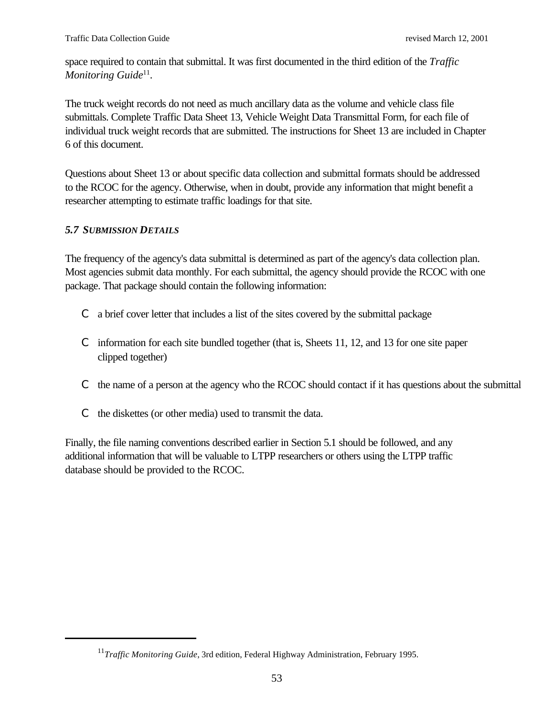space required to contain that submittal. It was first documented in the third edition of the *Traffic* Monitoring Guide<sup>11</sup>.

The truck weight records do not need as much ancillary data as the volume and vehicle class file submittals. Complete Traffic Data Sheet 13, Vehicle Weight Data Transmittal Form, for each file of individual truck weight records that are submitted. The instructions for Sheet 13 are included in Chapter 6 of this document.

Questions about Sheet 13 or about specific data collection and submittal formats should be addressed to the RCOC for the agency. Otherwise, when in doubt, provide any information that might benefit a researcher attempting to estimate traffic loadings for that site.

# *5.7 SUBMISSION DETAILS*

The frequency of the agency's data submittal is determined as part of the agency's data collection plan. Most agencies submit data monthly. For each submittal, the agency should provide the RCOC with one package. That package should contain the following information:

- C a brief cover letter that includes a list of the sites covered by the submittal package
- C information for each site bundled together (that is, Sheets 11, 12, and 13 for one site paper clipped together)
- C the name of a person at the agency who the RCOC should contact if it has questions about the submittal
- C the diskettes (or other media) used to transmit the data.

Finally, the file naming conventions described earlier in Section 5.1 should be followed, and any additional information that will be valuable to LTPP researchers or others using the LTPP traffic database should be provided to the RCOC.

<sup>11</sup>*Traffic Monitoring Guide*, 3rd edition, Federal Highway Administration, February 1995.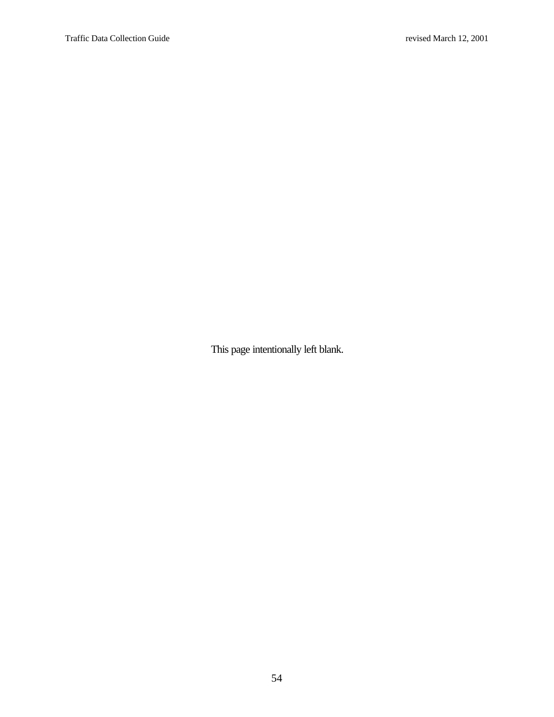This page intentionally left blank.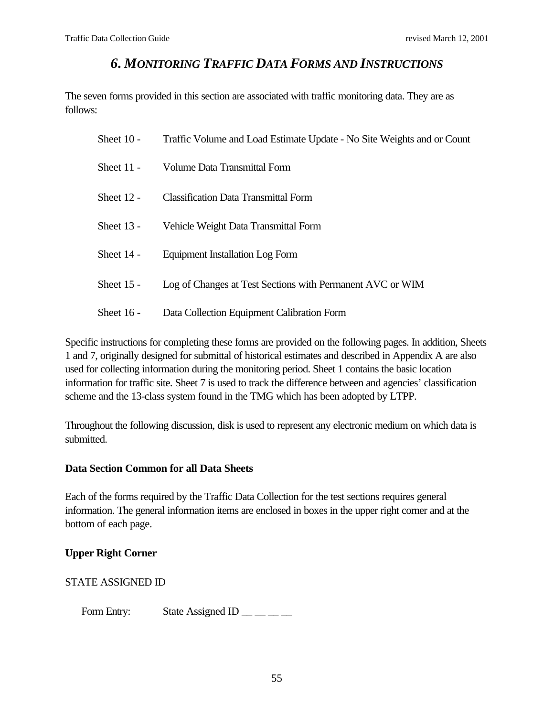# *6. MONITORING TRAFFIC DATA FORMS AND INSTRUCTIONS*

The seven forms provided in this section are associated with traffic monitoring data. They are as follows:

| Sheet $10 -$ | Traffic Volume and Load Estimate Update - No Site Weights and or Count |
|--------------|------------------------------------------------------------------------|
| Sheet $11 -$ | <b>Volume Data Transmittal Form</b>                                    |
| Sheet $12 -$ | <b>Classification Data Transmittal Form</b>                            |
| Sheet $13 -$ | Vehicle Weight Data Transmittal Form                                   |
| Sheet 14 -   | <b>Equipment Installation Log Form</b>                                 |
| Sheet $15 -$ | Log of Changes at Test Sections with Permanent AVC or WIM              |
| Sheet $16 -$ | Data Collection Equipment Calibration Form                             |

Specific instructions for completing these forms are provided on the following pages. In addition, Sheets 1 and 7, originally designed for submittal of historical estimates and described in Appendix A are also used for collecting information during the monitoring period. Sheet 1 contains the basic location information for traffic site. Sheet 7 is used to track the difference between and agencies' classification scheme and the 13-class system found in the TMG which has been adopted by LTPP.

Throughout the following discussion, disk is used to represent any electronic medium on which data is submitted.

# **Data Section Common for all Data Sheets**

Each of the forms required by the Traffic Data Collection for the test sections requires general information. The general information items are enclosed in boxes in the upper right corner and at the bottom of each page.

# **Upper Right Corner**

# STATE ASSIGNED ID

Form Entry: State Assigned ID  $\_\_\_\_\_\_\_\_\_\_\_$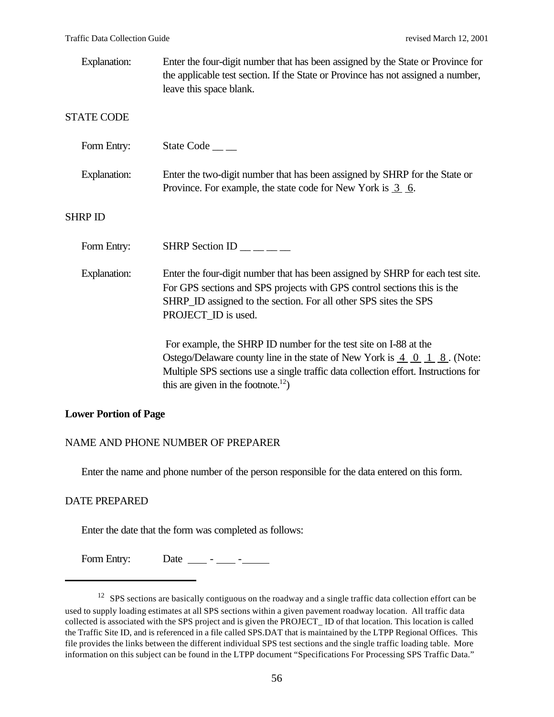| <b>Explanation:</b> | Enter the four-digit number that has been assigned by the State or Province for<br>the applicable test section. If the State or Province has not assigned a number,<br>leave this space blank.                                                                                                                               |
|---------------------|------------------------------------------------------------------------------------------------------------------------------------------------------------------------------------------------------------------------------------------------------------------------------------------------------------------------------|
| <b>STATE CODE</b>   |                                                                                                                                                                                                                                                                                                                              |
| Form Entry:         | State Code $\_\_\_\_\_\_\_$                                                                                                                                                                                                                                                                                                  |
| <b>Explanation:</b> | Enter the two-digit number that has been assigned by SHRP for the State or<br>Province. For example, the state code for New York is 3 6.                                                                                                                                                                                     |
| <b>SHRP ID</b>      |                                                                                                                                                                                                                                                                                                                              |
| Form Entry:         | SHRP Section ID $\_\_\_\_\_\_\_\_\_\_\_$                                                                                                                                                                                                                                                                                     |
| <b>Explanation:</b> | Enter the four-digit number that has been assigned by SHRP for each test site.<br>For GPS sections and SPS projects with GPS control sections this is the<br>SHRP_ID assigned to the section. For all other SPS sites the SPS<br>PROJECT_ID is used.                                                                         |
|                     | For example, the SHRP ID number for the test site on I-88 at the<br>Ostego/Delaware county line in the state of New York is $\frac{4}{9}$ , $\frac{0}{1}$ , $\frac{8}{8}$ . (Note:<br>Multiple SPS sections use a single traffic data collection effort. Instructions for<br>this are given in the footnote. <sup>12</sup> ) |

#### **Lower Portion of Page**

# NAME AND PHONE NUMBER OF PREPARER

Enter the name and phone number of the person responsible for the data entered on this form.

#### DATE PREPARED

Enter the date that the form was completed as follows:

Form Entry: Date  $\frac{1}{\sqrt{2}}$  -  $\frac{1}{\sqrt{2}}$ 

 $12$  SPS sections are basically contiguous on the roadway and a single traffic data collection effort can be used to supply loading estimates at all SPS sections within a given pavement roadway location. All traffic data collected is associated with the SPS project and is given the PROJECT\_ ID of that location. This location is called the Traffic Site ID, and is referenced in a file called SPS.DAT that is maintained by the LTPP Regional Offices. This file provides the links between the different individual SPS test sections and the single traffic loading table. More information on this subject can be found in the LTPP document "Specifications For Processing SPS Traffic Data."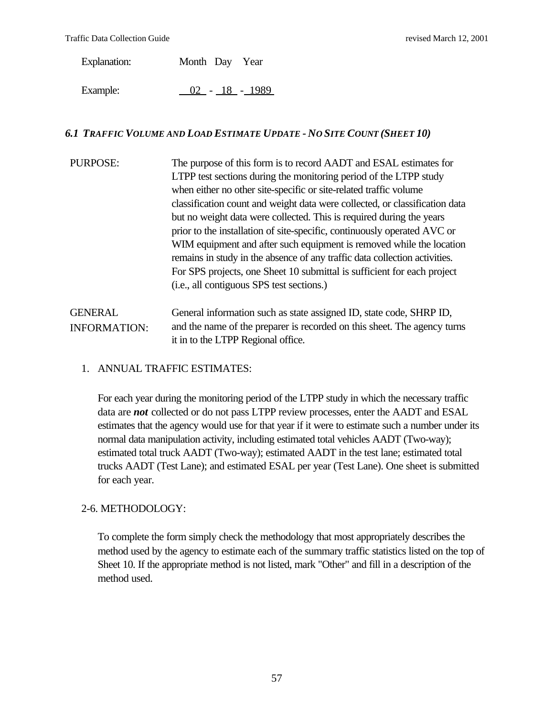| <b>Explanation:</b> | Month Day Year   |  |
|---------------------|------------------|--|
| Example:            | $02 - 18 - 1989$ |  |

#### *6.1 TRAFFIC VOLUME AND LOAD ESTIMATE UPDATE - NO SITE COUNT (SHEET 10)*

| <b>PURPOSE:</b> | The purpose of this form is to record AADT and ESAL estimates for           |
|-----------------|-----------------------------------------------------------------------------|
|                 | LTPP test sections during the monitoring period of the LTPP study           |
|                 | when either no other site-specific or site-related traffic volume           |
|                 | classification count and weight data were collected, or classification data |
|                 | but no weight data were collected. This is required during the years        |
|                 | prior to the installation of site-specific, continuously operated AVC or    |
|                 | WIM equipment and after such equipment is removed while the location        |
|                 | remains in study in the absence of any traffic data collection activities.  |
|                 | For SPS projects, one Sheet 10 submittal is sufficient for each project     |
|                 | (i.e., all contiguous SPS test sections.)                                   |
|                 |                                                                             |
|                 |                                                                             |

#### GENERAL INFORMATION: General information such as state assigned ID, state code, SHRP ID, and the name of the preparer is recorded on this sheet. The agency turns it in to the LTPP Regional office.

#### 1. ANNUAL TRAFFIC ESTIMATES:

For each year during the monitoring period of the LTPP study in which the necessary traffic data are *not* collected or do not pass LTPP review processes, enter the AADT and ESAL estimates that the agency would use for that year if it were to estimate such a number under its normal data manipulation activity, including estimated total vehicles AADT (Two-way); estimated total truck AADT (Two-way); estimated AADT in the test lane; estimated total trucks AADT (Test Lane); and estimated ESAL per year (Test Lane). One sheet is submitted for each year.

#### 2-6. METHODOLOGY:

To complete the form simply check the methodology that most appropriately describes the method used by the agency to estimate each of the summary traffic statistics listed on the top of Sheet 10. If the appropriate method is not listed, mark "Other" and fill in a description of the method used.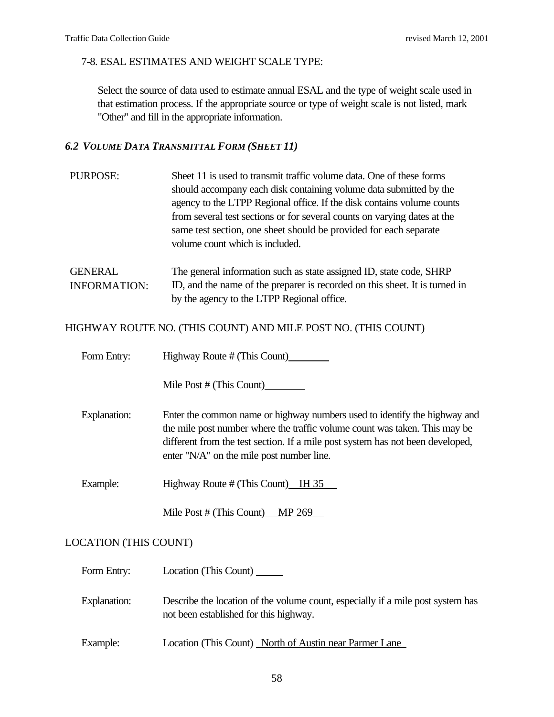#### 7-8. ESAL ESTIMATES AND WEIGHT SCALE TYPE:

Select the source of data used to estimate annual ESAL and the type of weight scale used in that estimation process. If the appropriate source or type of weight scale is not listed, mark "Other" and fill in the appropriate information.

#### *6.2 VOLUME DATA TRANSMITTAL FORM (SHEET 11)*

| <b>PURPOSE:</b>     | Sheet 11 is used to transmit traffic volume data. One of these forms<br>should accompany each disk containing volume data submitted by the<br>agency to the LTPP Regional office. If the disk contains volume counts<br>from several test sections or for several counts on varying dates at the<br>same test section, one sheet should be provided for each separate<br>volume count which is included. |
|---------------------|----------------------------------------------------------------------------------------------------------------------------------------------------------------------------------------------------------------------------------------------------------------------------------------------------------------------------------------------------------------------------------------------------------|
| <b>GENERAL</b>      | The general information such as state assigned ID, state code, SHRP                                                                                                                                                                                                                                                                                                                                      |
| <b>INFORMATION:</b> | ID, and the name of the preparer is recorded on this sheet. It is turned in                                                                                                                                                                                                                                                                                                                              |

HIGHWAY ROUTE NO. (THIS COUNT) AND MILE POST NO. (THIS COUNT)

by the agency to the LTPP Regional office.

Form Entry: Highway Route # (This Count)

Mile Post # (This Count)

Explanation: Enter the common name or highway numbers used to identify the highway and the mile post number where the traffic volume count was taken. This may be different from the test section. If a mile post system has not been developed, enter "N/A" on the mile post number line.

Example: Highway Route # (This Count) IH 35

Mile Post  $\#$  (This Count) MP 269

# LOCATION (THIS COUNT)

| Form Entry:  | Location (This Count)                                                                                                     |
|--------------|---------------------------------------------------------------------------------------------------------------------------|
| Explanation: | Describe the location of the volume count, especially if a mile post system has<br>not been established for this highway. |
| Example:     | Location (This Count) North of Austin near Parmer Lane                                                                    |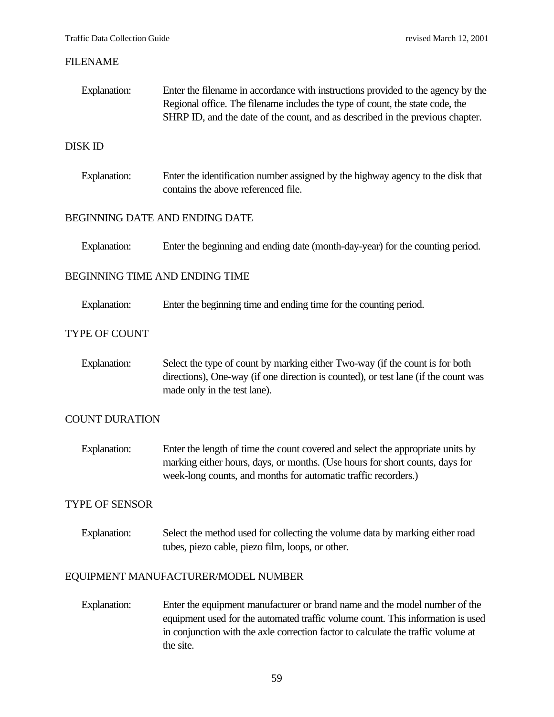# FILENAME

| <b>Explanation:</b>            | Enter the filename in accordance with instructions provided to the agency by the<br>Regional office. The filename includes the type of count, the state code, the<br>SHRP ID, and the date of the count, and as described in the previous chapter.              |
|--------------------------------|-----------------------------------------------------------------------------------------------------------------------------------------------------------------------------------------------------------------------------------------------------------------|
| <b>DISK ID</b>                 |                                                                                                                                                                                                                                                                 |
| <b>Explanation:</b>            | Enter the identification number assigned by the highway agency to the disk that<br>contains the above referenced file.                                                                                                                                          |
|                                | BEGINNING DATE AND ENDING DATE                                                                                                                                                                                                                                  |
| <b>Explanation:</b>            | Enter the beginning and ending date (month-day-year) for the counting period.                                                                                                                                                                                   |
| BEGINNING TIME AND ENDING TIME |                                                                                                                                                                                                                                                                 |
| <b>Explanation:</b>            | Enter the beginning time and ending time for the counting period.                                                                                                                                                                                               |
| TYPE OF COUNT                  |                                                                                                                                                                                                                                                                 |
| <b>Explanation:</b>            | Select the type of count by marking either Two-way (if the count is for both<br>directions), One-way (if one direction is counted), or test lane (if the count was<br>made only in the test lane).                                                              |
| <b>COUNT DURATION</b>          |                                                                                                                                                                                                                                                                 |
| <b>Explanation:</b>            | Enter the length of time the count covered and select the appropriate units by<br>marking either hours, days, or months. (Use hours for short counts, days for<br>week-long counts, and months for automatic traffic recorders.)                                |
| <b>TYPE OF SENSOR</b>          |                                                                                                                                                                                                                                                                 |
| <b>Explanation:</b>            | Select the method used for collecting the volume data by marking either road<br>tubes, piezo cable, piezo film, loops, or other.                                                                                                                                |
|                                | EQUIPMENT MANUFACTURER/MODEL NUMBER                                                                                                                                                                                                                             |
| <b>Explanation:</b>            | Enter the equipment manufacturer or brand name and the model number of the<br>equipment used for the automated traffic volume count. This information is used<br>in conjunction with the axle correction factor to calculate the traffic volume at<br>the site. |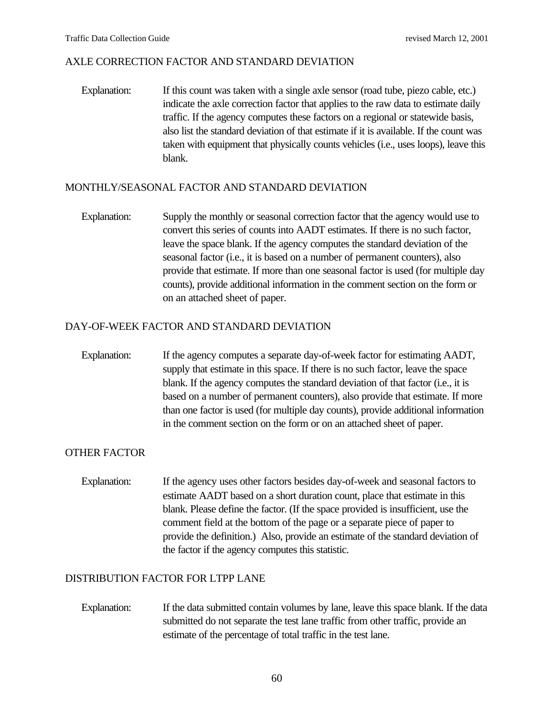# AXLE CORRECTION FACTOR AND STANDARD DEVIATION

Explanation: If this count was taken with a single axle sensor (road tube, piezo cable, etc.) indicate the axle correction factor that applies to the raw data to estimate daily traffic. If the agency computes these factors on a regional or statewide basis, also list the standard deviation of that estimate if it is available. If the count was taken with equipment that physically counts vehicles (i.e., uses loops), leave this blank.

#### MONTHLY/SEASONAL FACTOR AND STANDARD DEVIATION

Explanation: Supply the monthly or seasonal correction factor that the agency would use to convert this series of counts into AADT estimates. If there is no such factor, leave the space blank. If the agency computes the standard deviation of the seasonal factor (i.e., it is based on a number of permanent counters), also provide that estimate. If more than one seasonal factor is used (for multiple day counts), provide additional information in the comment section on the form or on an attached sheet of paper.

# DAY-OF-WEEK FACTOR AND STANDARD DEVIATION

Explanation: If the agency computes a separate day-of-week factor for estimating AADT, supply that estimate in this space. If there is no such factor, leave the space blank. If the agency computes the standard deviation of that factor (i.e., it is based on a number of permanent counters), also provide that estimate. If more than one factor is used (for multiple day counts), provide additional information in the comment section on the form or on an attached sheet of paper.

# OTHER FACTOR

Explanation: If the agency uses other factors besides day-of-week and seasonal factors to estimate AADT based on a short duration count, place that estimate in this blank. Please define the factor. (If the space provided is insufficient, use the comment field at the bottom of the page or a separate piece of paper to provide the definition.) Also, provide an estimate of the standard deviation of the factor if the agency computes this statistic.

#### DISTRIBUTION FACTOR FOR LTPP LANE

Explanation: If the data submitted contain volumes by lane, leave this space blank. If the data submitted do not separate the test lane traffic from other traffic, provide an estimate of the percentage of total traffic in the test lane.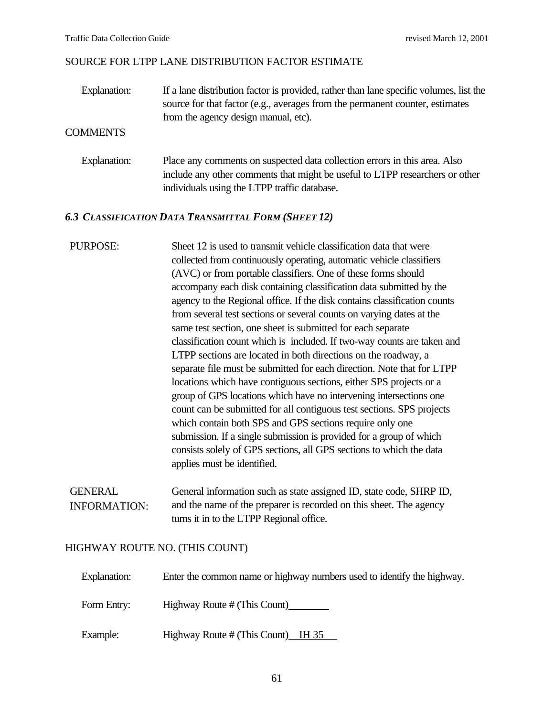#### SOURCE FOR LTPP LANE DISTRIBUTION FACTOR ESTIMATE

- Explanation: If a lane distribution factor is provided, rather than lane specific volumes, list the source for that factor (e.g., averages from the permanent counter, estimates from the agency design manual, etc). **COMMENTS** 
	- Explanation: Place any comments on suspected data collection errors in this area. Also include any other comments that might be useful to LTPP researchers or other individuals using the LTPP traffic database.

#### *6.3 CLASSIFICATION DATA TRANSMITTAL FORM (SHEET 12)*

PURPOSE: Sheet 12 is used to transmit vehicle classification data that were collected from continuously operating, automatic vehicle classifiers (AVC) or from portable classifiers. One of these forms should accompany each disk containing classification data submitted by the agency to the Regional office. If the disk contains classification counts from several test sections or several counts on varying dates at the same test section, one sheet is submitted for each separate classification count which is included. If two-way counts are taken and LTPP sections are located in both directions on the roadway, a separate file must be submitted for each direction. Note that for LTPP locations which have contiguous sections, either SPS projects or a group of GPS locations which have no intervening intersections one count can be submitted for all contiguous test sections. SPS projects which contain both SPS and GPS sections require only one submission. If a single submission is provided for a group of which consists solely of GPS sections, all GPS sections to which the data applies must be identified.

**GENERAL** INFORMATION: General information such as state assigned ID, state code, SHRP ID, and the name of the preparer is recorded on this sheet. The agency turns it in to the LTPP Regional office.

#### HIGHWAY ROUTE NO. (THIS COUNT)

| Explanation: | Enter the common name or highway numbers used to identify the highway. |
|--------------|------------------------------------------------------------------------|
| Form Entry:  | Highway Route # (This Count)                                           |
| Example:     | Highway Route # (This Count) IH $35$                                   |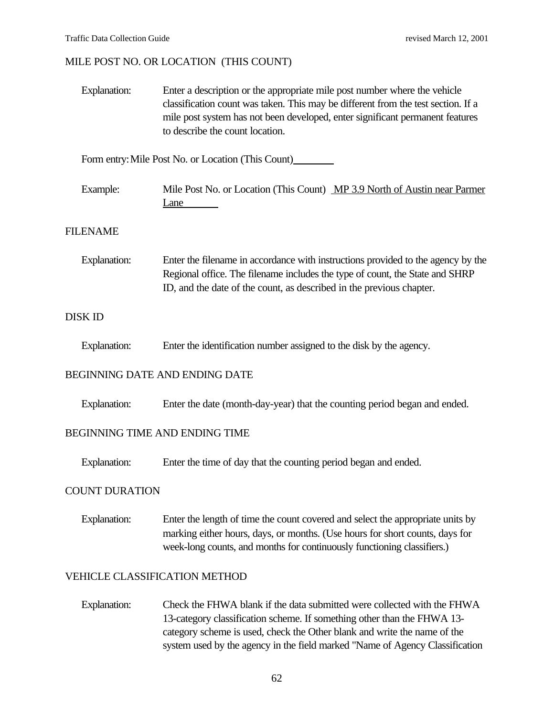# MILE POST NO. OR LOCATION (THIS COUNT)

| <b>Explanation:</b>                  | Enter a description or the appropriate mile post number where the vehicle<br>classification count was taken. This may be different from the test section. If a<br>mile post system has not been developed, enter significant permanent features<br>to describe the count location.                             |
|--------------------------------------|----------------------------------------------------------------------------------------------------------------------------------------------------------------------------------------------------------------------------------------------------------------------------------------------------------------|
|                                      | Form entry: Mile Post No. or Location (This Count)                                                                                                                                                                                                                                                             |
| Example:                             | Mile Post No. or Location (This Count) MP 3.9 North of Austin near Parmer<br>Lane                                                                                                                                                                                                                              |
| <b>FILENAME</b>                      |                                                                                                                                                                                                                                                                                                                |
| <b>Explanation:</b>                  | Enter the filename in accordance with instructions provided to the agency by the<br>Regional office. The filename includes the type of count, the State and SHRP<br>ID, and the date of the count, as described in the previous chapter.                                                                       |
| DISK ID                              |                                                                                                                                                                                                                                                                                                                |
| <b>Explanation:</b>                  | Enter the identification number assigned to the disk by the agency.                                                                                                                                                                                                                                            |
|                                      | BEGINNING DATE AND ENDING DATE                                                                                                                                                                                                                                                                                 |
| <b>Explanation:</b>                  | Enter the date (month-day-year) that the counting period began and ended.                                                                                                                                                                                                                                      |
| BEGINNING TIME AND ENDING TIME       |                                                                                                                                                                                                                                                                                                                |
| <b>Explanation:</b>                  | Enter the time of day that the counting period began and ended.                                                                                                                                                                                                                                                |
| <b>COUNT DURATION</b>                |                                                                                                                                                                                                                                                                                                                |
| <b>Explanation:</b>                  | Enter the length of time the count covered and select the appropriate units by<br>marking either hours, days, or months. (Use hours for short counts, days for<br>week-long counts, and months for continuously functioning classifiers.)                                                                      |
| <b>VEHICLE CLASSIFICATION METHOD</b> |                                                                                                                                                                                                                                                                                                                |
| <b>Explanation:</b>                  | Check the FHWA blank if the data submitted were collected with the FHWA<br>13-category classification scheme. If something other than the FHWA 13-<br>category scheme is used, check the Other blank and write the name of the<br>system used by the agency in the field marked "Name of Agency Classification |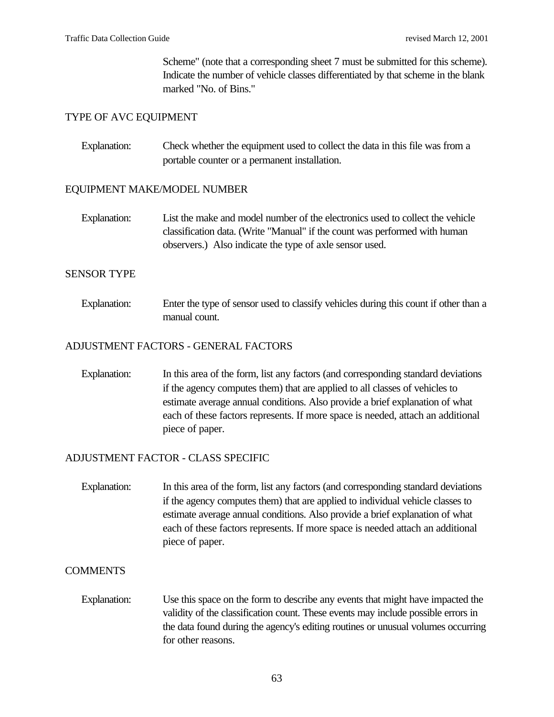Scheme" (note that a corresponding sheet 7 must be submitted for this scheme). Indicate the number of vehicle classes differentiated by that scheme in the blank marked "No. of Bins."

#### TYPE OF AVC EQUIPMENT

| Explanation: | Check whether the equipment used to collect the data in this file was from a |
|--------------|------------------------------------------------------------------------------|
|              | portable counter or a permanent installation.                                |

#### EQUIPMENT MAKE/MODEL NUMBER

Explanation: List the make and model number of the electronics used to collect the vehicle classification data. (Write "Manual" if the count was performed with human observers.) Also indicate the type of axle sensor used.

#### SENSOR TYPE

Explanation: Enter the type of sensor used to classify vehicles during this count if other than a manual count.

# ADJUSTMENT FACTORS - GENERAL FACTORS

Explanation: In this area of the form, list any factors (and corresponding standard deviations if the agency computes them) that are applied to all classes of vehicles to estimate average annual conditions. Also provide a brief explanation of what each of these factors represents. If more space is needed, attach an additional piece of paper.

# ADJUSTMENT FACTOR - CLASS SPECIFIC

Explanation: In this area of the form, list any factors (and corresponding standard deviations if the agency computes them) that are applied to individual vehicle classes to estimate average annual conditions. Also provide a brief explanation of what each of these factors represents. If more space is needed attach an additional piece of paper.

#### **COMMENTS**

Explanation: Use this space on the form to describe any events that might have impacted the validity of the classification count. These events may include possible errors in the data found during the agency's editing routines or unusual volumes occurring for other reasons.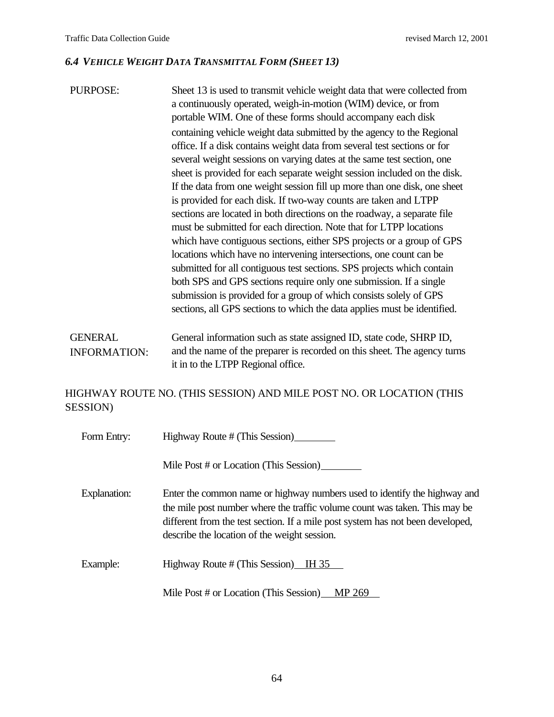#### *6.4 VEHICLE WEIGHT DATA TRANSMITTAL FORM (SHEET 13)*

PURPOSE: Sheet 13 is used to transmit vehicle weight data that were collected from a continuously operated, weigh-in-motion (WIM) device, or from portable WIM. One of these forms should accompany each disk containing vehicle weight data submitted by the agency to the Regional office. If a disk contains weight data from several test sections or for several weight sessions on varying dates at the same test section, one sheet is provided for each separate weight session included on the disk. If the data from one weight session fill up more than one disk, one sheet is provided for each disk. If two-way counts are taken and LTPP sections are located in both directions on the roadway, a separate file must be submitted for each direction. Note that for LTPP locations which have contiguous sections, either SPS projects or a group of GPS locations which have no intervening intersections, one count can be submitted for all contiguous test sections. SPS projects which contain both SPS and GPS sections require only one submission. If a single submission is provided for a group of which consists solely of GPS sections, all GPS sections to which the data applies must be identified.

GENERAL INFORMATION: General information such as state assigned ID, state code, SHRP ID, and the name of the preparer is recorded on this sheet. The agency turns it in to the LTPP Regional office.

# HIGHWAY ROUTE NO. (THIS SESSION) AND MILE POST NO. OR LOCATION (THIS SESSION)

| Form Entry:  | Highway Route # (This Session)                                                                                                                                                                                                                                                            |
|--------------|-------------------------------------------------------------------------------------------------------------------------------------------------------------------------------------------------------------------------------------------------------------------------------------------|
|              | Mile Post # or Location (This Session)                                                                                                                                                                                                                                                    |
| Explanation: | Enter the common name or highway numbers used to identify the highway and<br>the mile post number where the traffic volume count was taken. This may be<br>different from the test section. If a mile post system has not been developed,<br>describe the location of the weight session. |
| Example:     | Highway Route # (This Session) IH $35$                                                                                                                                                                                                                                                    |
|              | Mile Post # or Location (This Session) MP 269                                                                                                                                                                                                                                             |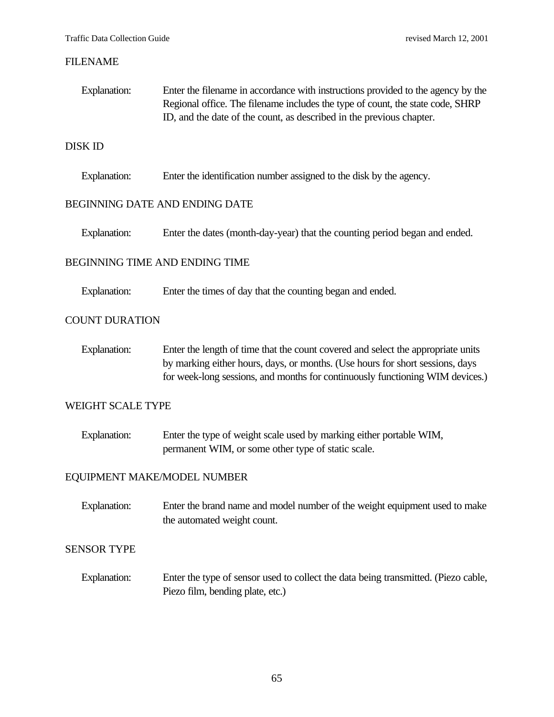# FILENAME

| <b>Explanation:</b>            | Enter the filename in accordance with instructions provided to the agency by the<br>Regional office. The filename includes the type of count, the state code, SHRP<br>ID, and the date of the count, as described in the previous chapter.         |  |
|--------------------------------|----------------------------------------------------------------------------------------------------------------------------------------------------------------------------------------------------------------------------------------------------|--|
| <b>DISK ID</b>                 |                                                                                                                                                                                                                                                    |  |
| <b>Explanation:</b>            | Enter the identification number assigned to the disk by the agency.                                                                                                                                                                                |  |
| BEGINNING DATE AND ENDING DATE |                                                                                                                                                                                                                                                    |  |
| <b>Explanation:</b>            | Enter the dates (month-day-year) that the counting period began and ended.                                                                                                                                                                         |  |
| BEGINNING TIME AND ENDING TIME |                                                                                                                                                                                                                                                    |  |
| <b>Explanation:</b>            | Enter the times of day that the counting began and ended.                                                                                                                                                                                          |  |
| <b>COUNT DURATION</b>          |                                                                                                                                                                                                                                                    |  |
| <b>Explanation:</b>            | Enter the length of time that the count covered and select the appropriate units<br>by marking either hours, days, or months. (Use hours for short sessions, days<br>for week-long sessions, and months for continuously functioning WIM devices.) |  |
| WEIGHT SCALE TYPE              |                                                                                                                                                                                                                                                    |  |
| <b>Explanation:</b>            | Enter the type of weight scale used by marking either portable WIM,<br>permanent WIM, or some other type of static scale.                                                                                                                          |  |
| EQUIPMENT MAKE/MODEL NUMBER    |                                                                                                                                                                                                                                                    |  |
| <b>Explanation:</b>            | Enter the brand name and model number of the weight equipment used to make<br>the automated weight count.                                                                                                                                          |  |
| <b>SENSOR TYPE</b>             |                                                                                                                                                                                                                                                    |  |
| <b>Explanation:</b>            | Enter the type of sensor used to collect the data being transmitted. (Piezo cable,<br>Piezo film, bending plate, etc.)                                                                                                                             |  |
|                                |                                                                                                                                                                                                                                                    |  |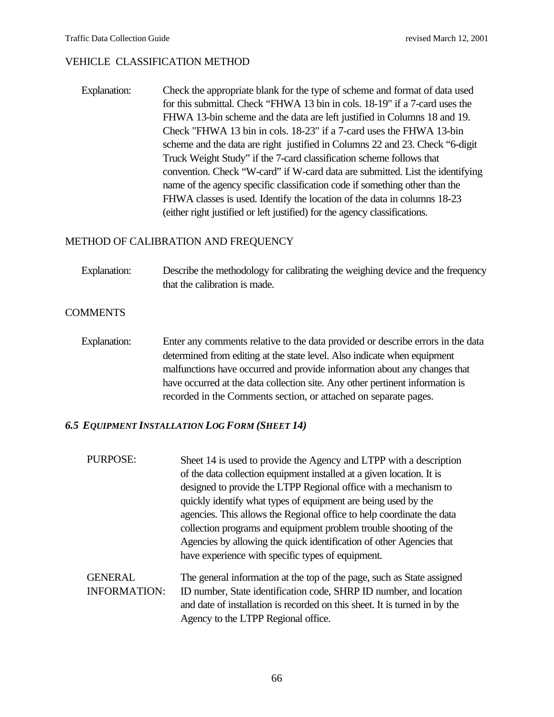#### VEHICLE CLASSIFICATION METHOD

Explanation: Check the appropriate blank for the type of scheme and format of data used for this submittal. Check "FHWA 13 bin in cols. 18-19" if a 7-card uses the FHWA 13-bin scheme and the data are left justified in Columns 18 and 19. Check "FHWA 13 bin in cols. 18-23" if a 7-card uses the FHWA 13-bin scheme and the data are right justified in Columns 22 and 23. Check "6-digit Truck Weight Study" if the 7-card classification scheme follows that convention. Check "W-card" if W-card data are submitted. List the identifying name of the agency specific classification code if something other than the FHWA classes is used. Identify the location of the data in columns 18-23 (either right justified or left justified) for the agency classifications.

#### METHOD OF CALIBRATION AND FREQUENCY

Explanation: Describe the methodology for calibrating the weighing device and the frequency that the calibration is made.

#### **COMMENTS**

Explanation: Enter any comments relative to the data provided or describe errors in the data determined from editing at the state level. Also indicate when equipment malfunctions have occurred and provide information about any changes that have occurred at the data collection site. Any other pertinent information is recorded in the Comments section, or attached on separate pages.

#### *6.5 EQUIPMENT INSTALLATION LOG FORM (SHEET 14)*

| PURPOSE:                              | Sheet 14 is used to provide the Agency and LTPP with a description<br>of the data collection equipment installed at a given location. It is<br>designed to provide the LTPP Regional office with a mechanism to<br>quickly identify what types of equipment are being used by the |
|---------------------------------------|-----------------------------------------------------------------------------------------------------------------------------------------------------------------------------------------------------------------------------------------------------------------------------------|
|                                       | agencies. This allows the Regional office to help coordinate the data<br>collection programs and equipment problem trouble shooting of the<br>Agencies by allowing the quick identification of other Agencies that<br>have experience with specific types of equipment.           |
| <b>GENERAL</b><br><b>INFORMATION:</b> | The general information at the top of the page, such as State assigned<br>ID number, State identification code, SHRP ID number, and location<br>and date of installation is recorded on this sheet. It is turned in by the<br>Agency to the LTPP Regional office.                 |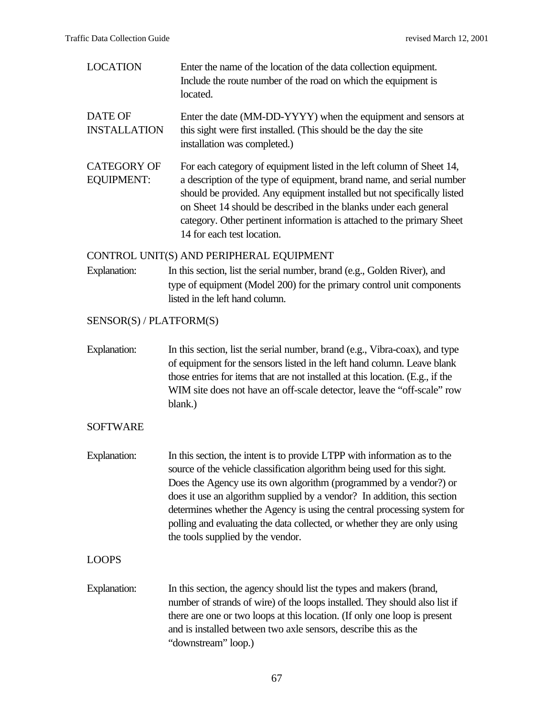| <b>LOCATION</b>                         | Enter the name of the location of the data collection equipment.<br>Include the route number of the road on which the equipment is<br>located.                                                                                                                                                                                                                                                                                                                                                         |  |
|-----------------------------------------|--------------------------------------------------------------------------------------------------------------------------------------------------------------------------------------------------------------------------------------------------------------------------------------------------------------------------------------------------------------------------------------------------------------------------------------------------------------------------------------------------------|--|
| <b>DATE OF</b><br><b>INSTALLATION</b>   | Enter the date (MM-DD-YYYY) when the equipment and sensors at<br>this sight were first installed. (This should be the day the site<br>installation was completed.)                                                                                                                                                                                                                                                                                                                                     |  |
| <b>CATEGORY OF</b><br><b>EQUIPMENT:</b> | For each category of equipment listed in the left column of Sheet 14,<br>a description of the type of equipment, brand name, and serial number<br>should be provided. Any equipment installed but not specifically listed<br>on Sheet 14 should be described in the blanks under each general<br>category. Other pertinent information is attached to the primary Sheet<br>14 for each test location.                                                                                                  |  |
|                                         | CONTROL UNIT(S) AND PERIPHERAL EQUIPMENT                                                                                                                                                                                                                                                                                                                                                                                                                                                               |  |
| <b>Explanation:</b>                     | In this section, list the serial number, brand (e.g., Golden River), and<br>type of equipment (Model 200) for the primary control unit components<br>listed in the left hand column.                                                                                                                                                                                                                                                                                                                   |  |
| SENSOR(S) / PLATFORM(S)                 |                                                                                                                                                                                                                                                                                                                                                                                                                                                                                                        |  |
| <b>Explanation:</b>                     | In this section, list the serial number, brand (e.g., Vibra-coax), and type<br>of equipment for the sensors listed in the left hand column. Leave blank<br>those entries for items that are not installed at this location. (E.g., if the<br>WIM site does not have an off-scale detector, leave the "off-scale" row<br>blank.)                                                                                                                                                                        |  |
| <b>SOFTWARE</b>                         |                                                                                                                                                                                                                                                                                                                                                                                                                                                                                                        |  |
| Explanation:                            | In this section, the intent is to provide LTPP with information as to the<br>source of the vehicle classification algorithm being used for this sight.<br>Does the Agency use its own algorithm (programmed by a vendor?) or<br>does it use an algorithm supplied by a vendor? In addition, this section<br>determines whether the Agency is using the central processing system for<br>polling and evaluating the data collected, or whether they are only using<br>the tools supplied by the vendor. |  |
| <b>LOOPS</b>                            |                                                                                                                                                                                                                                                                                                                                                                                                                                                                                                        |  |
|                                         |                                                                                                                                                                                                                                                                                                                                                                                                                                                                                                        |  |

Explanation: In this section, the agency should list the types and makers (brand, number of strands of wire) of the loops installed. They should also list if there are one or two loops at this location. (If only one loop is present and is installed between two axle sensors, describe this as the "downstream" loop.)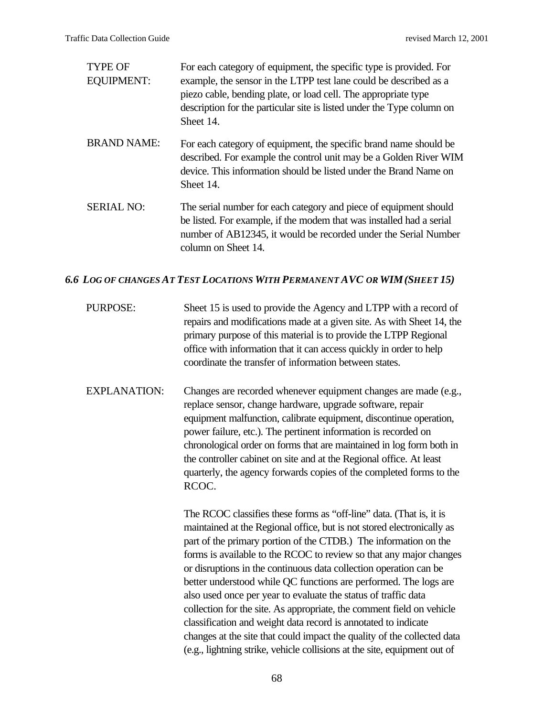| <b>TYPE OF</b>     | For each category of equipment, the specific type is provided. For                                                                                                                                                                  |
|--------------------|-------------------------------------------------------------------------------------------------------------------------------------------------------------------------------------------------------------------------------------|
| <b>EQUIPMENT:</b>  | example, the sensor in the LTPP test lane could be described as a<br>piezo cable, bending plate, or load cell. The appropriate type<br>description for the particular site is listed under the Type column on                       |
|                    | Sheet 14.                                                                                                                                                                                                                           |
| <b>BRAND NAME:</b> | For each category of equipment, the specific brand name should be<br>described. For example the control unit may be a Golden River WIM<br>device. This information should be listed under the Brand Name on<br>Sheet 14.            |
| <b>SERIAL NO:</b>  | The serial number for each category and piece of equipment should<br>be listed. For example, if the modem that was installed had a serial<br>number of AB12345, it would be recorded under the Serial Number<br>column on Sheet 14. |

#### *6.6 LOG OF CHANGES AT TEST LOCATIONS WITH PERMANENT AVC OR WIM(SHEET 15)*

- PURPOSE: Sheet 15 is used to provide the Agency and LTPP with a record of repairs and modifications made at a given site. As with Sheet 14, the primary purpose of this material is to provide the LTPP Regional office with information that it can access quickly in order to help coordinate the transfer of information between states.
- EXPLANATION: Changes are recorded whenever equipment changes are made (e.g., replace sensor, change hardware, upgrade software, repair equipment malfunction, calibrate equipment, discontinue operation, power failure, etc.). The pertinent information is recorded on chronological order on forms that are maintained in log form both in the controller cabinet on site and at the Regional office. At least quarterly, the agency forwards copies of the completed forms to the RCOC.

The RCOC classifies these forms as "off-line" data. (That is, it is maintained at the Regional office, but is not stored electronically as part of the primary portion of the CTDB.) The information on the forms is available to the RCOC to review so that any major changes or disruptions in the continuous data collection operation can be better understood while QC functions are performed. The logs are also used once per year to evaluate the status of traffic data collection for the site. As appropriate, the comment field on vehicle classification and weight data record is annotated to indicate changes at the site that could impact the quality of the collected data (e.g., lightning strike, vehicle collisions at the site, equipment out of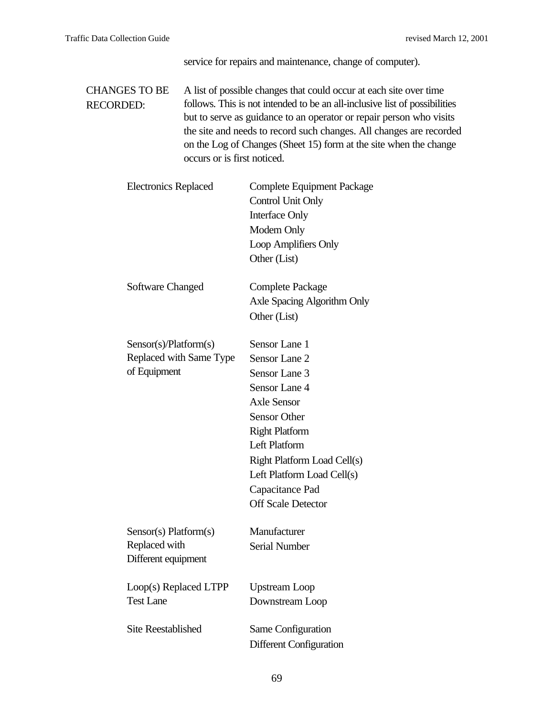service for repairs and maintenance, change of computer).

CHANGES TO BE RECORDED: A list of possible changes that could occur at each site over time follows. This is not intended to be an all-inclusive list of possibilities but to serve as guidance to an operator or repair person who visits the site and needs to record such changes. All changes are recorded on the Log of Changes (Sheet 15) form at the site when the change occurs or is first noticed.

| <b>Electronics Replaced</b>                                      | <b>Complete Equipment Package</b><br>Control Unit Only<br><b>Interface Only</b><br>Modem Only<br>Loop Amplifiers Only<br>Other (List)                                                                                                                                              |
|------------------------------------------------------------------|------------------------------------------------------------------------------------------------------------------------------------------------------------------------------------------------------------------------------------------------------------------------------------|
| <b>Software Changed</b>                                          | <b>Complete Package</b><br>Axle Spacing Algorithm Only<br>Other (List)                                                                                                                                                                                                             |
| Sensor(s)/Platform(s)<br>Replaced with Same Type<br>of Equipment | Sensor Lane 1<br>Sensor Lane 2<br>Sensor Lane 3<br>Sensor Lane 4<br><b>Axle Sensor</b><br><b>Sensor Other</b><br><b>Right Platform</b><br><b>Left Platform</b><br><b>Right Platform Load Cell(s)</b><br>Left Platform Load Cell(s)<br>Capacitance Pad<br><b>Off Scale Detector</b> |
| Sensor(s) Platform(s)<br>Replaced with<br>Different equipment    | Manufacturer<br><b>Serial Number</b>                                                                                                                                                                                                                                               |
| Loop(s) Replaced LTPP<br><b>Test Lane</b>                        | <b>Upstream Loop</b><br>Downstream Loop                                                                                                                                                                                                                                            |
| <b>Site Reestablished</b>                                        | Same Configuration<br><b>Different Configuration</b>                                                                                                                                                                                                                               |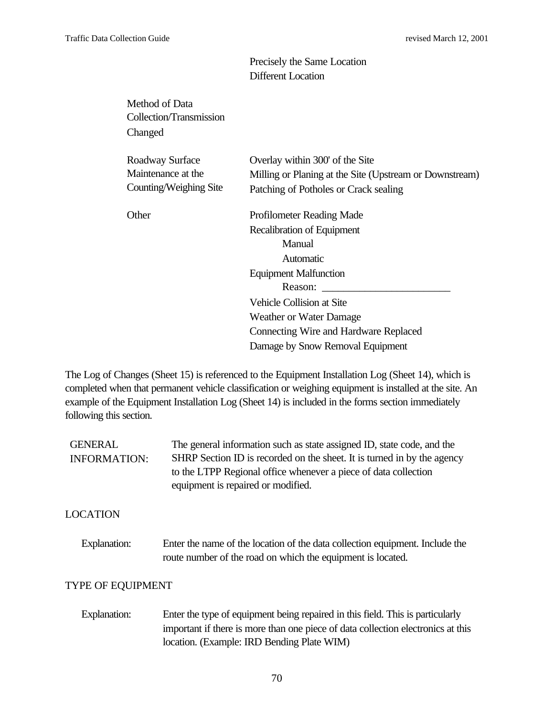Changed

Precisely the Same Location Different Location Method of Data Collection/Transmission Roadway Surface Maintenance at the Counting/Weighing Site Overlay within 300' of the Site Milling or Planing at the Site (Upstream or Downstream) Patching of Potholes or Crack sealing Other Profilometer Reading Made Recalibration of Equipment

Equipment Malfunction Reason: Vehicle Collision at Site Weather or Water Damage Connecting Wire and Hardware Replaced Damage by Snow Removal Equipment The Log of Changes (Sheet 15) is referenced to the Equipment Installation Log (Sheet 14), which is

Manual Automatic

completed when that permanent vehicle classification or weighing equipment is installed at the site. An example of the Equipment Installation Log (Sheet 14) is included in the forms section immediately following this section.

**GENERAL** INFORMATION: The general information such as state assigned ID, state code, and the SHRP Section ID is recorded on the sheet. It is turned in by the agency to the LTPP Regional office whenever a piece of data collection equipment is repaired or modified.

### LOCATION

Explanation: Enter the name of the location of the data collection equipment. Include the route number of the road on which the equipment is located.

### TYPE OF EQUIPMENT

Explanation: Enter the type of equipment being repaired in this field. This is particularly important if there is more than one piece of data collection electronics at this location. (Example: IRD Bending Plate WIM)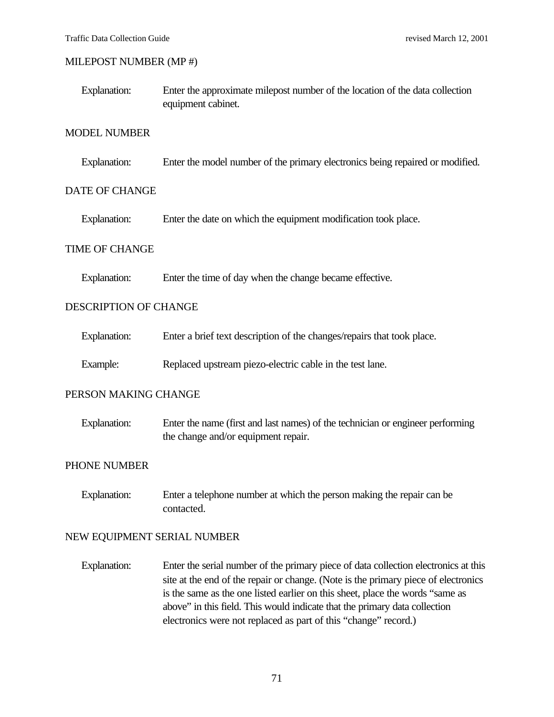## MILEPOST NUMBER (MP #)

| <b>Explanation:</b>          | Enter the approximate milepost number of the location of the data collection<br>equipment cabinet.                                                                                                                                                                                                                                       |
|------------------------------|------------------------------------------------------------------------------------------------------------------------------------------------------------------------------------------------------------------------------------------------------------------------------------------------------------------------------------------|
| <b>MODEL NUMBER</b>          |                                                                                                                                                                                                                                                                                                                                          |
| <b>Explanation:</b>          | Enter the model number of the primary electronics being repaired or modified.                                                                                                                                                                                                                                                            |
| <b>DATE OF CHANGE</b>        |                                                                                                                                                                                                                                                                                                                                          |
| <b>Explanation:</b>          | Enter the date on which the equipment modification took place.                                                                                                                                                                                                                                                                           |
| <b>TIME OF CHANGE</b>        |                                                                                                                                                                                                                                                                                                                                          |
| <b>Explanation:</b>          | Enter the time of day when the change became effective.                                                                                                                                                                                                                                                                                  |
| <b>DESCRIPTION OF CHANGE</b> |                                                                                                                                                                                                                                                                                                                                          |
| <b>Explanation:</b>          | Enter a brief text description of the changes/repairs that took place.                                                                                                                                                                                                                                                                   |
| Example:                     | Replaced upstream piezo-electric cable in the test lane.                                                                                                                                                                                                                                                                                 |
| PERSON MAKING CHANGE         |                                                                                                                                                                                                                                                                                                                                          |
| <b>Explanation:</b>          | Enter the name (first and last names) of the technician or engineer performing<br>the change and/or equipment repair.                                                                                                                                                                                                                    |
| PHONE NUMBER                 |                                                                                                                                                                                                                                                                                                                                          |
| <b>Explanation:</b>          | Enter a telephone number at which the person making the repair can be<br>contacted.                                                                                                                                                                                                                                                      |
| NEW EQUIPMENT SERIAL NUMBER  |                                                                                                                                                                                                                                                                                                                                          |
| <b>Explanation:</b>          | Enter the serial number of the primary piece of data collection electronics at this<br>site at the end of the repair or change. (Note is the primary piece of electronics<br>is the same as the one listed earlier on this sheet, place the words "same as<br>above" in this field. This would indicate that the primary data collection |

electronics were not replaced as part of this "change" record.)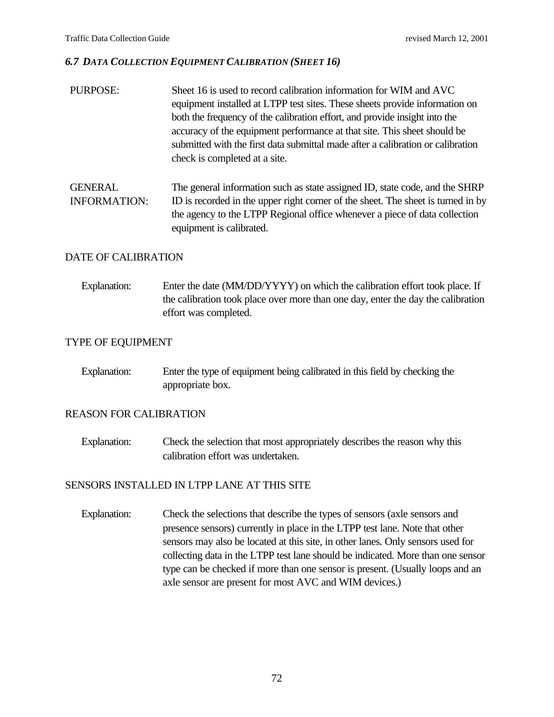### *6.7 DATA COLLECTION EQUIPMENT CALIBRATION (SHEET 16)*

- PURPOSE: Sheet 16 is used to record calibration information for WIM and AVC equipment installed at LTPP test sites. These sheets provide information on both the frequency of the calibration effort, and provide insight into the accuracy of the equipment performance at that site. This sheet should be submitted with the first data submittal made after a calibration or calibration check is completed at a site.
- **GENERAL** INFORMATION: The general information such as state assigned ID, state code, and the SHRP ID is recorded in the upper right corner of the sheet. The sheet is turned in by the agency to the LTPP Regional office whenever a piece of data collection equipment is calibrated.

### DATE OF CALIBRATION

Explanation: Enter the date (MM/DD/YYYY) on which the calibration effort took place. If the calibration took place over more than one day, enter the day the calibration effort was completed.

### TYPE OF EQUIPMENT

Explanation: Enter the type of equipment being calibrated in this field by checking the appropriate box.

### REASON FOR CALIBRATION

Explanation: Check the selection that most appropriately describes the reason why this calibration effort was undertaken.

### SENSORS INSTALLED IN LTPP LANE AT THIS SITE

Explanation: Check the selections that describe the types of sensors (axle sensors and presence sensors) currently in place in the LTPP test lane. Note that other sensors may also be located at this site, in other lanes. Only sensors used for collecting data in the LTPP test lane should be indicated. More than one sensor type can be checked if more than one sensor is present. (Usually loops and an axle sensor are present for most AVC and WIM devices.)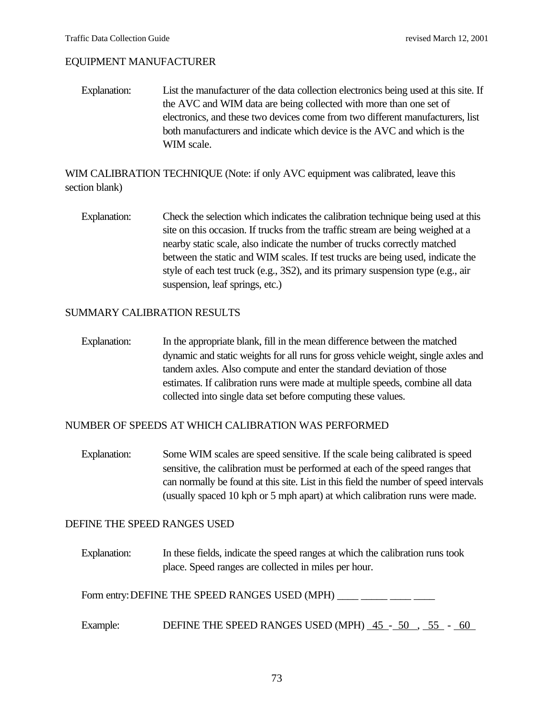### EQUIPMENT MANUFACTURER

Explanation: List the manufacturer of the data collection electronics being used at this site. If the AVC and WIM data are being collected with more than one set of electronics, and these two devices come from two different manufacturers, list both manufacturers and indicate which device is the AVC and which is the WIM scale.

WIM CALIBRATION TECHNIQUE (Note: if only AVC equipment was calibrated, leave this section blank)

Explanation: Check the selection which indicates the calibration technique being used at this site on this occasion. If trucks from the traffic stream are being weighed at a nearby static scale, also indicate the number of trucks correctly matched between the static and WIM scales. If test trucks are being used, indicate the style of each test truck (e.g., 3S2), and its primary suspension type (e.g., air suspension, leaf springs, etc.)

### SUMMARY CALIBRATION RESULTS

Explanation: In the appropriate blank, fill in the mean difference between the matched dynamic and static weights for all runs for gross vehicle weight, single axles and tandem axles. Also compute and enter the standard deviation of those estimates. If calibration runs were made at multiple speeds, combine all data collected into single data set before computing these values.

### NUMBER OF SPEEDS AT WHICH CALIBRATION WAS PERFORMED

Explanation: Some WIM scales are speed sensitive. If the scale being calibrated is speed sensitive, the calibration must be performed at each of the speed ranges that can normally be found at this site. List in this field the number of speed intervals (usually spaced 10 kph or 5 mph apart) at which calibration runs were made.

### DEFINE THE SPEED RANGES USED

Explanation: In these fields, indicate the speed ranges at which the calibration runs took place. Speed ranges are collected in miles per hour.

Form entry:DEFINE THE SPEED RANGES USED (MPH) \_\_\_\_ \_\_\_\_\_ \_\_\_\_ \_\_\_\_

Example: DEFINE THE SPEED RANGES USED (MPH)  $\overline{45}$  - 50 , 55 - 60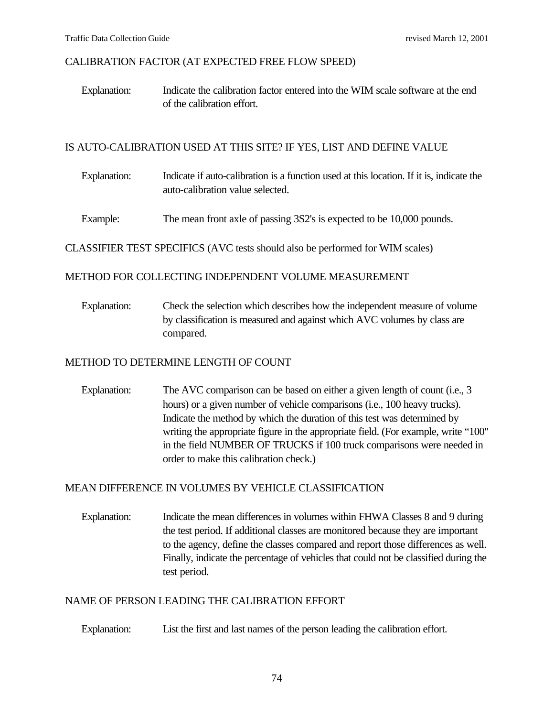### CALIBRATION FACTOR (AT EXPECTED FREE FLOW SPEED)

Explanation: Indicate the calibration factor entered into the WIM scale software at the end of the calibration effort.

### IS AUTO-CALIBRATION USED AT THIS SITE? IF YES, LIST AND DEFINE VALUE

- Explanation: Indicate if auto-calibration is a function used at this location. If it is, indicate the auto-calibration value selected.
- Example: The mean front axle of passing 3S2's is expected to be 10,000 pounds.

CLASSIFIER TEST SPECIFICS (AVC tests should also be performed for WIM scales)

### METHOD FOR COLLECTING INDEPENDENT VOLUME MEASUREMENT

Explanation: Check the selection which describes how the independent measure of volume by classification is measured and against which AVC volumes by class are compared.

### METHOD TO DETERMINE LENGTH OF COUNT

Explanation: The AVC comparison can be based on either a given length of count (i.e., 3) hours) or a given number of vehicle comparisons (i.e., 100 heavy trucks). Indicate the method by which the duration of this test was determined by writing the appropriate figure in the appropriate field. (For example, write "100" in the field NUMBER OF TRUCKS if 100 truck comparisons were needed in order to make this calibration check.)

### MEAN DIFFERENCE IN VOLUMES BY VEHICLE CLASSIFICATION

Explanation: Indicate the mean differences in volumes within FHWA Classes 8 and 9 during the test period. If additional classes are monitored because they are important to the agency, define the classes compared and report those differences as well. Finally, indicate the percentage of vehicles that could not be classified during the test period.

### NAME OF PERSON LEADING THE CALIBRATION EFFORT

Explanation: List the first and last names of the person leading the calibration effort.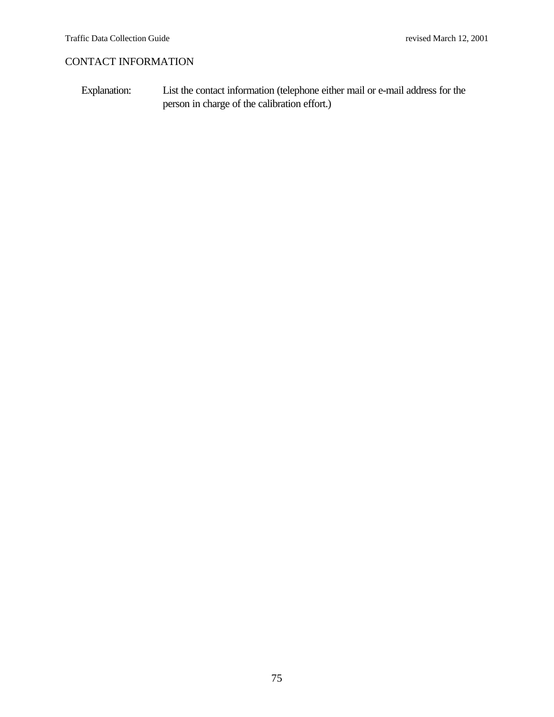### CONTACT INFORMATION

Explanation: List the contact information (telephone either mail or e-mail address for the person in charge of the calibration effort.)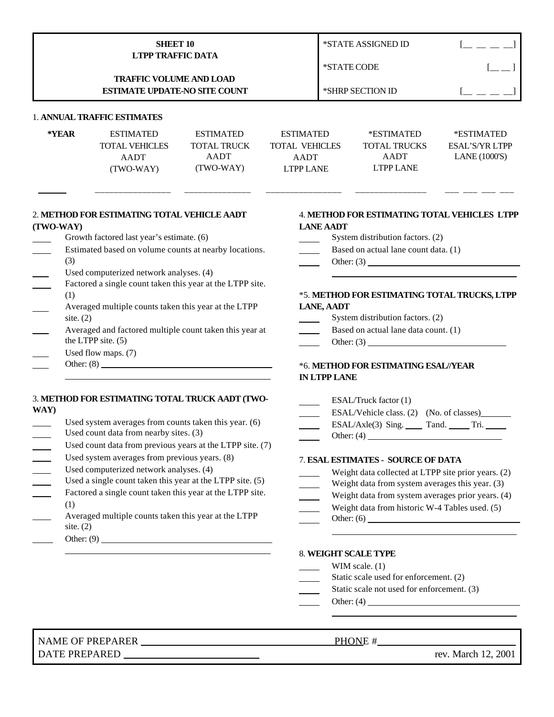| <b>SHEET 10</b><br><b>LTPP TRAFFIC DATA</b><br><b>TRAFFIC VOLUME AND LOAD</b> |                                                                                                      |                                                                    |                                                                              | *STATE ASSIGNED ID<br>*STATE CODE                                        |                                                                                           | $[$ __ __ __ __]<br>$[-]$                            |  |
|-------------------------------------------------------------------------------|------------------------------------------------------------------------------------------------------|--------------------------------------------------------------------|------------------------------------------------------------------------------|--------------------------------------------------------------------------|-------------------------------------------------------------------------------------------|------------------------------------------------------|--|
|                                                                               | <b>ESTIMATE UPDATE-NO SITE COUNT</b>                                                                 |                                                                    |                                                                              |                                                                          | *SHRP SECTION ID                                                                          |                                                      |  |
|                                                                               | <b>1. ANNUAL TRAFFIC ESTIMATES</b>                                                                   |                                                                    |                                                                              |                                                                          |                                                                                           |                                                      |  |
| *YEAR                                                                         | <b>ESTIMATED</b><br><b>TOTAL VEHICLES</b><br><b>AADT</b><br>(TWO-WAY)                                | <b>ESTIMATED</b><br><b>TOTAL TRUCK</b><br><b>AADT</b><br>(TWO-WAY) | <b>ESTIMATED</b><br><b>TOTAL VEHICLES</b><br><b>AADT</b><br><b>LTPP LANE</b> |                                                                          | *ESTIMATED<br>TOTAL TRUCKS<br><b>AADT</b><br><b>LTPP LANE</b>                             | *ESTIMATED<br><b>ESAL'S/YR LTPP</b><br>LANE (1000'S) |  |
| (TWO-WAY)                                                                     | 2. METHOD FOR ESTIMATING TOTAL VEHICLE AADT                                                          |                                                                    | <b>LANE AADT</b>                                                             |                                                                          | 4. METHOD FOR ESTIMATING TOTAL VEHICLES LTPP                                              |                                                      |  |
|                                                                               | Growth factored last year's estimate. (6)<br>Estimated based on volume counts at nearby locations.   |                                                                    | $\sim$ $\sim$                                                                | System distribution factors. (2)<br>Based on actual lane count data. (1) |                                                                                           |                                                      |  |
|                                                                               | (3)                                                                                                  |                                                                    | $\sim$                                                                       | Other: $(3)$                                                             |                                                                                           |                                                      |  |
|                                                                               | Used computerized network analyses. (4)                                                              |                                                                    |                                                                              |                                                                          |                                                                                           |                                                      |  |
|                                                                               | Factored a single count taken this year at the LTPP site.                                            |                                                                    |                                                                              |                                                                          |                                                                                           |                                                      |  |
|                                                                               | (1)                                                                                                  |                                                                    |                                                                              |                                                                          | *5. METHOD FOR ESTIMATING TOTAL TRUCKS, LTPP                                              |                                                      |  |
|                                                                               | Averaged multiple counts taken this year at the LTPP<br>site. $(2)$                                  |                                                                    |                                                                              | <b>LANE, AADT</b>                                                        | System distribution factors. (2)                                                          |                                                      |  |
|                                                                               | Averaged and factored multiple count taken this year at                                              |                                                                    |                                                                              |                                                                          | Based on actual lane data count. (1)                                                      |                                                      |  |
|                                                                               | the LTPP site. $(5)$                                                                                 |                                                                    |                                                                              |                                                                          |                                                                                           |                                                      |  |
|                                                                               | Used flow maps. (7)                                                                                  |                                                                    |                                                                              |                                                                          |                                                                                           |                                                      |  |
|                                                                               |                                                                                                      |                                                                    |                                                                              |                                                                          | *6. METHOD FOR ESTIMATING ESAL/YEAR                                                       |                                                      |  |
|                                                                               |                                                                                                      |                                                                    |                                                                              | <b>IN LTPP LANE</b>                                                      |                                                                                           |                                                      |  |
|                                                                               |                                                                                                      |                                                                    |                                                                              |                                                                          |                                                                                           |                                                      |  |
| WAY)                                                                          | 3. METHOD FOR ESTIMATING TOTAL TRUCK AADT (TWO-                                                      |                                                                    |                                                                              |                                                                          | ESAL/Truck factor (1)                                                                     |                                                      |  |
|                                                                               | Used system averages from counts taken this year. (6)                                                |                                                                    | $\mathbb{R}^2$                                                               |                                                                          | ESAL/Vehicle class. (2) (No. of classes)                                                  |                                                      |  |
|                                                                               | Used count data from nearby sites. (3)                                                               |                                                                    |                                                                              |                                                                          | ESAL/Axle(3) Sing. _____ Tand. ______ Tri. _____                                          |                                                      |  |
|                                                                               | Used count data from previous years at the LTPP site. (7)                                            |                                                                    |                                                                              |                                                                          |                                                                                           |                                                      |  |
|                                                                               | Used system averages from previous years. (8)                                                        |                                                                    |                                                                              |                                                                          |                                                                                           |                                                      |  |
|                                                                               |                                                                                                      |                                                                    |                                                                              |                                                                          | 7. ESAL ESTIMATES - SOURCE OF DATA<br>Weight data collected at LTPP site prior years. (2) |                                                      |  |
|                                                                               | Used computerized network analyses. (4)<br>Used a single count taken this year at the LTPP site. (5) |                                                                    |                                                                              |                                                                          |                                                                                           |                                                      |  |
|                                                                               |                                                                                                      |                                                                    |                                                                              |                                                                          | Weight data from system averages this year. (3)                                           |                                                      |  |

- (1) Averaged multiple counts taken this year at the LTPP site. (2)
- Other:  $(9)$ l

#### 8. **WEIGHT SCALE TYPE**

- WIM scale. (1)
- Static scale used for enforcement. (2)
- Static scale not used for enforcement. (3)

 Weight data from historic W-4 Tables used. (5) Other: (6)

Other:  $(4)$ l

l

### NAME OF PREPARER  $\overline{\phantom{a}}$ DATE PREPARED rev. March 12, 2001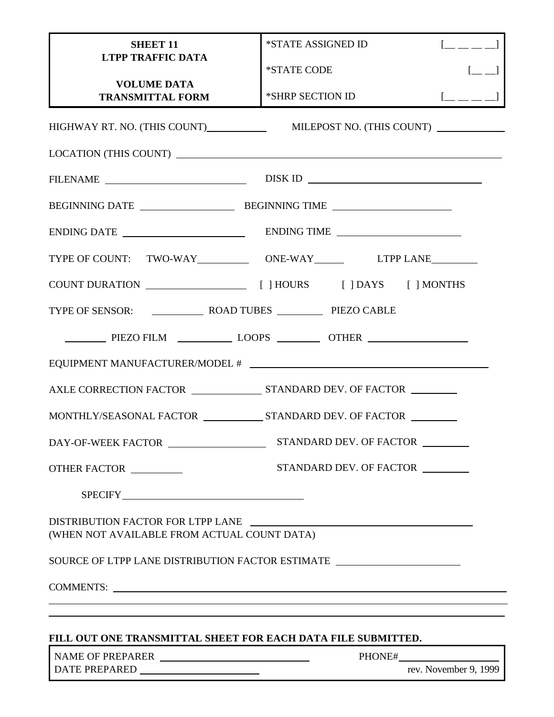| <b>SHEET 11</b>                                              | *STATE ASSIGNED ID<br>$\Box$ $\Box$ 1                                            |
|--------------------------------------------------------------|----------------------------------------------------------------------------------|
| <b>LTPP TRAFFIC DATA</b>                                     | *STATE CODE                                                                      |
| <b>VOLUME DATA</b><br><b>TRANSMITTAL FORM</b>                | $[\underline{\qquad \qquad }]=\underline{\qquad }=-1$<br>*SHRP SECTION ID        |
|                                                              |                                                                                  |
|                                                              | $\textbf{\texttt{LOCATION (THIS COUNT)}} \quad \textbf{\texttt{\_}}$             |
|                                                              |                                                                                  |
|                                                              |                                                                                  |
|                                                              |                                                                                  |
|                                                              |                                                                                  |
|                                                              |                                                                                  |
|                                                              |                                                                                  |
|                                                              |                                                                                  |
|                                                              |                                                                                  |
|                                                              |                                                                                  |
|                                                              |                                                                                  |
|                                                              |                                                                                  |
| OTHER FACTOR                                                 | STANDARD DEV. OF FACTOR                                                          |
|                                                              |                                                                                  |
| (WHEN NOT AVAILABLE FROM ACTUAL COUNT DATA)                  |                                                                                  |
|                                                              | SOURCE OF LTPP LANE DISTRIBUTION FACTOR ESTIMATE                                 |
|                                                              |                                                                                  |
|                                                              | ,我们也不会有什么?""我们的人,我们也不会有什么?""我们的人,我们也不会有什么?""我们的人,我们也不会有什么?""我们的人,我们也不会有什么?""我们的人 |
| FILL OUT ONE TRANSMITTAL SHEET FOR EACH DATA FILE SUBMITTED. |                                                                                  |
| NAME OF PREPARER                                             | rev. November 9, 1999                                                            |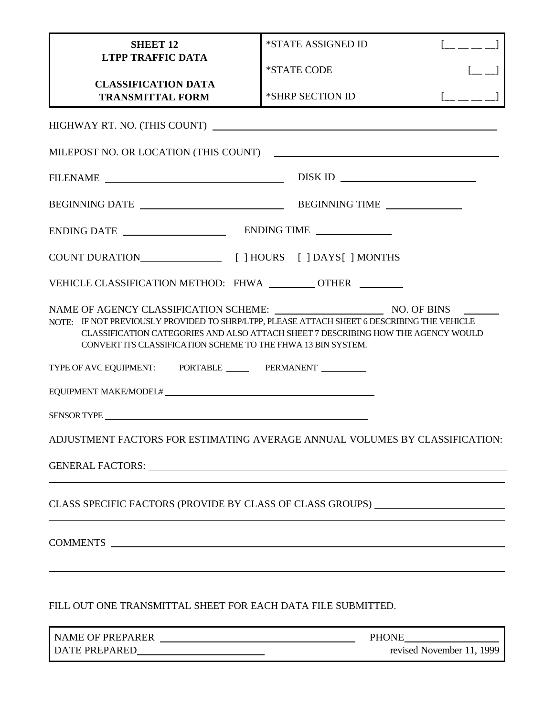| <b>SHEET 12</b>                                                                                                                                                                                                                | *STATE ASSIGNED ID                                                                | $[$ $\_$ $\_$ $\_$ $\_$ $\_$ |
|--------------------------------------------------------------------------------------------------------------------------------------------------------------------------------------------------------------------------------|-----------------------------------------------------------------------------------|------------------------------|
| <b>LTPP TRAFFIC DATA</b>                                                                                                                                                                                                       | *STATE CODE                                                                       |                              |
| <b>CLASSIFICATION DATA</b><br><b>TRANSMITTAL FORM</b>                                                                                                                                                                          | *SHRP SECTION ID                                                                  | $\boxed{\phantom{a}}$        |
|                                                                                                                                                                                                                                |                                                                                   |                              |
|                                                                                                                                                                                                                                |                                                                                   |                              |
|                                                                                                                                                                                                                                |                                                                                   |                              |
|                                                                                                                                                                                                                                |                                                                                   |                              |
|                                                                                                                                                                                                                                |                                                                                   |                              |
|                                                                                                                                                                                                                                |                                                                                   |                              |
| VEHICLE CLASSIFICATION METHOD: FHWA OTHER                                                                                                                                                                                      |                                                                                   |                              |
| NAME OF AGENCY CLASSIFICATION SCHEME: NO. OF BINS<br>NOTE: IF NOT PREVIOUSLY PROVIDED TO SHRP/LTPP, PLEASE ATTACH SHEET 6 DESCRIBING THE VEHICLE<br>CONVERT ITS CLASSIFICATION SCHEME TO THE FHWA 13 BIN SYSTEM.               | CLASSIFICATION CATEGORIES AND ALSO ATTACH SHEET 7 DESCRIBING HOW THE AGENCY WOULD |                              |
| TYPE OF AVC EQUIPMENT: PORTABLE PERMANENT                                                                                                                                                                                      |                                                                                   |                              |
|                                                                                                                                                                                                                                |                                                                                   |                              |
| SENSOR TYPE RESERVED FOR TYPE AND THE SERVED OF THE SERVED OF THE SERVED OF THE SERVED OF THE SERVED OF THE SERVED OF THE SERVED OF THE SERVED OF THE SERVED OF THE SERVED OF THE SERVED OF THE SERVED OF THE SERVED OF THE SE |                                                                                   |                              |
| ADJUSTMENT FACTORS FOR ESTIMATING AVERAGE ANNUAL VOLUMES BY CLASSIFICATION:                                                                                                                                                    |                                                                                   |                              |
| GENERAL FACTORS: University of the Second Contract of the Second Contract of the Second Contract of the Second Contract of the Second Contract of the Second Contract of the Second Contract of the Second Contract of the Sec |                                                                                   |                              |
| CLASS SPECIFIC FACTORS (PROVIDE BY CLASS OF CLASS GROUPS) ______________________                                                                                                                                               |                                                                                   |                              |
| COMMENTS LEADERS COMMENTS                                                                                                                                                                                                      |                                                                                   |                              |
|                                                                                                                                                                                                                                |                                                                                   |                              |
| FILL OUT ONE TRANSMITTAL SHEET FOR EACH DATA FILE SUBMITTED.                                                                                                                                                                   |                                                                                   |                              |
| $\label{eq:1} \begin{minipage}{0.9\linewidth} \textbf{NAME OF PREPARENT} \end{minipage}$                                                                                                                                       |                                                                                   | <b>PHONE</b>                 |
| DATE PREPARED<br><u> 1980 - Johann Barbara, martin da basar a</u>                                                                                                                                                              |                                                                                   | revised November 11, 1999    |

I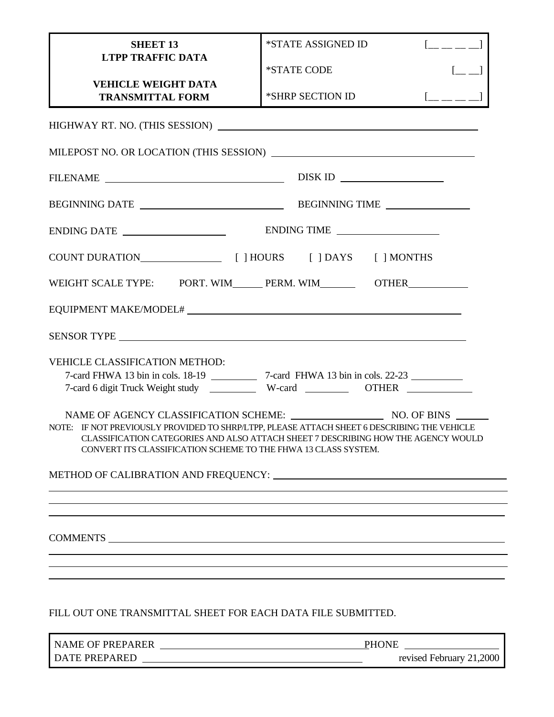| <b>SHEET 13</b><br><b>LTPP TRAFFIC DATA</b>                                                                                                                                                                                                                                                             | *STATE ASSIGNED ID | $\begin{bmatrix} 1 & 1 & 1 \\ 1 & 1 & 1 \end{bmatrix}$               |
|---------------------------------------------------------------------------------------------------------------------------------------------------------------------------------------------------------------------------------------------------------------------------------------------------------|--------------------|----------------------------------------------------------------------|
|                                                                                                                                                                                                                                                                                                         | *STATE CODE        | $[\underline{\ }$ $\underline{\ }$ $\underline{\ }$ $\underline{\ }$ |
| <b>VEHICLE WEIGHT DATA</b><br><b>TRANSMITTAL FORM</b>                                                                                                                                                                                                                                                   | *SHRP SECTION ID   | $[- - - -]$                                                          |
|                                                                                                                                                                                                                                                                                                         |                    |                                                                      |
|                                                                                                                                                                                                                                                                                                         |                    |                                                                      |
|                                                                                                                                                                                                                                                                                                         |                    |                                                                      |
|                                                                                                                                                                                                                                                                                                         |                    |                                                                      |
|                                                                                                                                                                                                                                                                                                         |                    |                                                                      |
|                                                                                                                                                                                                                                                                                                         |                    |                                                                      |
| WEIGHT SCALE TYPE: PORT. WIM_______ PERM. WIM___________ OTHER___________________                                                                                                                                                                                                                       |                    |                                                                      |
|                                                                                                                                                                                                                                                                                                         |                    |                                                                      |
| SENSOR TYPE RELEASE AND TYPE AND THE SERIES OF THE SERIES OF THE SERIES OF THE SERIES OF THE SERIES OF THE SERIES OF THE SERIES OF THE SERIES OF THE SERIES OF THE SERIES OF THE SERIES OF THE SERIES OF THE SERIES OF THE SER                                                                          |                    |                                                                      |
| <b>VEHICLE CLASSIFICATION METHOD:</b><br>7-card 6 digit Truck Weight study _____________ W-card ____________ OTHER _____________                                                                                                                                                                        |                    |                                                                      |
| NAME OF AGENCY CLASSIFICATION SCHEME: NO. OF BINS<br>NOTE: IF NOT PREVIOUSLY PROVIDED TO SHRP/LTPP, PLEASE ATTACH SHEET 6 DESCRIBING THE VEHICLE<br>CLASSIFICATION CATEGORIES AND ALSO ATTACH SHEET 7 DESCRIBING HOW THE AGENCY WOULD<br>CONVERT ITS CLASSIFICATION SCHEME TO THE FHWA 13 CLASS SYSTEM. |                    |                                                                      |
| METHOD OF CALIBRATION AND FREQUENCY: Network and the contract of the contract of the contract of the contract of the contract of the contract of the contract of the contract of the contract of the contract of the contract                                                                           |                    |                                                                      |
| <u> 1989 - Johann Stoff, amerikansk politiker (d. 1989)</u>                                                                                                                                                                                                                                             |                    |                                                                      |
|                                                                                                                                                                                                                                                                                                         |                    |                                                                      |
|                                                                                                                                                                                                                                                                                                         |                    |                                                                      |
| FILL OUT ONE TRANSMITTAL SHEET FOR EACH DATA FILE SUBMITTED.                                                                                                                                                                                                                                            |                    |                                                                      |

| NAME OF PREPARER | PHONF                    |
|------------------|--------------------------|
| DATE PREPARED    | revised February 21,2000 |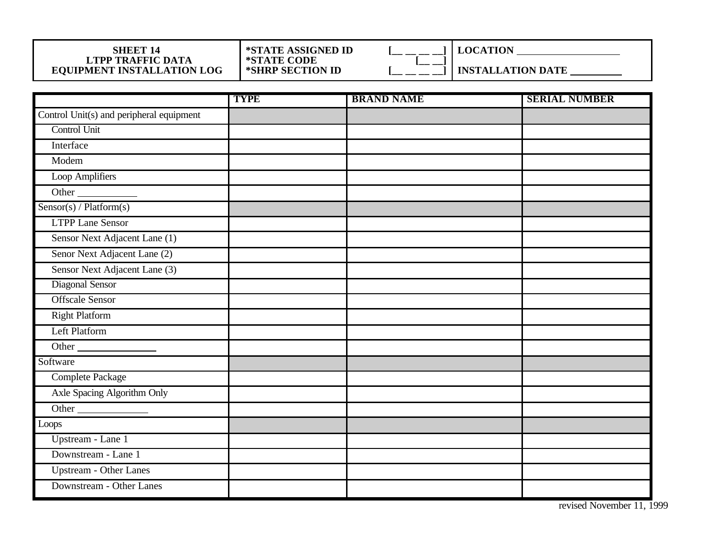| <b>SHEET 14</b><br>LTPP TRAFFIC DATA | *STATE ASSIGNED ID<br><b>*STATE CODE</b> |                                                                                                                                                                                                                                      | <b>LOCATION</b>          |
|--------------------------------------|------------------------------------------|--------------------------------------------------------------------------------------------------------------------------------------------------------------------------------------------------------------------------------------|--------------------------|
| <b>EQUIPMENT INSTALLATION LOG</b>    | *SHRP SECTION ID                         | <u> Landschulden und Der Bergerung und Der Bergerung und Der Bergerung und Der Bergerung und Der Bergerung und Der Bergerung und Der Bergerung und Der Bergerung und Der Bergerung und Der Bergerung und Der Bergerung und Der B</u> | <b>INSTALLATION DATE</b> |

|                                          | <b>TYPE</b> | <b>BRAND NAME</b> | <b>SERIAL NUMBER</b> |
|------------------------------------------|-------------|-------------------|----------------------|
| Control Unit(s) and peripheral equipment |             |                   |                      |
| Control Unit                             |             |                   |                      |
| Interface                                |             |                   |                      |
| Modem                                    |             |                   |                      |
| Loop Amplifiers                          |             |                   |                      |
| Other                                    |             |                   |                      |
| Sensor(s) / Platform(s)                  |             |                   |                      |
| <b>LTPP Lane Sensor</b>                  |             |                   |                      |
| Sensor Next Adjacent Lane (1)            |             |                   |                      |
| Senor Next Adjacent Lane (2)             |             |                   |                      |
| Sensor Next Adjacent Lane (3)            |             |                   |                      |
| Diagonal Sensor                          |             |                   |                      |
| <b>Offscale Sensor</b>                   |             |                   |                      |
| <b>Right Platform</b>                    |             |                   |                      |
| Left Platform                            |             |                   |                      |
| Other                                    |             |                   |                      |
| Software                                 |             |                   |                      |
| <b>Complete Package</b>                  |             |                   |                      |
| Axle Spacing Algorithm Only              |             |                   |                      |
| Other                                    |             |                   |                      |
| Loops                                    |             |                   |                      |
| Upstream - Lane 1                        |             |                   |                      |
| Downstream - Lane 1                      |             |                   |                      |
| <b>Upstream - Other Lanes</b>            |             |                   |                      |
| Downstream - Other Lanes                 |             |                   |                      |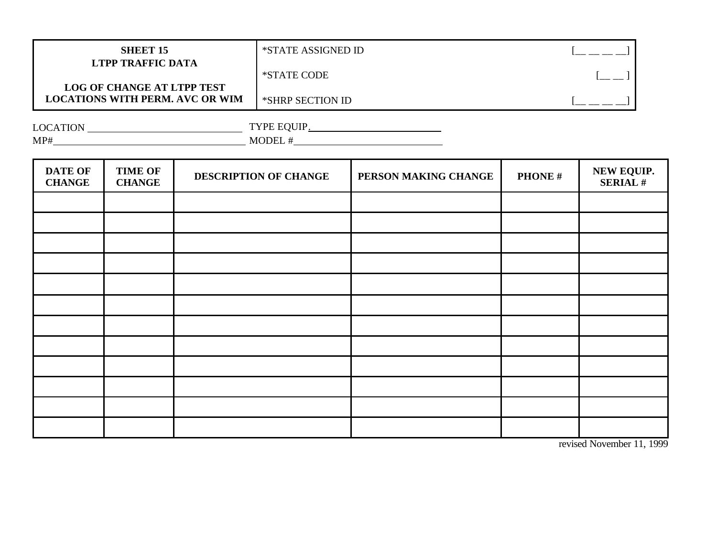| <b>SHEET 15</b><br><b>LTPP TRAFFIC DATA</b> | *STATE ASSIGNED ID |  |
|---------------------------------------------|--------------------|--|
| <b>LOG OF CHANGE AT LTPP TEST</b>           | *STATE CODE        |  |
| <b>LOCATIONS WITH PERM. AVC OR WIM</b>      | *SHRP SECTION ID   |  |
|                                             |                    |  |

| $\mathbf{M}$ | $E$ $\Omega$ IID<br>$\mathbf{m}$ $\mathbf{m}$<br>РН<br>1 1 1 L<br>. |
|--------------|---------------------------------------------------------------------|
| MP#          |                                                                     |

| DATE OF<br><b>CHANGE</b> | <b>TIME OF</b><br><b>CHANGE</b> | DESCRIPTION OF CHANGE | PERSON MAKING CHANGE | <b>PHONE#</b> | NEW EQUIP.<br><b>SERIAL#</b> |
|--------------------------|---------------------------------|-----------------------|----------------------|---------------|------------------------------|
|                          |                                 |                       |                      |               |                              |
|                          |                                 |                       |                      |               |                              |
|                          |                                 |                       |                      |               |                              |
|                          |                                 |                       |                      |               |                              |
|                          |                                 |                       |                      |               |                              |
|                          |                                 |                       |                      |               |                              |
|                          |                                 |                       |                      |               |                              |
|                          |                                 |                       |                      |               |                              |
|                          |                                 |                       |                      |               |                              |
|                          |                                 |                       |                      |               |                              |
|                          |                                 |                       |                      |               |                              |
|                          |                                 |                       |                      |               |                              |

revised November 11, 1999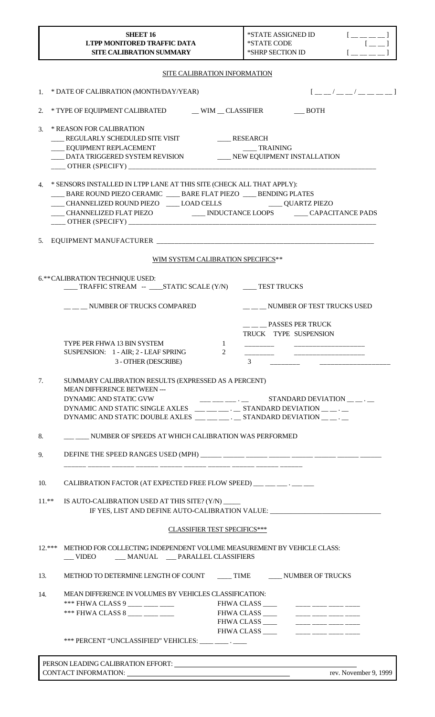|          | <b>SHEET 16</b><br>LTPP MONITORED TRAFFIC DATA<br><b>SITE CALIBRATION SUMMARY</b>                                                                                                                                                                                                                                                                                                                                                                                                                               |  | *STATE ASSIGNED ID<br>$\begin{bmatrix} 1 & 1 \\ 1 & 1 \end{bmatrix}$<br>*STATE CODE<br>*SHRP SECTION ID                                                                                                                                                                                                                                                                                     |
|----------|-----------------------------------------------------------------------------------------------------------------------------------------------------------------------------------------------------------------------------------------------------------------------------------------------------------------------------------------------------------------------------------------------------------------------------------------------------------------------------------------------------------------|--|---------------------------------------------------------------------------------------------------------------------------------------------------------------------------------------------------------------------------------------------------------------------------------------------------------------------------------------------------------------------------------------------|
|          | <b>SITE CALIBRATION INFORMATION</b>                                                                                                                                                                                                                                                                                                                                                                                                                                                                             |  |                                                                                                                                                                                                                                                                                                                                                                                             |
|          | 1. * DATE OF CALIBRATION (MONTH/DAY/YEAR)                                                                                                                                                                                                                                                                                                                                                                                                                                                                       |  | $[$ $\frac{1}{2}$ $\frac{1}{2}$ $\frac{1}{2}$ $\frac{1}{2}$ $\frac{1}{2}$ $\frac{1}{2}$ $\frac{1}{2}$ $\frac{1}{2}$ $\frac{1}{2}$ $\frac{1}{2}$ $\frac{1}{2}$ $\frac{1}{2}$ $\frac{1}{2}$ $\frac{1}{2}$ $\frac{1}{2}$ $\frac{1}{2}$ $\frac{1}{2}$ $\frac{1}{2}$ $\frac{1}{2}$ $\frac{1}{2}$ $\frac{1}{2}$ $\frac{1}{2$                                                                      |
| 2.       | * TYPE OF EQUIPMENT CALIBRATED ____ WIM __ CLASSIFIER _______ BOTH                                                                                                                                                                                                                                                                                                                                                                                                                                              |  |                                                                                                                                                                                                                                                                                                                                                                                             |
| 3.       | * REASON FOR CALIBRATION<br>REGULARLY SCHEDULED SITE VISIT<br>____ EQUIPMENT REPLACEMENT<br>DATA TRIGGERED SYSTEM REVISION                                                                                                                                                                                                                                                                                                                                                                                      |  | ____ RESEARCH<br>______ TRAINING<br>NEW EQUIPMENT INSTALLATION                                                                                                                                                                                                                                                                                                                              |
| 4.       | * SENSORS INSTALLED IN LTPP LANE AT THIS SITE (CHECK ALL THAT APPLY):<br>BARE ROUND PIEZO CERAMIC _____ BARE FLAT PIEZO _____ BENDING PLATES<br>CHANNELIZED ROUND PIEZO ______ LOAD CELLS _________________________QUARTZ PIEZO<br>_____ CHANNELIZED FLAT PIEZO _______________ INDUCTANCE LOOPS ________ CAPACITANCE PADS                                                                                                                                                                                      |  |                                                                                                                                                                                                                                                                                                                                                                                             |
|          |                                                                                                                                                                                                                                                                                                                                                                                                                                                                                                                 |  |                                                                                                                                                                                                                                                                                                                                                                                             |
|          | WIM SYSTEM CALIBRATION SPECIFICS**                                                                                                                                                                                                                                                                                                                                                                                                                                                                              |  |                                                                                                                                                                                                                                                                                                                                                                                             |
|          | 6.** CALIBRATION TECHNIQUE USED:                                                                                                                                                                                                                                                                                                                                                                                                                                                                                |  |                                                                                                                                                                                                                                                                                                                                                                                             |
|          | __ _ NUMBER OF TRUCKS COMPARED                                                                                                                                                                                                                                                                                                                                                                                                                                                                                  |  | ____ NUMBER OF TEST TRUCKS USED                                                                                                                                                                                                                                                                                                                                                             |
|          | TYPE PER FHWA 13 BIN SYSTEM<br>1<br>SUSPENSION: 1 - AIR; 2 - LEAF SPRING<br>2<br>3 - OTHER (DESCRIBE)                                                                                                                                                                                                                                                                                                                                                                                                           |  | <b>PASSES PER TRUCK</b><br>TRUCK TYPE SUSPENSION<br>$3$ $\qquad$ $\qquad$ $\qquad$ $\qquad$ $\qquad$ $\qquad$ $\qquad$ $\qquad$ $\qquad$ $\qquad$ $\qquad$ $\qquad$ $\qquad$ $\qquad$ $\qquad$ $\qquad$ $\qquad$ $\qquad$ $\qquad$ $\qquad$ $\qquad$ $\qquad$ $\qquad$ $\qquad$ $\qquad$ $\qquad$ $\qquad$ $\qquad$ $\qquad$ $\qquad$ $\qquad$ $\qquad$ $\qquad$ $\qquad$ $\qquad$ $\qquad$ |
| 7.       | SUMMARY CALIBRATION RESULTS (EXPRESSED AS A PERCENT)<br><b>MEAN DIFFERENCE BETWEEN ---</b>                                                                                                                                                                                                                                                                                                                                                                                                                      |  |                                                                                                                                                                                                                                                                                                                                                                                             |
|          | DYNAMIC AND STATIC GVW<br>$\frac{1}{2}$ , $\frac{1}{2}$ , $\frac{1}{2}$ , $\frac{1}{2}$ , $\frac{1}{2}$ , $\frac{1}{2}$ , $\frac{1}{2}$ , $\frac{1}{2}$ , $\frac{1}{2}$ , $\frac{1}{2}$ , $\frac{1}{2}$ , $\frac{1}{2}$ , $\frac{1}{2}$<br>DYNAMIC AND STATIC SINGLE AXLES $\_\_\_\_\_\_\_\_\_\_\$ . STANDARD DEVIATION $\_\_\_\_\_\_\_\_\_\_\_\_\_\_\_\$<br>DYNAMIC AND STATIC DOUBLE AXLES $\underline{\hspace{1cm}}\dots$ $\underline{\hspace{1cm}}\dots$ STANDARD DEVIATION $\underline{\hspace{1cm}}\dots$ |  | STANDARD DEVIATION $\_\_\_\_\_\_\_\_\$                                                                                                                                                                                                                                                                                                                                                      |
| 8.       | NUMBER OF SPEEDS AT WHICH CALIBRATION WAS PERFORMED                                                                                                                                                                                                                                                                                                                                                                                                                                                             |  |                                                                                                                                                                                                                                                                                                                                                                                             |
| 9.       |                                                                                                                                                                                                                                                                                                                                                                                                                                                                                                                 |  |                                                                                                                                                                                                                                                                                                                                                                                             |
| 10.      | CALIBRATION FACTOR (AT EXPECTED FREE FLOW SPEED) ___ __ __ . __ _                                                                                                                                                                                                                                                                                                                                                                                                                                               |  |                                                                                                                                                                                                                                                                                                                                                                                             |
| $11.**$  | IS AUTO-CALIBRATION USED AT THIS SITE? (Y/N) _____<br>IF YES, LIST AND DEFINE AUTO-CALIBRATION VALUE: ________________________________                                                                                                                                                                                                                                                                                                                                                                          |  |                                                                                                                                                                                                                                                                                                                                                                                             |
|          | <b>CLASSIFIER TEST SPECIFICS***</b>                                                                                                                                                                                                                                                                                                                                                                                                                                                                             |  |                                                                                                                                                                                                                                                                                                                                                                                             |
| $12.***$ | METHOD FOR COLLECTING INDEPENDENT VOLUME MEASUREMENT BY VEHICLE CLASS:<br>___ MANUAL ____ PARALLEL CLASSIFIERS<br><b>VIDEO</b>                                                                                                                                                                                                                                                                                                                                                                                  |  |                                                                                                                                                                                                                                                                                                                                                                                             |
| 13.      | METHOD TO DETERMINE LENGTH OF COUNT _____ TIME _____ NUMBER OF TRUCKS                                                                                                                                                                                                                                                                                                                                                                                                                                           |  |                                                                                                                                                                                                                                                                                                                                                                                             |
| 14.      | MEAN DIFFERENCE IN VOLUMES BY VEHICLES CLASSIFICATION:<br>*** FHWA CLASS 9 ____ ____ ____<br>*** FHWA CLASS 8 ____ ____ ____                                                                                                                                                                                                                                                                                                                                                                                    |  | FHWA CLASS ____<br>_____ ____ ____ ____<br>FHWA CLASS ____<br>_____ ____ _____<br>FHWA CLASS ____<br>_________________<br>FHWA CLASS                                                                                                                                                                                                                                                        |
|          | *** PERCENT "UNCLASSIFIED" VEHICLES: ____ ___ . ____                                                                                                                                                                                                                                                                                                                                                                                                                                                            |  | _____ ____ _____                                                                                                                                                                                                                                                                                                                                                                            |
|          | PERSON LEADING CALIBRATION EFFORT:<br>CONTACT INFORMATION: University of the contract of the contract of the contract of the contract of the contract of the contract of the contract of the contract of the contract of the contract of the contract of the contrac                                                                                                                                                                                                                                            |  | rev. November 9, 1999                                                                                                                                                                                                                                                                                                                                                                       |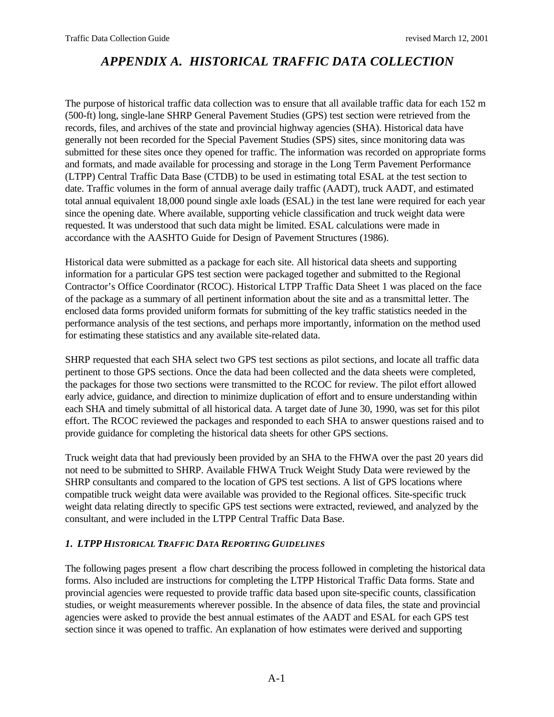# *APPENDIX A. HISTORICAL TRAFFIC DATA COLLECTION*

The purpose of historical traffic data collection was to ensure that all available traffic data for each 152 m (500-ft) long, single-lane SHRP General Pavement Studies (GPS) test section were retrieved from the records, files, and archives of the state and provincial highway agencies (SHA). Historical data have generally not been recorded for the Special Pavement Studies (SPS) sites, since monitoring data was submitted for these sites once they opened for traffic. The information was recorded on appropriate forms and formats, and made available for processing and storage in the Long Term Pavement Performance (LTPP) Central Traffic Data Base (CTDB) to be used in estimating total ESAL at the test section to date. Traffic volumes in the form of annual average daily traffic (AADT), truck AADT, and estimated total annual equivalent 18,000 pound single axle loads (ESAL) in the test lane were required for each year since the opening date. Where available, supporting vehicle classification and truck weight data were requested. It was understood that such data might be limited. ESAL calculations were made in accordance with the AASHTO Guide for Design of Pavement Structures (1986).

Historical data were submitted as a package for each site. All historical data sheets and supporting information for a particular GPS test section were packaged together and submitted to the Regional Contractor's Office Coordinator (RCOC). Historical LTPP Traffic Data Sheet 1 was placed on the face of the package as a summary of all pertinent information about the site and as a transmittal letter. The enclosed data forms provided uniform formats for submitting of the key traffic statistics needed in the performance analysis of the test sections, and perhaps more importantly, information on the method used for estimating these statistics and any available site-related data.

SHRP requested that each SHA select two GPS test sections as pilot sections, and locate all traffic data pertinent to those GPS sections. Once the data had been collected and the data sheets were completed, the packages for those two sections were transmitted to the RCOC for review. The pilot effort allowed early advice, guidance, and direction to minimize duplication of effort and to ensure understanding within each SHA and timely submittal of all historical data. A target date of June 30, 1990, was set for this pilot effort. The RCOC reviewed the packages and responded to each SHA to answer questions raised and to provide guidance for completing the historical data sheets for other GPS sections.

Truck weight data that had previously been provided by an SHA to the FHWA over the past 20 years did not need to be submitted to SHRP. Available FHWA Truck Weight Study Data were reviewed by the SHRP consultants and compared to the location of GPS test sections. A list of GPS locations where compatible truck weight data were available was provided to the Regional offices. Site-specific truck weight data relating directly to specific GPS test sections were extracted, reviewed, and analyzed by the consultant, and were included in the LTPP Central Traffic Data Base.

### *1. LTPP HISTORICAL TRAFFIC DATA REPORTING GUIDELINES*

The following pages present a flow chart describing the process followed in completing the historical data forms. Also included are instructions for completing the LTPP Historical Traffic Data forms. State and provincial agencies were requested to provide traffic data based upon site-specific counts, classification studies, or weight measurements wherever possible. In the absence of data files, the state and provincial agencies were asked to provide the best annual estimates of the AADT and ESAL for each GPS test section since it was opened to traffic. An explanation of how estimates were derived and supporting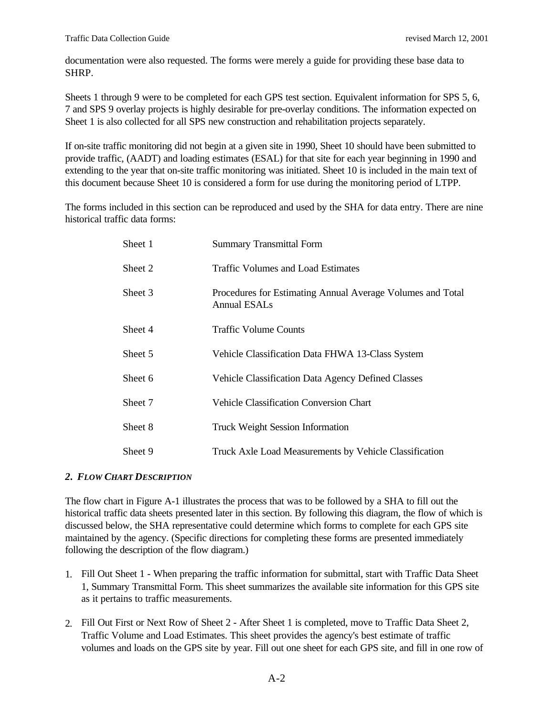documentation were also requested. The forms were merely a guide for providing these base data to SHRP.

Sheets 1 through 9 were to be completed for each GPS test section. Equivalent information for SPS 5, 6, 7 and SPS 9 overlay projects is highly desirable for pre-overlay conditions. The information expected on Sheet 1 is also collected for all SPS new construction and rehabilitation projects separately.

If on-site traffic monitoring did not begin at a given site in 1990, Sheet 10 should have been submitted to provide traffic, (AADT) and loading estimates (ESAL) for that site for each year beginning in 1990 and extending to the year that on-site traffic monitoring was initiated. Sheet 10 is included in the main text of this document because Sheet 10 is considered a form for use during the monitoring period of LTPP.

The forms included in this section can be reproduced and used by the SHA for data entry. There are nine historical traffic data forms:

| Sheet 1 | <b>Summary Transmittal Form</b>                                                   |
|---------|-----------------------------------------------------------------------------------|
| Sheet 2 | <b>Traffic Volumes and Load Estimates</b>                                         |
| Sheet 3 | Procedures for Estimating Annual Average Volumes and Total<br><b>Annual ESALs</b> |
| Sheet 4 | <b>Traffic Volume Counts</b>                                                      |
| Sheet 5 | Vehicle Classification Data FHWA 13-Class System                                  |
| Sheet 6 | Vehicle Classification Data Agency Defined Classes                                |
| Sheet 7 | <b>Vehicle Classification Conversion Chart</b>                                    |
| Sheet 8 | <b>Truck Weight Session Information</b>                                           |
| Sheet 9 | Truck Axle Load Measurements by Vehicle Classification                            |

### *2. FLOW CHART DESCRIPTION*

The flow chart in Figure A-1 illustrates the process that was to be followed by a SHA to fill out the historical traffic data sheets presented later in this section. By following this diagram, the flow of which is discussed below, the SHA representative could determine which forms to complete for each GPS site maintained by the agency. (Specific directions for completing these forms are presented immediately following the description of the flow diagram.)

- 1. Fill Out Sheet 1 When preparing the traffic information for submittal, start with Traffic Data Sheet 1, Summary Transmittal Form. This sheet summarizes the available site information for this GPS site as it pertains to traffic measurements.
- 2. Fill Out First or Next Row of Sheet 2 After Sheet 1 is completed, move to Traffic Data Sheet 2, Traffic Volume and Load Estimates. This sheet provides the agency's best estimate of traffic volumes and loads on the GPS site by year. Fill out one sheet for each GPS site, and fill in one row of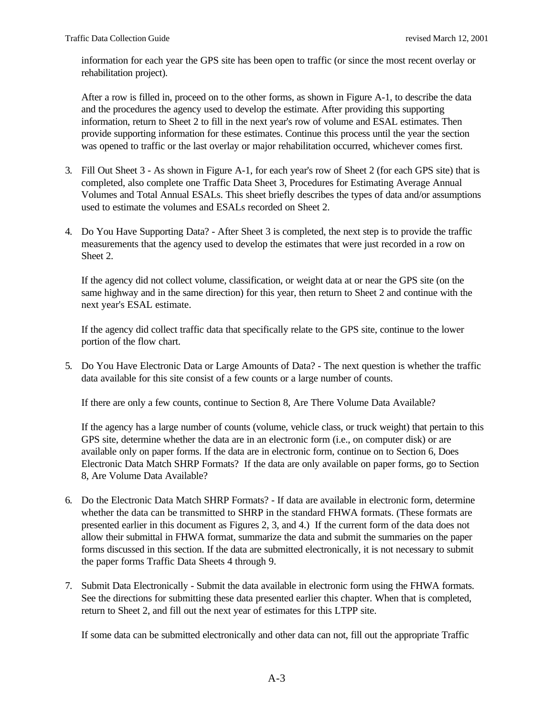information for each year the GPS site has been open to traffic (or since the most recent overlay or rehabilitation project).

After a row is filled in, proceed on to the other forms, as shown in Figure A-1, to describe the data and the procedures the agency used to develop the estimate. After providing this supporting information, return to Sheet 2 to fill in the next year's row of volume and ESAL estimates. Then provide supporting information for these estimates. Continue this process until the year the section was opened to traffic or the last overlay or major rehabilitation occurred, whichever comes first.

- 3. Fill Out Sheet 3 As shown in Figure A-1, for each year's row of Sheet 2 (for each GPS site) that is completed, also complete one Traffic Data Sheet 3, Procedures for Estimating Average Annual Volumes and Total Annual ESALs. This sheet briefly describes the types of data and/or assumptions used to estimate the volumes and ESALs recorded on Sheet 2.
- 4. Do You Have Supporting Data? After Sheet 3 is completed, the next step is to provide the traffic measurements that the agency used to develop the estimates that were just recorded in a row on Sheet 2.

If the agency did not collect volume, classification, or weight data at or near the GPS site (on the same highway and in the same direction) for this year, then return to Sheet 2 and continue with the next year's ESAL estimate.

If the agency did collect traffic data that specifically relate to the GPS site, continue to the lower portion of the flow chart.

5. Do You Have Electronic Data or Large Amounts of Data? - The next question is whether the traffic data available for this site consist of a few counts or a large number of counts.

If there are only a few counts, continue to Section 8, Are There Volume Data Available?

If the agency has a large number of counts (volume, vehicle class, or truck weight) that pertain to this GPS site, determine whether the data are in an electronic form (i.e., on computer disk) or are available only on paper forms. If the data are in electronic form, continue on to Section 6, Does Electronic Data Match SHRP Formats? If the data are only available on paper forms, go to Section 8, Are Volume Data Available?

- 6. Do the Electronic Data Match SHRP Formats? If data are available in electronic form, determine whether the data can be transmitted to SHRP in the standard FHWA formats. (These formats are presented earlier in this document as Figures 2, 3, and 4.) If the current form of the data does not allow their submittal in FHWA format, summarize the data and submit the summaries on the paper forms discussed in this section. If the data are submitted electronically, it is not necessary to submit the paper forms Traffic Data Sheets 4 through 9.
- 7. Submit Data Electronically Submit the data available in electronic form using the FHWA formats. See the directions for submitting these data presented earlier this chapter. When that is completed, return to Sheet 2, and fill out the next year of estimates for this LTPP site.

If some data can be submitted electronically and other data can not, fill out the appropriate Traffic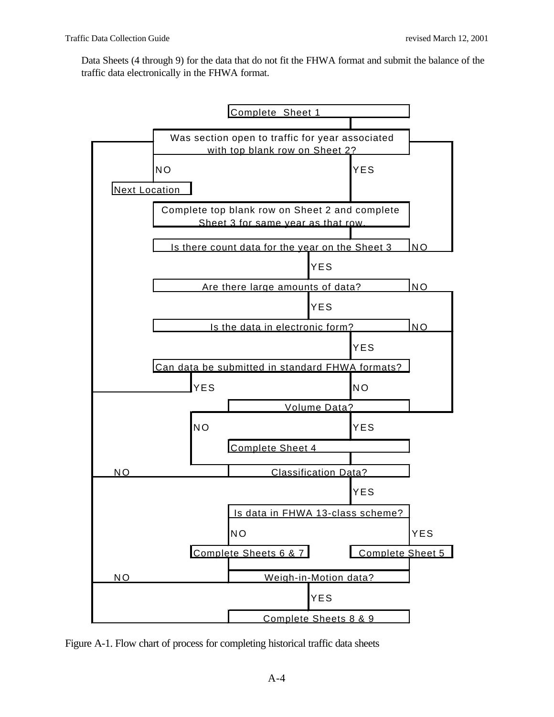Data Sheets (4 through 9) for the data that do not fit the FHWA format and submit the balance of the traffic data electronically in the FHWA format.



Figure A-1. Flow chart of process for completing historical traffic data sheets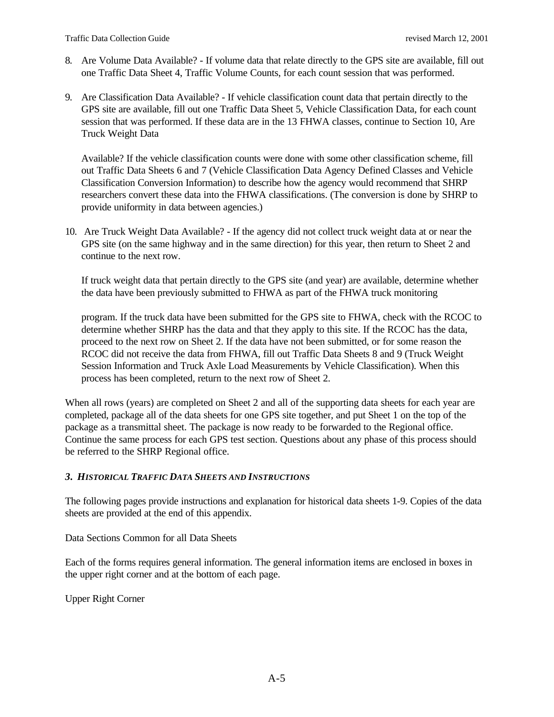- 8. Are Volume Data Available? If volume data that relate directly to the GPS site are available, fill out one Traffic Data Sheet 4, Traffic Volume Counts, for each count session that was performed.
- 9. Are Classification Data Available? If vehicle classification count data that pertain directly to the GPS site are available, fill out one Traffic Data Sheet 5, Vehicle Classification Data, for each count session that was performed. If these data are in the 13 FHWA classes, continue to Section 10, Are Truck Weight Data

Available? If the vehicle classification counts were done with some other classification scheme, fill out Traffic Data Sheets 6 and 7 (Vehicle Classification Data Agency Defined Classes and Vehicle Classification Conversion Information) to describe how the agency would recommend that SHRP researchers convert these data into the FHWA classifications. (The conversion is done by SHRP to provide uniformity in data between agencies.)

10. Are Truck Weight Data Available? - If the agency did not collect truck weight data at or near the GPS site (on the same highway and in the same direction) for this year, then return to Sheet 2 and continue to the next row.

If truck weight data that pertain directly to the GPS site (and year) are available, determine whether the data have been previously submitted to FHWA as part of the FHWA truck monitoring

program. If the truck data have been submitted for the GPS site to FHWA, check with the RCOC to determine whether SHRP has the data and that they apply to this site. If the RCOC has the data, proceed to the next row on Sheet 2. If the data have not been submitted, or for some reason the RCOC did not receive the data from FHWA, fill out Traffic Data Sheets 8 and 9 (Truck Weight Session Information and Truck Axle Load Measurements by Vehicle Classification). When this process has been completed, return to the next row of Sheet 2.

When all rows (years) are completed on Sheet 2 and all of the supporting data sheets for each year are completed, package all of the data sheets for one GPS site together, and put Sheet 1 on the top of the package as a transmittal sheet. The package is now ready to be forwarded to the Regional office. Continue the same process for each GPS test section. Questions about any phase of this process should be referred to the SHRP Regional office.

### *3. HISTORICAL TRAFFIC DATA SHEETS AND INSTRUCTIONS*

The following pages provide instructions and explanation for historical data sheets 1-9. Copies of the data sheets are provided at the end of this appendix.

Data Sections Common for all Data Sheets

Each of the forms requires general information. The general information items are enclosed in boxes in the upper right corner and at the bottom of each page.

Upper Right Corner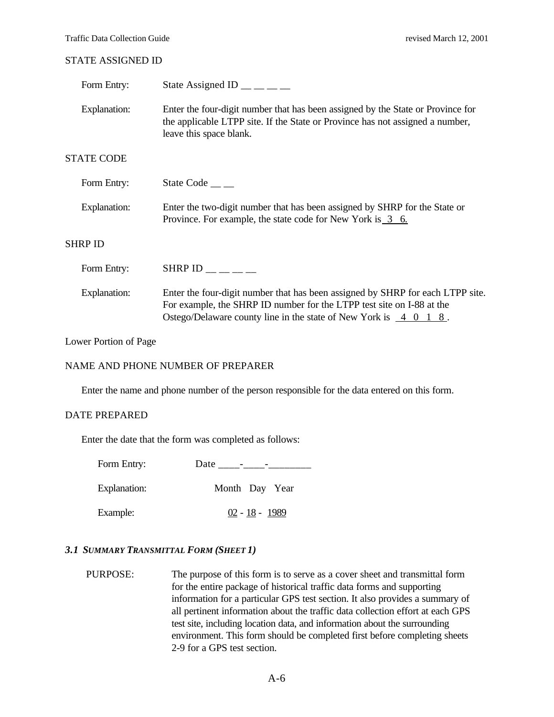#### STATE ASSIGNED ID

| Form Entry:           | State Assigned ID $\_\_\_\_\_\_\_\_\_\_\_\_\_$                                                                                                                                                                                      |
|-----------------------|-------------------------------------------------------------------------------------------------------------------------------------------------------------------------------------------------------------------------------------|
| Explanation:          | Enter the four-digit number that has been assigned by the State or Province for<br>the applicable LTPP site. If the State or Province has not assigned a number,<br>leave this space blank.                                         |
| <b>STATE CODE</b>     |                                                                                                                                                                                                                                     |
| Form Entry:           | State Code $\_\_$                                                                                                                                                                                                                   |
| Explanation:          | Enter the two-digit number that has been assigned by SHRP for the State or<br>Province. For example, the state code for New York is 3 6.                                                                                            |
| <b>SHRP ID</b>        |                                                                                                                                                                                                                                     |
| Form Entry:           | SHRP ID __ __ __ __                                                                                                                                                                                                                 |
| <b>Explanation:</b>   | Enter the four-digit number that has been assigned by SHRP for each LTPP site.<br>For example, the SHRP ID number for the LTPP test site on I-88 at the<br>Ostego/Delaware county line in the state of New York is $\frac{4}{18}$ . |
| Lower Portion of Page |                                                                                                                                                                                                                                     |

#### NAME AND PHONE NUMBER OF PREPARER

Enter the name and phone number of the person responsible for the data entered on this form.

#### DATE PREPARED

Enter the date that the form was completed as follows:

| Form Entry:  | Date $\overline{\phantom{a}}$ -                      |
|--------------|------------------------------------------------------|
| Explanation: | Month Day Year                                       |
| Example:     | $\underline{02} - \underline{18} - \underline{1989}$ |

#### *3.1 SUMMARY TRANSMITTAL FORM (SHEET 1)*

PURPOSE: The purpose of this form is to serve as a cover sheet and transmittal form for the entire package of historical traffic data forms and supporting information for a particular GPS test section. It also provides a summary of all pertinent information about the traffic data collection effort at each GPS test site, including location data, and information about the surrounding environment. This form should be completed first before completing sheets 2-9 for a GPS test section.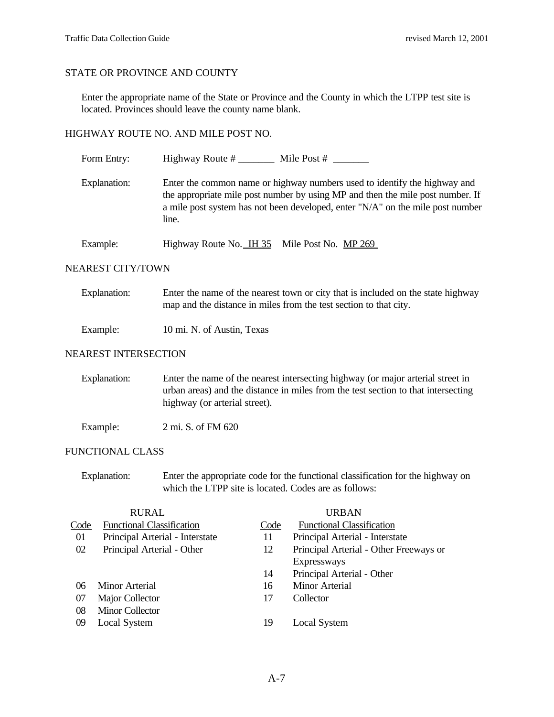### STATE OR PROVINCE AND COUNTY

Enter the appropriate name of the State or Province and the County in which the LTPP test site is located. Provinces should leave the county name blank.

HIGHWAY ROUTE NO. AND MILE POST NO.

| Form Entry:  | Highway Route # _________ Mile Post # ______                                                                                                                                                                                                           |
|--------------|--------------------------------------------------------------------------------------------------------------------------------------------------------------------------------------------------------------------------------------------------------|
| Explanation: | Enter the common name or highway numbers used to identify the highway and<br>the appropriate mile post number by using MP and then the mile post number. If<br>a mile post system has not been developed, enter "N/A" on the mile post number<br>line. |
| Example:     | Highway Route No. IH 35 Mile Post No. MP 269                                                                                                                                                                                                           |

### NEAREST CITY/TOWN

| Explanation: | Enter the name of the nearest town or city that is included on the state highway<br>map and the distance in miles from the test section to that city. |
|--------------|-------------------------------------------------------------------------------------------------------------------------------------------------------|
| Example:     | 10 mi. N. of Austin, Texas                                                                                                                            |

### NEAREST INTERSECTION

| Explanation: | Enter the name of the nearest intersecting highway (or major arterial street in   |
|--------------|-----------------------------------------------------------------------------------|
|              | urban areas) and the distance in miles from the test section to that intersecting |
|              | highway (or arterial street).                                                     |
|              |                                                                                   |

Example: 2 mi. S. of FM 620

#### FUNCTIONAL CLASS

Explanation: Enter the appropriate code for the functional classification for the highway on which the LTPP site is located. Codes are as follows:

|      | <b>RURAL</b>                     |      | <b>URBAN</b>                           |
|------|----------------------------------|------|----------------------------------------|
| Code | <b>Functional Classification</b> | Code | <b>Functional Classification</b>       |
| 01   | Principal Arterial - Interstate  | 11   | Principal Arterial - Interstate        |
| 02   | Principal Arterial - Other       | 12   | Principal Arterial - Other Freeways or |
|      |                                  |      | Expressways                            |
|      |                                  | 14   | Principal Arterial - Other             |
| 06   | Minor Arterial                   | 16   | Minor Arterial                         |
| 07   | Major Collector                  | 17   | Collector                              |
| 08   | Minor Collector                  |      |                                        |
| 09   | Local System                     | 19   | Local System                           |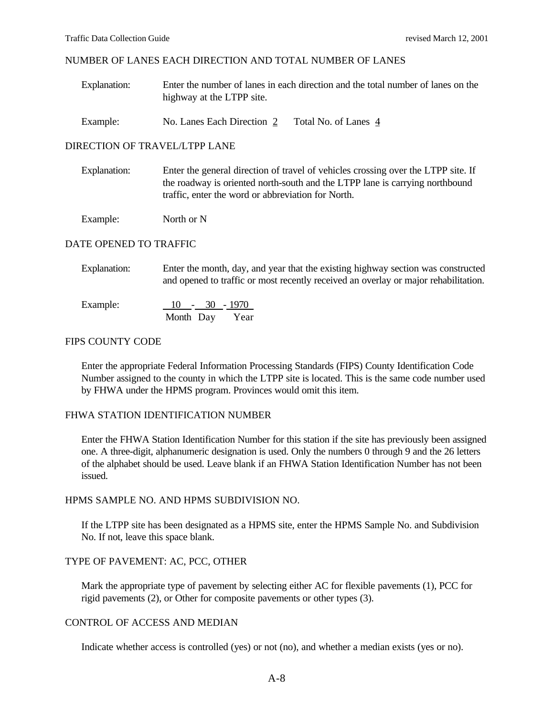#### NUMBER OF LANES EACH DIRECTION AND TOTAL NUMBER OF LANES

| <b>Explanation:</b> | Enter the number of lanes in each direction and the total number of lanes on the |
|---------------------|----------------------------------------------------------------------------------|
|                     | highway at the LTPP site.                                                        |

Example: No. Lanes Each Direction 2 Total No. of Lanes 4

#### DIRECTION OF TRAVEL/LTPP LANE

| Explanation: | Enter the general direction of travel of vehicles crossing over the LTPP site. If |
|--------------|-----------------------------------------------------------------------------------|
|              | the roadway is oriented north-south and the LTPP lane is carrying northbound      |
|              | traffic, enter the word or abbreviation for North.                                |

Example: North or N

#### DATE OPENED TO TRAFFIC

| Explanation: | Enter the month, day, and year that the existing highway section was constructed<br>and opened to traffic or most recently received an overlay or major rehabilitation. |
|--------------|-------------------------------------------------------------------------------------------------------------------------------------------------------------------------|
| Example:     | $10 - 30 - 1970$<br>Month Day Year                                                                                                                                      |

#### FIPS COUNTY CODE

Enter the appropriate Federal Information Processing Standards (FIPS) County Identification Code Number assigned to the county in which the LTPP site is located. This is the same code number used by FHWA under the HPMS program. Provinces would omit this item.

#### FHWA STATION IDENTIFICATION NUMBER

Enter the FHWA Station Identification Number for this station if the site has previously been assigned one. A three-digit, alphanumeric designation is used. Only the numbers 0 through 9 and the 26 letters of the alphabet should be used. Leave blank if an FHWA Station Identification Number has not been issued.

#### HPMS SAMPLE NO. AND HPMS SUBDIVISION NO.

If the LTPP site has been designated as a HPMS site, enter the HPMS Sample No. and Subdivision No. If not, leave this space blank.

#### TYPE OF PAVEMENT: AC, PCC, OTHER

Mark the appropriate type of pavement by selecting either AC for flexible pavements (1), PCC for rigid pavements (2), or Other for composite pavements or other types (3).

### CONTROL OF ACCESS AND MEDIAN

Indicate whether access is controlled (yes) or not (no), and whether a median exists (yes or no).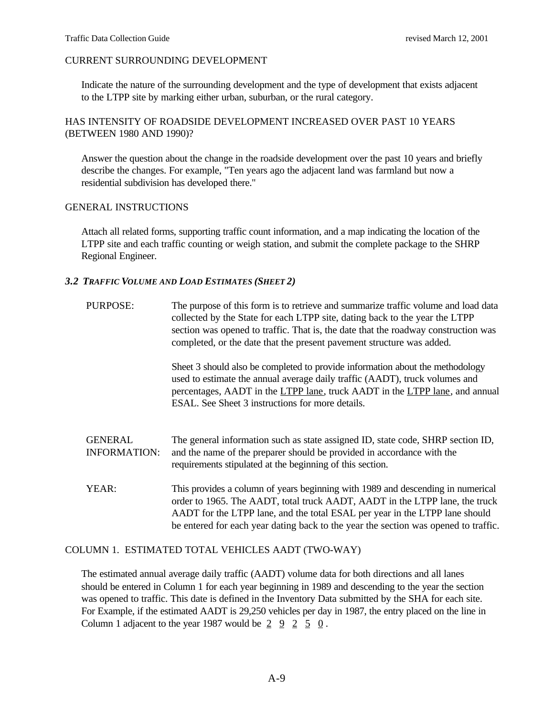#### CURRENT SURROUNDING DEVELOPMENT

Indicate the nature of the surrounding development and the type of development that exists adjacent to the LTPP site by marking either urban, suburban, or the rural category.

### HAS INTENSITY OF ROADSIDE DEVELOPMENT INCREASED OVER PAST 10 YEARS (BETWEEN 1980 AND 1990)?

Answer the question about the change in the roadside development over the past 10 years and briefly describe the changes. For example, "Ten years ago the adjacent land was farmland but now a residential subdivision has developed there."

#### GENERAL INSTRUCTIONS

Attach all related forms, supporting traffic count information, and a map indicating the location of the LTPP site and each traffic counting or weigh station, and submit the complete package to the SHRP Regional Engineer.

#### *3.2 TRAFFIC VOLUME AND LOAD ESTIMATES (SHEET 2)*

| PURPOSE:                              | The purpose of this form is to retrieve and summarize traffic volume and load data<br>collected by the State for each LTPP site, dating back to the year the LTPP<br>section was opened to traffic. That is, the date that the roadway construction was<br>completed, or the date that the present pavement structure was added.     |
|---------------------------------------|--------------------------------------------------------------------------------------------------------------------------------------------------------------------------------------------------------------------------------------------------------------------------------------------------------------------------------------|
|                                       | Sheet 3 should also be completed to provide information about the methodology<br>used to estimate the annual average daily traffic (AADT), truck volumes and<br>percentages, AADT in the LTPP lane, truck AADT in the LTPP lane, and annual<br>ESAL. See Sheet 3 instructions for more details.                                      |
| <b>GENERAL</b><br><b>INFORMATION:</b> | The general information such as state assigned ID, state code, SHRP section ID,<br>and the name of the preparer should be provided in accordance with the<br>requirements stipulated at the beginning of this section.                                                                                                               |
| YEAR:                                 | This provides a column of years beginning with 1989 and descending in numerical<br>order to 1965. The AADT, total truck AADT, AADT in the LTPP lane, the truck<br>AADT for the LTPP lane, and the total ESAL per year in the LTPP lane should<br>be entered for each year dating back to the year the section was opened to traffic. |

#### COLUMN 1. ESTIMATED TOTAL VEHICLES AADT (TWO-WAY)

The estimated annual average daily traffic (AADT) volume data for both directions and all lanes should be entered in Column 1 for each year beginning in 1989 and descending to the year the section was opened to traffic. This date is defined in the Inventory Data submitted by the SHA for each site. For Example, if the estimated AADT is 29,250 vehicles per day in 1987, the entry placed on the line in Column 1 adjacent to the year 1987 would be  $2 \times 9 \times 2 \times 5 \times 0$ .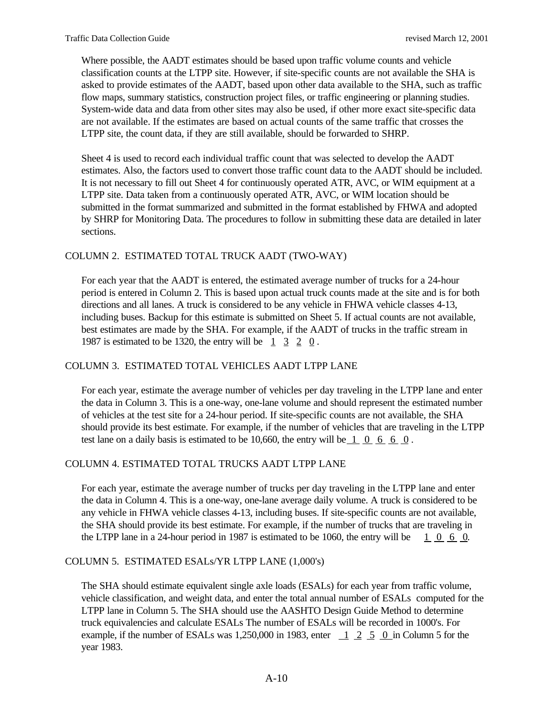Where possible, the AADT estimates should be based upon traffic volume counts and vehicle classification counts at the LTPP site. However, if site-specific counts are not available the SHA is asked to provide estimates of the AADT, based upon other data available to the SHA, such as traffic flow maps, summary statistics, construction project files, or traffic engineering or planning studies. System-wide data and data from other sites may also be used, if other more exact site-specific data are not available. If the estimates are based on actual counts of the same traffic that crosses the LTPP site, the count data, if they are still available, should be forwarded to SHRP.

Sheet 4 is used to record each individual traffic count that was selected to develop the AADT estimates. Also, the factors used to convert those traffic count data to the AADT should be included. It is not necessary to fill out Sheet 4 for continuously operated ATR, AVC, or WIM equipment at a LTPP site. Data taken from a continuously operated ATR, AVC, or WIM location should be submitted in the format summarized and submitted in the format established by FHWA and adopted by SHRP for Monitoring Data. The procedures to follow in submitting these data are detailed in later sections.

### COLUMN 2. ESTIMATED TOTAL TRUCK AADT (TWO-WAY)

For each year that the AADT is entered, the estimated average number of trucks for a 24-hour period is entered in Column 2. This is based upon actual truck counts made at the site and is for both directions and all lanes. A truck is considered to be any vehicle in FHWA vehicle classes 4-13, including buses. Backup for this estimate is submitted on Sheet 5. If actual counts are not available, best estimates are made by the SHA. For example, if the AADT of trucks in the traffic stream in 1987 is estimated to be 1320, the entry will be 1 3 2 0 .

### COLUMN 3. ESTIMATED TOTAL VEHICLES AADT LTPP LANE

For each year, estimate the average number of vehicles per day traveling in the LTPP lane and enter the data in Column 3. This is a one-way, one-lane volume and should represent the estimated number of vehicles at the test site for a 24-hour period. If site-specific counts are not available, the SHA should provide its best estimate. For example, if the number of vehicles that are traveling in the LTPP test lane on a daily basis is estimated to be 10,660, the entry will be  $1\quad 0\quad 6\quad 6\quad 0$ .

### COLUMN 4. ESTIMATED TOTAL TRUCKS AADT LTPP LANE

For each year, estimate the average number of trucks per day traveling in the LTPP lane and enter the data in Column 4. This is a one-way, one-lane average daily volume. A truck is considered to be any vehicle in FHWA vehicle classes 4-13, including buses. If site-specific counts are not available, the SHA should provide its best estimate. For example, if the number of trucks that are traveling in the LTPP lane in a 24-hour period in 1987 is estimated to be 1060, the entry will be  $1 \ 0 \ 6 \ 0$ .

### COLUMN 5. ESTIMATED ESALs/YR LTPP LANE (1,000's)

The SHA should estimate equivalent single axle loads (ESALs) for each year from traffic volume, vehicle classification, and weight data, and enter the total annual number of ESALs computed for the LTPP lane in Column 5. The SHA should use the AASHTO Design Guide Method to determine truck equivalencies and calculate ESALs The number of ESALs will be recorded in 1000's. For example, if the number of ESALs was 1,250,000 in 1983, enter  $\frac{1}{2}$   $\frac{2}{5}$   $\frac{6}{5}$  in Column 5 for the year 1983.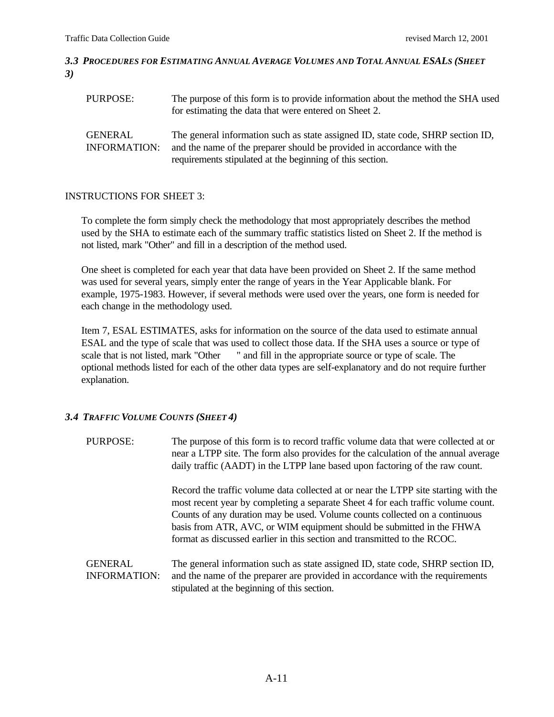### *3.3 PROCEDURES FOR ESTIMATING ANNUAL AVERAGE VOLUMES AND TOTAL ANNUAL ESALS (SHEET 3)*

| PURPOSE:                       | The purpose of this form is to provide information about the method the SHA used<br>for estimating the data that were entered on Sheet 2.                                                                              |
|--------------------------------|------------------------------------------------------------------------------------------------------------------------------------------------------------------------------------------------------------------------|
| GENERAL<br><b>INFORMATION:</b> | The general information such as state assigned ID, state code, SHRP section ID,<br>and the name of the preparer should be provided in accordance with the<br>requirements stipulated at the beginning of this section. |

#### INSTRUCTIONS FOR SHEET 3:

To complete the form simply check the methodology that most appropriately describes the method used by the SHA to estimate each of the summary traffic statistics listed on Sheet 2. If the method is not listed, mark "Other" and fill in a description of the method used.

One sheet is completed for each year that data have been provided on Sheet 2. If the same method was used for several years, simply enter the range of years in the Year Applicable blank. For example, 1975-1983. However, if several methods were used over the years, one form is needed for each change in the methodology used.

Item 7, ESAL ESTIMATES, asks for information on the source of the data used to estimate annual ESAL and the type of scale that was used to collect those data. If the SHA uses a source or type of scale that is not listed, mark "Other " and fill in the appropriate source or type of scale. The optional methods listed for each of the other data types are self-explanatory and do not require further explanation.

### *3.4 TRAFFIC VOLUME COUNTS (SHEET 4)*

| PURPOSE:                              | The purpose of this form is to record traffic volume data that were collected at or<br>near a LTPP site. The form also provides for the calculation of the annual average<br>daily traffic (AADT) in the LTPP lane based upon factoring of the raw count.                                                                                                                                                   |
|---------------------------------------|-------------------------------------------------------------------------------------------------------------------------------------------------------------------------------------------------------------------------------------------------------------------------------------------------------------------------------------------------------------------------------------------------------------|
|                                       | Record the traffic volume data collected at or near the LTPP site starting with the<br>most recent year by completing a separate Sheet 4 for each traffic volume count.<br>Counts of any duration may be used. Volume counts collected on a continuous<br>basis from ATR, AVC, or WIM equipment should be submitted in the FHWA<br>format as discussed earlier in this section and transmitted to the RCOC. |
| <b>GENERAL</b><br><b>INFORMATION:</b> | The general information such as state assigned ID, state code, SHRP section ID,<br>and the name of the preparer are provided in accordance with the requirements<br>stipulated at the beginning of this section.                                                                                                                                                                                            |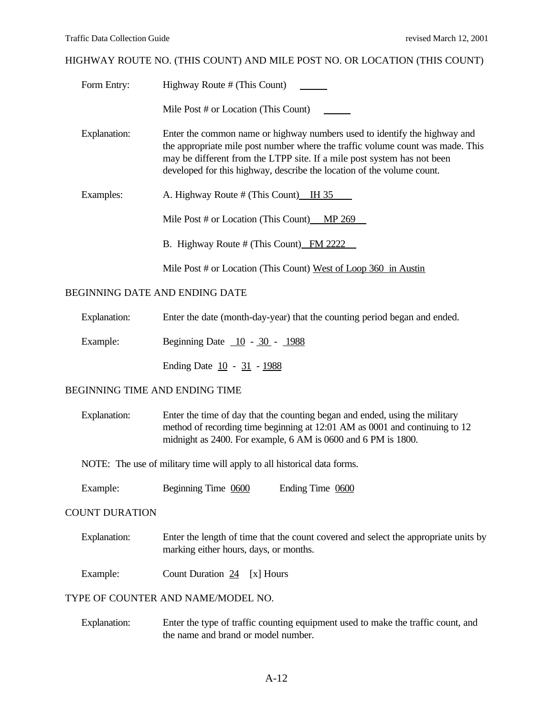#### HIGHWAY ROUTE NO. (THIS COUNT) AND MILE POST NO. OR LOCATION (THIS COUNT)

| Form Entry:  | Highway Route # (This Count)                                                                                                                                                                                                                                                                                     |  |  |
|--------------|------------------------------------------------------------------------------------------------------------------------------------------------------------------------------------------------------------------------------------------------------------------------------------------------------------------|--|--|
|              | Mile Post # or Location (This Count)                                                                                                                                                                                                                                                                             |  |  |
| Explanation: | Enter the common name or highway numbers used to identify the highway and<br>the appropriate mile post number where the traffic volume count was made. This<br>may be different from the LTPP site. If a mile post system has not been<br>developed for this highway, describe the location of the volume count. |  |  |
| Examples:    | A. Highway Route # (This Count) IH 35                                                                                                                                                                                                                                                                            |  |  |
|              | Mile Post $#$ or Location (This Count) MP 269                                                                                                                                                                                                                                                                    |  |  |
|              | B. Highway Route # (This Count) FM 2222                                                                                                                                                                                                                                                                          |  |  |
|              | Mile Post # or Location (This Count) West of Loop 360 in Austin                                                                                                                                                                                                                                                  |  |  |

#### BEGINNING DATE AND ENDING DATE

| <b>Explanation:</b> |  |  | Enter the date (month-day-year) that the counting period began and ended. |
|---------------------|--|--|---------------------------------------------------------------------------|
|                     |  |  |                                                                           |

Example: Beginning Date  $\underline{10}$  -  $\underline{30}$  -  $\underline{1988}$ 

Ending Date 10 - 31 - 1988

#### BEGINNING TIME AND ENDING TIME

| Explanation: | Enter the time of day that the counting began and ended, using the military |
|--------------|-----------------------------------------------------------------------------|
|              | method of recording time beginning at 12:01 AM as 0001 and continuing to 12 |
|              | midnight as 2400. For example, 6 AM is 0600 and 6 PM is 1800.               |

NOTE: The use of military time will apply to all historical data forms.

Example: Beginning Time  $\frac{0600}{0600}$  Ending Time  $\frac{0600}{0600}$ 

#### COUNT DURATION

- Explanation: Enter the length of time that the count covered and select the appropriate units by marking either hours, days, or months.
- Example: Count Duration 24 [x] Hours

#### TYPE OF COUNTER AND NAME/MODEL NO.

Explanation: Enter the type of traffic counting equipment used to make the traffic count, and the name and brand or model number.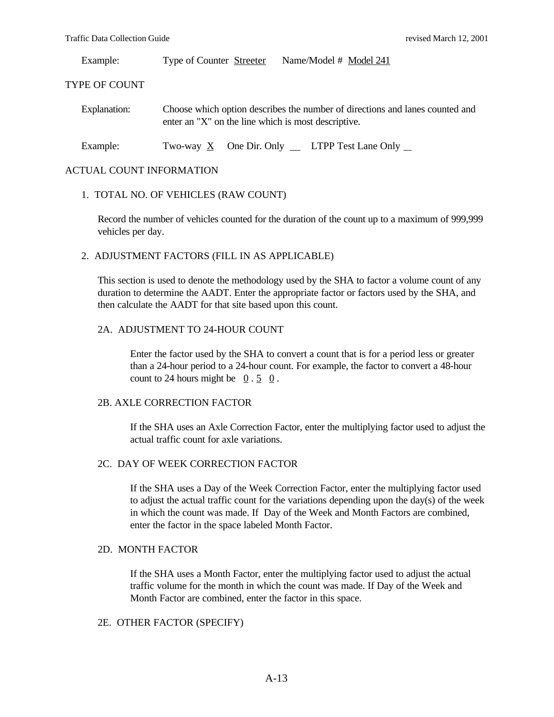Example: Type of Counter Streeter Name/Model # Model 241

### TYPE OF COUNT

| Explanation: | Choose which option describes the number of directions and lanes counted and<br>enter an "X" on the line which is most descriptive. |  |  |
|--------------|-------------------------------------------------------------------------------------------------------------------------------------|--|--|
| Example:     | Two-way $\underline{X}$ One Dir. Only __ LTPP Test Lane Only __                                                                     |  |  |

#### ACTUAL COUNT INFORMATION

#### 1. TOTAL NO. OF VEHICLES (RAW COUNT)

Record the number of vehicles counted for the duration of the count up to a maximum of 999,999 vehicles per day.

#### 2. ADJUSTMENT FACTORS (FILL IN AS APPLICABLE)

This section is used to denote the methodology used by the SHA to factor a volume count of any duration to determine the AADT. Enter the appropriate factor or factors used by the SHA, and then calculate the AADT for that site based upon this count.

#### 2A. ADJUSTMENT TO 24-HOUR COUNT

Enter the factor used by the SHA to convert a count that is for a period less or greater than a 24-hour period to a 24-hour count. For example, the factor to convert a 48-hour count to 24 hours might be  $0.\overline{5}$  0.

#### 2B. AXLE CORRECTION FACTOR

If the SHA uses an Axle Correction Factor, enter the multiplying factor used to adjust the actual traffic count for axle variations.

#### 2C. DAY OF WEEK CORRECTION FACTOR

If the SHA uses a Day of the Week Correction Factor, enter the multiplying factor used to adjust the actual traffic count for the variations depending upon the day(s) of the week in which the count was made. If Day of the Week and Month Factors are combined, enter the factor in the space labeled Month Factor.

#### 2D. MONTH FACTOR

If the SHA uses a Month Factor, enter the multiplying factor used to adjust the actual traffic volume for the month in which the count was made. If Day of the Week and Month Factor are combined, enter the factor in this space.

#### 2E. OTHER FACTOR (SPECIFY)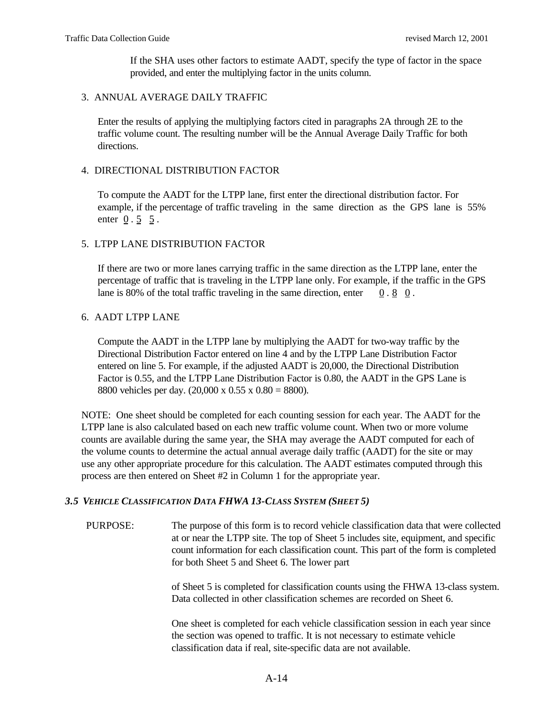If the SHA uses other factors to estimate AADT, specify the type of factor in the space provided, and enter the multiplying factor in the units column.

### 3. ANNUAL AVERAGE DAILY TRAFFIC

Enter the results of applying the multiplying factors cited in paragraphs 2A through 2E to the traffic volume count. The resulting number will be the Annual Average Daily Traffic for both directions.

### 4. DIRECTIONAL DISTRIBUTION FACTOR

To compute the AADT for the LTPP lane, first enter the directional distribution factor. For example, if the percentage of traffic traveling in the same direction as the GPS lane is 55% enter 0.5 5.

### 5. LTPP LANE DISTRIBUTION FACTOR

If there are two or more lanes carrying traffic in the same direction as the LTPP lane, enter the percentage of traffic that is traveling in the LTPP lane only. For example, if the traffic in the GPS lane is 80% of the total traffic traveling in the same direction, enter  $\qquad \underline{0} \cdot \underline{8} \cdot \underline{0}$ .

### 6. AADT LTPP LANE

Compute the AADT in the LTPP lane by multiplying the AADT for two-way traffic by the Directional Distribution Factor entered on line 4 and by the LTPP Lane Distribution Factor entered on line 5. For example, if the adjusted AADT is 20,000, the Directional Distribution Factor is 0.55, and the LTPP Lane Distribution Factor is 0.80, the AADT in the GPS Lane is 8800 vehicles per day. (20,000 x 0.55 x 0.80 = 8800).

NOTE: One sheet should be completed for each counting session for each year. The AADT for the LTPP lane is also calculated based on each new traffic volume count. When two or more volume counts are available during the same year, the SHA may average the AADT computed for each of the volume counts to determine the actual annual average daily traffic (AADT) for the site or may use any other appropriate procedure for this calculation. The AADT estimates computed through this process are then entered on Sheet #2 in Column 1 for the appropriate year.

### *3.5 VEHICLE CLASSIFICATION DATA FHWA 13-CLASS SYSTEM (SHEET 5)*

PURPOSE: The purpose of this form is to record vehicle classification data that were collected at or near the LTPP site. The top of Sheet 5 includes site, equipment, and specific count information for each classification count. This part of the form is completed for both Sheet 5 and Sheet 6. The lower part

> of Sheet 5 is completed for classification counts using the FHWA 13-class system. Data collected in other classification schemes are recorded on Sheet 6.

One sheet is completed for each vehicle classification session in each year since the section was opened to traffic. It is not necessary to estimate vehicle classification data if real, site-specific data are not available.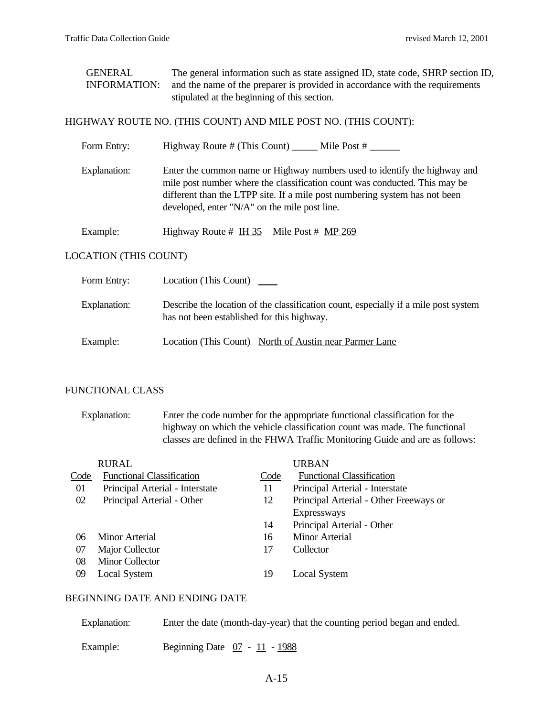| GENERAL      | The general information such as state assigned ID, state code, SHRP section ID, |
|--------------|---------------------------------------------------------------------------------|
| INFORMATION: | and the name of the preparer is provided in accordance with the requirements    |
|              | stipulated at the beginning of this section.                                    |

### HIGHWAY ROUTE NO. (THIS COUNT) AND MILE POST NO. (THIS COUNT):

| Form Entry:  | Highway Route # (This Count) ______ Mile Post # ______                                                                                                                                                                                                                                 |
|--------------|----------------------------------------------------------------------------------------------------------------------------------------------------------------------------------------------------------------------------------------------------------------------------------------|
| Explanation: | Enter the common name or Highway numbers used to identify the highway and<br>mile post number where the classification count was conducted. This may be<br>different than the LTPP site. If a mile post numbering system has not been<br>developed, enter "N/A" on the mile post line. |
| Example:     | Highway Route # $\underline{IH} 35$ Mile Post # MP 269                                                                                                                                                                                                                                 |

### LOCATION (THIS COUNT)

| Form Entry:  | Location (This Count)                                                                                                             |
|--------------|-----------------------------------------------------------------------------------------------------------------------------------|
| Explanation: | Describe the location of the classification count, especially if a mile post system<br>has not been established for this highway. |
| Example:     | Location (This Count) North of Austin near Parmer Lane                                                                            |

### FUNCTIONAL CLASS

Explanation: Enter the code number for the appropriate functional classification for the highway on which the vehicle classification count was made. The functional classes are defined in the FHWA Traffic Monitoring Guide and are as follows:

| RURAL |                                  |      | <b>URBAN</b>                           |
|-------|----------------------------------|------|----------------------------------------|
| Code  | <b>Functional Classification</b> | Code | <b>Functional Classification</b>       |
| 01    | Principal Arterial - Interstate  | 11   | Principal Arterial - Interstate        |
| 02    | Principal Arterial - Other       | 12   | Principal Arterial - Other Freeways or |
|       |                                  |      | Expressways                            |
|       |                                  | 14   | Principal Arterial - Other             |
| 06    | Minor Arterial                   | 16   | Minor Arterial                         |
| 07    | Major Collector                  | 17   | Collector                              |
| 08    | Minor Collector                  |      |                                        |
| 09    | Local System                     | 19   | Local System                           |

### BEGINNING DATE AND ENDING DATE

| Explanation: | Enter the date (month-day-year) that the counting period began and ended. |
|--------------|---------------------------------------------------------------------------|
| Example:     | Beginning Date $\overline{07}$ - $\overline{11}$ - 1988                   |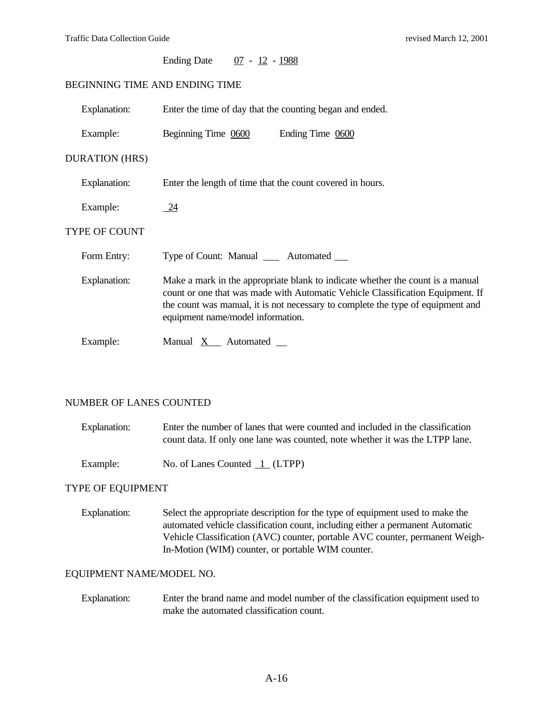Ending Date 07 - 12 - 1988

### BEGINNING TIME AND ENDING TIME

| Explanation:   | Enter the time of day that the counting began and ended.                                                                                                                                                                                                                                 |  |  |
|----------------|------------------------------------------------------------------------------------------------------------------------------------------------------------------------------------------------------------------------------------------------------------------------------------------|--|--|
| Example:       | Beginning Time 0600<br>Ending Time 0600                                                                                                                                                                                                                                                  |  |  |
| DURATION (HRS) |                                                                                                                                                                                                                                                                                          |  |  |
| Explanation:   | Enter the length of time that the count covered in hours.                                                                                                                                                                                                                                |  |  |
| Example:       | <u>24</u>                                                                                                                                                                                                                                                                                |  |  |
| TYPE OF COUNT  |                                                                                                                                                                                                                                                                                          |  |  |
| Form Entry:    | Type of Count: Manual ______ Automated _____                                                                                                                                                                                                                                             |  |  |
| Explanation:   | Make a mark in the appropriate blank to indicate whether the count is a manual<br>count or one that was made with Automatic Vehicle Classification Equipment. If<br>the count was manual, it is not necessary to complete the type of equipment and<br>equipment name/model information. |  |  |
| Example:       | Manual $X$ Automated $\Box$                                                                                                                                                                                                                                                              |  |  |

#### NUMBER OF LANES COUNTED

| Explanation: | Enter the number of lanes that were counted and included in the classification |
|--------------|--------------------------------------------------------------------------------|
|              | count data. If only one lane was counted, note whether it was the LTPP lane.   |
|              |                                                                                |

Example: No. of Lanes Counted  $\perp$  (LTPP)

### TYPE OF EQUIPMENT

Explanation: Select the appropriate description for the type of equipment used to make the automated vehicle classification count, including either a permanent Automatic Vehicle Classification (AVC) counter, portable AVC counter, permanent Weigh-In-Motion (WIM) counter, or portable WIM counter.

#### EQUIPMENT NAME/MODEL NO.

Explanation: Enter the brand name and model number of the classification equipment used to make the automated classification count.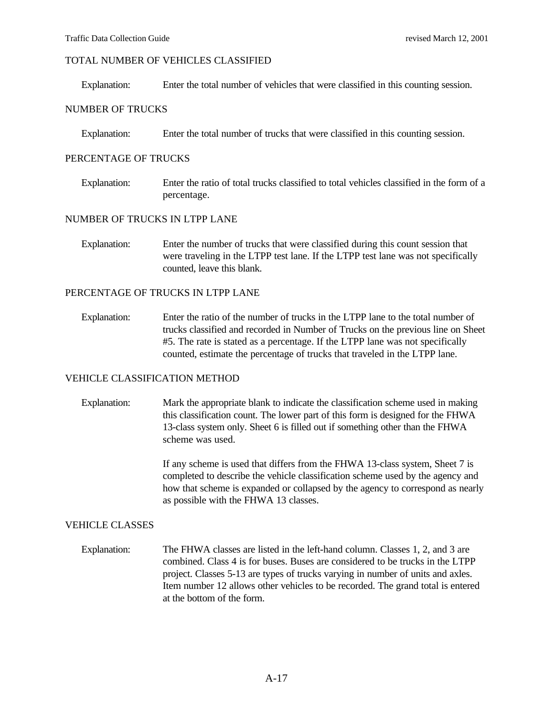#### TOTAL NUMBER OF VEHICLES CLASSIFIED

Explanation: Enter the total number of vehicles that were classified in this counting session.

#### NUMBER OF TRUCKS

Explanation: Enter the total number of trucks that were classified in this counting session.

#### PERCENTAGE OF TRUCKS

Explanation: Enter the ratio of total trucks classified to total vehicles classified in the form of a percentage.

### NUMBER OF TRUCKS IN LTPP LANE

Explanation: Enter the number of trucks that were classified during this count session that were traveling in the LTPP test lane. If the LTPP test lane was not specifically counted, leave this blank.

#### PERCENTAGE OF TRUCKS IN LTPP LANE

Explanation: Enter the ratio of the number of trucks in the LTPP lane to the total number of trucks classified and recorded in Number of Trucks on the previous line on Sheet #5. The rate is stated as a percentage. If the LTPP lane was not specifically counted, estimate the percentage of trucks that traveled in the LTPP lane.

#### VEHICLE CLASSIFICATION METHOD

Explanation: Mark the appropriate blank to indicate the classification scheme used in making this classification count. The lower part of this form is designed for the FHWA 13-class system only. Sheet 6 is filled out if something other than the FHWA scheme was used.

> If any scheme is used that differs from the FHWA 13-class system, Sheet 7 is completed to describe the vehicle classification scheme used by the agency and how that scheme is expanded or collapsed by the agency to correspond as nearly as possible with the FHWA 13 classes.

#### VEHICLE CLASSES

Explanation: The FHWA classes are listed in the left-hand column. Classes 1, 2, and 3 are combined. Class 4 is for buses. Buses are considered to be trucks in the LTPP project. Classes 5-13 are types of trucks varying in number of units and axles. Item number 12 allows other vehicles to be recorded. The grand total is entered at the bottom of the form.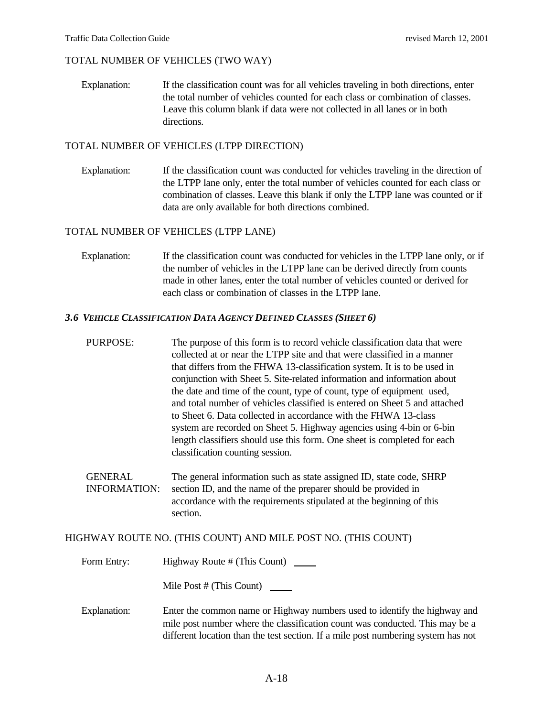#### TOTAL NUMBER OF VEHICLES (TWO WAY)

Explanation: If the classification count was for all vehicles traveling in both directions, enter the total number of vehicles counted for each class or combination of classes. Leave this column blank if data were not collected in all lanes or in both directions.

#### TOTAL NUMBER OF VEHICLES (LTPP DIRECTION)

Explanation: If the classification count was conducted for vehicles traveling in the direction of the LTPP lane only, enter the total number of vehicles counted for each class or combination of classes. Leave this blank if only the LTPP lane was counted or if data are only available for both directions combined.

#### TOTAL NUMBER OF VEHICLES (LTPP LANE)

Explanation: If the classification count was conducted for vehicles in the LTPP lane only, or if the number of vehicles in the LTPP lane can be derived directly from counts made in other lanes, enter the total number of vehicles counted or derived for each class or combination of classes in the LTPP lane.

#### *3.6 VEHICLE CLASSIFICATION DATA AGENCY DEFINED CLASSES (SHEET 6)*

- PURPOSE: The purpose of this form is to record vehicle classification data that were collected at or near the LTPP site and that were classified in a manner that differs from the FHWA 13-classification system. It is to be used in conjunction with Sheet 5. Site-related information and information about the date and time of the count, type of count, type of equipment used, and total number of vehicles classified is entered on Sheet 5 and attached to Sheet 6. Data collected in accordance with the FHWA 13-class system are recorded on Sheet 5. Highway agencies using 4-bin or 6-bin length classifiers should use this form. One sheet is completed for each classification counting session.
- GENERAL INFORMATION: The general information such as state assigned ID, state code, SHRP section ID, and the name of the preparer should be provided in accordance with the requirements stipulated at the beginning of this section.

HIGHWAY ROUTE NO. (THIS COUNT) AND MILE POST NO. (THIS COUNT)

Form Entry: Highway Route # (This Count) \_\_\_\_\_

Mile Post # (This Count) \_\_\_\_\_\_

Explanation: Enter the common name or Highway numbers used to identify the highway and mile post number where the classification count was conducted. This may be a different location than the test section. If a mile post numbering system has not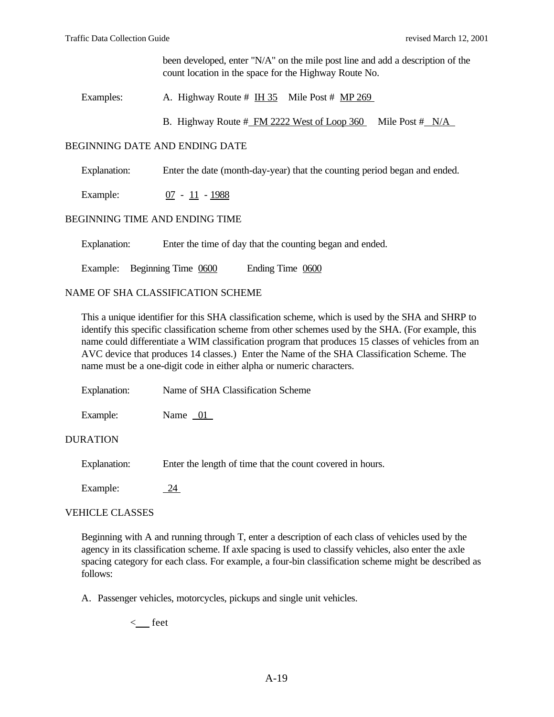been developed, enter "N/A" on the mile post line and add a description of the count location in the space for the Highway Route No.

- Examples: A. Highway Route # IH 35 Mile Post # MP 269
	- B. Highway Route # FM 2222 West of Loop 360 Mile Post # N/A

#### BEGINNING DATE AND ENDING DATE

Explanation: Enter the date (month-day-year) that the counting period began and ended.

Example: 07 - 11 - 1988

#### BEGINNING TIME AND ENDING TIME

Explanation: Enter the time of day that the counting began and ended.

Example: Beginning Time  $\frac{0600}{0600}$  Ending Time  $\frac{0600}{0600}$ 

#### NAME OF SHA CLASSIFICATION SCHEME

This a unique identifier for this SHA classification scheme, which is used by the SHA and SHRP to identify this specific classification scheme from other schemes used by the SHA. (For example, this name could differentiate a WIM classification program that produces 15 classes of vehicles from an AVC device that produces 14 classes.) Enter the Name of the SHA Classification Scheme. The name must be a one-digit code in either alpha or numeric characters.

| Explanation: | Name of SHA Classification Scheme |  |
|--------------|-----------------------------------|--|
|              |                                   |  |

Example: Name 01

### DURATION

Explanation: Enter the length of time that the count covered in hours.

Example: 24

#### VEHICLE CLASSES

Beginning with A and running through T, enter a description of each class of vehicles used by the agency in its classification scheme. If axle spacing is used to classify vehicles, also enter the axle spacing category for each class. For example, a four-bin classification scheme might be described as follows:

A. Passenger vehicles, motorcycles, pickups and single unit vehicles.

 $\leq$  feet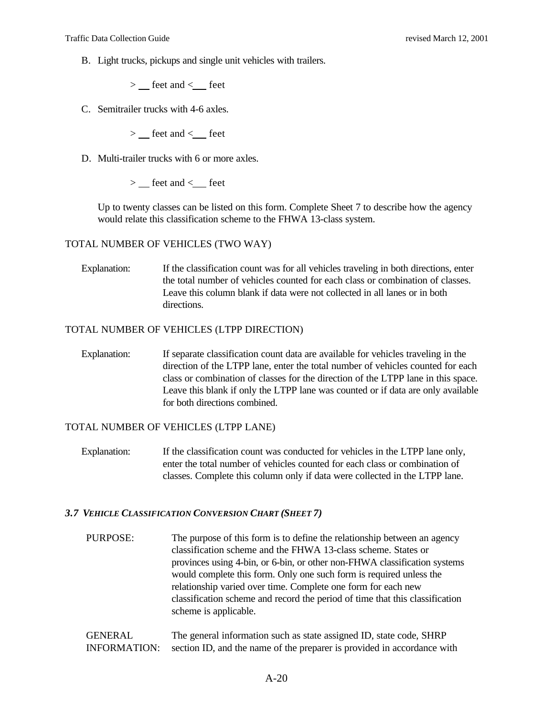B. Light trucks, pickups and single unit vehicles with trailers.

> feet and < feet

C. Semitrailer trucks with 4-6 axles.

> feet and < feet

- D. Multi-trailer trucks with 6 or more axles.
	- $>$  feet and  $<$  feet

Up to twenty classes can be listed on this form. Complete Sheet 7 to describe how the agency would relate this classification scheme to the FHWA 13-class system.

### TOTAL NUMBER OF VEHICLES (TWO WAY)

Explanation: If the classification count was for all vehicles traveling in both directions, enter the total number of vehicles counted for each class or combination of classes. Leave this column blank if data were not collected in all lanes or in both directions.

### TOTAL NUMBER OF VEHICLES (LTPP DIRECTION)

Explanation: If separate classification count data are available for vehicles traveling in the direction of the LTPP lane, enter the total number of vehicles counted for each class or combination of classes for the direction of the LTPP lane in this space. Leave this blank if only the LTPP lane was counted or if data are only available for both directions combined.

#### TOTAL NUMBER OF VEHICLES (LTPP LANE)

Explanation: If the classification count was conducted for vehicles in the LTPP lane only, enter the total number of vehicles counted for each class or combination of classes. Complete this column only if data were collected in the LTPP lane.

### *3.7 VEHICLE CLASSIFICATION CONVERSION CHART (SHEET 7)*

PURPOSE: The purpose of this form is to define the relationship between an agency classification scheme and the FHWA 13-class scheme. States or provinces using 4-bin, or 6-bin, or other non-FHWA classification systems would complete this form. Only one such form is required unless the relationship varied over time. Complete one form for each new classification scheme and record the period of time that this classification scheme is applicable.

#### GENERAL INFORMATION: The general information such as state assigned ID, state code, SHRP section ID, and the name of the preparer is provided in accordance with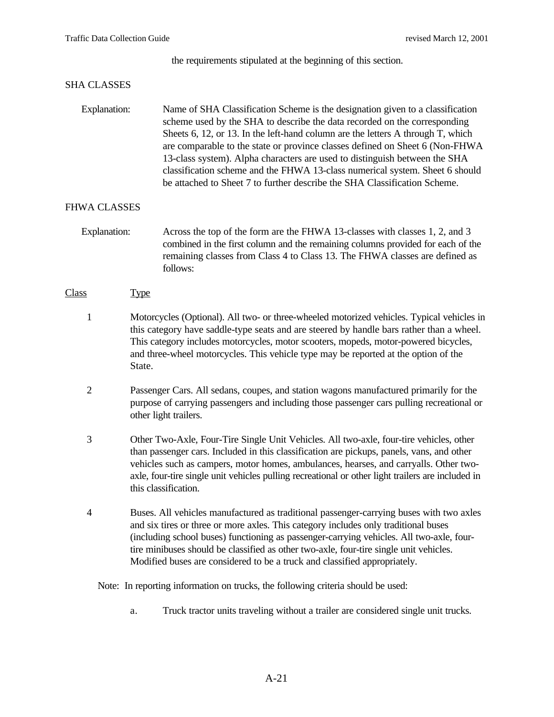#### the requirements stipulated at the beginning of this section.

### SHA CLASSES

Explanation: Name of SHA Classification Scheme is the designation given to a classification scheme used by the SHA to describe the data recorded on the corresponding Sheets 6, 12, or 13. In the left-hand column are the letters A through T, which are comparable to the state or province classes defined on Sheet 6 (Non-FHWA 13-class system). Alpha characters are used to distinguish between the SHA classification scheme and the FHWA 13-class numerical system. Sheet 6 should be attached to Sheet 7 to further describe the SHA Classification Scheme.

### FHWA CLASSES

Explanation: Across the top of the form are the FHWA 13-classes with classes 1, 2, and 3 combined in the first column and the remaining columns provided for each of the remaining classes from Class 4 to Class 13. The FHWA classes are defined as follows:

#### Class Type

- 1 Motorcycles (Optional). All two- or three-wheeled motorized vehicles. Typical vehicles in this category have saddle-type seats and are steered by handle bars rather than a wheel. This category includes motorcycles, motor scooters, mopeds, motor-powered bicycles, and three-wheel motorcycles. This vehicle type may be reported at the option of the State.
- 2 Passenger Cars. All sedans, coupes, and station wagons manufactured primarily for the purpose of carrying passengers and including those passenger cars pulling recreational or other light trailers.
- 3 Other Two-Axle, Four-Tire Single Unit Vehicles. All two-axle, four-tire vehicles, other than passenger cars. Included in this classification are pickups, panels, vans, and other vehicles such as campers, motor homes, ambulances, hearses, and carryalls. Other twoaxle, four-tire single unit vehicles pulling recreational or other light trailers are included in this classification.
- 4 Buses. All vehicles manufactured as traditional passenger-carrying buses with two axles and six tires or three or more axles. This category includes only traditional buses (including school buses) functioning as passenger-carrying vehicles. All two-axle, fourtire minibuses should be classified as other two-axle, four-tire single unit vehicles. Modified buses are considered to be a truck and classified appropriately.

Note: In reporting information on trucks, the following criteria should be used:

a. Truck tractor units traveling without a trailer are considered single unit trucks.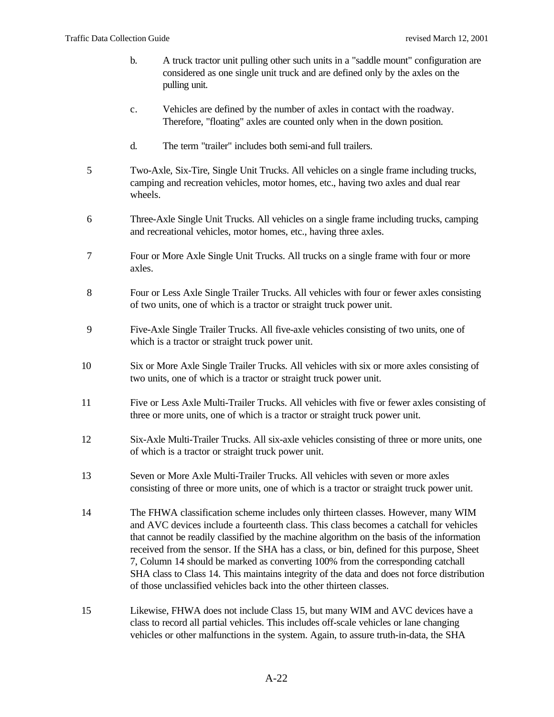- b. A truck tractor unit pulling other such units in a "saddle mount" configuration are considered as one single unit truck and are defined only by the axles on the pulling unit.
- c. Vehicles are defined by the number of axles in contact with the roadway. Therefore, "floating" axles are counted only when in the down position.
- d. The term "trailer" includes both semi-and full trailers.
- 5 Two-Axle, Six-Tire, Single Unit Trucks. All vehicles on a single frame including trucks, camping and recreation vehicles, motor homes, etc., having two axles and dual rear wheels.
- 6 Three-Axle Single Unit Trucks. All vehicles on a single frame including trucks, camping and recreational vehicles, motor homes, etc., having three axles.
- 7 Four or More Axle Single Unit Trucks. All trucks on a single frame with four or more axles.
- 8 Four or Less Axle Single Trailer Trucks. All vehicles with four or fewer axles consisting of two units, one of which is a tractor or straight truck power unit.
- 9 Five-Axle Single Trailer Trucks. All five-axle vehicles consisting of two units, one of which is a tractor or straight truck power unit.
- 10 Six or More Axle Single Trailer Trucks. All vehicles with six or more axles consisting of two units, one of which is a tractor or straight truck power unit.
- 11 Five or Less Axle Multi-Trailer Trucks. All vehicles with five or fewer axles consisting of three or more units, one of which is a tractor or straight truck power unit.
- 12 Six-Axle Multi-Trailer Trucks. All six-axle vehicles consisting of three or more units, one of which is a tractor or straight truck power unit.
- 13 Seven or More Axle Multi-Trailer Trucks. All vehicles with seven or more axles consisting of three or more units, one of which is a tractor or straight truck power unit.
- 14 The FHWA classification scheme includes only thirteen classes. However, many WIM and AVC devices include a fourteenth class. This class becomes a catchall for vehicles that cannot be readily classified by the machine algorithm on the basis of the information received from the sensor. If the SHA has a class, or bin, defined for this purpose, Sheet 7, Column 14 should be marked as converting 100% from the corresponding catchall SHA class to Class 14. This maintains integrity of the data and does not force distribution of those unclassified vehicles back into the other thirteen classes.
- 15 Likewise, FHWA does not include Class 15, but many WIM and AVC devices have a class to record all partial vehicles. This includes off-scale vehicles or lane changing vehicles or other malfunctions in the system. Again, to assure truth-in-data, the SHA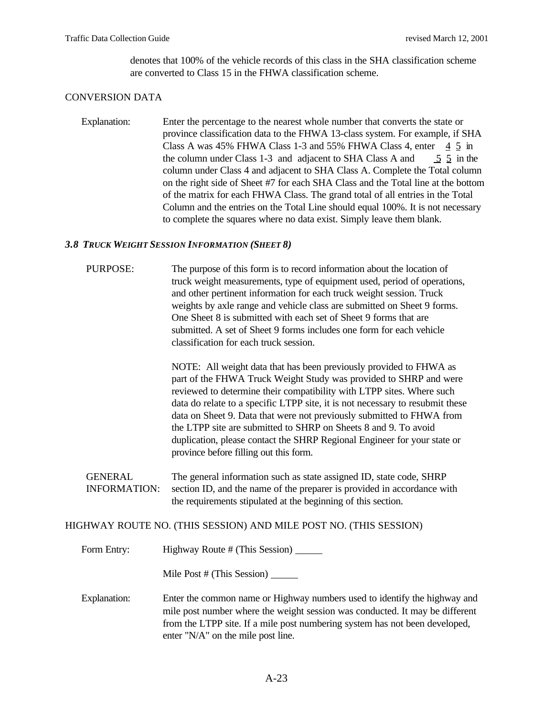denotes that 100% of the vehicle records of this class in the SHA classification scheme are converted to Class 15 in the FHWA classification scheme.

#### CONVERSION DATA

Explanation: Enter the percentage to the nearest whole number that converts the state or province classification data to the FHWA 13-class system. For example, if SHA Class A was 45% FHWA Class 1-3 and 55% FHWA Class 4, enter 4 5 in the column under Class 1-3 and adjacent to SHA Class A and  $\frac{5}{5}$  in the column under Class 4 and adjacent to SHA Class A. Complete the Total column on the right side of Sheet #7 for each SHA Class and the Total line at the bottom of the matrix for each FHWA Class. The grand total of all entries in the Total Column and the entries on the Total Line should equal 100%. It is not necessary to complete the squares where no data exist. Simply leave them blank.

#### *3.8 TRUCK WEIGHT SESSION INFORMATION (SHEET 8)*

PURPOSE: The purpose of this form is to record information about the location of truck weight measurements, type of equipment used, period of operations, and other pertinent information for each truck weight session. Truck weights by axle range and vehicle class are submitted on Sheet 9 forms. One Sheet 8 is submitted with each set of Sheet 9 forms that are submitted. A set of Sheet 9 forms includes one form for each vehicle classification for each truck session.

> NOTE: All weight data that has been previously provided to FHWA as part of the FHWA Truck Weight Study was provided to SHRP and were reviewed to determine their compatibility with LTPP sites. Where such data do relate to a specific LTPP site, it is not necessary to resubmit these data on Sheet 9. Data that were not previously submitted to FHWA from the LTPP site are submitted to SHRP on Sheets 8 and 9. To avoid duplication, please contact the SHRP Regional Engineer for your state or province before filling out this form.

GENERAL INFORMATION: The general information such as state assigned ID, state code, SHRP section ID, and the name of the preparer is provided in accordance with the requirements stipulated at the beginning of this section.

HIGHWAY ROUTE NO. (THIS SESSION) AND MILE POST NO. (THIS SESSION)

Form Entry: Highway Route # (This Session) \_\_\_\_\_\_

Mile Post # (This Session)

Explanation: Enter the common name or Highway numbers used to identify the highway and mile post number where the weight session was conducted. It may be different from the LTPP site. If a mile post numbering system has not been developed, enter "N/A" on the mile post line.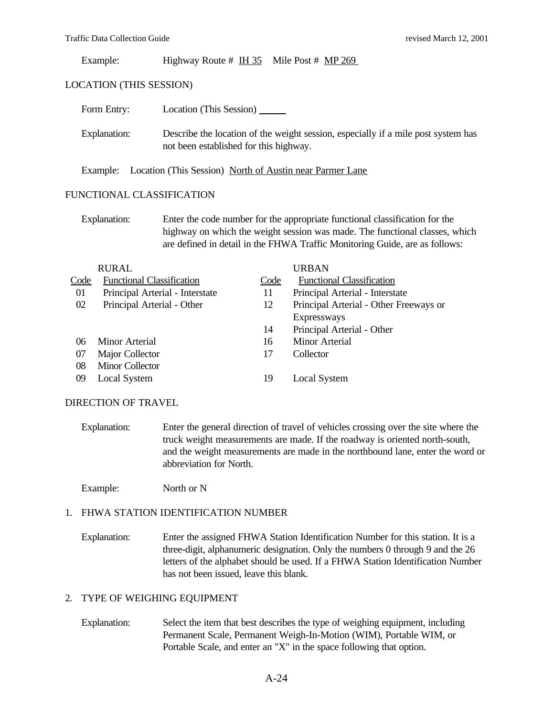Example: Highway Route # IH 35 Mile Post # MP 269

#### LOCATION (THIS SESSION)

| Form Entry:  | Location (This Session) _______                                                                                             |
|--------------|-----------------------------------------------------------------------------------------------------------------------------|
| Explanation: | Describe the location of the weight session, especially if a mile post system has<br>not been established for this highway. |

Example: Location (This Session) North of Austin near Parmer Lane

#### FUNCTIONAL CLASSIFICATION

Explanation: Enter the code number for the appropriate functional classification for the highway on which the weight session was made. The functional classes, which are defined in detail in the FHWA Traffic Monitoring Guide, are as follows:

| <b>RURAL</b> |                                  |      | <b>URBAN</b>                           |
|--------------|----------------------------------|------|----------------------------------------|
| Code         | <b>Functional Classification</b> | Code | <b>Functional Classification</b>       |
| 01           | Principal Arterial - Interstate  | 11   | Principal Arterial - Interstate        |
| 02           | Principal Arterial - Other       | 12   | Principal Arterial - Other Freeways or |
|              |                                  |      | Expressways                            |
|              |                                  | 14   | Principal Arterial - Other             |
| 06           | Minor Arterial                   | 16   | Minor Arterial                         |
| 07           | Major Collector                  | 17   | Collector                              |
| 08           | Minor Collector                  |      |                                        |
| 09           | Local System                     | 19   | Local System                           |

#### DIRECTION OF TRAVEL

Explanation: Enter the general direction of travel of vehicles crossing over the site where the truck weight measurements are made. If the roadway is oriented north-south, and the weight measurements are made in the northbound lane, enter the word or abbreviation for North.

Example: North or N

#### 1. FHWA STATION IDENTIFICATION NUMBER

Explanation: Enter the assigned FHWA Station Identification Number for this station. It is a three-digit, alphanumeric designation. Only the numbers 0 through 9 and the 26 letters of the alphabet should be used. If a FHWA Station Identification Number has not been issued, leave this blank.

#### 2. TYPE OF WEIGHING EQUIPMENT

Explanation: Select the item that best describes the type of weighing equipment, including Permanent Scale, Permanent Weigh-In-Motion (WIM), Portable WIM, or Portable Scale, and enter an "X" in the space following that option.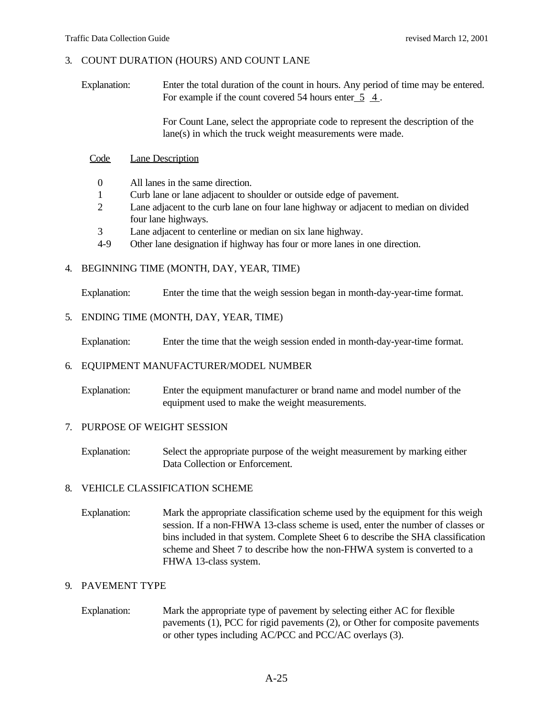# 3. COUNT DURATION (HOURS) AND COUNT LANE

Explanation: Enter the total duration of the count in hours. Any period of time may be entered. For example if the count covered 54 hours enter  $\frac{5}{9}$   $\frac{4}{9}$ .

> For Count Lane, select the appropriate code to represent the description of the lane(s) in which the truck weight measurements were made.

#### Code Lane Description

- 0 All lanes in the same direction.
- 1 Curb lane or lane adjacent to shoulder or outside edge of pavement.
- 2 Lane adjacent to the curb lane on four lane highway or adjacent to median on divided four lane highways.
- 3 Lane adjacent to centerline or median on six lane highway.
- 4-9 Other lane designation if highway has four or more lanes in one direction.

## 4. BEGINNING TIME (MONTH, DAY, YEAR, TIME)

Explanation: Enter the time that the weigh session began in month-day-year-time format.

- 5. ENDING TIME (MONTH, DAY, YEAR, TIME)
	- Explanation: Enter the time that the weigh session ended in month-day-year-time format.

#### 6. EQUIPMENT MANUFACTURER/MODEL NUMBER

Explanation: Enter the equipment manufacturer or brand name and model number of the equipment used to make the weight measurements.

#### 7. PURPOSE OF WEIGHT SESSION

Explanation: Select the appropriate purpose of the weight measurement by marking either Data Collection or Enforcement.

#### 8. VEHICLE CLASSIFICATION SCHEME

Explanation: Mark the appropriate classification scheme used by the equipment for this weigh session. If a non-FHWA 13-class scheme is used, enter the number of classes or bins included in that system. Complete Sheet 6 to describe the SHA classification scheme and Sheet 7 to describe how the non-FHWA system is converted to a FHWA 13-class system.

#### 9. PAVEMENT TYPE

Explanation: Mark the appropriate type of pavement by selecting either AC for flexible pavements (1), PCC for rigid pavements (2), or Other for composite pavements or other types including AC/PCC and PCC/AC overlays (3).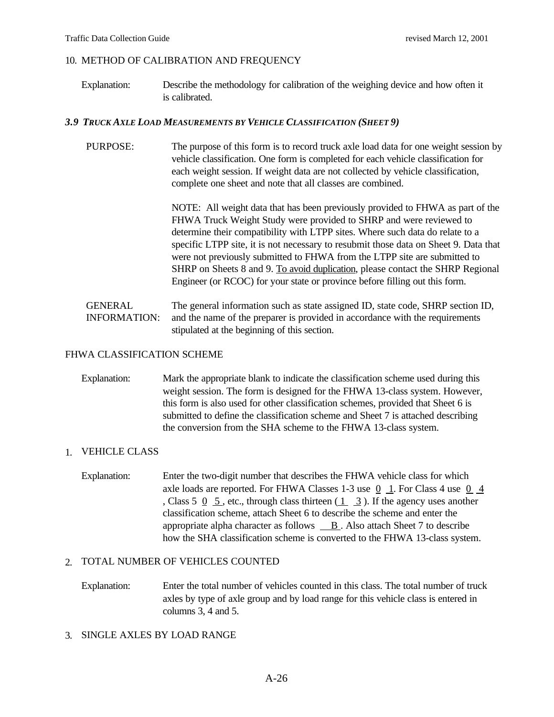#### 10. METHOD OF CALIBRATION AND FREQUENCY

Explanation: Describe the methodology for calibration of the weighing device and how often it is calibrated.

#### *3.9 TRUCK AXLE LOAD MEASUREMENTS BY VEHICLE CLASSIFICATION (SHEET 9)*

PURPOSE: The purpose of this form is to record truck axle load data for one weight session by vehicle classification. One form is completed for each vehicle classification for each weight session. If weight data are not collected by vehicle classification, complete one sheet and note that all classes are combined.

> NOTE: All weight data that has been previously provided to FHWA as part of the FHWA Truck Weight Study were provided to SHRP and were reviewed to determine their compatibility with LTPP sites. Where such data do relate to a specific LTPP site, it is not necessary to resubmit those data on Sheet 9. Data that were not previously submitted to FHWA from the LTPP site are submitted to SHRP on Sheets 8 and 9. To avoid duplication, please contact the SHRP Regional Engineer (or RCOC) for your state or province before filling out this form.

#### GENERAL INFORMATION: The general information such as state assigned ID, state code, SHRP section ID, and the name of the preparer is provided in accordance with the requirements stipulated at the beginning of this section.

#### FHWA CLASSIFICATION SCHEME

Explanation: Mark the appropriate blank to indicate the classification scheme used during this weight session. The form is designed for the FHWA 13-class system. However, this form is also used for other classification schemes, provided that Sheet 6 is submitted to define the classification scheme and Sheet 7 is attached describing the conversion from the SHA scheme to the FHWA 13-class system.

#### 1. VEHICLE CLASS

Explanation: Enter the two-digit number that describes the FHWA vehicle class for which axle loads are reported. For FHWA Classes 1-3 use 0 1. For Class 4 use 0 4 , Class 5  $\overline{0}$  5, etc., through class thirteen  $(1\overline{3})$ . If the agency uses another classification scheme, attach Sheet 6 to describe the scheme and enter the appropriate alpha character as follows  $\underline{B}$ . Also attach Sheet 7 to describe how the SHA classification scheme is converted to the FHWA 13-class system.

#### 2. TOTAL NUMBER OF VEHICLES COUNTED

Explanation: Enter the total number of vehicles counted in this class. The total number of truck axles by type of axle group and by load range for this vehicle class is entered in columns 3, 4 and 5.

#### 3. SINGLE AXLES BY LOAD RANGE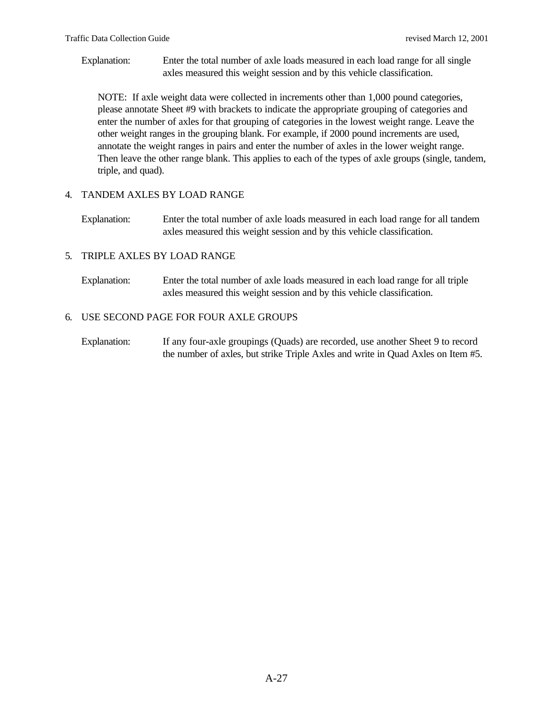Explanation: Enter the total number of axle loads measured in each load range for all single axles measured this weight session and by this vehicle classification.

NOTE: If axle weight data were collected in increments other than 1,000 pound categories, please annotate Sheet #9 with brackets to indicate the appropriate grouping of categories and enter the number of axles for that grouping of categories in the lowest weight range. Leave the other weight ranges in the grouping blank. For example, if 2000 pound increments are used, annotate the weight ranges in pairs and enter the number of axles in the lower weight range. Then leave the other range blank. This applies to each of the types of axle groups (single, tandem, triple, and quad).

# 4. TANDEM AXLES BY LOAD RANGE

Explanation: Enter the total number of axle loads measured in each load range for all tandem axles measured this weight session and by this vehicle classification.

## 5. TRIPLE AXLES BY LOAD RANGE

Explanation: Enter the total number of axle loads measured in each load range for all triple axles measured this weight session and by this vehicle classification.

#### 6. USE SECOND PAGE FOR FOUR AXLE GROUPS

Explanation: If any four-axle groupings (Quads) are recorded, use another Sheet 9 to record the number of axles, but strike Triple Axles and write in Quad Axles on Item #5.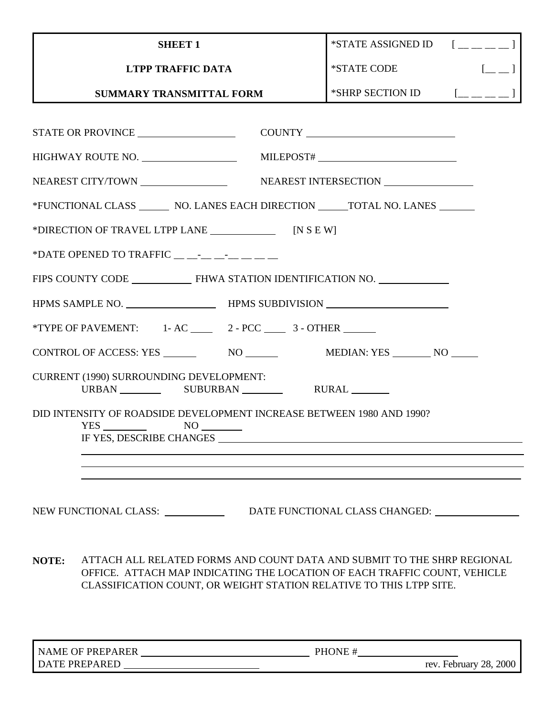| <b>SHEET 1</b>                                                                       | *STATE ASSIGNED ID $[\_\_\_\_\_\_\_\_\_\_\_$                                                                                                                                   |
|--------------------------------------------------------------------------------------|--------------------------------------------------------------------------------------------------------------------------------------------------------------------------------|
| <b>LTPP TRAFFIC DATA</b>                                                             | $[-1]$<br>*STATE CODE                                                                                                                                                          |
| <b>SUMMARY TRANSMITTAL FORM</b>                                                      | $[\underline{\qquad} \underline{\qquad} \underline{\qquad} \underline{\qquad} \underline{\qquad} \underline{\qquad} \underline{\qquad} \underline{\qquad}$<br>*SHRP SECTION ID |
|                                                                                      |                                                                                                                                                                                |
|                                                                                      |                                                                                                                                                                                |
|                                                                                      |                                                                                                                                                                                |
|                                                                                      |                                                                                                                                                                                |
| *FUNCTIONAL CLASS ________ NO. LANES EACH DIRECTION ______TOTAL NO. LANES _______    |                                                                                                                                                                                |
|                                                                                      |                                                                                                                                                                                |
| *DATE OPENED TO TRAFFIC _____________                                                |                                                                                                                                                                                |
|                                                                                      |                                                                                                                                                                                |
|                                                                                      |                                                                                                                                                                                |
| <i>*</i> TYPE OF PAVEMENT: $1-AC \_ 2-PCC \_ 3-OTHER \_$                             |                                                                                                                                                                                |
|                                                                                      |                                                                                                                                                                                |
| CURRENT (1990) SURROUNDING DEVELOPMENT:                                              |                                                                                                                                                                                |
| DID INTENSITY OF ROADSIDE DEVELOPMENT INCREASE BETWEEN 1980 AND 1990?<br>$YES$ NO NO |                                                                                                                                                                                |
|                                                                                      |                                                                                                                                                                                |
|                                                                                      |                                                                                                                                                                                |
| NEW FUNCTIONAL CLASS: DATE FUNCTIONAL CLASS CHANGED:                                 |                                                                                                                                                                                |
|                                                                                      |                                                                                                                                                                                |

**NOTE:** ATTACH ALL RELATED FORMS AND COUNT DATA AND SUBMIT TO THE SHRP REGIONAL OFFICE. ATTACH MAP INDICATING THE LOCATION OF EACH TRAFFIC COUNT, VEHICLE CLASSIFICATION COUNT, OR WEIGHT STATION RELATIVE TO THIS LTPP SITE.

| NAME OF PREPARER | HONE. |                        |
|------------------|-------|------------------------|
| I DATE PREPARED  |       | rev. February 28, 2000 |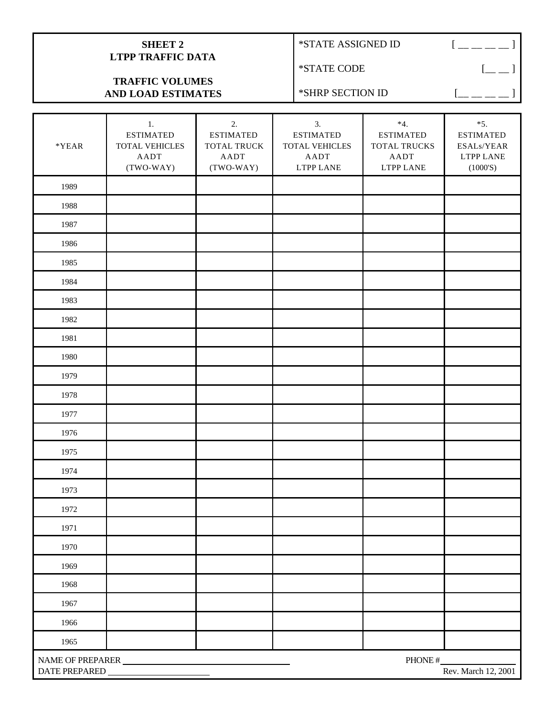# **SHEET 2 LTPP TRAFFIC DATA**

# \*STATE ASSIGNED ID  $[\_\_ \_\_ \_ \_ \_ \]$

# **TRAFFIC VOLUMES AND LOAD ESTIMATES**

\*STATE CODE  $\begin{bmatrix} - & -1 \end{bmatrix}$ 

\*SHRP SECTION ID  $[$ <sub>\_\_\_</sub>\_\_\_ ]

| $*{\bf YEAR}$ | 1.<br><b>ESTIMATED</b><br>TOTAL VEHICLES<br>AADT<br>$(TWO-WAY)$ | 2.<br><b>ESTIMATED</b><br>TOTAL TRUCK<br>AADT<br>$(TWO-WAY)$ | 3.<br><b>ESTIMATED</b><br>TOTAL VEHICLES<br>AADT<br><b>LTPP LANE</b> | $*4.$<br><b>ESTIMATED</b><br>TOTAL TRUCKS<br>AADT<br><b>LTPP LANE</b> | $*5.$<br><b>ESTIMATED</b><br>ESALs/YEAR<br><b>LTPP LANE</b><br>(1000'S) |
|---------------|-----------------------------------------------------------------|--------------------------------------------------------------|----------------------------------------------------------------------|-----------------------------------------------------------------------|-------------------------------------------------------------------------|
| 1989          |                                                                 |                                                              |                                                                      |                                                                       |                                                                         |
| 1988          |                                                                 |                                                              |                                                                      |                                                                       |                                                                         |
| 1987          |                                                                 |                                                              |                                                                      |                                                                       |                                                                         |
| 1986          |                                                                 |                                                              |                                                                      |                                                                       |                                                                         |
| 1985          |                                                                 |                                                              |                                                                      |                                                                       |                                                                         |
| 1984          |                                                                 |                                                              |                                                                      |                                                                       |                                                                         |
| 1983          |                                                                 |                                                              |                                                                      |                                                                       |                                                                         |
| 1982          |                                                                 |                                                              |                                                                      |                                                                       |                                                                         |
| 1981          |                                                                 |                                                              |                                                                      |                                                                       |                                                                         |
| 1980          |                                                                 |                                                              |                                                                      |                                                                       |                                                                         |
| 1979          |                                                                 |                                                              |                                                                      |                                                                       |                                                                         |
| 1978          |                                                                 |                                                              |                                                                      |                                                                       |                                                                         |
| 1977          |                                                                 |                                                              |                                                                      |                                                                       |                                                                         |
| 1976          |                                                                 |                                                              |                                                                      |                                                                       |                                                                         |
| 1975          |                                                                 |                                                              |                                                                      |                                                                       |                                                                         |
| 1974          |                                                                 |                                                              |                                                                      |                                                                       |                                                                         |
| 1973          |                                                                 |                                                              |                                                                      |                                                                       |                                                                         |
| 1972          |                                                                 |                                                              |                                                                      |                                                                       |                                                                         |
| 1971          |                                                                 |                                                              |                                                                      |                                                                       |                                                                         |
| 1970          |                                                                 |                                                              |                                                                      |                                                                       |                                                                         |
| 1969          |                                                                 |                                                              |                                                                      |                                                                       |                                                                         |
| 1968          |                                                                 |                                                              |                                                                      |                                                                       |                                                                         |
| 1967          |                                                                 |                                                              |                                                                      |                                                                       |                                                                         |
| 1966          |                                                                 |                                                              |                                                                      |                                                                       |                                                                         |
| 1965          |                                                                 |                                                              |                                                                      |                                                                       |                                                                         |
| DATE PREPARED | NAME OF PREPARER                                                |                                                              |                                                                      | PHONE #                                                               | Rev. March 12, 2001                                                     |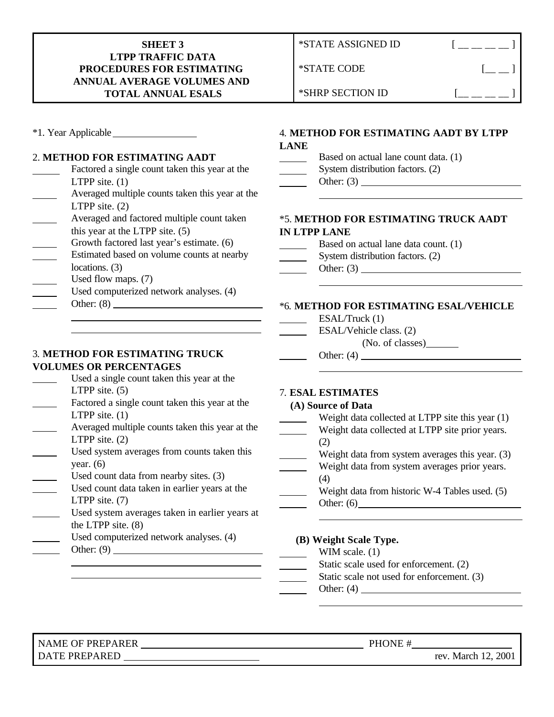# **SHEET 3 LTPP TRAFFIC DATA PROCEDURES FOR ESTIMATING ANNUAL AVERAGE VOLUMES AND TOTAL ANNUAL ESALS**

\*STATE ASSIGNED ID  $[\underline{\hspace{1cm}} \underline{\hspace{1cm}} \underline{\hspace{1cm}} \underline{\hspace{1cm}} \underline{\hspace{1cm}} \underline{\hspace{1cm}} \underline{\hspace{1cm}} \underline{\hspace{1cm}} \underline{\hspace{1cm}} \underline{\hspace{1cm}} \underline{\hspace{1cm}} \underline{\hspace{1cm}} \underline{\hspace{1cm}} \underline{\hspace{1cm}} \underline{\hspace{1cm}} \underline{\hspace{1cm}} \underline{\hspace{1cm}} \underline{\hspace{1cm}} \underline{\hspace{1cm}} \underline{\hspace{1cm}} \underline{\hspace{1cm}} \underline{\hspace{1cm}} \underline{\$ 

 $*$ STATE CODE  $[\_\_ \_\_ ]$ 

\*SHRP SECTION ID [\_\_ \_\_ \_\_ \_\_ ]

\*1. Year Applicable

#### 2. **METHOD FOR ESTIMATING AADT**

- **Factored a single count taken this year at the** LTPP site.  $(1)$
- Averaged multiple counts taken this year at the LTPP site. (2)
- Averaged and factored multiple count taken this year at the LTPP site. (5)
- Growth factored last year's estimate. (6)
- Estimated based on volume counts at nearby locations. (3)
- Used flow maps. (7)
- Used computerized network analyses. (4)
- Other: (8)  $\overline{a}$

 $\overline{a}$ 

# 3. **METHOD FOR ESTIMATING TRUCK VOLUMES OR PERCENTAGES**

- Used a single count taken this year at the LTPP site. (5)
- Factored a single count taken this year at the LTPP site. (1)
- Averaged multiple counts taken this year at the LTPP site. (2)
- Used system averages from counts taken this year.  $(6)$
- Used count data from nearby sites. (3)
- Used count data taken in earlier years at the LTPP site. (7)
- Used system averages taken in earlier years at the LTPP site. (8)
- Used computerized network analyses. (4) Other: (9)

# 4. **METHOD FOR ESTIMATING AADT BY LTPP**

- **LANE**
	- Based on actual lane count data. (1)
	- System distribution factors. (2)
- Other: (3)  $\overline{a}$

# \*5. **METHOD FOR ESTIMATING TRUCK AADT IN LTPP LANE**

- Based on actual lane data count. (1)
- System distribution factors. (2)
	- Other: (3)

 $\overline{a}$ 

## \*6. **METHOD FOR ESTIMATING ESAL/VEHICLE**

- $\overline{\text{ESAL/Truck (1)}}$ 
	- ESAL/Vehicle class. (2)
		- (No. of classes)
		- Other: (4)

 $\overline{a}$ 

#### 7. **ESAL ESTIMATES**

#### **(A) Source of Data**

- Weight data collected at LTPP site this year  $(1)$
- Weight data collected at LTPP site prior years. (2)
- Weight data from system averages this year. (3)
- **Weight data from system averages prior years.**

(4)

- Weight data from historic W-4 Tables used. (5)
	- Other:  $(6)$  $\overline{a}$

#### **(B) Weight Scale Type.**

- **WIM** scale. (1)
- Static scale used for enforcement. (2)
- Static scale not used for enforcement. (3)
	- Other: (4)

 $\overline{a}$ 

NAME OF PREPARER PHONE # DATE PREPARED rev. March 12, 2001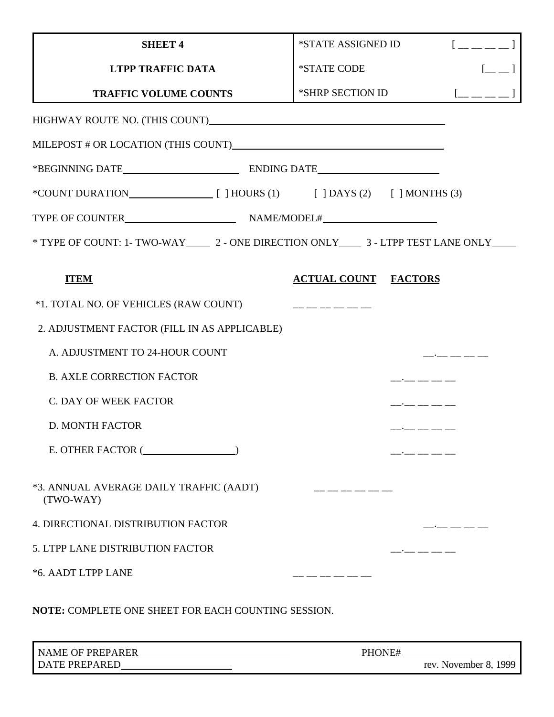| <b>SHEET 4</b>                                                                                  | *STATE ASSIGNED ID          | $[$ $   ]$  |
|-------------------------------------------------------------------------------------------------|-----------------------------|-------------|
| <b>LTPP TRAFFIC DATA</b>                                                                        | *STATE CODE                 | $[-]$       |
| <b>TRAFFIC VOLUME COUNTS</b>                                                                    | *SHRP SECTION ID            | $[$ $    ]$ |
|                                                                                                 |                             |             |
|                                                                                                 |                             |             |
|                                                                                                 |                             |             |
|                                                                                                 |                             |             |
|                                                                                                 |                             |             |
| * TYPE OF COUNT: 1- TWO-WAY________ 2 - ONE DIRECTION ONLY_______ 3 - LTPP TEST LANE ONLY______ |                             |             |
|                                                                                                 |                             |             |
| <b>ITEM</b>                                                                                     | <b>ACTUAL COUNT FACTORS</b> |             |
| *1. TOTAL NO. OF VEHICLES (RAW COUNT)                                                           | للمساحد المساحد للمساحد     |             |
| 2. ADJUSTMENT FACTOR (FILL IN AS APPLICABLE)                                                    |                             |             |
| A. ADJUSTMENT TO 24-HOUR COUNT                                                                  |                             |             |
| <b>B. AXLE CORRECTION FACTOR</b>                                                                |                             |             |
| C. DAY OF WEEK FACTOR                                                                           |                             |             |
| D. MONTH FACTOR                                                                                 |                             |             |
| E. OTHER FACTOR ( <u>______________</u> )                                                       |                             |             |
| *3. ANNUAL AVERAGE DAILY TRAFFIC (AADT)<br>(TWO-WAY)                                            |                             |             |
| <b>4. DIRECTIONAL DISTRIBUTION FACTOR</b>                                                       |                             |             |
| 5. LTPP LANE DISTRIBUTION FACTOR                                                                |                             |             |
| *6. AADT LTPP LANE                                                                              |                             |             |
|                                                                                                 |                             |             |

**NOTE:** COMPLETE ONE SHEET FOR EACH COUNTING SESSION.

| <b>I NAME OF PREPARER</b> | PHONE#                |
|---------------------------|-----------------------|
| <b>I DATE PREPARED</b>    | rev. November 8, 1999 |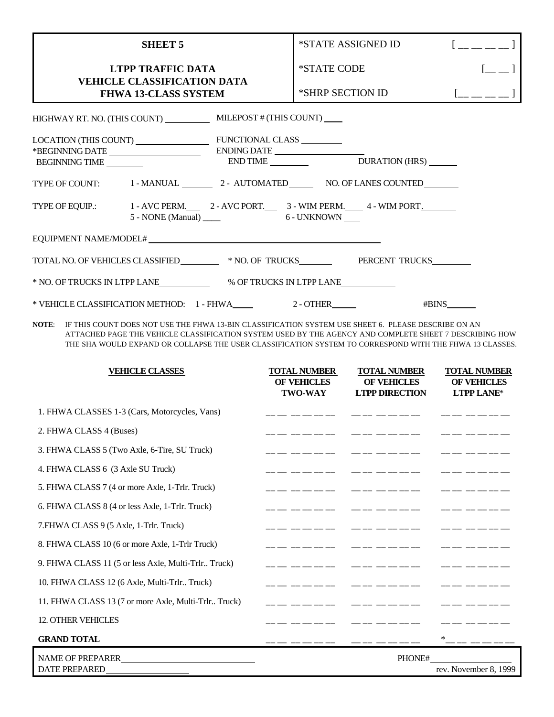|                                                                 | <b>SHEET 5</b>                                                                                                                                                                                             |             | *STATE ASSIGNED ID |                                                | $\begin{bmatrix} 1 & 1 & 1 \\ 1 & 1 & 1 \end{bmatrix}$    |  |
|-----------------------------------------------------------------|------------------------------------------------------------------------------------------------------------------------------------------------------------------------------------------------------------|-------------|--------------------|------------------------------------------------|-----------------------------------------------------------|--|
| <b>LTPP TRAFFIC DATA</b>                                        |                                                                                                                                                                                                            | *STATE CODE |                    | $\begin{bmatrix} 1 & 1 \\ 1 & 1 \end{bmatrix}$ |                                                           |  |
|                                                                 | <b>VEHICLE CLASSIFICATION DATA</b><br><b>FHWA 13-CLASS SYSTEM</b>                                                                                                                                          |             | *SHRP SECTION ID   |                                                | $\left[ \begin{array}{ccc} - & - & - \end{array} \right]$ |  |
|                                                                 |                                                                                                                                                                                                            |             |                    |                                                |                                                           |  |
|                                                                 | $\textbf{\textit{LOCATION (THIS COUNT)} \textcolor{red}{\textbf{\textit{LOCATIONAL CLASS}}} \textcolor{red}{\textbf{\textit{LOCATIONAL CLASS}}}$<br>FREGINNING DATE ENDING DATE ENDING DATE DURATION (HRS) |             |                    |                                                |                                                           |  |
|                                                                 |                                                                                                                                                                                                            |             |                    |                                                |                                                           |  |
| TYPE OF EQUIP.:                                                 | 1 - AVC PERM. 2 - AVC PORT. 3 - WIM PERM. 4 - WIM PORT.<br>5 - NONE (Manual) 6 - UNKNOWN                                                                                                                   |             |                    |                                                |                                                           |  |
|                                                                 |                                                                                                                                                                                                            |             |                    |                                                |                                                           |  |
| TOTAL NO. OF VEHICLES CLASSIFIED * NO. OF TRUCKS PERCENT TRUCKS |                                                                                                                                                                                                            |             |                    |                                                |                                                           |  |
|                                                                 | * NO. OF TRUCKS IN LTPP LANE 40 % OF TRUCKS IN LTPP LANE                                                                                                                                                   |             |                    |                                                |                                                           |  |
|                                                                 |                                                                                                                                                                                                            |             |                    | # $\rm BINS$                                   |                                                           |  |

**NOTE**: IF THIS COUNT DOES NOT USE THE FHWA 13-BIN CLASSIFICATION SYSTEM USE SHEET 6. PLEASE DESCRIBE ON AN ATTACHED PAGE THE VEHICLE CLASSIFICATION SYSTEM USED BY THE AGENCY AND COMPLETE SHEET 7 DESCRIBING HOW THE SHA WOULD EXPAND OR COLLAPSE THE USER CLASSIFICATION SYSTEM TO CORRESPOND WITH THE FHWA 13 CLASSES.

| <b>VEHICLE CLASSES</b>                                        | <b>TOTAL NUMBER</b><br><b>OF VEHICLES</b><br><b>TWO-WAY</b>                                                                                                                                                                                                                                                                                                                                                                                                                                    | <b>TOTAL NUMBER</b><br><b>OF VEHICLES</b><br><b>LTPP DIRECTION</b>                                                                                                                                                                                                                                                                                                                                                                                                                       | <b>TOTAL NUMBER</b><br><b>OF VEHICLES</b><br><b>LTPP LANE*</b>                                                                                                        |
|---------------------------------------------------------------|------------------------------------------------------------------------------------------------------------------------------------------------------------------------------------------------------------------------------------------------------------------------------------------------------------------------------------------------------------------------------------------------------------------------------------------------------------------------------------------------|------------------------------------------------------------------------------------------------------------------------------------------------------------------------------------------------------------------------------------------------------------------------------------------------------------------------------------------------------------------------------------------------------------------------------------------------------------------------------------------|-----------------------------------------------------------------------------------------------------------------------------------------------------------------------|
| 1. FHWA CLASSES 1-3 (Cars, Motorcycles, Vans)                 |                                                                                                                                                                                                                                                                                                                                                                                                                                                                                                |                                                                                                                                                                                                                                                                                                                                                                                                                                                                                          |                                                                                                                                                                       |
| 2. FHWA CLASS 4 (Buses)                                       | __ __ __ __ __ __ __                                                                                                                                                                                                                                                                                                                                                                                                                                                                           | $\begin{tabular}{lllllllllllllllllllll} \multicolumn{2}{l}{} & \multicolumn{2}{l}{} & \multicolumn{2}{l}{} & \multicolumn{2}{l}{} & \multicolumn{2}{l}{} & \multicolumn{2}{l}{} & \multicolumn{2}{l}{} & \multicolumn{2}{l}{} & \multicolumn{2}{l}{} & \multicolumn{2}{l}{} & \multicolumn{2}{l}{} & \multicolumn{2}{l}{} & \multicolumn{2}{l}{} & \multicolumn{2}{l}{} & \multicolumn{2}{l}{} & \multicolumn{2}{l}{} & \multicolumn{2}{l}{} & \multicolumn{2}{l}{} & \multicolumn$      |                                                                                                                                                                       |
| 3. FHWA CLASS 5 (Two Axle, 6-Tire, SU Truck)                  | $\begin{tabular}{ll} \multicolumn{2}{c} {\textbf{1}} & \multicolumn{2}{c} {\textbf{2}} & \multicolumn{2}{c} {\textbf{3}} & \multicolumn{2}{c} {\textbf{4}} & \multicolumn{2}{c} {\textbf{5}} \\ \multicolumn{2}{c} {\textbf{1}} & \multicolumn{2}{c} {\textbf{2}} & \multicolumn{2}{c} {\textbf{3}} & \multicolumn{2}{c} {\textbf{4}} & \multicolumn{2}{c} {\textbf{5}} \\ \multicolumn{2}{c} {\textbf{1}} & \multicolumn{2}{c} {\textbf{2}} & \multicolumn{2}{c} {\textbf{4}} & \multicolumn$ | $\begin{tabular}{lllllllllllll} \toprule & $\mathit{m$ & $\mathit{m$} \rightarrow$ & $\mathit{m$} \rightarrow$ & $\mathit{m$} \rightarrow$ & $\mathit{m$} \rightarrow$ \\ \hline \end{tabular}$                                                                                                                                                                                                                                                                                          |                                                                                                                                                                       |
| 4. FHWA CLASS 6 (3 Axle SU Truck)                             | __ __ __ __ __ __ __                                                                                                                                                                                                                                                                                                                                                                                                                                                                           | $        -$                                                                                                                                                                                                                                                                                                                                                                                                                                                                              | $      -$                                                                                                                                                             |
| 5. FHWA CLASS 7 (4 or more Axle, 1-Trlr. Truck)               | __ __ __ __ __ __ __                                                                                                                                                                                                                                                                                                                                                                                                                                                                           | $--- --- --- --- --- --- --- --- --- --- --- --- --- --- --- --- --- --- --- --- --- --- --- --- --- --- --- --- - 1.$                                                                                                                                                                                                                                                                                                                                                                   | $--- --- --- --- --- --- 1$                                                                                                                                           |
| 6. FHWA CLASS 8 (4 or less Axle, 1-Trlr. Truck)               |                                                                                                                                                                                                                                                                                                                                                                                                                                                                                                |                                                                                                                                                                                                                                                                                                                                                                                                                                                                                          |                                                                                                                                                                       |
| 7. FHWA CLASS 9 (5 Axle, 1-Trlr. Truck)                       | __ __ __ __ __ __ __                                                                                                                                                                                                                                                                                                                                                                                                                                                                           | $       -$                                                                                                                                                                                                                                                                                                                                                                                                                                                                               |                                                                                                                                                                       |
| 8. FHWA CLASS 10 (6 or more Axle, 1-Trlr Truck)               |                                                                                                                                                                                                                                                                                                                                                                                                                                                                                                |                                                                                                                                                                                                                                                                                                                                                                                                                                                                                          | $\begin{tabular}{lllllllllllll} \toprule & $\mathit{m$ & $\mathit{m$ & $\mathit{m$} \rightarrow$ & $\mathit{m$ & $\mathit{m$} \rightarrow$ \\ \hline \end{tabular} }$ |
| 9. FHWA CLASS 11 (5 or less Axle, Multi-Trlr Truck)           |                                                                                                                                                                                                                                                                                                                                                                                                                                                                                                |                                                                                                                                                                                                                                                                                                                                                                                                                                                                                          |                                                                                                                                                                       |
| 10. FHWA CLASS 12 (6 Axle, Multi-Trlr Truck)                  | $        -$                                                                                                                                                                                                                                                                                                                                                                                                                                                                                    | $       -$                                                                                                                                                                                                                                                                                                                                                                                                                                                                               | $        -$                                                                                                                                                           |
| 11. FHWA CLASS 13 (7 or more Axle, Multi-Trlr Truck)          |                                                                                                                                                                                                                                                                                                                                                                                                                                                                                                | $\begin{tabular}{ll} \multicolumn{2}{l}{} & \multicolumn{2}{l}{} & \multicolumn{2}{l}{} & \multicolumn{2}{l}{} \\ \multicolumn{2}{l}{} & \multicolumn{2}{l}{} & \multicolumn{2}{l}{} & \multicolumn{2}{l}{} \\ \multicolumn{2}{l}{} & \multicolumn{2}{l}{} & \multicolumn{2}{l}{} \\ \multicolumn{2}{l}{} & \multicolumn{2}{l}{} & \multicolumn{2}{l}{} \\ \multicolumn{2}{l}{} & \multicolumn{2}{l}{} \\ \multicolumn{2}{l}{} & \multicolumn{2}{l}{} \\ \multicolumn{2}{l}{} & \multic$ |                                                                                                                                                                       |
| <b>12. OTHER VEHICLES</b>                                     |                                                                                                                                                                                                                                                                                                                                                                                                                                                                                                | ______________                                                                                                                                                                                                                                                                                                                                                                                                                                                                           |                                                                                                                                                                       |
| <b>GRAND TOTAL</b>                                            |                                                                                                                                                                                                                                                                                                                                                                                                                                                                                                |                                                                                                                                                                                                                                                                                                                                                                                                                                                                                          |                                                                                                                                                                       |
| NAME OF PREPARER                                              |                                                                                                                                                                                                                                                                                                                                                                                                                                                                                                | PHONE#                                                                                                                                                                                                                                                                                                                                                                                                                                                                                   |                                                                                                                                                                       |
| DATE PREPARED<br><u> 1989 - Johann Stein, Amerikaansk kon</u> |                                                                                                                                                                                                                                                                                                                                                                                                                                                                                                |                                                                                                                                                                                                                                                                                                                                                                                                                                                                                          | rev. November 8, 1999                                                                                                                                                 |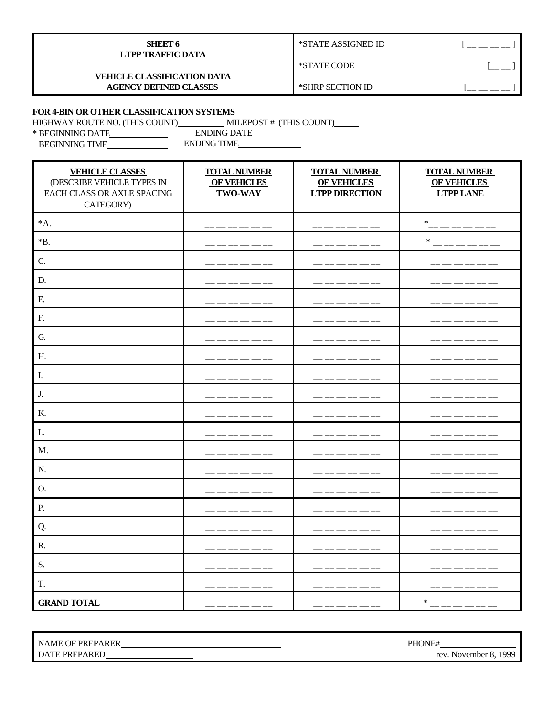| <b>SHEET 6</b>           |
|--------------------------|
| <b>LTPP TRAFFIC DATA</b> |

\*STATE ASSIGNED ID  $[$   $]$ 

| VEHICLE CLASSIFICATION DATA   |
|-------------------------------|
| <b>AGENCY DEFINED CLASSES</b> |

\*STATE CODE  $[\underline{\hspace{1cm}}]$ <br>\*SHRP SECTION ID  $[\underline{\hspace{1cm}}]$  $*$ SHRP SECTION ID

## **FOR 4-BIN OR OTHER CLASSIFICATION SYSTEMS**

| HIGHWAY ROUTE NO. (THIS COUNT) | MILEPOST # (THIS COUNT) |
|--------------------------------|-------------------------|
| * BEGINNING DATE               | <b>ENDING DATE</b>      |
| <b>BEGINNING TIME</b>          | ENDING TIME             |

| <b>VEHICLE CLASSES</b><br>(DESCRIBE VEHICLE TYPES IN<br>EACH CLASS OR AXLE SPACING<br>CATEGORY) | <b>TOTAL NUMBER</b><br><b>OF VEHICLES</b><br><b>TWO-WAY</b> | <b>TOTAL NUMBER</b><br><b>OF VEHICLES</b><br><b>LTPP DIRECTION</b> | <b>TOTAL NUMBER</b><br><b>OF VEHICLES</b><br><b>LTPP LANE</b> |
|-------------------------------------------------------------------------------------------------|-------------------------------------------------------------|--------------------------------------------------------------------|---------------------------------------------------------------|
| $^*A.$                                                                                          | _ __ __ _                                                   | - -- -- -- -- -                                                    | *------------                                                 |
| $*B.$                                                                                           |                                                             |                                                                    | $*$                                                           |
| C.                                                                                              |                                                             |                                                                    |                                                               |
| D.                                                                                              |                                                             |                                                                    |                                                               |
| E.                                                                                              |                                                             |                                                                    |                                                               |
| ${\bf F}.$                                                                                      |                                                             |                                                                    |                                                               |
| ${\bf G}$                                                                                       |                                                             | ______                                                             |                                                               |
| H.                                                                                              |                                                             |                                                                    |                                                               |
| I.                                                                                              |                                                             |                                                                    |                                                               |
| J.                                                                                              |                                                             | _ __ __ __                                                         |                                                               |
| K.                                                                                              |                                                             |                                                                    |                                                               |
| L.                                                                                              |                                                             |                                                                    |                                                               |
| M.                                                                                              | - -- -- -- -- -                                             | $--- --- --- --- --- --- $                                         | -------                                                       |
| N.                                                                                              |                                                             |                                                                    |                                                               |
| O.                                                                                              |                                                             |                                                                    |                                                               |
| P.                                                                                              |                                                             | --------                                                           |                                                               |
| Q.                                                                                              |                                                             | _ __ __ __ __                                                      |                                                               |
| R.                                                                                              |                                                             |                                                                    |                                                               |
| S.                                                                                              |                                                             |                                                                    |                                                               |
| T.                                                                                              | __ __ __ __ __ __                                           | __ __ __ __ __ __                                                  | __ __ __ __ __ __                                             |
| <b>GRAND TOTAL</b>                                                                              | — —— —— —— —— <u>—</u>                                      | ------------                                                       | $\ast$<br>----------                                          |

| NAME OF PREPARER | PHONE#                   |
|------------------|--------------------------|
| DATE PREPARED    | November 8, 1999<br>rev. |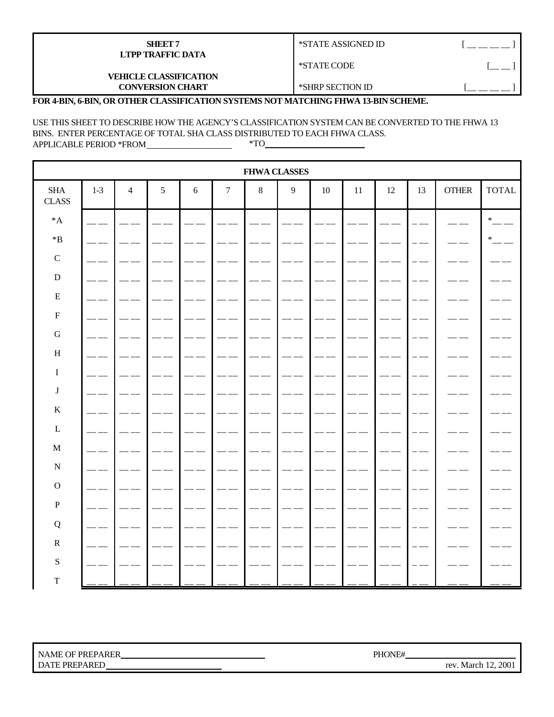#### **SHEET7 LTPP TRAFFIC DATA**

\*STATE ASSIGNED ID

 $[$   $]$ 

 $[-1]$  $[\underline{\qquad \qquad }]=\underline{\qquad \qquad }$ 

#### **VEHICLE CLASSIFICATION CONVERSION CHART**

\*SHRP SECTION ID

\*STATE CODE

# FOR 4-BIN, 6-BIN, OR OTHER CLASSIFICATION SYSTEMS NOT MATCHING FHWA 13-BIN SCHEME.

USE THIS SHEET TO DESCRIBE HOW THE AGENCY'S CLASSIFICATION SYSTEM CAN BE CONVERTED TO THE FHWA 13 BINS. ENTER PERCENTAGE OF TOTAL SHA CLASS DISTRIBUTED TO EACH FHWA CLASS.  $*$ TO

| <b>FHWA CLASSES</b>                            |       |                |               |            |                  |         |                          |    |                          |    |                                        |              |              |
|------------------------------------------------|-------|----------------|---------------|------------|------------------|---------|--------------------------|----|--------------------------|----|----------------------------------------|--------------|--------------|
| $\operatorname*{SHA}\nolimits$<br><b>CLASS</b> | $1-3$ | $\overline{4}$ | $\mathfrak s$ | $\sqrt{6}$ | $\boldsymbol{7}$ | $\,8\,$ | $\overline{9}$           | 10 | 11                       | 12 | 13                                     | <b>OTHER</b> | <b>TOTAL</b> |
| $^*A$                                          |       |                |               |            |                  |         |                          |    |                          |    |                                        |              | $\ast$       |
| $\mathbf{^{\ast }B}$                           |       | --             |               |            |                  |         | --                       |    | $\qquad \qquad - \qquad$ |    | ——                                     |              | $\ast$       |
| $\mathsf{C}$                                   |       |                |               |            |                  |         |                          |    |                          |    |                                        |              |              |
| $\mathbf D$                                    |       | ÷.             | i.            |            |                  |         | $\mathcal{L}$            |    |                          |    |                                        |              |              |
| ${\bf E}$                                      |       | --             | ——            |            |                  |         |                          |    | $\qquad \qquad -$        |    | $\qquad \qquad -$<br>$\qquad \qquad -$ |              |              |
| $\mathbf F$                                    |       |                |               |            |                  |         |                          |    |                          |    |                                        |              |              |
| ${\bf G}$                                      |       |                |               |            |                  |         |                          |    |                          |    |                                        |              |              |
| $\rm H$                                        |       |                |               |            |                  |         |                          |    |                          |    | $\qquad \qquad$<br>$\qquad \qquad -$   |              |              |
| $\bf I$                                        |       |                |               |            |                  |         |                          |    |                          |    |                                        |              |              |
| $\bf J$                                        |       |                |               |            |                  |         |                          |    |                          |    | ---                                    |              |              |
| $\bf K$                                        |       | --             |               |            |                  |         |                          |    |                          |    | $ -$                                   |              |              |
| $\mathbf L$                                    |       |                |               |            |                  |         |                          |    |                          |    |                                        |              |              |
| $\mathbf M$                                    |       |                | ÷.            |            |                  |         | $\overline{\phantom{a}}$ |    |                          |    |                                        |              |              |
| ${\bf N}$                                      |       |                |               |            |                  |         |                          |    |                          |    | —<br>--                                |              |              |
| $\mathbf O$                                    |       |                |               |            |                  |         |                          |    |                          |    |                                        |              |              |
| $\, {\bf P}$                                   |       |                | j.            |            |                  |         | ۰                        |    |                          |    | $-$                                    |              |              |
| $\bf Q$                                        |       |                |               |            |                  |         |                          |    |                          |    |                                        |              |              |
| ${\bf R}$                                      |       |                |               |            |                  |         |                          |    |                          |    |                                        |              |              |
| ${\bf S}$                                      |       |                |               |            |                  |         |                          |    |                          |    |                                        |              |              |
| $\mathbf T$                                    |       |                |               |            |                  |         |                          |    |                          |    |                                        |              |              |

| <b>NAME OF PREPARER</b> |  |
|-------------------------|--|
| DATE PREPARED           |  |
|                         |  |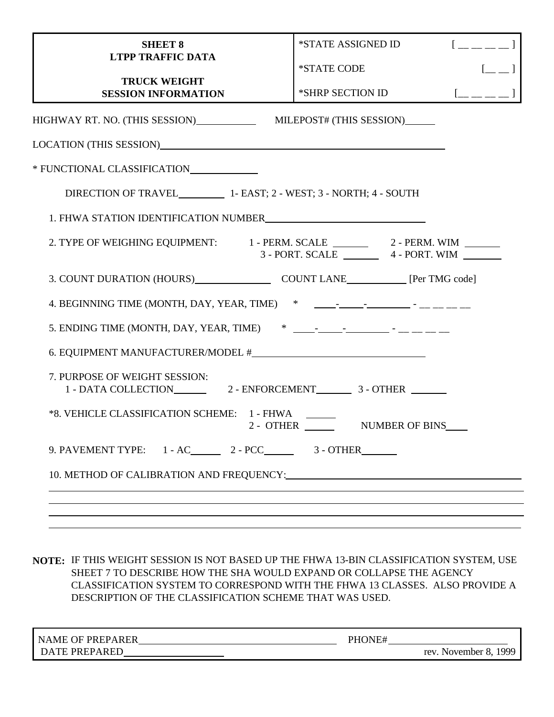| <b>SHEET 8</b><br><b>LTPP TRAFFIC DATA</b>                                                                                                                                                                                     | *STATE ASSIGNED ID<br>$1 - 1 - 1$                                                                                                                         |  |  |  |  |  |
|--------------------------------------------------------------------------------------------------------------------------------------------------------------------------------------------------------------------------------|-----------------------------------------------------------------------------------------------------------------------------------------------------------|--|--|--|--|--|
|                                                                                                                                                                                                                                | *STATE CODE                                                                                                                                               |  |  |  |  |  |
| <b>TRUCK WEIGHT</b><br><b>SESSION INFORMATION</b>                                                                                                                                                                              | $\begin{bmatrix} 1 & 1 & 1 \\ 1 & 1 & 1 \\ 1 & 1 & 1 \end{bmatrix} \begin{bmatrix} 1 & 1 & 1 \\ 1 & 1 & 1 \\ 1 & 1 & 1 \end{bmatrix}$<br>*SHRP SECTION ID |  |  |  |  |  |
| HIGHWAY RT. NO. (THIS SESSION) MILEPOST# (THIS SESSION)                                                                                                                                                                        |                                                                                                                                                           |  |  |  |  |  |
| LOCATION (THIS SESSION)<br><u> </u>                                                                                                                                                                                            |                                                                                                                                                           |  |  |  |  |  |
| * FUNCTIONAL CLASSIFICATION                                                                                                                                                                                                    |                                                                                                                                                           |  |  |  |  |  |
| DIRECTION OF TRAVEL 1- EAST; 2 - WEST; 3 - NORTH; 4 - SOUTH                                                                                                                                                                    |                                                                                                                                                           |  |  |  |  |  |
| 1. FHWA STATION IDENTIFICATION NUMBER                                                                                                                                                                                          |                                                                                                                                                           |  |  |  |  |  |
|                                                                                                                                                                                                                                |                                                                                                                                                           |  |  |  |  |  |
| 3. COUNT DURATION (HOURS) COUNT LANE [Per TMG code]                                                                                                                                                                            |                                                                                                                                                           |  |  |  |  |  |
|                                                                                                                                                                                                                                |                                                                                                                                                           |  |  |  |  |  |
|                                                                                                                                                                                                                                |                                                                                                                                                           |  |  |  |  |  |
|                                                                                                                                                                                                                                |                                                                                                                                                           |  |  |  |  |  |
| 7. PURPOSE OF WEIGHT SESSION:<br>1 - DATA COLLECTION 2 - ENFORCEMENT 3 - OTHER                                                                                                                                                 |                                                                                                                                                           |  |  |  |  |  |
| *8. VEHICLE CLASSIFICATION SCHEME: 1 - FHWA ______                                                                                                                                                                             | 2 - OTHER NUMBER OF BINS                                                                                                                                  |  |  |  |  |  |
|                                                                                                                                                                                                                                |                                                                                                                                                           |  |  |  |  |  |
| 10. METHOD OF CALIBRATION AND FREQUENCY: The matter of the contract of the contract of the contract of the contract of the contract of the contract of the contract of the contract of the contract of the contract of the con |                                                                                                                                                           |  |  |  |  |  |
|                                                                                                                                                                                                                                |                                                                                                                                                           |  |  |  |  |  |
|                                                                                                                                                                                                                                |                                                                                                                                                           |  |  |  |  |  |

**NOTE:** IF THIS WEIGHT SESSION IS NOT BASED UP THE FHWA 13-BIN CLASSIFICATION SYSTEM, USE SHEET 7 TO DESCRIBE HOW THE SHA WOULD EXPAND OR COLLAPSE THE AGENCY CLASSIFICATION SYSTEM TO CORRESPOND WITH THE FHWA 13 CLASSES. ALSO PROVIDE A DESCRIPTION OF THE CLASSIFICATION SCHEME THAT WAS USED.

| NAME OF PREPARER | PHONE# |                       |
|------------------|--------|-----------------------|
| DATE PREPARED    |        | rev. November 8, 1999 |